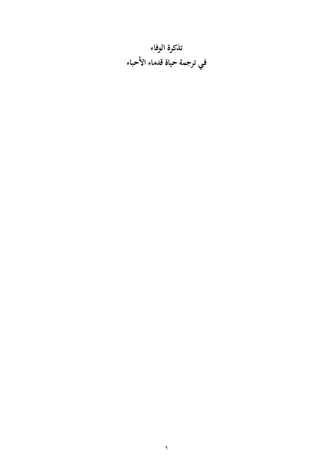تذكرة الوفاء في ترجمة حياة قدماء الأحباء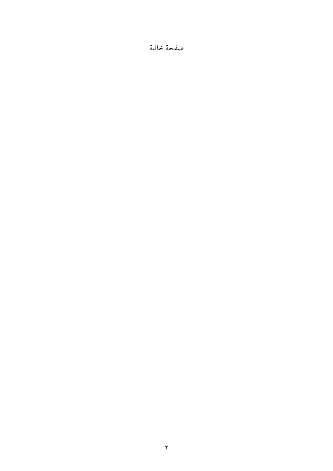### صفحة خالية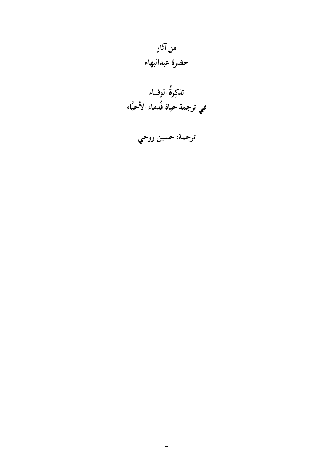## من آثار حضرة عبدالبهاء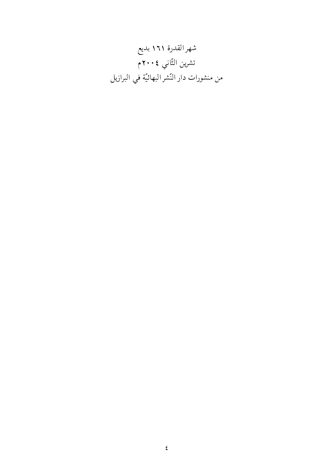شهرالقدرة ١٦١ بديع تشرين الثّاني ٢٠٠٤م من منشورات دار النّشر البهائيّة في البرازيل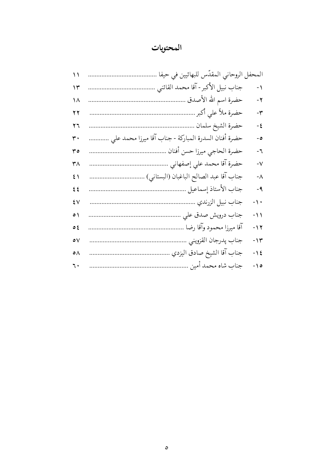## المحتويات

| $\setminus$  | المحفل الروحاني المقدّس للبهائيين في حيفا            |                     |
|--------------|------------------------------------------------------|---------------------|
| ۱۳           | جناب نبيل الأكبر - آقا محمد القائني<br>.             | $-1$                |
| ۱۸           | حضرة اسم الله الأصدق .                               | -۲                  |
| ۲۲           | حضرة ملاّ على أكبر                                   | $-\tau$             |
| ۲٦           | حضرة الشيخ سلمان                                     | $-\xi$              |
| ٣٠           | حضرة أفنان السدرة المباركة - جناب آقا ميرزا محمد علي | ه -                 |
| ه ۳          | حضرة الحاجي ميرزا حسن أفنان                          | -٦                  |
| ۳۸           | حضرة آقا محمد علي إصفهاني                            | $-\sqrt{}$          |
| 51           | جناب آقا عبد الصالح الباغبان (البستاني)              | $-\Lambda$          |
| ٤٤           | جناب الأستاذ إسماعيل                                 | - 9                 |
| ٤V           | جناب نبيل الزرندي                                    | $-\big\backslash$ . |
| $\circ$      | جناب درويش صدق على                                   | $-11$               |
| <b>ہ</b> د   | آقا ميرزا محمود وآقا رضا                             | $-11$               |
| $\circ \vee$ | جناب يدرجان القزويني                                 | $-14$               |
| ٥٨           | جناب آقا الشيخ صادق اليزدي                           | $-15$               |
| ٦.           | جناب شاه محمد أمين                                   | $- \setminus o$     |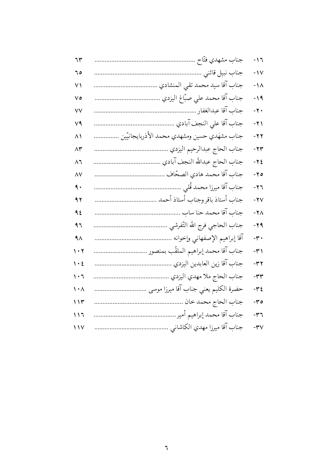| ٦٣                              | جناب مشهدي فتّاح                             | $-17$              |  |
|---------------------------------|----------------------------------------------|--------------------|--|
| ٥ ٦                             |                                              | $-1V$              |  |
| $\vee$                          |                                              | $-1\Lambda$        |  |
| $\vee$ ٥                        |                                              | $-19$              |  |
| $\vee\vee$                      |                                              | $-\gamma$ .        |  |
| $V$ ٩                           |                                              | $-71$              |  |
| $\wedge$                        | جناب مشهَدي حسين ومشهدي محمد الأذربايجانيّين | $-77$              |  |
| $\wedge \breve{r}$              |                                              | $-74$              |  |
| $\wedge$                        |                                              | $-75$              |  |
| $\wedge\vee$                    |                                              | $-70$              |  |
| ٩.                              |                                              | $-77$              |  |
| 9 <sub>1</sub>                  |                                              | $-YV$              |  |
| 92                              |                                              | $-Y \wedge$        |  |
| ۹٦                              |                                              | $-79$              |  |
| $4\wedge$                       |                                              | $-\tau$ .          |  |
| $\cdot$ $\cdot$                 |                                              | $-\tau$            |  |
| $\mathcal{N} \cdot \mathcal{E}$ |                                              | $-\tau \tau$       |  |
| $\cdot$ 7                       |                                              | $-\tau$            |  |
| $\mathcal{N} \cdot \mathcal{N}$ |                                              | $-\tau$ {          |  |
| 115                             |                                              | $-\tau$ 0          |  |
| 117                             |                                              | $-\tau$ ٦          |  |
| $\frac{1}{\sqrt{2}}$            |                                              | $-\mathsf{r} \vee$ |  |
|                                 |                                              |                    |  |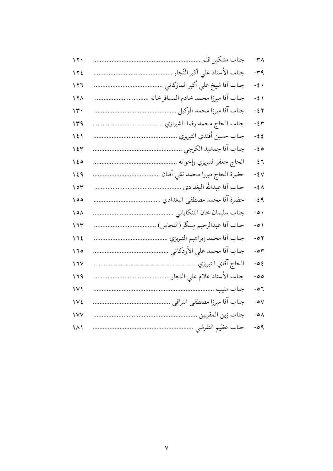| $\vee \vee \cdot$      | $-\tau \wedge$   |
|------------------------|------------------|
| 122                    | $-\tau$ ۹        |
| 117                    | $-\xi$ .         |
| $\sqrt{7}$             | $-\xi$ $\lambda$ |
| ۱۳.                    | $-55$            |
| ۱۳۹                    | $-54$            |
| $\frac{1}{2}$          | $-55$            |
| $\sqrt{2}$             | $-\xi$ ٥         |
| ه ٤ ١                  | $-\xi$ ٦         |
| 129                    | $-5V$            |
| ۱۰۳                    | $-\xi \wedge$    |
| $\circ$ 0              | $-59$            |
| $\Diamond \circ \land$ | $-0$ .           |
| ۱٦٣                    | $-0)$            |
| 175                    | $-0$ ۲           |
| 170                    | $-04$            |
| $\sqrt{11}$            | $-02$            |
| ۱٦۹                    | ه ه -            |
| $\vee$                 | - $\circ$ ٦      |
| 172                    | - ہ $\vee$       |
| ١٧٧                    | $-0\Lambda$      |
| ۱۸۱                    | $-09$            |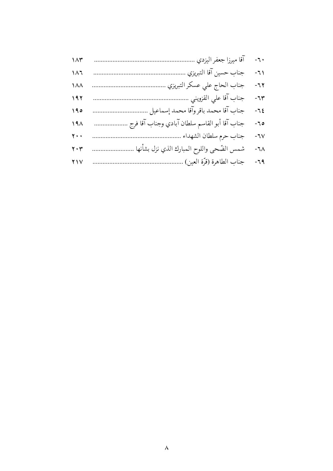| $\Lambda \uparrow$            | آقا ميرزا جعفر اليزدي .                       | $\overline{\phantom{a}}$ - $\overline{\phantom{a}}$ |
|-------------------------------|-----------------------------------------------|-----------------------------------------------------|
| $\lambda \lambda$             | جناب حسين آقا التبريزي                        | $-71$                                               |
| $\Lambda\Lambda$              | جناب الحاج على عسكر التبريزي                  | $-77$                                               |
| 197                           | جناب آقا على القزويني                         | $-71$                                               |
| 190                           | جناب آقا محمد باقروآقا محمد إسماعيل           | $-7\xi$                                             |
| 19 <sub>A</sub>               | جناب آقا أبو القاسم سلطان آبادي وجناب آقا فرج | $-70$                                               |
| $\mathbf{y}$ .                | جناب حرم سلطان الشهداء .                      | $-7V$                                               |
| $\mathbf{y} \cdot \mathbf{y}$ | شمس الضّحى واللوح المبارك الذي نزل بشأنها     | ٦٨-                                                 |
| $Y \vee V$                    | جناب الطاهرة (قرّة العين)                     | $-79$                                               |
|                               |                                               |                                                     |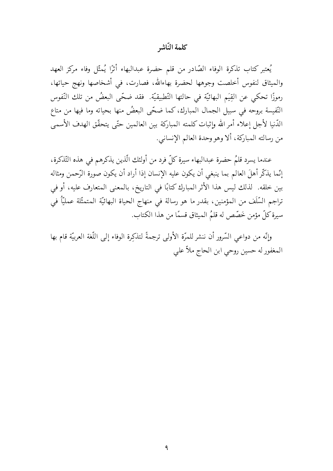#### كلمة النّاشه

يُعتبر كتاب تذكرة الوفاء الصّادر من قلم حضرة عبدالبهاء أثرًا يُمثّل وفاء مركز العهد والميثاق لنفوس أخلصت وجوهها لحضرة بهاءالله، فصارت، في أشخاصها ونهج حياتها، رموزًا تحكي عن القِيَم البهائيّة في حالتها التّطبيقيّة. فقد ضخّى البعضُ من تلك النّفوس النّفيسة بروحه في سبيل الجمال المبارك، كما ضحّى البعضُ منها بحياته وما فيها من متاع الدَّنيا لأجل إعلاء أمر الله وإثبات كلمته المباركة بين العالمين حتَّى يتحقَّق الهدف الأسمى من رسالته المباركة، ألا وهو وحدة العالم الإنساني.

عندما يسرد قلمٌ حضرة عبدالبهاء سيرة كلِّ فرد من أولئك الّذين يذكرهم في هذه التّذكرة، إنّما يذكّر أهلَ العالم بما ينبغي أن يكون عليه الإنسان إذا أراد أن يكون صورة الرّحمن ومثاله بين خلقه. لذلك ليس هذا الأثر المبارك كتابًا في التاريخ، بالمعنى المتعارف عليه، أو في تراجم السَّلَف من المؤمنين، بقدر ما هو رسالة في منهاج الحياة البهائيَّة المتمثَّلة عمليًّا في سيرة كلِّ مؤمن خَصَّص له قلمُ الميثاق قسمًا من هذا الكتاب.

وإنَّه من دواعي السَّرور أن ننشر للمرَّة الأولى ترجمةً لتذكِّرة الوفاء إلى اللُّغة العربيَّة قام بها المغفور له حسين روحي ابن الحاج ملاً على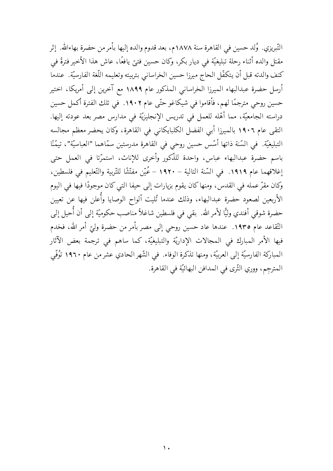التّبريزي. ۗ وُلد حسين في القاهرة سنة ١٨٧٨م، بعد قدوم والده إليها بأمر من حضرة بهاءالله. ۚ إثر مقتل والده أثناء رحلة تبليغيّة في ديار بكر، وكان حسين فتيَّ يافعًا، عاش هذا الأخير فترةً في كنف والدته قبل أن يتكفّل الحاج ميرزا حسين الخراساني بتربيته وتعليمه اللّغة الفارسيّة. عندما أرسل حضرة عبدالبهاء الميرزا الخراساني المذكور عام ١٨٩٩ مع آخرين إلى أمريكا، اختير حسين روحي مترجمًا لهم، فأقاموا في شيكاغو حتّى عام ١٩٠٢. في تلك الفترة أكمل حسين دراسته الجامعيَّة، مما أهَّله للعمل في تدريس الإنجليزيَّة في مدارس مصر بعد عودته إليها. التقى عام ١٩٠٦ بالميرزا أبي الفضل الكلبايكاني في القاهرة، وكان يحضر معظم مجالسه التبليغيّة. في السّنة ذاتها أسّس حسين روحي في القاهرة مدرستين سمّاهما "العباسيّة"، تيمّنًا باسم حضرة عبدالبهاء عباس، واحدة للذَّكور وأخرى للإناث، استمرّتا في العمل حتى إغلاقهما عام ١٩١٩. في السّنة التالية – ١٩٢٠ – عُيّن مفتّشًا للتّربية والتّعليم في فلسطين، وكان مقرَّ عمله في القدس، ومنها كان يقوم بزيارات إلى حيفا التي كان موجودًا فيها في اليوم الأربعين لصعود حضرة عبدالبهاء، وذلك عندما تُليت ألواح الوصايا وأُعلن فيها عن تعيين حضرة شوقي أفندي وليًّا لأمر الله. بقي في فلسطين شاغلاً مناصب حكوميّة إلى أن أُحيل إلى التّقاعد عام ١٩٣٥. عندها عاد حسين روحي إلى مصر بأمر من حضرة وليّ أمر الله، فخدم فيها الأمر المبارك في المجالات الإداريّة والتبليغيّة، كما ساهم في ترجمة بعض الآثار المباركة الفارسيّة إلى العربيّة، ومنها تذكرة الوفاء. في الشّهر الحادي عشر من عام ١٩٦٠ تَوُفّي المترجم، ووري الثَّري في المدافن البهائيَّة في القاهرة.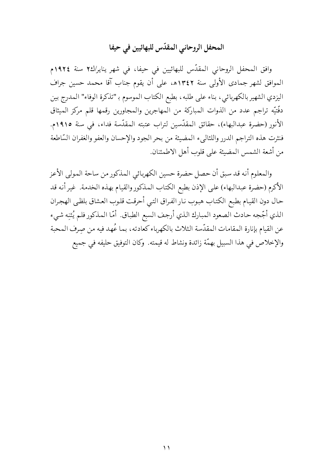### المحفل الروحاني المقدّس للبهائيين في حيفا

وافق المحفل الروحاني المقدّس للبهائيين في حيفا، في شهر يناير/كـ٢ سنة ١٩٢٤م الموافق لشهر جمادي الأولى سنة ١٣٤٢ه، على أن يقوم جناب آقا محمد حسين جراف اليزدي الشهير بالكهربائي، بناء على طلبه، بطبع الكتاب الموسوم بـ "تذكرة الوفاء" المدرج بين دفَّتيَّه تراجم عدد من الذوات المباركة من المهاجرين والمجاورين رقمها قلم مركز الميثاق الأنور (حضرة عبدالبهاء)، حقائق المقدّسين لتراب عتبته المقدّسة فداء، في سنة ١٩١٥م. فنثرت هذه التراجم الدرر واللئالبيء المضيئة من بحر الجود والإحسان والعفو والغفران السّاطعة من أشعة الشمس المضيئة على قلوب أهل الاطمئنان.

والمعلوم أنه قد سبق أن حصل حضرة حسين الكهربائي المذكور من ساحة المولى الأعز الأكرم (حضرة عبدالبهاء) على الإذن بطبع الكتاب المذكور والقيام بهذه الخدمة. غير أنه قد حال دون القيام بطبع الكتاب هبوب نار الفراق التبي أحرقت قلوب العشاق بلظبي الهجران الذي أجَّجه حادث الصعود المبارك الذي أرجف السبع الطباق. أمَّا المذكور فلم يُثنِه شيء عن القيام بإنارة المقامات المقدّسة الثلاث بالكهرباء كعادته، بما عُهد فيه من صِرف المحبة والإخلاص في هذا السبيل بهمّة زائدة ونشاط له قيمته. وكان التوفيق حليفه في جميع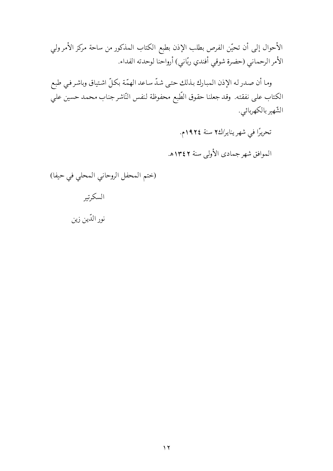الأحوال إلى أن تحيّن الفرص بطلب الإذن بطبع الكتاب المذكور من ساحة مركز الأمر ولي الأمر الرحماني (حضرة شوقي أفندي ربّاني) أرواحنا لوحدته الفداء.

وما أن صدر له الإذن المبارك بذلك حتى شدّ ساعد الهمّة بكلّ اشتياق وباشر في طبع الكتاب على نفقته. وقد جعلنا حقوق الطّبع محفوظة لنفس النّاشر جناب محمد حسين علي الشّهير بالكهربائي.

> تحريرًا في شهر يناير/كـ٢ سنة ١٩٢٤م. الموافق شهرجمادي الأولى سنة ١٣٤٢هـ

(ختم المحفل الروحاني المحلي في حيفا)

نور الدّين زين

السكرتير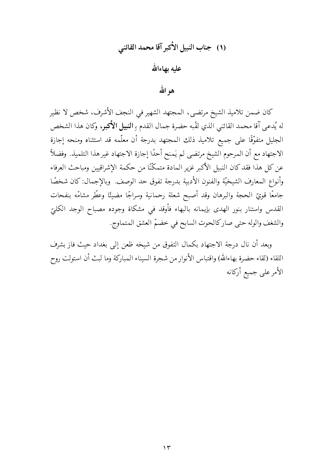# (١) جناب النبيل الأكبر آقا محمد القائني عليه بهاءالله هو الله

كان ضمن تلاميذ الشيخ مرتضى، المجتهد الشهير في النجف الأشرف، شخص لا نظير له يُدعى آقا محمد القائني الذي لقّبه حضرة جمال القدم بِ **النبيل الأكبر**، وكان هذا الشخص الجليل متفوَّقًا على جميع تلاميذ ذلك المجتهد بدرجة أن معلَّمه قد استثناه ومنحه إجازة الاجتهاد مع أن المرحوم الشيخ مرتضى لم يَمنح أحدًا إجازة الاجتهاد غير هذا التلميذ. وفضلاً عن كل هذا فقد كان النبيل الأكبر غزير المادة متمكِّنًا من حكمة الإشراقيين ومباحث العرفاء وأنواع المعارف الشيخيّة والفنون الأدبية بدرجة تفوق حد الوصف. وبالإجمال: كان شخصًا جامعًا قويّ الحجة والبرهان وقد أصبح شعلة رحمانية وسراجًا مضيئًا وعطّر مشامّه بنفحات القدس واستنار بنور الهدى بإيمانه بالبهاء فأوقد في مشكاة وجوده مصباح الوجد الكليّ والشغف والوله حتى صاركالحوت السابح في خضمّ العشق المتماوج.

وبعد أن نال درجة الاجتهاد بكمال التفوق من شيخه ظعن إلى بغداد حيث فاز بشرف اللقاء (لقاء حضرة بهاءالله) واقتباس الأنوار من شجرة السيناء المباركة وما لبث أن استولت روح الأمرعلى جميع أركانه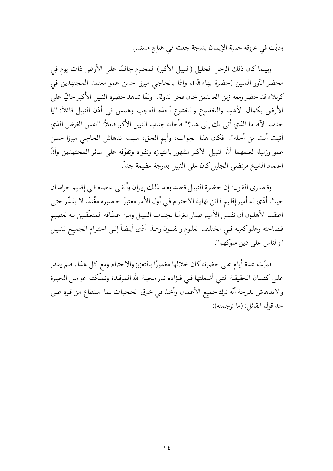ودبّت في عروقه حمية الإيمان بدرجة جعلته في هياج مستمر.

وبينما كان ذلك الرجل الجليل (النبيل الأكبر) المحترم جالسًا على الأرض ذات يوم في محضر النّور المبين (حضرة بهاءالله)، وإذا بالحاجي ميرزا حسن عمو معتمد المجتهدين في كربلاء قد حضر ومعه زين العابدين خان فخر الدولة. ولمَّا شاهد حضرة النبيل الأكبر جاثيًا على الأرض بكمال الأدب والخضوع والخشوع أخذه العجب وهمس في أذن النبيل قائلاً: "يا جناب الآقا ما الذي أتى بك إلى هنا؟" فأجابه جناب النبيل الأكبر قائلاً: "نفس الغرض الذي أتيت أنت من أجله". فكان هذا الجواب، وأيم الحق، سبب اندهاش الحاجي ميرزا حسن عمو وزميله لعلمهما أنَّ النبيل الأكبر مشهور بامتيازه وتقواه وتفوّقه على سائر المجتهدين وأنَّ اعتماد الشيخ مرتضى الجليل كان على النبيل بدرجة عظيمة جداّ.

وقصاري القول: إن حضرة النبيل قصد بعد ذلك إيران وألقى عصاه في إقليم خراسان حيث أدّى له أمير إقليم قائن نهاية الاحترام في أول الأمر معتبرًا حضوره مَغْنَمًا لا يقدّر حتى اعتقـد الأهلـون أن نفـس الأميـرصـار مغرمًـا بـجنـاب النبيـل ومـن عـشّاقه المتعلّقـين بـه لعظـيم فصاحته وعلوكعبه في مختلف العلوم والفنون وهذا أدّى أيضاً إلىي احترام الجميع للنبيل "والناس على دين ملوكهم".

فمرّت عدة أيام على حضرته كان خلالها مغمورًا بالتعزيز والاحترام ومع كل هذا، فلم يقدر علىي كتمـان الحقيقـة التـي أشـعلتها فـي فـؤاده نـار محبـة الله الموقـدة وتملّكتـه عوامـل الحيـرة والاندهاش بدرجة أنّه ترك جميع الأعمال وأخذ في خرق الحجبات بما استطاع من قوة على حد قول القائل: (ما ترجمته):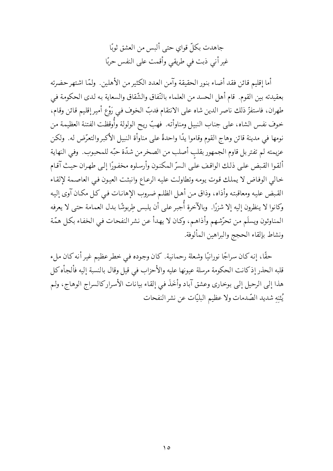جاهدت بكلِّ قواي حتى أليس من العشق ثوبًا غير أني ذبت في طريقي وأقمت على النفس حربًا

أما إقليم قائن فقد أضاء بنور الحقيقة وآمن العدد الكثير من الأهلين. ولمّا اشتهر حضرته بعقيدته بين القوم. قام أهل الحسد من العلماء بالنّفاق والشّقاق والسعاية به لدى الحكومة في طهران، فاستفزَّ ذلك ناصر الدين شاه على الانتقام فدبَّ الخوف في رَوْع أمير إقليم قائن وقام، خوف نفس الشاه، على جناب النبيل ومناوأته. فهبّ ريح الولولة وأُوقظت الفتنة العظيمة من نومها في مدينة قائن وهاج القوم وقاموا يدًا واحدةً على مناوأة النبيل الأكبر والتعرَّض له. ولكن عزيمته لم تفتر بل قاوم الجمهور بقلب أصلب من الصخر من شدّة حبّه للمحبوب. وفي النهاية ألقوا القبض على ذلك الواقف على السرّ المكنون وأرسلوه مخفورًا إلى طهران حيث آقام خالي الوفاض لا يملك قوت يومه وتطاولت عليه الرعاع وانبثت العيون في العاصمة لإلقاء القبض عليه ومعاقبته وأذاه، وذاق من أهل الظلم ضروب الإهانات في كل مكان آوى إليه وكانوا لا ينظرون إليه إلا شزرًا. ۖ وبالآخرة أُجبر على أن يلبس طربوشًا بدل العمامة حتى لا يعرفه المناوئون ويسلَم من تحرّشهم وأذاهم، وكان لا يهدأ عن نشر النفحات في الخفاء بكل همّة ونشاط بإلقاء الحجج والبراهين المألوفة.

حقًا، إنه كان سراجًا نورانيًا وشعلة رحمانية. كان وجوده في خطر عظيم غير أنه كان ملء قلبه الحذر إذ كانت الحكومة مرسلة عيونها عليه والأحزاب في قيل وقال بالنسبة إليه فألجأه كل هذا إلى الرحيل إلى بوخاري وعشق آباد وأخَذَ في إلقاء بيانات الأسراركالسراج الوهاج، ولم يُثنِهِ شديد الصّدمات ولا عظيم البليّات عن نشر النفحات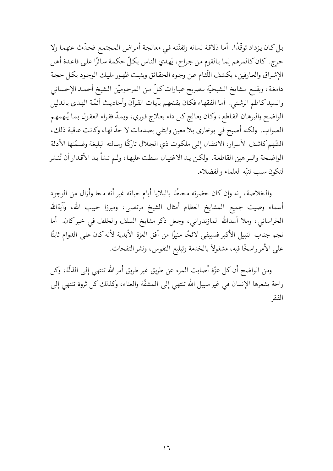بل كان يزداد توقَّدًا. أما ذلاقة لسانه وتفنَّنه في معالجة أمراض المجتمع فحدَّث عنهما ولا حرج. كان كالمرهم لِما بالقوم من جراح، يَهدي الناس بكلِّ حكمة سائرًا على قاعدة أهل الإشراق والعارفين، يكشف اللّثام عن وجوه الحقائق ويثبت ظهور مليك الوجود بكل حجة دامغة، ويقنع مشايخ الشيخيّة بصريح عبارات كلّ من المرحوميْن الشيخ أحمد الإحسائي والسيدكاظم الرشتبي. أما الفقهاء فكان يقنعهم بآيات القرآن وأحاديث أئمّة الهدى بالدليل الواضح والبرهان القاطع، وكان يعالج كل داء بعلاج فوري، ويمدّ فقراء العقول بما يُلهمهم الصواب. ولكنه أصبح في بوخاري بلا معين وابتلى بصدمات لا حدَّ لها، وكانت عاقبة ذلك، الشَّهم كاشف الأسرار، الانتقال إلى ملكوت ذي الجلال تاركًا رسالته البليغة وضمَّنها الأدلة الواضحة والبراهين القاطعة. ولكن يد الاغتيال سطت عليها، ولـم تشأ يـد الأقـدار أن تُنـشر لتكون سبب تنبّه العلماء والفضلاء.

والخلاصة، إنه وإن كان حضرته محاطًا بالبلايا أيام حياته غير أنه محا وأزال من الوجود أسماء وصيت جميع المشايخ العظام أمثال الشيخ مرتضى، وميرزا حبيب الله، وآيةالله الخراساني، وملا أسدالله المازندراني، وجعل ذكر مشايخ السلف والخلف في خبر كان. أما نجم جناب النبيل الأكبر فسيبقى لائحًا منيرًا من أفق العزة الأبدية لأنه كان على الدوام ثابتًا على الأمر راسخًا فيه، مشغولاً بالخدمة وتبليغ النفوس، ونشر التفحات.

ومن الواضح أن كل عزَّة أصابت الممرء عن طريق غير طريق أمر الله تنتهي إلى الذلَّة، وكل راحة يشعرها الإنسان في غير سبيل الله تنتهي إلى المشقَّة والعناء، وكذلك كل ثروة تنتهي إلى الفقه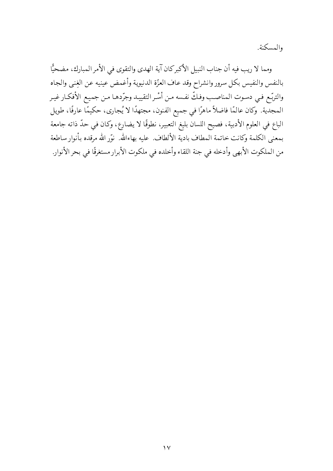والمسكنة.

ومما لا ريب فيه أن جناب النبيل الأكبركان آية الهدى والتقوى في الأمر المبارك، مضحيًّا بالنفس والنفيس بكل سرور وانشراح وقد عاف العزّة الدنيوية وأغمض عينيه عن الغِنبي والجاه والتربّع فـي دسـوت المناصـب وفـكّ نفـسه مـن أسْـر التقييـد وجرّدهـا مـن جميـع الأفكـار غيـر المجدية. وكان عالمًا فاضلاً ماهرًا في جميع الفنون، مجتهدًا لا يُجارى، حكيمًا عارفًا، طويل الباع في العلوم الأدبية، فصيح اللسان بليغ التعبير، نطوقًا لا يضارع، وكان في حدّ ذاته جامعة بمعنى الكلمة وكانت خاتمة المطاف بادية الألطاف. عليه بهاءالله. نوّر الله مرقده بأنوار ساطعة من الملكوت الأبهى وأدخله في جنة اللقاء وأخلده في ملكوت الأبرار مستغرقًا في بحر الأنوار.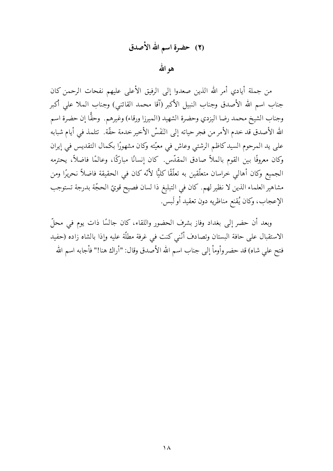### (٢) حضرة اسم الله الأصدق

هو الله

من جملة أيادي أمر الله الذين صعدوا إلى الرفيق الأعلى عليهم نفحات الرحمن كان جناب اسم الله الأصدق وجناب النبيل الأكبر (آقا محمد القائني) وجناب الملا على أكبر وجناب الشيخ محمد رضا اليزدي وحضرة الشهيد (الميرزا ورقاء) وغيرهم. وحقًّا إن حضرة اسم الله الأصدق قد خدم الأمر من فجر حياته إلى النَفَسْ الأخير خدمة حقَّة. تتلمذ في أيام شبابه على يد المرحوم السيد كاظم الرشتبي وعاش في معيّته وكان مشهورًا بكمال التقديس في إيران وكان معروفًا بين القوم بالملاّ صادق المقدّس كان إنسانًا مباركًا، وعالمًا فاضلاً، يحترمه الجميع وكان أهالي خراسان متعلَّقين به تعلَّقًا كليًّا لأنَّه كان في الحقيقة فاضلاً نحريرًا ومن مشاهير العلماء الذين لا نظير لهم. كان في التبليغ ذا لسان فصيح قويِّ الحجَّة بدرجة تستوجب الإعجاب، وكان يُقنع مناظريه دون تعقيد أو لَبس.

وبعد أن حضر إلى بغداد وفاز بشرف الحضور واللقاء، كان جالسًا ذات يوم في محلّ الاستقبال على حافة البستان وتصادف أنَّني كنت في غرفة مطلَّة عليه وإذا بالشاه زاده (حفيد فتح على شاه) قد حضر وأوماً إلى جناب اسم الله الأصدق وقال: "أراك هنا!" فأجابه اسم الله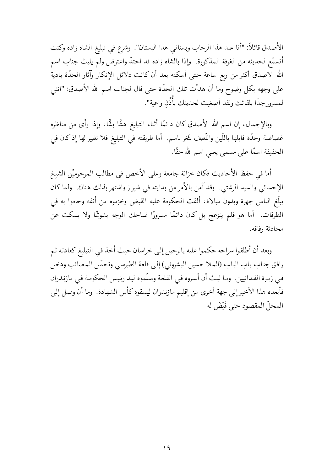الأصدق قائلاً: "أنا عبد هذا الرحاب وبستاني هذا البستان". وشرع في تبليغ الشاه زاده وكنت أتسمَّع لحديثه من الغرفة المذكورة. ۖ وإذا بالشاه زاده قد احتدَّ واعترض ولم يلبث جناب اسم الله الأصدق أكثر من ربع ساعة حتى أسكته بعد أن كانت دلائل الإنكار وآثار الحدّة بادية على وجهه بكل وضوح وما أن هدأت تلك الحدّة حتى قال لجناب اسم الله الأصدق: "إنني لمسرور جدًا بلقائك ولقد أصغيت لحديثك بأُذُنِ واعية".

وبالإجمال، إن اسم الله الأصدق كان دائمًا أثناء التبليغ هشًّا بشًّا، وإذا رأى من مناظره غضاضة وحدّة قابلها باللّين واللّطف بثَغر باسم. أما طريقته في التبليغ فلا نظير لها إذ كان في الحقيقة اسمًا على مسمى يعني اسم الله حقًا.

أما في حفظ الأحاديث فكان خزانة جامعة وعلى الأخص في مطالب المرحوميْن الشيخ الإحسائي والسيد الرشتي. وقد آمن بالأمر من بدايته في شيراز واشتهر بذلك هناك. ولما كان يبلّغ الناس جهرة وبدون مبالاة، ألقت الحكومة عليه القبض وخزموه من أنفه وحاموا به في الطرقات. أما هو فلم ينزعج بل كان دائمًا مسرورًا ضاحك الوجه بشوشًا ولا يسكت عن محادثة رفاقه.

وبعد أن أطلقوا سراحه حكموا عليه بالرحيل إلىي خراسان حيث أخذ في التبليغ كعادته ثم رافق جناب باب الباب (الملا حسين البشروئي) إلى قلعة الطبرسي وتحمّل المصائب ودخل فيي زمرة الفدائيين. وما لبث أن أسروه في القلعة وسلّموه ليد رئيس الحكومة في مازندران فأبعده هذا الأخير إلى جهة أخرى من إقليم مازندران ليسقوه كأس الشهادة. وما أن وصل إلى المحلّ المقصود حتى قَنْضَ له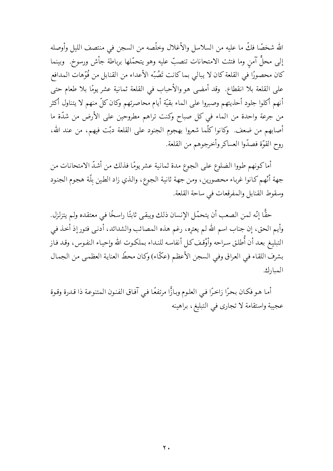الله شخصًا فكَّ ما عليه من السلاسل والأغلال وخلَّصه من السجن في منتصف الليل وأوصله إلى محلٍّ آمن وما فتئت الامتحانات تنصبٌّ عليه وهو يتحمَّلها برباطة جأش ورسوخ. ۖ وبينما كان محصورًا في القلعة كان لا يبالي بما كانت تَصُبّه الأعداء من القنابل من فُوِّهات المدافع على القلعة بلا انقطاع. وقد أمضي هو والأحباب في القلعة ثمانية عشر يومًا بلا طعام حتى أنهم أكلوا جلود أحذيتهم وصبروا على الماء بقيّة أيام محاصرتهم وكان كلّ منهم لا يتناول أكثر من جرعة واحدة من الماء في كل صباح وكنت تراهم مطروحين على الأرض من شدّة ما أصابهم من ضعف. وكانوا كلَّما شعروا بهجوم الجنود على القلعة دبَّت فيهم، من عند الله، روح القوّة فصدّوا العساكر وأخرجوهم من القلعة.

أماكونهم طووا الضلوع على الجوع مدة ثمانية عشريومًا فذلك من أشدّ الامتحانات من جهة أنَّهم كانوا غرباء محصورين، ومن جهة ثانية الجوع، والذي زاد الطين بلَّة هجوم الجنود وسقوط القنابل والمفرقعات في ساحة القلعة.

حقًّا إنّه لمن الصعب أن يتحمّل الإنسان ذلك ويبقى ثابتًا راسخًا في معتقده ولم يتزلزل. وأيم الحق، إن جناب اسم الله لم يعترِه، رغم هذه المصائب والشدائد، أدنى فتور إذ أخذ في التبليغ بعـد أن أُطلـق سـراحه وأوْقـف كـل أنفاسـه للنـداء بـملكـوت الله وإحيـاء النفـوس، وقـد فـاز بشرف اللقاء في العراق وفي السجن الأعظم (عكَّاء) وكان محطِّ العناية العظمى من الجمال المبارك.

أما هو فكان بحرًا زاخرًا في العلوم وبازًّا مرتفعًا في آفاق الفنون المتنوعة ذا قدرة وقوة عجيبة واستقامة لا تجارى في التبليغ، براهينه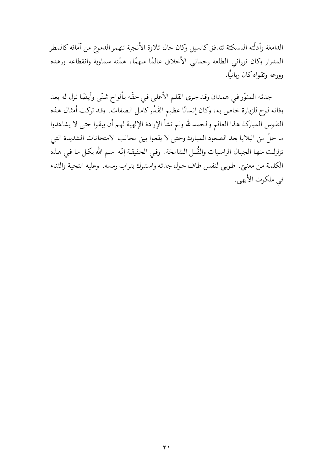الدامغة وأدلّته المسكتة تتدفق كالسيل وكان حال تلاوة الأنجية تنهمر الدموع من آماقه كالمطر المدرار وكان نوراني الطلعة رحماني الأخلاق عالمًا ملهمًا، همّته سماوية وانقطاعه وزهده وورعه وتقواه كان ربانيًّا.

جدثه المنوِّر في همدان وقد جرى القلم الأعلى في حقَّه بألواح شتَّى وأيضًا نزل له بعد وفاته لوح للزيارة خاص به، وكان إنسانًا عظيم القَدْرِكامل الصفات. وقد تركت أمثال هذه النفوس المباركة هذا العالم والحمد لله ولم تشأ الإرادة الإلهية لهم أن يبقوا حتى لا يشاهدوا ما حلِّ من البلايا بعد الصعود المبارك وحتى لا يقعوا بين مخالب الامتحانات الشديدة التي تزلزلت منهـا الـجبـال الراسـيات والقُلـل الـشامحة. وفـي الـحقيقـة إنّـه اسـم الله بكـل مـا فـي هـذه الكلمة من معنىً. طوبي لنفس طاف حول جدثه واستبرك بتراب رمسه. وعليه التحية والثناء في ملكوت الأبهي.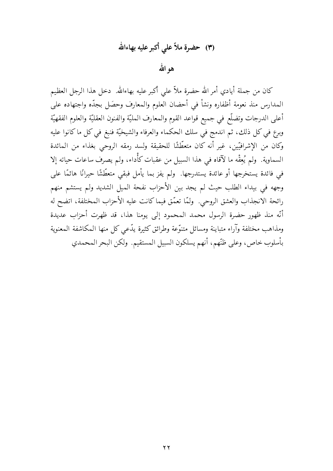### (٣) حضرة ملاّ على أكبر عليه بهاءالله

هو الله

كان من جملة أيادي أمر الله حضرة ملاّ على أكبر عليه بهاءالله. دخل هذا الرجل العظيم المدارس منذ نعومة أظفاره ونشأ في أحضان العلوم والمعارف وحصَل بجدّه واجتهاده على أعلى الدرجات وتضلَّع في جميع قواعد القوم والمعارف المليَّة والفنون العقليَّة والعلوم الفقهيَّة وبرع في كل ذلك، ثم اندمج في سلك الحكماء والعرفاء والشيخيَّة فنبغ في كل ما كانوا عليه وكان من الإشرافيّين، غير أنه كان متعطّشًا للحقيقة ولسد رمقه الروحي بغذاء من المائدة السماوية. ولم يُعِقْه ما لآقاه في هذا السبيل من عقبات كأَّداء، ولم يصرف ساعات حياته إلا في فائدة يستخرجها أو عائدة يستدرجها. ۖ ولم يفز بما يأمل فبقي متعطَّشًا حيرانًا هائمًا على وجهه في بيداء الطلب حيث لم يجد بين الأحزاب نفحة الميل الشديد ولم يستشم منهم رائحة الانجذاب والعشق الروحي. ولمَّا تعمَّق فيماكانت عليه الأحزاب المختلفة، اتضح له أنّه منذ ظهور حضرة الرسول محمد المحمود إلى يومنا هذا، قد ظهرت أحزاب عديدة ومذاهب مختلفة وآراء متباينة ومسائل متنوّعة وطرائق كثيرة يدّعى كل منها المكاشفة المعنوية بأسلوب خاص، وعلى ظنَّهم، أنهم يسلكون السبيل المستقيم. ولكن البحر المحمدي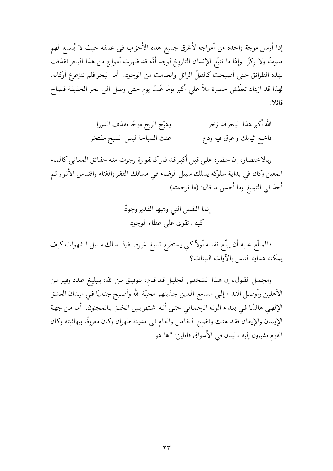إذا أرسل موجة واحدة من أمواجه لأغرق جميع هذه الأحزاب في عمقه حيث لا يُسمع لهم صوتٌ ولا ركزٌ. ۖ وإذا ما تتبَّع الإنسان التاريخ لوجد أنَّه قد ظهرت أمواج من هذا البحر فقذفت بهذه الطرائق حتى أصبحت كالظلّ الزائل وانعدمت من الوجود. أما البحر فلم تتزعزع أركانه. لهذا قد ازداد تعطَّش حضرة ملاًّ على أكبر يومًا غُبٍّ يوم حتى وصل إلى بحر الحقيقة فصاح قائلا:

> الله أكبر هذا البحرقد زخرا وهيّج الريح موجًا يقذف الدررا عنك السباحة ليس السبح مفتخرا فاخلع ثيابك واغرق فيه ودع

وبالاختصار، إن حضرة علىي قبل أكبر قد فاركالفوارة وجرت منه حقائق المعاني كالماء المعين وكان في بداية سلوكه يسلك سبيل الرضاء في مسالك الفقر والغناء واقتباس الأنوار ثم أخذ في التبليغ وما أحسن ما قال: (ما ترجمته)

> إنما النفس التي وهبها القدير وجودًا كيف تقوى على عطاء الوجود

فالمبلَّغ عليه أن يبلَّغ نفسه أولاً كيي يستطيع تبليغ غيره. فإذا سلك سبيل الشهوات كيف يمكنه هداية الناس بالآيات البينات؟

ومجمل القول، إن هذا الشخص الجليل قد قـام، بتوفيـق مـن الله، بتبليـغ عـدد وفيـر مـن الأهلين وأوصل النداء إلىي مسامع الذين جذبتهم محبّة الله وأصبح جنديًا فيي ميدان العشق الإلهي هائمًا في بيداء الوله الرحماني حتى أنه اشتهربين الخلق بالمجنون. أما من جهة الإيمان والإيقان فقد هتك وفضح الخاص والعام فيي مدينة طهران وكان معروفًا ببهائيته وكان القوم يشيرون إليه بالبنان في الأسواق قائلين: "ها هو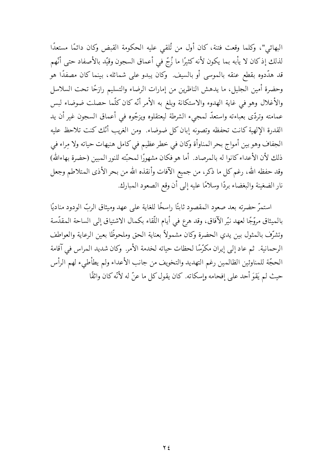البهائي"، وكلما وقعت فتنة، كان أول من تُلقى عليه الحكومة القبض وكان دائمًا مستعدًا لذلك إذ كان لا يأبه بما يكون لأنه كثيرًا ما زُجٍّ في أعماق السجون وقيّد بالأصفاد حتى أنّهم قد هدَّدوه بقطع عنقه بالموسى أو بالسيف. ۖ وكان يبدو على شمائله، بينما كان مصفدًا هو وحضرة أمين الجليل، ما يدهش الناظرين من إمارات الرضاء والتسليم رازحًا تحت السلاسل والأغلال وهو في غاية الهدوء والاستكانة وبلغ به الأمر أنّه كان كلّما حصلت ضوضاء لبس عمامته وتردَّى بعباءته واستعدَّ لمجيء الشرطة ليعتقلوه ويزجُّوه في أعماق السجون غير أن يد القدرة الإلهية كانت تحفظه وتصونه إبان كل ضوضاء. ومن الغريب أنّك كنت تلاحظ عليه الجفاف وهو بين أمواج بحر المناوأة وكان في خطر عظيم في كامل هنيهات حياته ولا مِراء في ذلك لأن الأعداءكانوا له بالمرصاد. أما هو فكان مشهورًا لمحبّته للنور المبين (حضرة بهاءالله) وقد حفظه الله، رغم كل ما ذكر، من جميع الآفات وأنقذه الله من بحر الأذى المتلاطم وجعل نار الضغينة والبغضاء بردًا وسلامًا عليه إلى أن وقع الصعود المبارك.

استمرَّ حضرته بعد صعود المقصود ثابتًا راسخًا للغاية على عهد وميثاق الربِّ الودود مناديًا بالميثاق مروَّجًا لعهد نيَّر الآفاق، وقد هرع في أيام اللُّقاء بكمال الاشتياق إلى الساحة المقدَّسة وتشرّف بالمثول بين يدي الحضرة وكان مشمولاً بعناية الحق وملحوظًا بعين الرعاية والعواطف الرحمانية. ثم عاد إلى إيران مكرِّسًا لحظات حياته لخدمة الأمر. وكان شديد المراس في آقامة الحجَّة للمناوئين الظالمين رغم التهديد والتخويف من جانب الأعداء ولم يطأطىء لهم الرأس حيث لم يَقوَ أحد على إفحامه وإسكاته. كان يقول كل ما عنّ له لأنّه كان واثقًا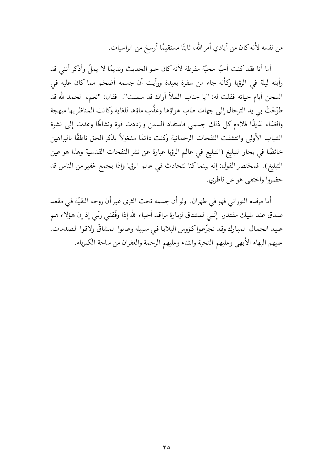من نفسه لأنه كان من أيادي أمر الله، ثابتًا مستقيمًا أرسخ من الراسيات.

أما أنا فقد كنت أحبّه محبّة مفرطة لأنه كان حلو الحديث ونديمًا لا يملّ وأذكر أنني قد رأيته ليلة في الرؤيا وكأنه جاء من سفرة بعيدة ورأيت أن جسمه أضخم مما كان عليه في السجن أيام حياته فقلت له: "يا جناب الملاّ أراك قد سمنت". فقال: "نعم، الحمد لله قد طوّحَتْ بي يد الترحال إلى جهات طاب هواؤها وعذُب ماؤها للغاية وكانت المناظر بها مبهجة والغذاء لذيذًا فلاءم كل ذلك جسمي فاستفاد السمن وازددت قوة ونشاطًا وعدت إلى نشوة الشباب الأولى وانتشقت النفحات الرحمانية وكنت دائمًا مشغولاً بذكر الحق ناطقًا بالبراهين خائضًا في بحار التبليغ (التبليغ في عالم الرؤيا عبارة عن نشر النفحات القدسية وهذا هو عين التبليغ). فمختصر القول: إنه بينماكنا نتحادث في عالم الرؤيا وإذا بجمع غفير من الناس قد حضروا واختفى هو عن ناظري.

أما مرقده النوراني فهو في طهران. ولو أن جسمه تحت الثرى غير أن روحه النقيّة فى مقعد صدق عند مليك مقتدر. ٳنَّني لمشتاق لزيارة مراقد أحباء الله إذا وفَّقنبي ربِّي إذ إن هؤلاء هم عبيد الجمال المبارك وقد تجرّعوا كؤوس البلايا في سبيله وعانوا المشاقّ ولاقوا الصدمات. عليهم البهاء الأبهى وعليهم التحية والثناء وعليهم الرحمة والغفران من ساحة الكبرياء.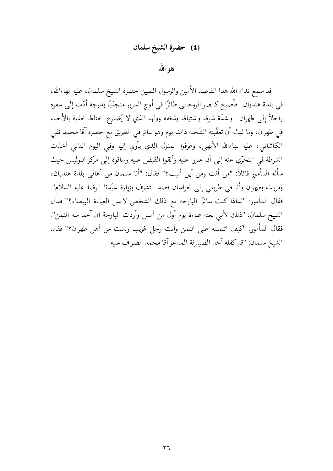#### (٤) حضرة الشيخ سلمان

هو الله

قد سمع نداء الله هذا القاصد الأمين والرسول المبين حضرة الشيخ سلمان، عليه بهاءالله، في بلدة هنديان. فأصبح كالطير الروحاني طائرًا في أوج السرور منجذبًا بدرجة أدّت إلى سفره راجلاً إلى طهران. ولشدَّة شوقه واشتياقه وشغفه وولهه الذي لا يُضارع اختلط خفية بالأحباء في طهران، وما لبث أن تعقُّبته الشِّحنة ذات يوم وهو سائر في الطريق مع حضرة آقا محمد تقي الكاشاني، عليه بهاءالله الأبهي، وعرفوا المنزل الذي يأوي إليه وفي اليوم التالي أخذت الشرطة في التحرّي عنه إلى أن عثروا عليه وألقوا القبض عليه وساقوه إلى مركز البوليس حيث سأله المأمور قائلاً: "من أنت ومن أين أتيت؟" فقال: "أنا سلمان من أهالي بلدة هنديان، ومررت بطهران وأنا في طريقي إلى خراسان قصد التشرف بزيارة سيّدنا الرضا عليه السلام". فقال المأمور: "لماذا كنت سائرًا البارحة مع ذلك الشخص لابس العباءة البيضاء؟" فقال الشيخ سلمان: "ذلك لأنبى بعته عباءة يوم أول من أمس وأردت البارحة أن آخذ منه الثمن". فقال المأمور: "كيف ائتمنته على الثمن وأنت رجل غريب ولست من أهل طهران؟" فقال الشيخ سلمان: "قد كفله أحد الصيارفة المدعو آقا محمد الصراف عليه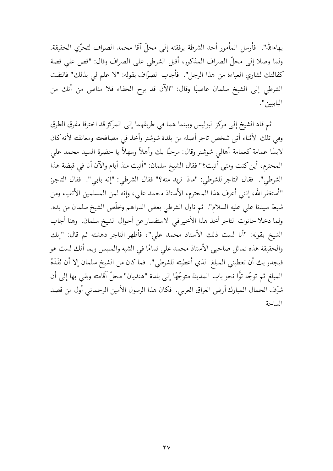بهاءالله". ۖ فأرسل المأمور أحد الشرطة برفقته إلى محلّ آقا محمد الصراف لتحرّي الحقيقة. ولما وصلا إلى محلِّ الصراف المذكور، أقبل الشرطي على الصراف وقال: "قص على قصة كفالتك لشاري العباءة من هذا الرجل". فأجاب الصرّاف بقوله: "لا علم لي بذلك" فالتفت الشرطي إلى الشيخ سلمان غاضبًا وقال: "الآن قد برح الخفاء فلا مناص من أنك من البابيين".

ثم قاد الشيخ إلى مركز البوليس وبينما هما في طريقهما إلى المركز قد اخترقا مفرق الطرق وفي تلك الأثناء أتى شخص تاجر أصله من بلدة شوشتر وأخذ في مصافحته ومعانقته لأنه كان لابسًا عمامة كعمامة أهالي شوشتر وقال: مرحبًا بك وأهلاً وسهلاً يا حضرة السيد محمد على المحترم، أين كنت ومتى أتيت؟" فقال الشيخ سلمان: "أتيت منذ أيام والآن أنا في قبضة هذا الشرطي". فقال التاجر للشرطي: "ماذا تريد منه؟" فقال الشرطي: "إنه بابي". فقال التاجر: "أستغفر الله، إنني أعرف هذا المحترم، الأستاذ محمد على، وإنه لمن المسلمين الأتقياء ومن شيعة سيدنا على عليه السلام". ثم ناول الشرطي بعض الدراهم وخلّص الشيخ سلمان من يده. ولما دخلا حانوت التاجر أخذ هذا الأخير في الاستفسار عن أحوال الشيخ سلمان. وهنا أجاب الشيخ بقوله: "أنا لست ذلك الأستاذ محمد على"، فأظهر التاجر دهشته ثم قال: "إنك والحقيقة هذه تماثل صاحبي الأستاذ محمد على تمامًا في الشبه والملبس وبما أنك لست هو فيجدر بك أن تعطيني المبلغ الذي أعطيته للشرطي". فماكان من الشيخ سلمان إلا أن نَقَدَهُ المبلغ ثم توجّه توًّا نحو باب المدينة متوجّهًا إلى بلدة "هنديان" محلّ آقامته وبقى بها إلى أن شرِّف الجمال المبارك أرض العراق العربي. فكان هذا الرسول الأمين الرحماني أول من قصد الساحة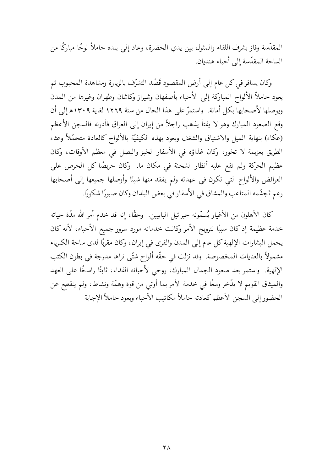المقدَّسة وفاز بشرف اللقاء والمثول بين يدي الحضرة، وعاد إلى بلده حاملاً لوحًا مباركًا من الساحة المقدّسة إلى أحباء هنديان.

وكان يسافر في كل عام إلى أرض المقصود قَصْد التشرُّف بالزيارة ومشاهدة المحبوب ثم يعود حاملاً الألواح المباركة إلى الأحباء بأصفهان وشيراز وكاشان وطهران وغيرها من المدن ويوصلها لأصحابها بكل أمانة. واستمرَّ على هذا الحال من سنة ١٢٦٩ لغاية ١٣٠٩ه إلى أن وقع الصعود المبارك وهو لا يفتأ يذهب راجلاً من إيران إلى العراق فأدرنه فالسجن الأعظم (عكاء) بنهاية المميل والاشتياق والشغف ويعود بهذه الكيفيّة بالألواح كالعادة متحمّلاً وعثاء الطريق بعزيمة لا تخور، وكان غذاؤه في الأسفار الخبز والبصل في معظم الأوقات، وكان عظيم الحركة ولم تقع عليه أنظار الشحنة في مكان ما. ۖ وكان حريصًا كل الحرص على العرائض والألواح التبي تكون في عهدته ولم يفقد منها شيئًا وأوصلها جميعها إلى أصحابها رغم تَجشَّمه المتاعب والمشاق في الأسفار في بعض البلدان وكان صبورًا شكورًا.

كان الأهلون من الأغيار يُسمّونه جبرائيل البابيين. وحقًا، إنه قد خدم أمر الله مدّة حياته خدمة عظيمة إذ كان سببًا لترويج الأمر وكانت خدماته مورد سرور جميع الأحباء، لأنه كان يحمل البشارات الإلهية كل عام إلى المدن والقرى في إيران، وكان مقربًا لدى ساحة الكبرياء مشمولاً بالعنايات المخصوصة. وقد نزلت في حقّه ألواح شتّى تراها مدرجة في بطون الكتب الإلهية. واستمر بعد صعود الجمال المبارك، روحي لأحبائه الفداء، ثابتًا راسخًا على العهد والميثاق القويم لا يدَّخر وسعًا في خدمة الأمر بما أوتى من قوة وهمَّة ونشاط، ولم ينقطع عن الحضور إلى السجن الأعظم كعادته حاملاً مكاتيب الأحباء ويعود حاملاً الإجابة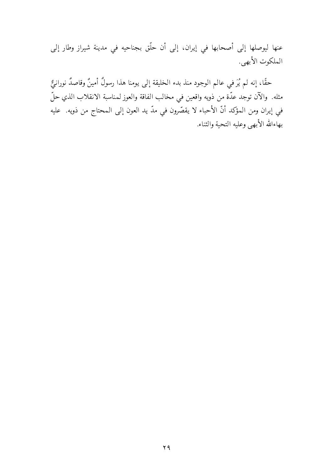عنها ليوصلها إلى أصحابها في إيران، إلى أن حلَّق بجناحيه في مدينة شيراز وطار إلى الملكوت الأبهي.

حقًا، إنه لم يُرَ في عالم الوجود منذ بدء الخليقة إلى يومنا هذا رسولٌ أمينٌ وقاصدٌ نورانيٌّ مثله. والآن توجد عدّة من ذويه واقعين في مخالب الفاقة والعوز لمناسبة الانقلاب الذي حلّ في إيران ومن المؤكد أنّ الأحباء لا يقصّرون في مدّ يد العون إلى المحتاج من ذويه. عليه بهاءالله الأبهى وعليه التحية والثناء.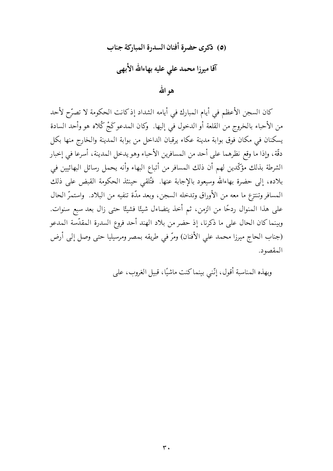## (٥) ذكرى حضرة أفنان السدرة المباركة جناب آقا میرزا محمد علی علیه بهاءالله الأبهی هو الله

كان السجن الأعظم في أيام المبارك في أيامه الشداد إذكانت الحكومة لا تصرّح لأحد من الأحباء بالخروج من القلعة أو الدخول في إليها. وكان المدعوكَجْ كُلاه هو وأحد السادة يسكنان في مكان فوق بوابة مدينة عكاء يرقبان الداخل من بوابة المدينة والخارج منها بكل دقَّة، وإذا ما وقع نظرهما على أحد من المسافرين الأحباء وهو يدخل المدينة، أسرعا في إخبار الشرطة بذلك مؤكّدين لهم أن ذلك المسافر من أتباع البهاء وأنه يحمل رسائل البهائيين في بلاده، إلى حضرة بهاءالله وسيعود بالإجابة عنها. فْتُلقى حينئذ الحكومة القبض على ذلك المسافر وتنتزع ما معه من الأوراق وتدخله السجن، وبعد مدّة تنفيه من البلاد. ۖ واستمرَّ الحال على هذا المنوال ردحًا من الزمن، ثم أخذ يتضاءل شيئًا فشيئًا حتى زال بعد سبع سنوات. وبينما كان الحال على ما ذكرنا، إذ حضر من بلاد الهند أحد فروع السدرة المقدّسة المدعو (جناب الحاج ميرزا محمد على الأفنان) ومرّ في طريقه بمصر ومرسيليا حتى وصل إلى أرض المقصود.

وبهذه المناسبة أقول، إنَّني بينماكنت ماشيًا، قبيل الغروب، على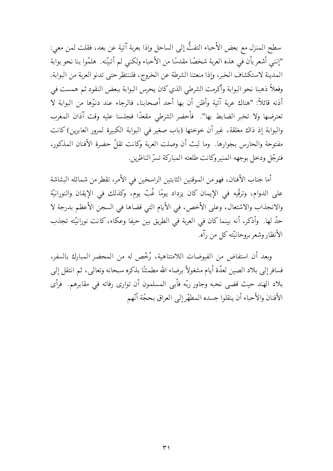سطح المنزل مع بعض الأحباء التفتُّ إلى الساحل وإذا بعربة آتية عن بعد، فقلت لمن معي: "إنني أشعر بأن في هذه العربة شخصًا مقدسًا من الأحباء ولكني لم أتبيّنه. هلمّوا بنا نحو بوابة المدينة لاستكشاف الخبر، وإذا منعتنا الشرطة عن الخروج، فلننتظر حتى تدنو العربة من البوابة. وفعلاً ذهبنا نحو البوابة وأكرمت الشرطي الذي كان يحرس البوابة ببعض النقود ثم همست في أذنه قائلاً: "هناك عربة آتية وأظن أن بها أحد أصحابنا، فالرجاء عند دنوّها من البوابة لا تعترضها ولا تخبر الضابط بها". ۖ فأحضر الشرطي مقعدًا فجلسنا عليه وقت آذان المغرب والبوابة إذ ذاك مغلقة، غير أن خوختها (باب صغير في البوابة الكبيرة لمرور العابرين) كانت مفتوحة والحارس بجوارها. وما لبث أن وصلت العربة وكانت تقلُّ حضرة الأفنان المذكور، فترجَّل ودخل بوجهه المنير وكانت طلعته المباركة تسرُّ الناظرين.

أما جناب الأفنان، فهو من الموقنين الثابتين الراسخين في الأمر، تقطر من شمائله البشاشة على الدوام، وترقَّيه في الإيمان كان يزداد يومًا غُبِّ يوم، وكذلك في الإيقان والنورانيَّة والانجذاب والاشتعال، وعلى الأخص، في الأيام التي قضاها في السجن الأعظم بدرجة لا حدّ لها. ۖ وأذكر، أنه بينما كان في العربة في الطريق بين حيفا وعكاء، كانت نورانيّته تجذب الأنظار وشعر بروحانيَّته كلِّ من رآه.

وبعد أن استفاضٍ من الفيوضات اللامتناهية، رُخِّص له من المحضر المبارك بالسفر، فسافر إلى بلاد الصين لعدَّة أيام مشغولاً برضاء الله مطمئنًا بذكره سبحانه وتعالى، ثم انتقل إلى بلاد الهند حيث قضى نحبه وجاور ربّه فأبى المسلمون أن توارى رفاته فى مقابرهم. فرأى الأفنان والأحباء أن ينقلوا جسده المطهّر إلى العراق بحجّة أنّهم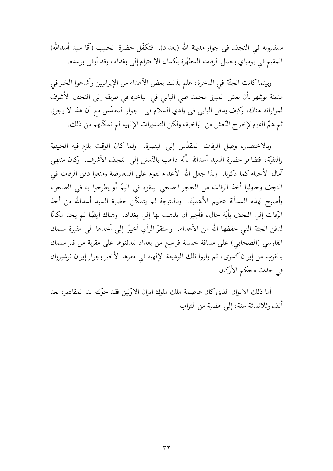سيقبرونه في النجف في جوار مدينة الله (بغداد). فتكفَّل حضرة الحبيب (آقا سيد أسدالله) المقيم في بومباي بحمل الرفات المطهّرة بكمال الاحترام إلى بغداد، وقد أوفى بوعده.

وبينما كانت الجثَّة في الباخرة، علم بذلك بعض الأعداء من الإيرانيين وأشاعوا الخبر في مدينة بوشهر بأن نعش الميرزا محمد على البابي في الباخرة في طريقه إلى النجف الأشرف لمواراته هناك، وكيف يدفن البابي في وادي السلام في الجوار المقدّس مع أن هذا لا يجوز. ثم همّ القوم لإخراج النّعش من الباخرة، ولكن التقديرات الإلهية لم تمكّنهم من ذلك.

وبالاختصار، وصل الرفات المقدّس إلى البصرة. ولما كان الوقت يلزم فيه الحيطة والتقيَّة، فتظاهر حضرة السيد أسدالله بأنَّه ذاهب بالنَّعش إلى النجف الأشرف. ۖ وكان منتهي آمال الأحباء كما ذكرنا. ۖ ولذا جعل الله الأعداء تقوم على المعارضة ومنعوا دفن الرفات في النجف وحاولوا أخذ الرفات من الحجر الصحى ليلقوه في اليمّ أو يطرحوا به في الصحراء وأصبح لهذه المسألة عظيم الأهميّة. وبالنتيجة لم يتمكّن حضرة السيد أسدالله من أخذ الرِّفات إلى النجف بأيَّة حال، فأجبر أن يذهب بها إلى بغداد. وهناك أيضًا لم يجد مكانًا لدفن الجثة التي حفظها الله من الأعداء. ۖ واستقرَّ الرأي أخيرًا إلى أخذها إلى مقبرة سلمان الفارسي (الصحابي) على مسافة خمسة فراسخ من بغداد ليدفنوها على مقربة من قبر سلمان بالقرب من إيوان كسرى، ثم واروا تلك الوديعة الإلهية في مقرها الأخير بجوار إيوان نوشيروان في جدت محكم الأركان.

أما ذلك الإيوان الذي كان عاصمة ملك ملوك إيران الأوّلين فقد حوّلته يد المقادير، بعد ألف وثلاثمائة سنة، إلى هضبة من التراب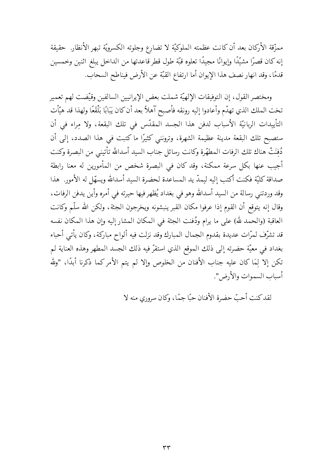ممزَّقة الأركان بعد أن كانت عظمته الملوكيَّة لا تضارع وجلوته الكسرويَّة تبهر الأنظار. حقيقة إنه كان قصرًا مشيّدًا وإيوانًا مجيدًا تعلوه قبّة طول قطر قاعدتها من الداخل يبلغ اثنين وخمسين قدمًا، وقد انهار نصف هذا الإيوان أما ارتفاع القبّة عن الأرض فيناطح السحاب.

ومختصر القول، إن التوفيقات الإلهيّة شملت بعض الإيرانيين السالفين وقيّضت لهم تعمير تخت الملك الذي تهدّم وأعادوا إليه رونقه فأصبح آهلاً بعد أن كان يَبَابًا بَلْقَعًا ولهذا قد هيَّات التأييدات الربانيّة الأسباب لدفن هذا الجسد المقدّس في تلك البقعة، ولا مراء في أن ستصبح تلك البقعة مدينة عظيمة الشهرة، وترونني كثيرًا ما كتبت في هذا الصدد، إلى أن دُفِنَتْ هناك تلك الرفات المطهّرة وكانت رسائل جناب السيد أسدالله تأتيني من البصرة وكنت أجيب عنها بكل سرعة ممكنة، وقد كان في البصرة شخص من المأمورين له معنا رابطة صداقة كليّة فكنت أكتب إليه ليمدّ يد المساعدة لحضرة السيد أسدالله ويسهّل له الأمور. هذا وقد وردتني رسالة من السيد أسدالله وهو في بغداد يُظهر فيها حيرته في أمره وأين يدفن الرفات، وقال إنه يتوقع أن القوم إذا عرفوا مكان القبر ينبشونه ويخرجون الجثة، ولكن الله سلّم وكانت العاقبة (والحمد لله) على ما يرام ودُفنت الجثة في المكان المشار إليه وإن هذا المكان نفسه قد تشرّف لمرّات عديدة بقدوم الجمال المبارك وقد نزلت فيه ألواح مباركة، وكان يأتي أحباء بغداد في معيّة حضرته إلى ذلك الموقع الذي استقرّ فيه ذلك الجسد المطهر وهذه العناية لم تكن إلا لِمَا كان عليه جناب الأفنان من الخلوص وإلا لم يتم الأمركما ذكرنا أبدًا، "ولله أسباب السموات والأرض".

لقد كنت أحبّ حضرة الأفنان حيًا حيمًا، وكان سروري منه لا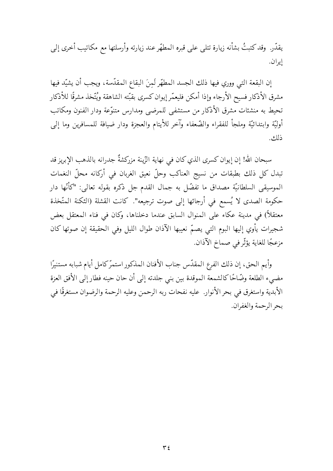يقدّر. وقد كتبتُ بشأنه زيارة تتلي على قبره المطهّر عند زيارته وأرسلتها مع مكاتيب أخرى إلى إيران.

إن البقعة التي ووري فيها ذلك الجسد المطهّر لَمنَ البقاع المقدّسة، ويجب أن يشيّد فيها مشرق الأذكار فسيح الأرجاء وإذا أمكن فليعمّر إيوان كسرى بقبّته الشاهقة ويُتّخذ مشرقًا للأذكار تحيط به منشئات مشرق الأذكار من مستشفى للمرضى ومدارس متنوّعة ودار الفنون ومكاتب أوليّة وابتدائيّة وملجأ للفقراء والضّعفاء وآخر للأيتام والعجزة ودار ضيافة للمسافرين وما إلى ذلك.

سبحان الله! إن إيوان كسرى الذي كان في نهاية الزِّينة مزركشةٌ جدرانه بالذهب الإبريز قد تبدل كل ذلك بطبقات من نسيج العناكب وحلّ نعيق الغربان في أركانه محلّ النغمات الموسيقى السلطانيّة مصداق ما تفضّل به جمال القدم جل ذكره بقوله تعالى: "كأنّها دار حكومة الصدى لا يُسمع في أرجائها إلى صوت ترجيعه". كانت القشلة (الثكنة المتّخذة معتقلاً) في مدينة عكاء على المنوال السابق عندما دخلناها، وكان في فناء المعتقل بعض شجيرات يأوي إليها البوم التي يصمّ نعيبها الآذان طوال الليل وفي الحقيقة إن صوتها كان مزعجًا للغاية يؤثِّرفي صماخ الآذان.

وأيم الحق، إن ذلك الفرع المقدّس جناب الأفنان المذكور استمرّكامل أيام شبابه مستنيرًا مضيء الطلعة وضَّاحًا كالشمعة الموقدة بين بني جلدته إلى أن حان حينه فطار إلى الأفق العزة الأبدية واستغرق في بحر الأنوار. عليه نفحات ربه الرحمن وعليه الرحمة والرضوان مستغرقًا في بحر الرحمة والغفران.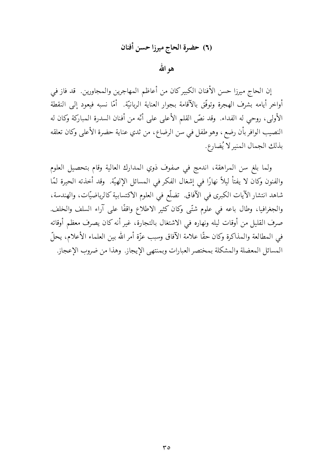هو الله

إن الحاج ميرزا حسن الأفنان الكبيركان من أعاظم المهاجرين والمجاورين. قد فاز في أواخر أيامه بشرف الهجرة وتوفّق بالآقامة بجوار العناية الربانيّة. أمّا نسبه فيعود إلى النقطة الأولى، روحي له الفداء. وقد نصَّ القلم الأعلى على أنَّه من أفنان السدرة المباركة وكان له النصيب الوافر بأن رضع ، وهو طفل في سن الرضاع، من ثدي عناية حضرة الأعلى وكان تعلقه بذلك الجمال المنيرلا يُضارع.

ولما بلغ سن المراهقة، اندمج في صفوف ذوي المدارك العالية وقام بتحصيل العلوم والفنون وكان لا يفتأ ليلاً نهارًا في إشغال الفكر في المسائل الإلهيّة. وقد أخذته الحيرة لمّا شاهد انتشار الآيات الكبرى في الآفاق. تضلّع في العلوم الاكتسابية كالرياضيّات، والهندسة، والجغرافيا، وطال باعه في علوم شتَّى وكان كثير الاطلاع واقفًا على آراء السلف والخلف. صرف القليل من أوقات ليله ونهاره في الاشتغال بالتجارة، غير أنه كان يصرف معظم أوقاته في المطالعة والمذاكرة وكان حقًّا علامة الآفاق وسبب عزَّة أمر الله بين العلماء الأعلام، يحلُّ المسائل المعضلة والمشكلة بمختصر العبارات وبمنتهى الإيجاز. وهذا من ضروب الإعجاز.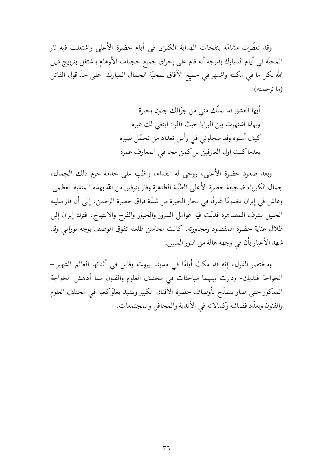وقد تعطّرت مشامّه بنفحات الهداية الكبرى في أيام حضرة الأعلى واشتعلت فيه نار المحبَّة في أيام المبارك بدرجة أنه قام على إحراق جميع حجبات الأوهام واشتغل بترويج دين الله بكل ما في مكنته واشتهر في جميع الآفاق بمحبّة الجمال المبارك. على حدّ قول القائل (ما ترجمته):

> أيها العشق قد تملّك منى من جرّائك جنون وحيرة وبهذا اشتهرت بين البرايا حيث قالوا: ابتغى لك غيره كيف أسلوه وقد سجلوني في رأس تعداد من تحمّل ضيره بعدماكنت أول العارفين بل كمن محا في المعارف عمره

وبعد صعود حضرة الأعلى، روحي له الفداء، واظب على خدمة حرم ذلك الجمال، جمال الكبرياء ضجيعة حضرة الأعلى الطيّبة الطاهرة وفاز بتوفيق من الله بهذه المنقبة العظمى. وعاش في إيران مغمومًا غارقًا في بحار الحيرة من شدّة فراق حضرة الرحمن، إلى أن فاز سليله الجليل بشرف المصاهرة فدبّت فيه عوامل السرور والحبور والفرح والابتهاج، فترك إيران إلى ظلال عناية حضرة المقصود ومجاورته. كانت محاسن طلعته تفوق الوصف بوجه نوراني وقد شهد الأغيار بأن في وجهه هالة من النور المبين.

ومختصر القول، إنه قد مكث أيامًا في مدينة بيروت وقابل في أثنائها العالم الشهير – الخواجة فنديك- ودارت بينهما مباحثات في مختلف العلوم والفنون مما أدهش الخواجة المذكور حتى صار يتمدَّح بأوصاف حضرة الأفنان الكبير ويشيد بعلوِّكعبه في مختلف العلوم والفنون ويعدّد فضائله وكمالاته في الأندية والمحافل والمجتمعات.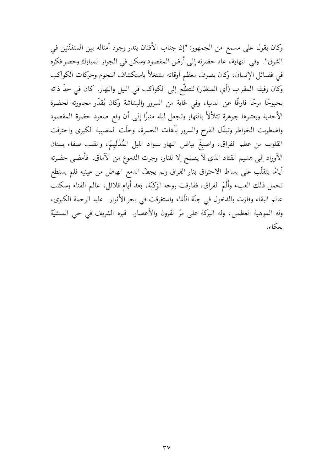وكان يقول على مسمع من الجمهور: "إن جناب الأفنان يندر وجود أمثاله بين المتفنَّنين في الشرق". وفي النهاية، عاد حضرته إلى أرض المقصود وسكن في الجوار المبارك وحصر فكره في فضائل الإنسان، وكان يصرف معظم أوقاته مشتغلاً باستكشاف النجوم وحركات الكواكب وكان رفيقه المقراب (أي المنظار) للتطلُّع إلى الكواكب في الليل والنهار. كان في حدَّ ذاته بحبوحًا مرحًا فارغًا عن الدنيا، وفي غاية من السرور والبشاشة وكان يُقدّر مجاورته لحضرة الأحدية ويعتبرها جوهرة تتلألأ بالنهار وتجعل ليله منيرًا إلى أن وقع صعود حضرة المقصود واضطربت الخواطر وتبدّل الفرح والسرور بآهات الحسرة، وحلّت المصيبة الكبرى واحترقت القلوب من عظم الفراق، واصبغٌ بياض النهار بسواد الليل المُدْلَهِمّ، وانقلب صفاء بستان الأوراد إلى هشيم القتاد الذي لا يصلح إلا للنار، وجرت الدموع من الآماق. فأمضى حضرته أيامًا يتقلَّب على بساط الاحتراق بنار الفراق ولم يجفُّ الدمع الهاطل من عينيه فلم يستطع تحمل ذلك العبء وأَلَمَ الفراق، ففارقت روحه الزكيَّة، بعد أيام قلائل، عالم الفناء وسكنت عالم البقاء وفازت بالدخول في جنَّة اللُّقاء واستغرقت في بحر الأنوار. عليه الرحمة الكبرى، وله الموهبة العظمى، وله البركة على مرِّ القرون والأعصار. قبره الشريف في حي المنشيَّة يعكاء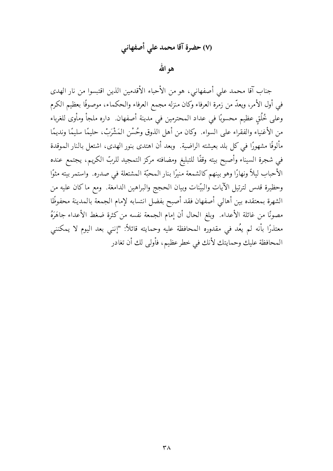# (٧) حضرة آقا محمد على أصفهاني

هو الله

جناب آقا محمد على أصفهاني، هو من الأحباء الأقدمين الذين اقتبسوا من نار الهدى في أول الأمر، ويعدُّ من زمرة العرفاء وكان منزله مجمع العرفاء والحكماء، موصوفًا بعظيم الكرم وعلى خُلُق عظيم محسوبًا في عداد المحترمين في مدينة أصفهان. داره ملجأ ومأوى للغرباء من الأغنياء والفقراء على السواء. ۖ وكان من أهل الذوق وحُسْنِ المَشْرَبْ، حليمًا سليمًا ونديمًا مألوفًا مشهورًا في كل بلد بعيشته الراضية. وبعد أن اهتدى بنور الهدى، اشتعل بالنار الموقدة في شجرة السيناء وأصبح بيته وقفًا للتبليغ ومضافته مركز التمجيد للربّ الكريم، يجتمع عنده الأحباب ليلاً ونهارًا وهو بينهم كالشمعة منيرًا بنار المحبّة المشتعلة في صدره. واستمر بيته مثوًا وحظيرة قدس لترتيل الآيات والبيّنات وبيان الحجج والبراهين الدامغة. ومع ماكان عليه من الشهرة بمعتقده بين أهالي أصفهان فقد أصبح بفضل انتسابه لإمام الجمعة بالمدينة محفوظًا مصونًا من غائلة الأعداء. ۖ وبلغ الحال أن إمام الجمعة نفسه من كثرة ضغط الأعداء جاهَرَهُ معتذرًا بأنه لم يعُد في مقدوره المحافظة عليه وحمايته قائلاً: "إنني بعد اليوم لا يمكنني المحافظة عليك وحمايتك لأنك في خطر عظيم، فأولى لك أن تغادر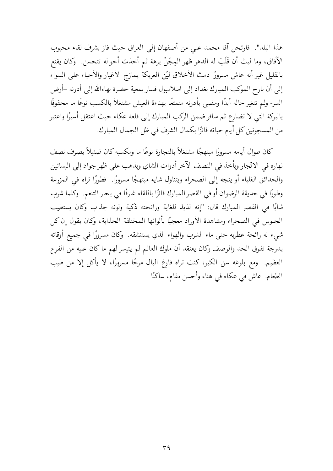هذا البلد". ۖ فارتحل آقا محمد على من أصفهان إلى العراق حيث فاز بشرف لقاء محبوب الآفاق، وما لبث أن قَلَبَ له الدهر ظهر المِجَنْ برهة ثم أخذت أحواله تتحسن. ۖ وكان يقنع بالقليل غير أنه عاش مسرورًا دمث الأخلاق ليّن العريكة يمازج الأغيار والأحباء على السواء إلى أن بارح الموكب المبارك بغداد إلى اسلامبول فسار بمعية حضرة بهاءالله إلى أدرنه –أرض السر- ولم تتغير حاله أبدًا ومضيي بأدرنه متمتعًا بهناءة العيش مشتغلاً بالكسب نوعًا ما محفوفًا بالبركة التبي لا تضارع ثم سافر ضمن الركب المبارك إلى قلعة عكاء حيث اعتقل أسيرًا واعتبر من المسجونين كل أيام حياته فائزًا بكمال الشرف في ظل الجمال المبارك.

كان طوال أيامه مسرورًا مبتهجًا مشتغلاً بالتجارة نوعًا ما ومكسبه كان ضئيلاً يصرف نصف نهاره في الاتّجار ويأخذ في النصف الآخر أدوات الشاي ويذهب على ظهر جواد إلى البساتين والحدائق الغلباء أو يتجه إلى الصحراء ويتناول شايه مبتهجًا مسرورًا. فطورًا تراه في المزرعة وطورًا في حديقة الرضوان أو في القصر المبارك فائزًا باللقاء غارقًا في بحار التنعم. وكلما شرب شايًا في القصر المبارك قال: "إنه لذيذ للغاية ورائحته ذكية ولونه جذاب وكان يستطيب الجلوس في الصحراء ومشاهدة الأوراد معجبًا بألوانها المختلفة الجذابة، وكان يقول إن كل شيء له رائحة عطريه حتى ماء الشرب والهواء الذي يستنشقه. ۖ وكان مسرورًا في جميع أوقاته بدرجة تفوق الحد والوصف وكان يعتقد أن ملوك العالم لم يتيسر لهم ماكان عليه من الفرح العظيم. ومع بلوغه سن الكبر، كنت تراه فارغ البال مرحًا مسرورًا، لا يأكل إلا من طيب الطعام. عاش في عكاء في هناء وأحسن مقام، ساكنًا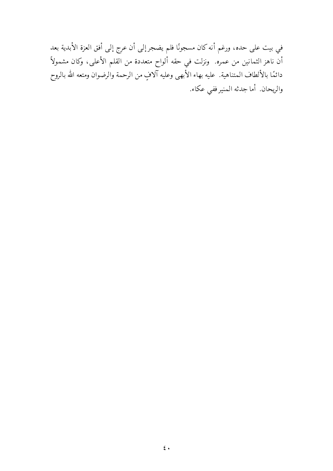في بيت على حده، ورغم أنه كان مسجونًا فلم يضجر إلى أن عرج إلى أفق العزة الأبدية بعد أن ناهز الثمانين من عمره. ونزلت في حقه ألواح متعددة من القلم الأعلى، وكان مشمولاً دائمًا بالألطاف المتناهية. عليه بهاء الأبهى وعليه آلافٍ من الرحمة والرضوان ومتعه الله بالروح والريحان أما جدثه المنير ففي عكاء.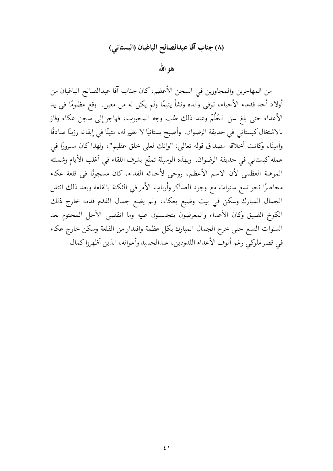## (٨) جناب آقا عبدالصالح الباغبان (البستاني)

هو الله

من المهاجرين والمجاورين في السجن الأعظم، كان جناب آقا عبدالصالح الباغبان من أولاد أحد قدماء الأحباء، توفَّى والده ونشأ يتيمًا ولم يكن له من معين. ۖ وقع مظلومًا في يد الأعداء حتى بلغ سن الحُلُمْ وعند ذلك طلب وجه المحبوب، فهاجر إلى سجن عكاء وفاز بالاشتغال كبستاني في حديقة الرضوان. وأصبح بستانيًا لا نظير له، متينًا في إيقانه رزينًا صادقًا وأمينًا، وكانت أخلاقه مصداق قوله تعالى: "وإنك لعلى خلق عظيم"، ولهذا كان مسرورًا في عمله كبستاني في حديقة الرضوان. وبهذه الوسيلة تمتّع بشرف اللقاء في أغلب الأيام وشملته الموهبة العظمى لأن الاسم الأعظم، روحي لأحبائه الفداء، كان مسجونًا في قلعة عكاء محاصرًا نحو تسع سنوات مع وجود العساكر وأرباب الأمر في الثكنة بالقلعة وبعد ذلك انتقل الجمال المبارك وسكن في بيت وضيع بعكاء، ولم يضع جمال القدم قدمه خارج ذلك الكوخ الضيق وكان الأعداء والمعرضون يتجسسون عليه وما انقضى الأجل المحتوم بعد السنوات التسع حتى خرج الجمال المبارك بكل عظمة واقتدار من القلعة وسكن خارج عكاء في قصر ملوكي رغم أنوف الأعداء اللدودين، عبدالحميد وأعوانه، الذين أظهروا كمال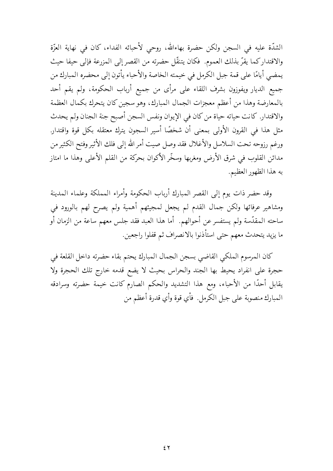الشدَّة عليه في السجن ولكن حضرة بهاءالله، روحي لأحبائه الفداء، كان في نهاية العزَّة والاقتداركما يقرّ بذلك العموم. فكان يتنقّل حضرته من القصر إلى المزرعة فإلى حيفا حيث يمضي أيامًا على قمة جبل الكرمل في خيمته الخاصة والأحباء يأتون إلى محضره المبارك من جميع الديار ويفوزون بشرف اللقاء على مرأى من جميع أرباب الحكومة، ولم يقم أحد بالمعارضة وهذا من أعظم معجزات الجمال المبارك، وهو سجين كان يتحرك بكمال العظمة والاقتدار. كانت حياته حياة من كان في الإيوان ونفس السجن أصبح جنة الجنان ولم يحدث مثل هذا في القرون الأولى بمعنى أن شخصًا أسير السجون يترك معتقله بكل قوة واقتدار. ورغم رزوحه تحت السلاسل والأغلال فقد وصل صيت أمر الله إلى فلك الأثير وفتح الكثير من مدائن القلوب في شرق الأرض ومغربها وسخَّر الأكوان بحركة من القلم الأعلى وهذا ما امتاز به هذا الظهور العظيم.

وقد حضر ذات يوم إلى القصر المبارك أرباب الحكومة وأمراء المملكة وعلماء المدينة ومشاهير عرفائها ولكن جمال القدم لم يجعل لمجيئهم أهمية ولم يصرح لهم بالورود في ساحته المقدّسة ولم يستفسر عن أحوالهم. أما هذا العبد فقد جلس معهم ساعة من الزمان أو ما يزيد يتحدث معهم حتى استأذنوا بالانصراف ثم قفلوا راجعين.

كان المرسوم الملكي القاضي بسجن الجمال المبارك يحتم بقاء حضرته داخل القلعة في حجرة على انفراد يحيط بها الجند والحراس بحيث لا يضع قدمه خارج تلك الحجرة ولا يقابل أحدًا من الأحباء، ومع هذا التشديد والحكم الصارم كانت خيمة حضرته وسرادقه المبارك منصوبة على جبل الكرمل. فأي قوة وأي قدرة أعظم من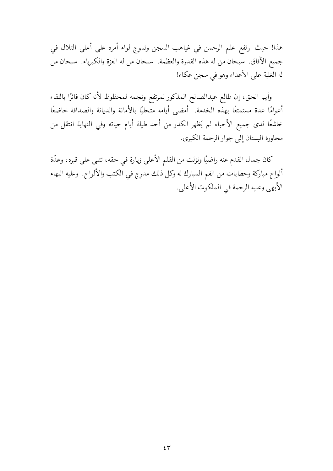هذا! حيث ارتفع علم الرحمن في غياهب السجن وتموج لواء أمره على أعلى التلال في جميع الآفاق. سبحان من له هذه القدرة والعظمة. سبحان من له العزة والكبرياء. سبحان من له الغلبة على الأعداء وهو في سجن عكاء!

وأيم الحق، إن طالع عبدالصالح المذكور لمرتفع ونجمه لمحظوظ لأنه كان فائزًا باللقاء أعوامًا عدة مستمتعًا بهذه الخدمة. أمضي أيامه متحليًا بالأمانة والديانة والصداقة خاضعًا خاشعًا لدى جميع الأحباء لم يَظهر الكدر من أحد طيلة أيام حياته وفي النهاية انتقل من مجاورة البستان إلى جوار الرحمة الكبرى.

كان جمال القدم عنه راضيًا ونزلت من القلم الأعلى زيارة في حقه، تتلى على قبره، وعدّة ألواح مباركة وخطابات من الفم المبارك له وكل ذلك مدرج في الكتب والألواح. وعليه البهاء الأبهى وعليه الرحمة في الملكوت الأعلى.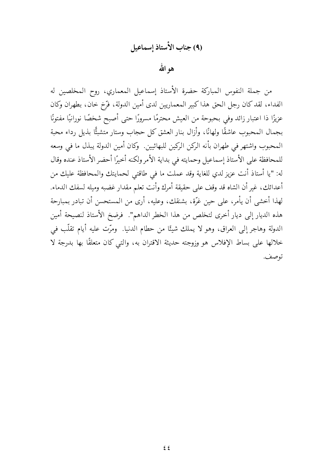# (4) جناب الأستاذ إسماعيل

هو الله

من جملة النفوس المباركة حضرة الأستاذ إسماعيل المعماري، روح المخلصين له الفداء، لقد كان رجل الحق هذا كبير المعماريين لدى أمين الدولة، فرَّخ خان، بطهران وكان عزيزًا ذا اعتبار زائد وفي بحبوحة من العيش محترمًا مسرورًا حتى أصبح شخصًا نورانيًا مفتونًا بجمال المحبوب عاشقًا ولهانًا، وأزال بنار العشق كل حجاب وستار متشبثًا بذيل رداء محبة المحبوب واشتهر في طهران بأنه الركن الركين للبهائيين. وكان أمين الدولة يبذل ما في وسعه للمحافظة على الأستاذ إسماعيل وحمايته في بداية الأمر ولكنه أخيرًا أحضر الأستاذ عنده وقال له: "يا أستاذ أنت عزيز لدي للغاية وقد عملت ما في طاقتي لحمايتك والمحافظة عليك من أعدائك، غير أن الشاه قد وقف على حقيقة أمرك وأنت تعلم مقدار غضبه وميله لسفك الدماء. لهذا أخشى أن يأمر، على حين غرَّة، بشنقك، وعليه، أرى من المستحسن أن تبادر بمبارحة هذه الديار إلى ديار أخرى لتخلص من هذا الخطر الداهم". فرضخ الأستاذ لنصيحة أمين الدولة وهاجر إلى العراق، وهو لا يملك شيئًا من حطام الدنيا. ۖ ومرّت عليه أيام تقلّب في خلالها على بساط الإفلاس هو وزوجته حديثة الاقتران به، والتي كان متعلقًا بها بدرجة لا توصف.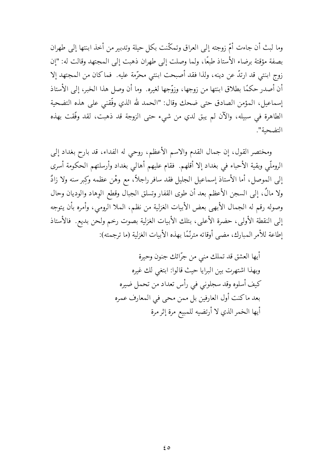وما لبث أن جاءت أمّ زوجته إلى العراق وتمكّنت بكلِّ حيلة وتدبير من أخذ ابنتها إلى طهران بصفة مؤقتة برضاء الأستاذ طبعًا، ولما وصلت إلى طهران ذهبت إلى المحتهد وقالت له: "إن زوج ابنتي قد ارتدّ عن دينه، ولذا فقد أصبحت ابنتي محرّمة عليه. فما كان من المجتهد إلا أن أصدر حكمًا بطلاق ابنتها من زوجها، وزوِّجها لغيره. وما أن وصل هذا الخبر، إلى الأستاذ إسماعيل، المؤمن الصادق حتى ضحك وقال: "الحمد لله الذي وفَّقني على هذه التضحية الطاهرة في سبيله، والآن لم يبق لدي من شيء حتى الزوجة قد ذهبت، لقد وفَّقت بهذه التضحية".

ومختصر القول، إن جمال القدم والاسم الأعظم، روحي له الفداء، قد بارح بغداد إلى الروملّي وبقية الأحباء في بغداد إلا أقلهم. فقام عليهم أهالي بغداد وأرسلتهم الحكومة أسرى إلى الموصل، أما الأستاذ إسماعيل الجليل فقد سافر راجلاً، مع وهْن عظمه وكبر سنه ولا زادٌ ولا مالٌ، إلى السجن الأعظم بعد أن طوى القفار وتسلق الجبال وقطع الوهاد والوديان وحال وصوله رقم له الجمال الأبهى بعض الأبيات الغزلية من نظم، الملا الرومي، وأمره بأن يتوجه إلى النقطة الأولى، حضرة الأعلى، بتلك الأبيات الغزلية بصوت رخم ولحن بديع. فالأستاذ إطاعة للأمر المبارك، مضي أوقاته مترنَّمًا بهذه الأبيات الغزلية (ما ترجمته):

> أيها العشق قد تملك منى من جرّائك جنون وحيرة وبهذا اشتهرت بين البرايا حيث قالوا: ابتغى لك غيره كيف أسلوه وقد سجلوني في رأس تعداد من تحمل ضيره بعد ماكنت أول العارفين بل ممن محيي في المعارف عمره أيها الخمر الذي لا أرتضيه للمبيع مرة إثر مرة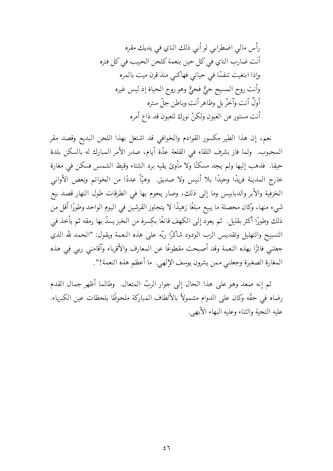رأس مالي اضطرابي لو أني ذلك الناي في يديك مقره أنت ضارب الناي في كل حين بنعمة كلحن الحبيب في كل فتره وإذا ابتغيت تنفسًا في حياتي فهاكني منذ قرن ميت بالمره وأنت روح المسيح حئٌ فحئٌ وهو روح الحياة إذ ليس غيره أولٌ أنت وآخرُ بل وظاهرِ أنت وباطن جلِّ ستره أنت مستور عن العيون ولكنّ نورك للعيون قد ذاع أمره

نعم، إن هذا الطير مكسور القوادم والخوافي قد اشتغل بهذا اللحن البديع وقصد مقر المحبوب. ولما فاز بشرف اللقاء في القلعة عدَّة أيام، صدر الأمر المبارك له بالسكن بلدة حيفا. فذهب إليها ولم يجد مسكنًا ولا مأوىً يقيه برد الشتاء وقيظ الشمس فسكن في مغارة خارج المدينة فريدًا وحيدًا بلا أنيس ولا صديق. ۖ وهيَّأ عددًا من الخواتم وبعض الأواني الخزفية والأبر والدبابيس وما إلى ذلك، وصار يحوم بها في الطرقات طول النهار قصد بيع شيء منها، وكان محصلة ما يبيع مبلغًا زهيدًا لا يتجاوز القرشين في اليوم الواحد وطورًا أقل من ذلك وطورًا أكثر بقليل. ثم يعود إلى الكهف قانعًا بكِسرة من الخبز يسدّ بها رمقه ثم يأخذ في التسبيح والتهليل وتقديس الرب الودود شاكرًا ربّه على هذه النعمة ويقول: "الحمد لله الذي جعلني فائزًا بهذه النعمة وقد أصبحت مقطوعًا عن المعارف والأقرباء وآقامني ربي في هذه المغارة الصغيرة وجعلني ممن يشرون يوسف الإلهي. ما أعظم هذه النعمة!".

ثم إنه صعد وهو على هذا الحال إلى جوار الربّ المتعال. ۖ وطالما أظهر جمال القدم رضاه في حقَّه وكان على الدوام مشمولاً بالألطاف المباركة ملحوظًا بلحظات عين الكبرياء. عليه التحية والثناء وعليه البهاء الأبهي.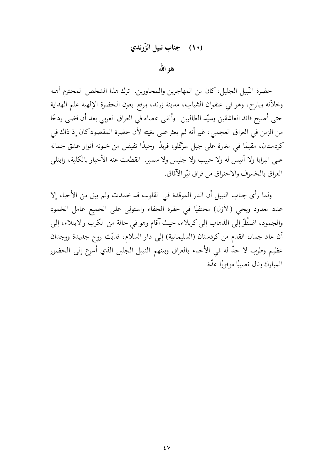### (١٠) جناب نبيل الزَّرندي

هو الله

حضرة النّبيل الجليل، كان من المهاجرين والمجاورين. ترك هذا الشخص المحترم أهله وخلاّنه وبارح، وهو في عنفوان الشباب، مدينة زرند، ورفع بعون الحضرة الإلهية علم الهداية حتى أصبح قائد العاشقين وسيّد الطالبين. وألقى عصاه في العراق العربي بعد أن قضي ردحًا من الزمن في العراق العجمي، غير أنه لم يعثر على بغيته لأن حضرة المقصود كان إذ ذاك في كردستان، مقيمًا في مغارة على جبل سرگلو، فريدًا وحيدًا تفيض من خلوته أنوار عشق جماله على البرايا ولا أنيس له ولا حبيب ولا جليس ولا سمير. انقطعت عنه الأخبار بالكلية، وابتلبي العراق بالخسوف والاحتراق من فراق نتّر الآفاق.

ولما رأى جناب النبيل أن النار الموقدة في القلوب قد خمدت ولم يبق من الأحباء إلا عدد معدود ويحي (الأزل) مختفيًا في حفرة الجفاء واستولى على الجميع عامل الخمود والجمود، اضطُرَّ إلى الذهاب إلى كربلاء، حيث آقام وهو في حالة من الكرب والابتلاء، إلى أن عاد جمال القدم من كردستان (السليمانية) إلى دار السلام، فدبّت روح جديدة ووجدان عظيم وطرب لا حدٍّ له في الأحباء بالعراق وبينهم النبيل الجليل الذي أسرع إلى الحضور المبارك ونال نصيبًا موفورًا عدّة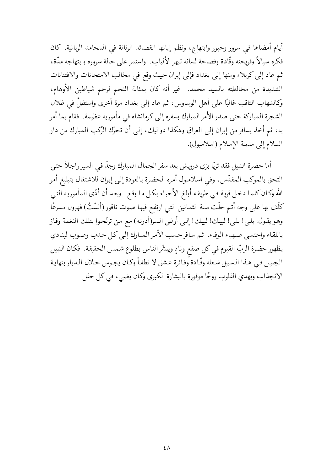أيام أمضاها في سرور وحبور وابتهاج، ونظم إبانها القصائد الرنانة في المحامد الربانية. كان فكره سيالاً وقريحته وقَّادة وفصاحة لسانه تبهر الألباب. واستمر على حالة سروره وابتهاجه مدَّة، ثم عاد إلى كربلاء ومنها إلى بغداد فإلى إيران حيث وقع في مخالب الامتحانات والافتتانات الشديدة من مخالطته بالسيد محمد. غير أنه كان بمثابة النجم لرجم شياطين الأوهام، وكالشهاب الثاقب غالبًا على أهل الوساوس، ثم عاد إلى بغداد مرة أخرى واستظلَّ في ظلال الشجرة المباركة حتى صدر الأمر المبارك بسفره إلى كرمانشاه في مأمورية عظيمة. فقام بما أمر به، ثم أخذ يسافر من إيران إلى العراق وهكذا دواليك، إلى أن تحرّك الرّكب المبارك من دار السلام إلى مدينة الإسلام (اسلامبول).

أما حضرة النبيل فقد تزيًّا بزي درويش بعد سفر الجمال المبارك وجدٍّ في السير راجلاً حتى التحق بالموكب المقدّس، وفي اسلامبول أمره الحضرة بالعودة إلى إيران للاشتغال بتبليغ أمر الله وكـان كلمـا دخـل قريـة فـي طريقـه أبلـغ الأحبـاء بكـل مـا وقـع ـ وبعـد أن أدّى المأموريـة التـي كلَّف بها على وجه أتم حلَّت سنة الثمانين التي ارتفع فيها صوت ناقور (ألسْتُ) فهرول مسرعًا وهو يقول: بلي! بلي! لبيك! لبيك! إلي أرض السر(أدرنه) مع من ترنَّحوا بتلك النغمة وفاز باللقاء واحتسى صهباء الوفاء. ثم سافر حسب الأمر المبارك إلىي كل حدب وصوب لينادي بظهور حضرة الربّ القيوم في كل صقع ونادٍ ويبشّر الناس بطلوع شمس الحقيقة. فكان النبيل الجليل فيي هـذا الـسبيل شـعلة وقَّـادة وُفـائرة عـشق لا تطفـأ وكـان يجـوس خـلال الـديار بنهايـة الانجذاب ويهدي القلوب روحًا موفورة بالبشارة الكبرى وكان يضيء في كل حفل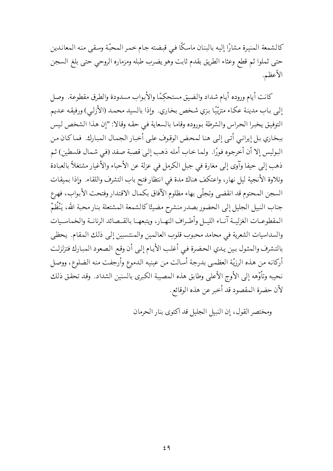كالشمعة المنيرة مشارًا إليه بالبنان ماسكًا في قبضته جام خمر المحبّة وسقى منه المعاندين حتى ثملوا ثم قطع وعثاء الطريق بقدم ثابت وهو يضرب طبله ومزماره الروحي حتى بلغ السجن الأعظم.

كانت أيام وروده أيام شداد والضيق مستحكمًا والأبواب مسدودة والطرق مقطوعة. وصل إلى باب مدينة عكاء متزيِّيًا بزي شخص بخاري. وإذا بالسيد محمد (الأزلبي) ورفيقه عديم التوفيق يخبرا الحراس والشرطة بوروده وقاما بالسعاية في حقه وقالا: "إن هذا الشخص ليس ببخاري بل إيراني أتي إلى هنا لمحض الوقوف على أخبار الجمال المبارك. فماكان من البوليس إلا أن أخرجوه فورًا. ولما خاب أمله ذهب إلى قصبة صفد (في شمال فلسطين) ثم ذهب إلى حيفا وآوى إلى مغارة في جبل الكرمل في عزلة عن الأحباء والأغيار مشتغلاً بالعبادة وتلاوة الأنجية ليل نهار، واعتكف هناك مدة في انتظار فتح باب التشرف واللقاء. وإذا بميقات السجن المحتوم قد انقضى وتجلّى بهاء مظلوم الآفاق بكمال الاقتدار وفتحت الأبواب، فهرع جناب النبيل الجليل إلىي الحضور بصدر منشرح مضيئًا كالشمعة المشتعلة بنار محبة الله، يَنْظُمْ المقطوعـات الغزليــة آنــاء الليــل وأطــراف النهــار، ويتبعهــا بالقــصائد الرنانــة والخماســيات والسداسيات الشعرية في محامد محبوب قلوب العالمين والمنتسبين إلى ذلك المقام. يحظى بالتشرف والمثول بين يدي الحضرة فيي أغلب الأيام إلىي أن وقع الصعود المبارك فتزلزلت أركانه من هذه الرزيّة العظمى بدرجة أسالت من عينيه الدموع وأرجفت منه الضلوع، ووصل نحيبه وتأوّهه إلى الأوج الأعلى وطابق هذه المصيبة الكبرى بالسنين الشداد. وقد تحقق ذلك لأن حضرة المقصود قد أخبر عن هذه الوقائع .

ومختصر القول، إن النبيل الجليل قد أكتوى بنار الحرمان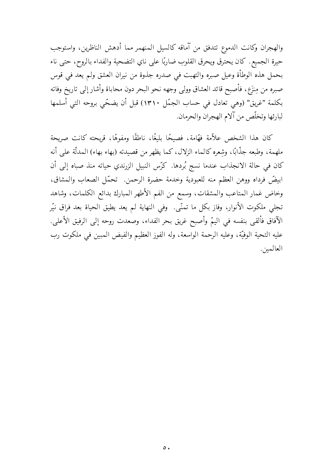والهجران وكانت الدموع تتدفق من آماقه كالسيل المنهمر مما أدهش الناظرين، واستوجب حيرة الجميع. كان يحترق ويحرق القلوب ضاربًا على ناي التضحية والفداء بالروح، حتى ناء بحمل هذه الوطأة وعيل صبره والتهبت في صدره جذوة من نيران العشق ولم يعد في قوس صبره من مِنزَع، فأصبح قائد العشاق وولى وجهه نحو البحر دون محاباة وأشار إلى تاريخ وفاته بكلمة "غريق" (وهي تعادل في حساب الجمّل ١٣١٠) قبل أن يضحّي بروحه التبي أسلمها لبارئها وتخلّص من آلام الهجران والحرمان.

كان هذا الشخص علاَّمة فهَّامة، فصيحًا بليغًا، ناطقًا ومفوهًا، قريحته كانت صريحة ملهمة، وطبعه جذَّابًا، وشعره كالماء الزلال، كما يظهر من قصيدته (بهاء بهاء) المدلَّة على أنه كان في حالة الانجذاب عندما نسج بُردها. كرّس النبيل الزرندي حياته منذ صباه إلى أن ابيضٌ فرداه ووهن العظم منه للعبودية وخدمة حضرة الرحمن. تحمَّل الصعاب والمشاق، وخاض غمار المتاعب والمشقات، وسمع من الفم الأطهر المبارك بدائع الكلمات، وشاهد تجلَّى ملكوت الأنوار، وفاز بكل ما تمنَّى. ۖ وفي النهاية لم يعد يطيق الحياة بعد فراق نيَّر الآفاق فألقى بنفسه فى اليمّ وأصبح غريق بحر الفداء، وصعدت روحه إلى الرفيق الأعلى. عليه التحية الوفيّة، وعليه الرحمة الواسعة، وله الفوز العظيم والفيض المبين في ملكوت رب العالمين.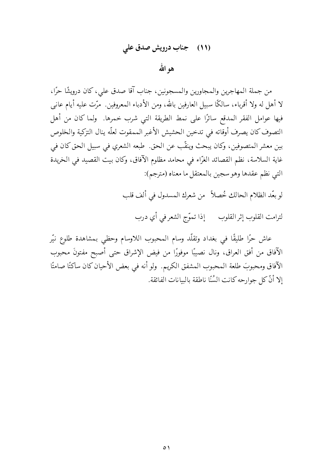### (١١) جناب درويش صدق على

## هو الله

من جملة المهاجرين والمجاورين والمسجونين، جناب آقا صدق على، كان درويشًا حرًا، لا أهل له ولا أقرباء، سالكًا سبيل العارفين بالله، ومن الأدباء المعروفين. مرّت عليه أيام عاني فيها عوامل الفقر المدقع سائرًا على نمط الطريقة التي شرب خمرها. ولما كان من أهل التصوف كان يصرف أوقاته في تدخين الحشيش الأغبر الممقوت لعلّه ينال التزكية والخلوص بين معشر المتصوفين، وكان يبحث وينقّب عن الحق. طبعه الشعري في سبيل الحق كان في غاية السلاسة، نظم القصائد الغرّاء في محامد مظلوم الآفاق، وكان بيت القصيد في الخريدة التبي نظم عقدها وهو سجين بالمعتقل ما معناه (مترجم):

لو بعّد الظلام الحالك خُصلاً من شعرك المسدول في ألف قلب

لترامت القلوب إثر القلوب إذا تموّج الشعر في أي درب

عاش حرًا طليقًا في بغداد وتقلَّد وسام المحبوب اللاوسام وحظى بمشاهدة طلوع نيَّر الآفاق من أفق العراق، ونال نصيبًا موفورًا من فيض الإشراق حتى أصبح مفتونَ محبوب الآفاق ومحبوبَ طلعة المحبوب المشفق الكريم. ۖ ولو أنه في بعض الأحيان كان ساكتًا صامتًا ۖ إلا أنَّ كلَّ جوارحه كانت السُّنَّا ناطقة بالبيانات الفائقة.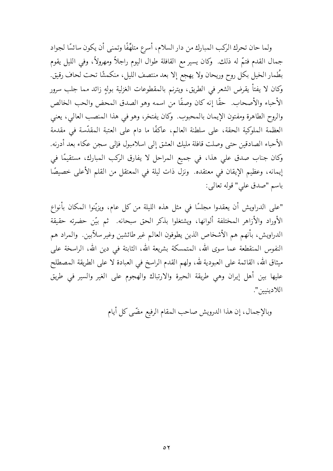ولما حان تحرك الركب المبارك من دار السلام، أسرع متلهِّفًا وتمنى أن يكون سائسًا لجواد جمال القدم فتمَّ له ذلك. وكان يسير مع القافلة طوال اليوم راجلاً ومهرولاً، وفي الليل يقوم بطُمار الخيل بكل روح وريحان ولا يهجع إلا بعد منتصف الليل، منكمشًا تحت لحاف رقيق. وكان لا يفتأ يقرض الشعر في الطريق، ويترنم بالمقطوعات الغزلية بولهٍ زائد مما جلب سرور الأحباء والأصحاب. حقًّا إنه كان وصفًا من اسمه وهو الصدق المحض والحب الخالص والروح الطاهرة ومفتون الإيمان بالمحبوب. وكان يفتخر، وهو في هذا المنصب العالي، يعني العظمة الملوكية الحقة، على سلطنة العالم، عاكفًا ما دام على العتبة المقدّسة في مقدمة الأحباء الصادقين حتى وصلت قافلة مليك العشق إلىي اسلامبول فإلىي سجن عكاء بعد أدرنه. وكان جناب صدق علي هذا، في جميع المراحل لا يفارق الركب المبارك، مستقيمًا في إيمانه، وعظيم الإيقان في معتقده. ونزل ذات ليلة في المعتقل من القلم الأعلى خصيصًا باسم "صدق على" قوله تعالى:

"على الدراويش أن يعقدوا مجلسًا في مثل هذه الليلة من كل عام، ويزيّنوا المكان بأنواع الأوراد والأزاهر المختلفة ألوانها، ويشتغلوا بذكر الحق سبحانه. ثم بيّن حضرته حقيقة الدراويش، بأنهم هم الأشخاص الذين يطوفون العالم غير طائشين وغير سلأبين. ۖ والمراد هم النفوس المنقطعة عما سوى الله، المتمسكة بشريعة الله، الثابتة في دين الله، الراسخة على ميثاق الله، القائمة على العبودية لله، ولهم القدم الراسخ في العبادة لا على الطريقة المصطلح عليها بين أهل إيران وهي طريقة الحيرة والارتباك والهجوم على الغير والسير في طريق اللادينيين".

وبالإجمال، إن هذا الدرويش صاحب المقام الرفيع مضّى كل أيام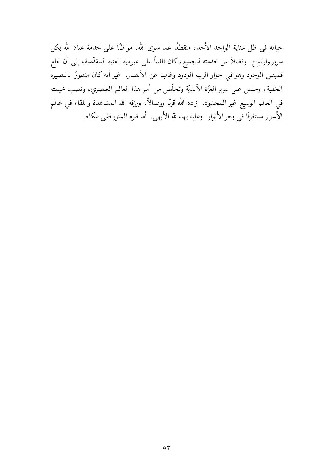حياته في ظل عناية الواحد الأحد، منقطعًا عما سوى الله، مواظبًا على خدمة عباد الله بكل سرور وارتياح. وفضلاً عن خدمته للجميع، كان قائماً على عبودية العتبة المقدّسة، إلى أن خلع قميص الوجود وهو في جوار الرب الودود وغاب عن الأبصار. غير أنه كان منظورًا بالبصيرة الخفية، وجلس على سرير العزَّة الأبديَّة وتخلَّص من أسر هذا العالم العنصري، ونصب خيمته في العالم الوسيع غير المحدود. زاده الله قربًا ووصالاً، ورزقه الله المشاهدة واللقاء في عالم الأسرار مستغرقًا في بحر الأنوار. وعليه بهاءالله الأبهي. أما قبره المنور ففي عكاء.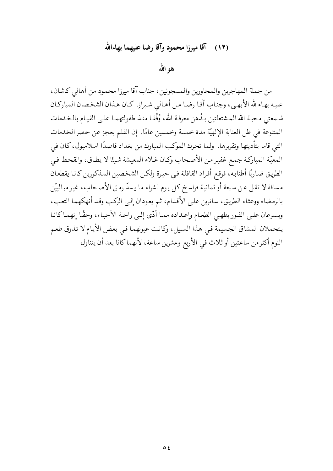#### آقا ميرزا محمود وآقا رضا عليهما بهاءالله  $(15)$

هو الله

من جملة المهاجرين والمجاورين والمسجونين، جناب آقا ميرزا محمود من أهالي كاشان، عليه بهـاءالله الأبهـي، وجنـاب آقـا رضـا مـن أهـالـي شـيراز. كـان هـذان الشخـصان المباركـان شـمعتبي محبـة الله المـشتعلتين بـدُهن معرفـة الله، وُفِّقـا منـذ طفولتهمـا علـى القيـام بالخـدمات المتنوعة في ظل العناية الإلهيّة مدة خمسة وخمسين عامًا. إن القلم يعجز عن حصر الخدمات التي قاما بتأديتها وتقريرها. ولما تحرك الموكب المبارك من بغداد قاصدًا اسلامبول، كان في المعيّة المباركة جمع غفير من الأصحاب وكان غلاء المعيشة شيئًا لا يطاق، والقحط في الطريق ضاربًا أطنابه، فوقع أفراد القافلة في حيرة ولكن الشخصين المذكورين كانا يقطعان مسافة لا تقل عن سبعة أو ثمانية فراسخ كل يوم لشراء ما يسدّ رمق الأصحاب، غير مبالييْن بالرمضاء ووعثاء الطريق، سائرين على الأقدام، ثم يعودان إلى الركب وقد أنهكهما التعب، ويسرعان علىي الفور بطهي الطعام وإعداده مما أدّى إلىي راحة الأحباء، وحقًا إنهماكانا يتحملان المشاق الجسيمة في هذا السبيل، وكانت عيونهما في بعض الأيام لا تذوق طعم النوم أكثر من ساعتين أو ثلاث في الأربع وعشرين ساعة، لأنهما كانا بعد أن يتناول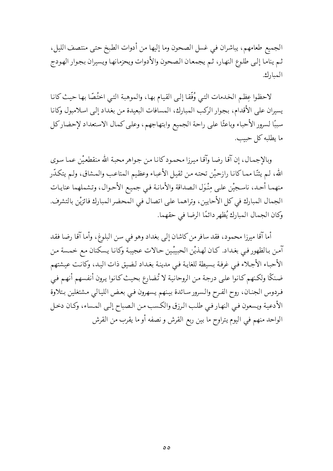الجميع طعامهم، يباشران في غسل الصحون وما إليها من أدوات الطبخ حتى منتصف الليل، ثم يناما إلىي طلوع النهار، ثم يجمعان الصحون والأدوات ويحزمانها ويسيران بجوار الهودج المبارك.

لاحظوا عِظم الخدمات التبي وُفِّقا إلى القيام بها، والموهبة التبي اختُصَّا بها حيث كانا يسيران على الأقدام، بجوار الركب المبارك، المسافات البعيدة من بغداد إلى اسلامبول وكانا سببًا لسرور الأحباء وباعثًا على راحة الجميع وابتهاجهم، وعلى كمال الاستعداد لإحضاركل ما يطلبه كل حبيب.

وبالإجمال، إن آقـًا رضـًا وآقـًا ميـرزا محمـود كـانـا مـن جـواهر محبـة الله منقطعـيْن عمـا سـوى الله، لـم يئنّا ممـاكانـا رازحيْن تحته مـن ثقيل الأعبـاء وعظيم المتاعب والمـشاق، ولـم يتكـدّر منهما أحد، ناسجيْن علىي مِنْوَل الصداقة والأمانـة فـي جميع الأحـوال، وتـشملهما عنايـات الجمال المبارك في كل الأحايين، وتراهما على اتصال في المحضر المبارك فائزيْن بالتشرف. وكان الجمال المبارك يُظهر دائمًا الرضا في حقهما.

أما آقا ميرزا محمود، فقد سافر من كاشان إلى بغداد وهو في سن البلوغ، وأما آقا رضا فقد آمن بالظهور في بغداد. كان لهذيْن الحبيبْين حالات عجيبة وكانا يسكنان مع خمسة من الأحباء الأجلاء في غرفة بسيطة للغاية في مدينة بغداد لضيق ذات اليد، وكانت عيشتهم ضنكًا ولكنهم كانوا على درجة من الروحانية لا تُضارع بحيث كانوا يرون أنفسهم أنهم في فردوس الجنان، روح الفرح والسرور سائدة بينهم يسهرون فيي بعض الليالي مشتغلين بتلاوة الأدعية ويسعون في النهار في طلب الرزق والكسب من الصباح إلىي المساء، وكان دخل الواحد منهم في اليوم يتراوح ما بين ربع القرش و نصفه أو ما يقرب من القرش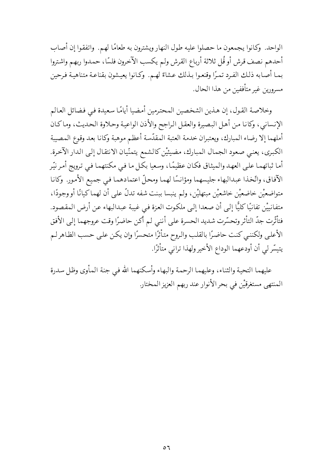الواحد. وكانوا يجمعون ما حصلوا عليه طول النهار ويشترون به طعامًا لهم. واتفقوا إن أصاب أحدهم نصف قرش أو قُل ثلاثة أرباع القرش ولم يكسب الآخرون فلسًا، حمدوا ربهم واشتروا بما أصابه ذلك الفرد تمرًا وقنعوا بـذلك عشاءً لهـم. وكـانوا يعيشون بقناعـة متناهيـة فـرحين مسرورين غير متأففين من هذا الحال.

وخلاصة القول، إن هذين الشخصين المحترمين أمضيا أيامًا سعيدة في فضائل العالم الإنساني، وكانا من أهل البصيرة والعقل الراجح والأذن الواعية وحلاوة الحديث، وماكان أملهما إلا رضاء المبارك، ويعتبران خدمة العتبة المقدّسة أعظم موهبة وكانا بعد وقوع المصيبة الكبرى، يعني صعود الجمال المبارك، مضيئيْن كالشمع يتمنّيان الانتقال إلىي الدار الآخرة. أما ثباتهما على العهد والميثاق فكان عظيمًا، وسعيا بكل ما في مكنتهما في ترويج أمر نيّر الآفاق، واتَّخذا عبدالبهاء جليسهما ومؤانسًا لهما ومحلِّ اعتمادهما في جميع الأمورِ. وكانا متواضعيْن خاضعيْن خاشعيْن مبتهليْن، ولم ينبسا ببنت شفه تدلُّ على أن لهما كيانًا أو وجودًا، متفانييْن تفانيًا كليًّا إلى أن صعدا إلى ملكوت العزة في غيبة عبدالبهاء عن أرض المقصود. فتأثَّرت جدّ التأثر وتحسَّرت شديد الحسرة على أنني لم أكن حاضرًا وقت عروجهما إلى الأفق الأعلىي ولكننبي كنت حاضرًا بالقلب والروح متأثرًا متحسرًا وإن يكن على حسب الظاهر لم يتيسّر لي أن أودعهما الوداع الأخير ولهذا تراني متأثرًا.

عليهما التحية والثناء، وعليهما الرحمة والبهاء وأسكنهما الله في جنة المأوى وظل سدرة المنتهي مستغرقيْن في بحر الأنوار عند ربهم العزيز المختار.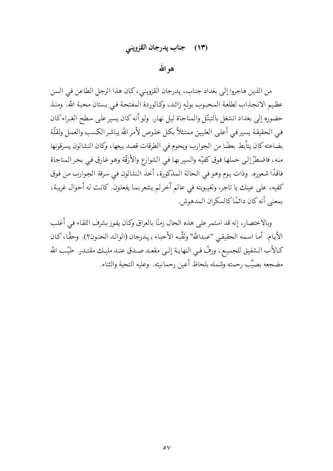## (١٣) جناب پدرجان القزويني

هو الله

من الذين هاجروا إلى بغداد جناب، پدرجان القزويني، كان هذا الرجل الطاعن في السن عظيم الانجذاب لطلعة المحبوب بولهِ زائد، وكالوردة المفتحة فيي بستان محبة الله. ومنذ حضوره إلى بغداد انشغل بالتبتّل والمناجاة ليل نهار. ولو أنه كان يسير على سطح الغبراء كان في الحقيقة يسير في أعلى العليين ممتثلاً بكل خلوص لأمر الله يباشر الكسب والعمل ولقلّة بضاعته كان يتأبط بعضًا من الجوارب ويحوم في الطرقات قصد بيعها، وكان النشالون يسرقونها منه، فاضطرّ إلى حملها فوق كفيّه والسير بها في الشوارع والأزقّة وهو غارق في بحر المناجاة فاقدًا شعوره. وذات يوم وهو في الحالة المذكورة، أخذ النشالون في سرقة الجوارب من فوق كفيه، على عينك يا تاجر، ولغيبوبته في عالم آخر لم يشعر بما يفعلون. كانت له أحوال غريبة، بمعنى أنه كان دائمًا كالسكران المدهوش.

وبالاختصار، إنه قد استمر على هذه الحال زمنًا بالعراق وكان يفوز بشرف اللقاء في أغلب الأيام. أما اسمه الحقيقي "عبدالله" ولقَّبه الأحباء بـ يدرجان (الوالد الحنون؟). وحقًا، كـان كـالأب الـشفيق للجميع، ورفَّ فـي النهايـة إلـي مقعـد صـدق عنـد مليـك مقتـدر طيّب الله مضجعه بصيِّب رحمته وشمله بلحاظ أعين رحمانيته. وعليه التحية والثناء.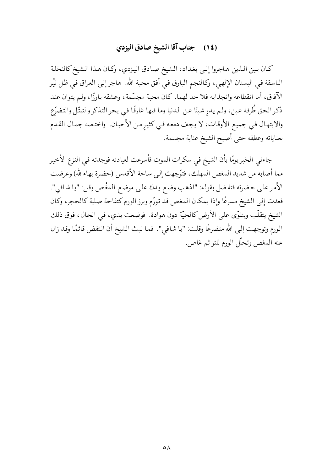# (١٤) جناب آقا الشيخ صادق اليزدي

كان بين الذين هاجروا إلىي بغداد، الشيخ صادق اليزدي، وكان هذا الشيخ كالنخلة الباسقة في البستان الإلهي، وكالنجم البارق في أفق محبة الله. هاجر إلى العراق في ظل نيِّر الآفاق، أما انقطاعه وانجذابه فلا حد لهما. كان محبة مجسَّمة، وعشقه بارزًا، ولم يتوان عند ذكر الحق طُرفة عين، ولم يدرشيئًا عن الدنيا وما فيها غارقًا في بحر التذكر والتبتّل والتضرّع والابتهال في جميع الأوقات، لا يجف دمعه في كثيرٍ من الأحيان. واختصه جمال القدم بعناياته وعطفه حتى أصبح الشيخ عناية مجسمة.

جاءني الخبر يومًا بأن الشيخ في سكرات الموت فأسرعت لعيادته فوجدته في النزع الأخير مما أصابه من شديد المغص المهلك، فتوَّجهت إلى ساحة الأقدس (حضرة بهاءالله) وعرضت الأمر على حضرته فتفضل بقوله: "اذهب وضع يدك على موضع المغْص وقل: "يا شافي". فعدت إلى الشيخ مسرعًا وإذا بمكان المغص قد تورّم وبرز الورم كتفاحة صلبة كالحجر، وكان الشيخ يتقلّب ويتلوّى على الأرض كالحيّة دون هوادة. فوضعت يدي، في الحال، فوق ذلك الورم وتوجهت إلى الله متضرعًا وقلت: "يا شافي". فما لبث الشيخ أن انتفض قائمًا وقد زال عنه المغص وتحلَّل الورم للتو ثم غاص.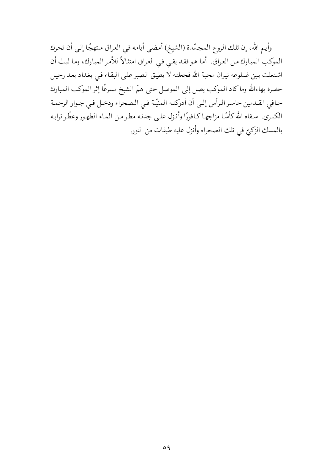وأيم الله، إن تلك الروح المجسّدة (الشيخ) أمضي أيامه في العراق مبتهجًا إلى أن تحرك الموكب المبارك من العراق. أما هو فقد بقي في العراق امتثالاً للأمر المبارك، وما لبث أن اشتعلت بين ضلوعه نيران محبة الله فجعلته لا يطيق الصبر على البقاء في بغداد بعد رحيل حضرة بهاءالله وماكاد الموكب يصل إلى الموصل حتى همّ الشيخ مسرعًا إثر الموكب المبارك حافي القـدمين حاسر الـرأس إلـي أن أدركتـه المنيّـة فـي الـصحراء ودخـل فـي جـوار الرحمـة الكبرى. سقاه الله كأسًا مزاجها كـافورًا وأنـزل علـى جدثـه مطر مـن المـاء الطهـور وعطّر ترابـه بالمسك الزكيّ في تلك الصحراء وأنزل عليه طبقات من النور.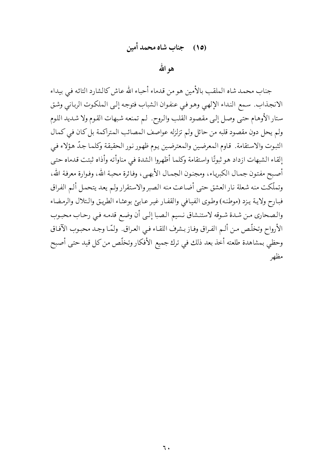هوالله

جناب محمد شاه الملقب بالأمين هومن قدماء أحباء الله عاش كالشارد التائه في بيداء الانجذاب. سمع النداء الإلهي وهو في عنفوان الشباب فتوجه إلىي الملكوت الرباني وشق ستار الأوهام حتى وصل إلى مقصود القلب والروح. لم تمنعه شبهات القوم ولا شديد اللوم ولم يحل دون مقصود قلبه من حائل ولم تزلزله عواصف المصائب المتراكمة بل كان في كمال الثبوت والاستقامة. قاوم المعرضين والمعترضين يوم ظهور نور الحقيقة وكلما جدّ هؤلاء في إلقاء الشبهات ازداد هو ثبوتًا واستقامة وكلما أظهروا الشدة في مناوأته وأذاه ثبتت قدماه حتى أصبح مفتون جمال الكبرياء، ومجنون الجمال الأبهي، وفائرة محبة الله، وفوارة معرفة الله، وتملَّكت منه شعلة نار العشق حتى أضاعت منه الصبروالاستقرار ولم يعد يتحمل ألم الفراق فبارح ولاية يزد (موطنه) وطوى الفيافي والقفار غير عابئ بوعثاء الطريق والتلال والرمضاء والصحاري من شدة شوقه لاستنشاق نسيم الصبا إلىي أن وضع قدمه في رحاب محبوب الأرواح وتخلَّص من ألـم الفـراق وفـاز بـشرف اللقـاء فـي العـراق. ولمَّـا وجـد محبـوب الآفـاق وحظى بمشاهدة طلعته أخذ بعد ذلك في ترك جميع الأفكار وتخلّص من كل قيد حتى أصبح مظهر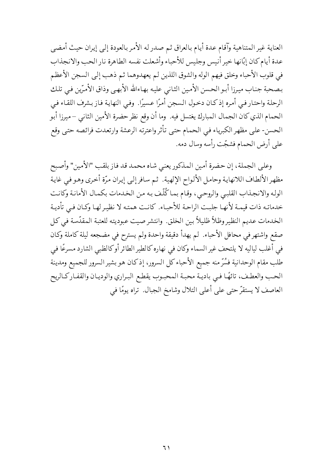العناية غير المتناهية وآقام عدة أيام بالعراق ثم صدر له الأمر بالعودة إلى إيران حيث أمضي عدة أيام كان إبّانها خير أنيس وجليس للأحباء وأشعلت نفسه الطاهرة نار الحب والانجذاب في قلوب الأحباء وخلق فيهم الوله والشوق اللذين لم يعهدوهما ثم ذهب إلى السجن الأعظم بصحبة جناب ميرزا أبو الحسن الأمين الثاني عليه بهاءالله الأبهي وذاق الأمرّين في تلك الرحلة واحتـار فـي أمـره إذكـان دخـول الـسجن أمـرًا عـسيرًا. وفـي النهايـة فـاز بـشرف اللقـاء فـي الحمام الذي كان الجمال المبارك يغتسل فيه. وما أن وقع نظر حضرة الأمين الثاني – ميرزا أبو الحسن- على مظهر الكبرياء في الحمام حتى تأثر واعترته الرعشة وارتعدت فرائصه حتى وقع على أرض الحمام فشجّت رأسه وسال دمه.

وعلى الجملة، إن حضرة أمين المذكور يعني شاه محمد قد فاز بلقب "الأمين" وأصبح مظهر الألطاف اللانهاية وحامل الألواح الإلهية. ثم سافرإلى إيران مرّة أخرى وهو في غاية الوله والانجذاب القلبي والروحيي، وقام بما كُلِّف بـه من الخدمات بكمـال الأمانـة وكانـت خدماته ذات قيمـة لأنهـا جلبـت الراحـة للأحبـاء. كانـت همتـه لا نظيـر لهـا وكـان فـي تأديـة الخدمات عديم النظير وظلاً ظليلاً بين الخلق. وانتشرصيت عبوديته للعتبة المقدّسة في كل صقع واشتهر في محافل الأحباء. لم يهدأ دقيقة واحدة ولم يسترح في مضجعه ليلة كاملة وكان في أغلب لياليه لا يلتحف غير السماء وكان في نهاره كالطير الطائر أوكالظبي الشارد مسرعًا في طلب مقام الوحدانية فسُرِّ منه جميع الأحباءكل السرور، إذكان هو بشير السرور للجميع ومدينة الحب والعطـف، تائهًـا فـي باديـة محبـة المحبـوب يقطـع البـراري والوديـان والقفـاركـالريح العاصف لا يستقرَّ حتى على أعلى التلال وشامخ الجبال. تراه يومًا في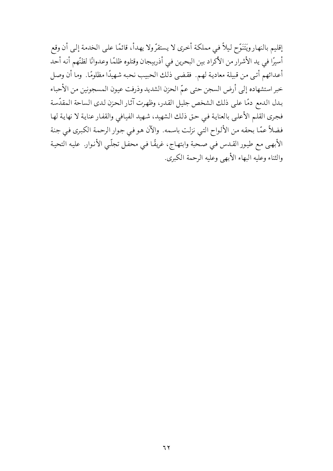إقليم بالنهار ويَتَنَوَّح ليلاً في مملكة أخرى لا يستقرُّ ولا يهدأ، قائمًا على الخدمة إلى أن وقع أسيرًا في يد الأشرار من الأكراد بين البحرين في أذربيجان وقتلوه ظلمًا وعدوانًا لظنّهم أنه أحد أعدائهم أتـى مـن قبيلة معادية لهـم. فقضي ذلك الحبيب نحبه شهيدًا مظلومًا. وما أن وصـل خبر استشهاده إلى أرض السجن حتى عمّ الحزن الشديد وذرفت عيون المسجونين من الأحباء بدل الدمع دمًا على ذلك الشخص جليل القدر، وظهرت آثار الحزن لدى الساحة المقدّسة فجري القلم الأعلى بالعناية في حق ذلك الشهيد، شهيد الفيافي والقفار عناية لا نهاية لها فضلاً عمّا بحقه من الألواح التي نزلت باسمه. والآن هو في جوار الرحمة الكبرى في جنة الأبهيي مع طيور القدس في صحبة وابتهاج، غريقًا في محفل تجلَّى الأنوار. عليه التحية والثناء وعليه البهاء الأبهى وعليه الرحمة الكبرى.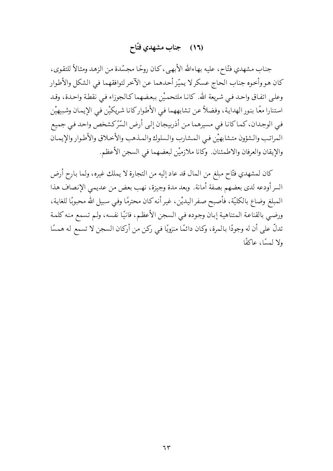## (١٦) جناب مشهدي فتّاح

جناب مشهدي فتّاح، عليه بهاءالله الأبهي، كان روحًا مجسّدة من الزهد ومثالاً للتقوى، كان هو وأخوه جناب الحاج عسكر لا يميّز أحدهما عن الآخر لتوافقهما في الشكل والأطوار وعلىي اتفـاق واحـد فـي شـريعة الله. كانـا ملتحمـيْن ببعـضهماكـالجوزاء فـي نقطـة واحـدة، وقـد استنارا معًا بنور الهداية، وفضلاً عن تشابههما في الأطواركانا شريكيْن في الإيمان وشبيهيْن فيي الوجدان، كما كانا في مسيرهما من أذربيجان إلى أرض السّرّكشخص واحد في جميع المراتب والشؤون متشابهيْن فيي المشارب والسلوك والملدهب والأخلاق والأطوار والإيمان والإيقان والعرفان والاطمئنان. وكانا ملازميْن لبعضهما في السجن الأعظم.

كان لمشهدي فتّاح مبلغ من المال قد عاد إليه من التجارة لا يملك غيره، ولما بارح أرض السر أودعه لدى بعضهم بصفة أمانة. وبعد مدة وجيزة، نهب بعض من عديمي الإنصاف هذا المبلغ وضاع بالكليّة، فأصبح صفر اليديْن، غير أنه كان محترمًا وفي سبيل الله محبوبًا للغاية، ورضـي بالقناعـة المتناهيـة إبـان وجـوده فـي الـسجن الأعظـم، فانيًا نفسه، ولـم تسمع منه كلمـة تدلَّ على أن له وجودًا بالمرة، وكان دائمًا منزويًا في ركن من أركان السجن لا تسمع له همسًا ولا لمسًا، عاكفًا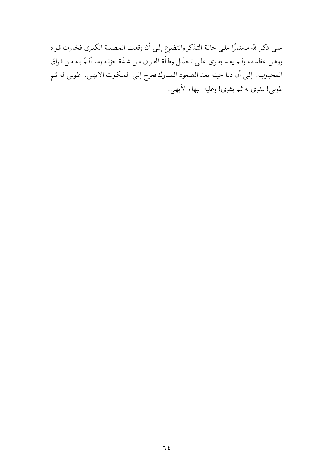علىي ذكر الله مستمرًا علىي حالة التذكر والتضرع إلىي أن وقعت المصيبة الكبرى فخارت قواه ووهن عظمه، ولم يعد يقوَى على تحمّل وطأة الفراق من شدّة حزنه وما ألـمّ بـه من فراق المحبوب. إلى أن دنا حينه بعد الصعود المبارك فعرج إلى الملكوت الأبهى. طوبي له ثم طوبي! بشري له ثم بشري! وعليه البهاء الأبهي.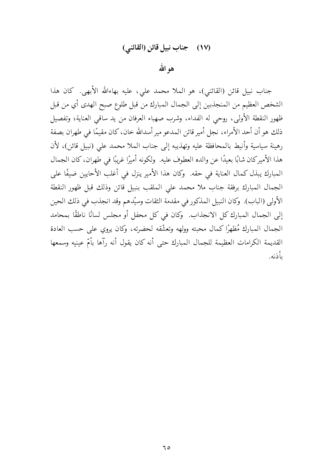## (١٧) جناب نبيل قائن (القائني)

هو الله

جناب نبيل قائن (القائني)، هو الملا محمد علي، عليه بهاءالله الأبهي. كان هذا الشخص العظيم من المنجذبين إلى الجمال المبارك من قبل طلوع صبح الهدى أي من قبل ظهور النقطة الأولى، روحي له الفداء، وشرب صهباء العرفان من يد ساقى العناية؛ وتفصيل ذلك هو أن أحد الأمراء، نجل أمير قائن المدعو مير أسدالله خان، كان مقيمًا في طهران بصفة رهينة سياسية وأنيط بالمحافظة عليه وتهذيبه إلى جناب الملا محمد على (نبيل قائن)، لأن هذا الأميركان شابًا بعيدًا عن والده العطوف عليه. ولكونه أميرًا غريبًا في طهران، كان الجمال المبارك يبذل كمال العناية في حقه. وكان هذا الأمير ينزل في أغلب الأحايين ضيفًا على الجمال المبارك برفقة جناب ملا محمد على الملقب بنبيل قائن وذلك قبل ظهور النقطة الأولى (الباب). وكان النبيل المذكور في مقدمة الثقات وسيّدهم وقد انجذب في ذلك الحين إلى الجمال المبارك كل الانجذاب. وكان في كل محفل أو مجلس لسانًا ناطقًا بمحامد الجمال المبارك مُظهِرًا كمال محبته وولهه وتعشَّقه لحضرته، وكان يروي على حسب العادة القديمة الكرامات العظيمة للجمال المبارك حتى أنه كان يقول أنه رآها بأمّ عينيه وسمعها بأذنه.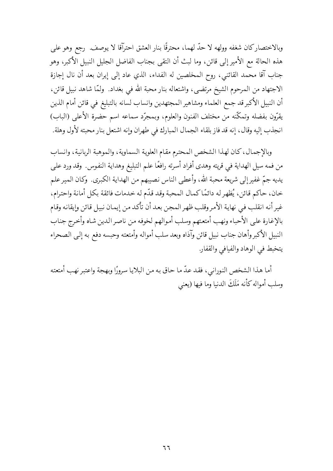وبالاختصارِكان شغفه وولهه لا حدَّ لهما، محترقًا بنارِ العشق احترآقا لا يوصف. رجع وهو على هذه الحالة مع الأمير إلى قائن، وما لبث أن التقى بجناب الفاضل الجليل النبيل الأكبر، وهو جناب آقا محمد القائني، روح المخلصين له الفداء، الذي عاد إلى إيران بعد أن نال إجازة الاجتهاد من المرحوم الشيخ مرتضى، واشتعاله بنار محبة الله في بغداد. ۖ ولمَّا شاهد نبيل قائن، أن النبيل الأكبر قد جمع العلماء ومشاهير المجتهدين وانساب لسانه بالتبليغ في قائن أمام الذين يقرّون بفضله وتمكّنه من مختلف الفنون والعلوم، وبمجرّد سماعه اسم حضرة الأعلى (الباب) انجذب إليه وقال، إنه قد فاز بلقاء الجمال المبارك في طهران وإنه اشتعل بنار محبته لأول وهلة.

وبالإجمال، كان لهذا الشخص المحترم مقام العلوية السماوية، والموهبة الربانية، وانساب من فمه سيل الهداية في قريته وهدى أفراد أسرته رافعًا علم التبليغ وهداية النفوس. وقد ورد على يديه جمّ غفير إلى شريعة محبة الله، وأعطى الناس نصيبهم من الهداية الكبرى. وكان المير علم خان، حاكم قائن، يُظهر له دائمًا كمال المحبة وقد قدّم له خدمات فائقة بكل أمانة واحترام، غير أنه انقلب في نهاية الأمروقلب ظهر المجن بعد أن تأكد من إيمان نبيل قائن وإيقانه وقام بالإغارة علىي الأحباء ونهب أمتعتهم وسلب أموالهم لخوفه من ناصر الدين شاه وأخرج جناب النبيل الأكبر وأهان جناب نبيل قائن وآذاه وبعد سلب أمواله وأمتعته وحبسه دفع به إلى الصحراء يتخبط في الوهاد والفيافي والقفار.

أما هذا الشخص النوراني، فقد عدَّ ما حاق به من البلايا سرورًا وبهجة واعتبر نهب أمتعته وسلب أمواله كأنه مَلَكَ الدنيا وما فيها (يعني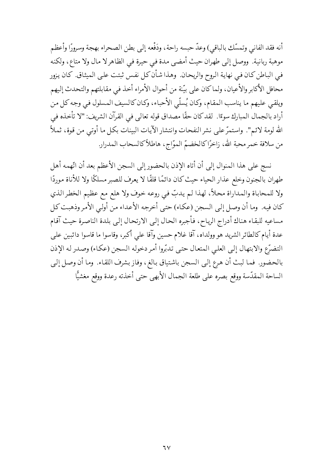أنه فقد الفاني وتمسَّك بالباقي) وعدَّ حبسه راحة، ودَفْعه إلى بطن الصحراء بهجة وسرورًا وأعظم موهبة ربانية. ووصل إلى طهران حيث أمضي مدة في حيرة في الظاهر لا مال ولا متاع، ولكنه في الباطن كان في نهاية الروح والريحان. وهذا شأن كل نفس ثبتت على الميثاق. كان يزور محافل الأكابر والأعيان، ولماكان على بيّنة من أحوال الأمراء أخذ في مقابلتهم والتحدث إليهم ويلقي عليهم ما يناسب المقام، وكان يُسلَّى الأحباء، وكان كالسيف المسلول في وجه كل من أراد بالجمال المبارك سوءًا. لقد كان حقًا مصداق قوله تعالى في القرآن الشريف: "لا تأخذه في الله لومة لائم". واستمرَّ على نشر النفحات وانتشار الآيات البينات بكل ما أوتى من قوة، ثملاً من سلافة خمر محبة الله، زاخرًا كالخضمّ الموّاج، هاطلاً كالسحاب المدرار.

نسج على هذا المنوال إلى أن أتاه الإذن بالحضور إلى السجن الأعظم بعد أن اتَّهمه أهل طهران بالجنون وخلع عذار الحياء حيث كان دائمًا قلقًا لا يعرف للصبر مسلكًا ولا للأناة موردًا ولا للمحاباة والمداراة محلاً، لهذا لم يدبّ في روعه خوف ولا هلع مع عظيم الخطر الذي كان فيه. وما أن وصل إلىي السجن (عكاء) حتى أخرجه الأعداء من أولى الأمر وذهبت كل مساعيه للبقاء هناك أدراج الرياح، فأجبره الحال إلى الارتحال إلىي بلدة الناصرة حيث آقام عدة أيام كالطائر الشريد هو وولداه، آقا غلام حسين وآقا على أكبر، وقاسوا ما قاسوا دائبين على التضرّع والابتهال إلىي العليي المتعال حتىي تدبّروا أمر دخوله السجن (عكاء) وصدر له الإذن بالحضور. فما لبث أن هرع إلى السجن باشتياق بالغ، وفاز بشرف اللقاء. وما أن وصل إلى الساحة المقدّسة ووقع بصره على طلعة الجمال الأبهى حتى أخذته رعدة ووقع مغشيًّا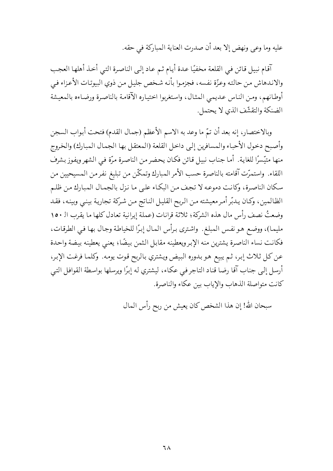عليه وما وعي ونهض إلا بعد أن صدرت العناية المباركة في حقه.

آقام نبيل قائن في القلعة مخفيًا عدة أيام ثم عاد إلى الناصرة التي أخذ أهلها العجب والاندهاش من حالته وعزّة نفسه، فجزموا بأنه شخص جليل من ذوي البيوتات الأعزاء في أوطانهم، ومن الناس عديمي المثال، واستغربوا اختياره الآقامة بالناصرة ورضاءه بالمعيشة الضنكة والتقشّف الذي لا يحتمل.

وبالاختصار، إنه بعد أن تمَّ ما وعد به الاسم الأعظم (جمال القدم) فتحت أبواب السجن وأصبح دخول الأحباء والمسافرين إلىي داخل القلعة (المعتقل بها الجمال المبارك) والخروج منها متيّسرًا للغاية. أما جناب نبيل قائن فكان يحضر من الناصرة مرّة في الشهر ويفوز بشرف اللقاء. واستمرّت آقامته بالناصرة حسب الأمر المبارك وتمكّن من تبليغ نفر من المسيحيين من سكان الناصرة، وكانت دموعه لا تجف من البكاء على ما نزل بالجمال المبارك من ظلم الظالمين، وكان يـدبّر أمـر معيشته مـن الـربح القليـل النـاتج مـن شـركة تجاريـة بينـي وبينـه، فقـد وضعتُ نصف رأس مال هذه الشركة؛ ثلاثة قرانات (عملة إيرانية تعادل كلها ما يقرب الـ ١٥٠ مليما)، ووضع هو نفس المبلغ ـ واشترى برأس المال إبرًا للخياطة وجال بها في الطرقات، فكانت نساء الناصرة يشترين منه الإبر ويعطينه مقابل الثمن بيضًا؛ يعنيي يعطينه بيضة واحدة عن كل ثلاث إبر، ثم يبيع هو بـدوره البيض ويشتري بـالربح قوت يومه. وكلمـا فرغت الإبر، أرسل إلىي جناب آقا رضا قناد التاجر في عكاء، ليشتري له إبرًا ويرسلها بواسطة القوافل التبي كانت متواصلة الذهاب والإياب بين عكاء والناصرة.

سبحان الله! إن هذا الشخص كان يعيش من ربح رأس المال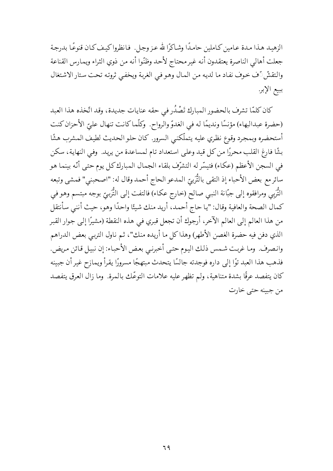الزهيد هـذا مـدة عـامين كـاملين حامـدًا وشـاكرًا لله عـز وجـل. فـانظروا كيـف كـان قنوعًـا بدرجـة جعلت أهالي الناصرة يعتقدون أنه غير محتاج لأحد وظنّوا أنه من ذوي الثراء ويمارس القناعة والتقشِّ آف خوف نفاد ما لديه من المال وهو في الغربة ويخفى ثروته تحت ستار الاشتغال ببيع الإبر.

كان كلمّا تشرف بالحضور المبارك تَصْدُر في حقه عنايات جديدة، وقد اتّخذه هذا العبد (حضرة عبدالبهاء) مؤنسًا ونديمًا له في الغدوّ والرواح. وكلّما كانت تنهال عليّ الأحزان كنت أستحضره وبمجرد وقوع نظري عليه يتملّكني السرور. كان حلو الحديث لطيف المشرب هشًا بشًا فارغ القلب محررًا من كل قيد وعلى استعداد تام لمساعدة من يريد. وفي النهاية، سكن في السجن الأعظم (عكاء) فتيسَّر له التشرَّف بلقاء الجمال المبارك كل يوم حتى أنَّه بينما هو سائر مع بعض الأحباء إذ التقى بالتُّرَبيِّ المدعو الحاج أحمد وقال له: "اصحبني" فمشى وتبعه التُّرَبي ومرافقوه إلى جبّانة النبي صالح (خارج عكاء) فالتفت إلى التُّرَبيّ بوجه مبتسم وهو في كمال الصحة والعافية وقال: "يا حاج أحمد، أريد منك شيئًا واحدًا وهو، حيث أننبي سأنتقل من هذا العالم إلى العالم الآخر، أرجوك أن تجعل قبري في هذه النقطة (مشيرًا إلى جوار القبر الذي دفن فيه حضرة الغصن الأطهر) وهذاكل ما أريده منك"، ثم ناول التربي بعض الدراهم وانصرف. وما غربت شمس ذلك اليوم حتى أخبرنبي بعض الأحباء: إن نبيل قائن مريض. فذهب هذا العبد توًا إلى داره فوجدته جالسًا يتحدث مبتهجًا مسرورًا يقرأ ويمازح غير أن جبينه كان يتفصد عرقًا بشدة متناهية، ولـم تظهر عليه علامات التوعُّك بالمرة. وما زال العرق يتفصد من جيبنه حتى خارت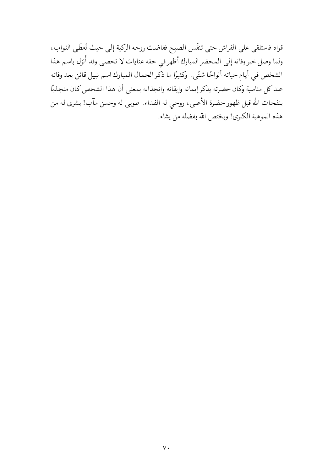قواه فاستلقى على الفراش حتى تنفّس الصبح ففاضت روحه الزكية إلى حيث تُعطَى الثواب، ولما وصل خبر وفاته إلى المحضر المبارك أظهر في حقه عنايات لا تحصى وقد أُنزل باسم هذا الشخص في أيام حياته ألواحًا شتّى. وكثيرًا ما ذكر الجمال المبارك اسم نبيل قائن بعد وفاته عندكل مناسبة وكان حضرته يذكر إيمانه وإيقانه وانجذابه بمعنى أن هذا الشخص كان منجذبًا بنفحات الله قبل ظهور حضرة الأعلى، روحيي له الفداء. طوبي له وحسن مآب! بشرى له من هذه الموهبة الكبرى! ويختص الله بفضله من يشاء.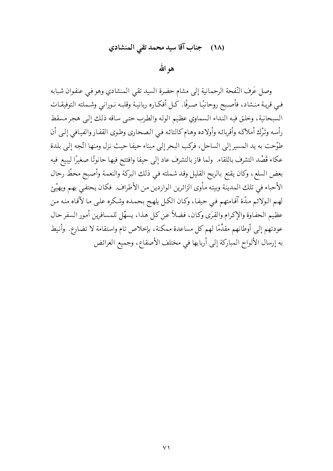# (١٨) جناب آقا سيد محمد تقى المنشادي

هو الله

وصل عَرف النّفحة الرحمانية إلى مشام حضرة السيد تقى المنشادي وهو في عنفوان شبابه فـي قريـة منـشاد، فأصـبح روحانيًـا صـرفًا. كـل أفكـاره ربانيـة وقلبـه نـورانـي وشـملته التوفيقـات السبحانية، وخلق فيه النداء السماوي عظيم الوله والطرب حتى ساقه ذلك إلى هجر مسقط رأسه وتَرْك أملاكه وأقربائه وأولاده وهام كالتائه في الصحاري وطوى القفار والفيافي إلىي أن طوّحت به يد المسير إلى الساحل، فركب البحر إلى ميناء حيفا حيث نزل ومنها اتّجه إلى بلدة عكاء قَصْد التشرف باللقاء. ولما فاز بالتشرف عاد إلى حيفا وافتتح فيها حانوتًا صغيرًا ليبيع فيه بعض السلع، وكان يقنع بالربح القليل وقد شملته في ذلك البركة والنعمة وأصبح محطٍّ رحال الأحباء في تلك المدينة وبيته مأوى الزائرين الواردين من الأطراف. فكان يحتفي بهم ويهيّئ لهم الولائم مدَّة آقـامتهم فـي حيفـا، وكـان الكـل يلهـج بحمـده وشكره علـي مـا لآقـاه منه مـن عظيم الحفاوة والإكرام والقِرَى وكان، فضلاً عن كل هذا، يسهّل للمسافرين أمور السفر حال عودتهم إلى أوطانهم مقدِّمًا لهم كل مساعدة ممكنة، بإخلاص تام واستقامة لا تضارع. وأنيط به إرسال الألواح المباركة إلى أربابها في مختلف الأصقاع، وجميع العرائض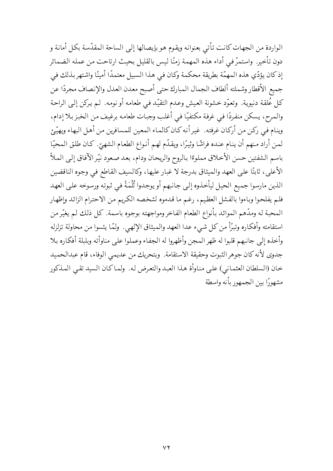الواردة من الجهات كانت تأتي بعنوانه ويقوم هو بإيصالها إلى الساحة المقدّسة بكل أمانة و دون تأخير. واستمرَّ في أداء هذه المهمة زمنًا ليس بالقليل بحيث ارتاحت من عمله الضمائر إذ كان يؤدِّي هذه المهمَّة بطريقة محكمة وكان في هذا السبيل معتمدًا أمينًا واشتهر بذلك في جميع الأقطار وشملته ألطاف الجمال المبارك حتى أصبح معدن العدل والإنصاف مجردًا عن كل عُلقة دنيوية. وتعوّد خشونة العيش وعدم التقيّد في طعامه أو نومه. لم يركن إلىي الراحة والمرح، يسكن منفردًا في غرفة مكتفيًا في أغلب وجبات طعامه برغيف من الخبز بلا إدام، وينام في ركن من أركان غرفته. غير أنه كان كالماء المعين للمسافرين من أهل البهاء ويهيّئ لمن أراد منهم أن ينام عنده فراشًا وثيرًا، ويقدّم لهم أنواع الطعام الشهيّ. كان طلق المحيّا باسم الشفتين حسن الأخلاق مملوءًا بالروح والريحان ودام، بعد صعود نيّر الآفاق إلىي الملأ الأعلى، ثابتًا على العهد والميثاق بدرجة لا غبار عليها، وكالسيف القاطع في وجوه الناقضين الذين مارسوا جميع الحيل ليأخذوه إلى جانبهم أو يوجدوا ثُلْمَةً في ثبوته ورسوخه على العهد فلم يفلحوا وباءوا بالفشل العظيم، رغم ما قدموه لشخصه الكريم من الاحترام الزائد وإظهار المحبة له ومدَّهم الموائد بأنواع الطعام الفاخر ومواجهته بوجوه باسمة. كل ذلك لم يغيِّرمن استقامته وأفكاره وتبرَّأ من كل شيء عدا العهد والميثاق الإلهي. ولمَّا يئسوا من محاولة تزلزله وأخذه إلى جانبهم قلبوا له ظهر المجن وأظهروا له الجفاء وعملوا على مناوأته وبلبلة أفكاره بلا جدوى لأنه كان جوهر الثبوت وحقيقة الاستقامة. وبتحريك من عديمي الوفاء، قام عبدالحميد خان (السلطان العثماني) على مناوأة هذا العبد والتعرض له. ولماكان السيد تقى المذكور مشهورًا بين الجمهور بأنه واسطة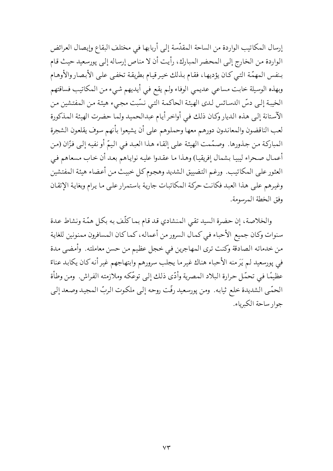إرسال المكاتيب الواردة من الساحة المقدّسة إلى أربابها في مختلف البقاع وإيصال العرائض الواردة من الخارج إلى المحضر المبارك، رأيت أن لا مناص إرساله إلى پورسعيد حيث قام بنفس المهمّة التبي كان يؤديها، فقام بذلك خيرقيام بطريقة تخفي على الأبصار والأوهام وبهذه الوسيلة خابت مساعي عديمي الوفاء ولم يقع في أيديهم شيء من المكاتيب فساقتهم الخيبة إلى دسِّ الدسائس لدى الهيئة الحاكمة التبي نسَّبت مجيء هيئة من المفتشين من الآستانة إلى هذه الديار وكان ذلك في أواخر أيام عبدالحميد ولما حضرت الهيئة المذكورة لعب الناقضون والمعاندون دورهم معها وحملوهم على أن يشيعوا بأنهم سوف يقلعون الشجرة المباركة من جذورها. وصمَّمت الهيئة على إلقاء هذا العبد في اليمّ أو نفيه إلى فزّان (من أعمال صحراء ليبيا بشمال إفريقيا) وهذا ما عقدوا عليه نواياهم بعد أن خاب مسعاهم فيي العثور على المكاتيب. ورغم التضييق الشديد وهجوم كل خبيث من أعضاء هيئة المفتشين وغيرهم على هذا العبد فكانت حركة المكاتبات جارية باستمرار على ما يرام وبغاية الإتقان وفق الخطة المرسومة.

والخلاصة، إن حضرة السيد تقي المنشادي قد قام بماكلّف به بكل همّة ونشاط عدة سنوات وكان جميع الأحباء في كمال السرور من أعماله، كما كان المسافرون ممنونين للغاية من خدماته الصادقة وكنت ترى المهاجرين في خجل عظيم من حسن معاملته. وأمضى مدة في پورسعيد لم يَرَ منه الأحباء هناك غير ما يجلب سرورهم وابتهاجهم غير أنه كان يكابد عناءً عظيمًا في تحمّل حرارة البلاد المصرية وأدّى ذلك إلىي توعّكه وملازمته الفراش. ومن وطأة الحمّي الشديدة خلع ثيابه. ومن پورسعيد رفّت روحه إلىي ملكوت الربّ المجيد وصعد إلىي جوار ساحة الكبرياء.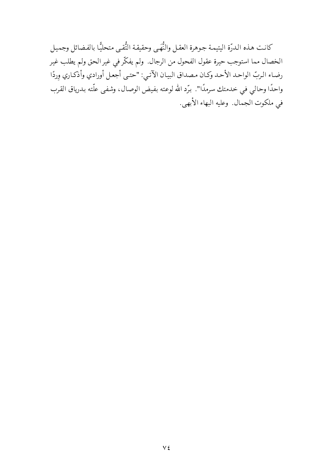كانت هذه الدرّة اليتيمة جوهرة العقل والنُّهَى وحقيقة التُّقىي متحليًّا بالفضائل وجميل الخصال مما استوجب حيرة عقول الفحول من الرجال. ولم يفكّرفي غير الحق ولم يطلب غير رضاء الربّ الواحد الأحد وكان مصداق البيان الآتي: "حتى أجعل أورادي وأذكاري وردًا واحدًا وحالي في خدمتك سرمدًا". برَّد الله لوعته بفيض الوصال، وشفى علَّته بدرياق القرب في ملكوت الجمال. وعليه البهاء الأبهي.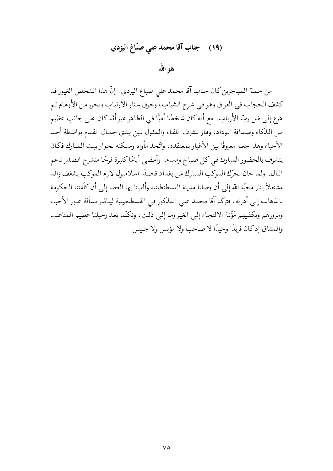# (١٩) جناب آقا محمد على صبّاغ اليزدي

هو الله

من جملة المهاجرين كان جناب آقا محمد على صباغ اليزدي. إنَّ هذا الشخص الغيور قد كشف الحجاب في العراق وهو في شرخ الشباب، وخرق ستار الارتياب وتحرر من الأوهام ثم هرع إلى ظل ربِّ الأرباب. مع أنه كان شخصًا أميًّا في الظاهر غير أنَّه كان على جانبٍ عظيم من الذكاء وصداقة الوداد، وفاز بشرف اللقاء والمثول بين يدي جمال القدم بواسطة أحد الأحباء وهذا جعله معروفًا بين الأغيار بمعتقده، واتَّخذ مأواه ومسكنه بجوار بيت المبارك فكان يتشرف بالحضور المبارك في كل صباح ومساء. وأمضى أيامًا كثيرة فرحًا منشرح الصدر ناعم البال. ولما حان تحرِّك الموكب المبارك من بغداد قاصدًا اسلامبول لازم الموكب بشغف زائد مشتعلاً بنار محبَّة الله إلى أن وصلنا مدينة القسطنطينية وألقينا بها العصا إلى أن كلَّفتنا الحكومة بالذهاب إلى أدرنه، فتركنا آقا محمد على المذكور في القسطنطينية ليباشر مسألة عبور الأحباء ومرورهم ويكفيهم مُؤْنَة الالتجاء إلىي الغيروما إلىي ذلك، وتكبَّد بعد رحيلنا عظيم المتاعب والمشاق إذكان فريدًا وحيدًا لا صاحب ولا مؤنس ولا جليس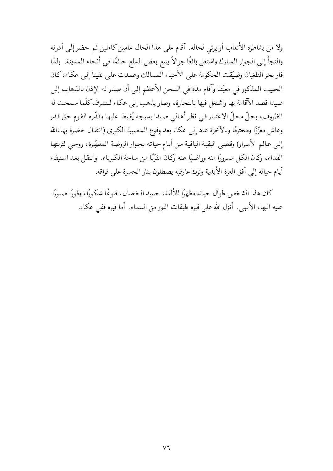ولا من يشاطره الأتعاب أو يرثى لحاله. آقام على هذا الحال عامين كاملين ثم حضر إلى أدرنه والتجأ إلى الجوار المبارك واشتغل بائعًا جوالاً يبيع بعض السلع حائمًا في أنحاء المدينة. ولمّا فار بحر الطغيان وضيّقت الحكومة على الأحباء المسالك وعمدت على نفينا إلى عكاء، كان الحبيب المذكور في معيِّتنا وآقام مدة في السجن الأعظم إلى أن صدر له الإذن بالذهاب إلى صيدا قصد الآقامة بها واشتغل فيها بالتجارة، وصار يذهب إلى عكاء للتشرف كلَّما سمحت له الظروف، وحلَّ محلَّ الاعتبار في نظر أهالي صيدا بدرجة يُغبط عليها وقدَّره القوم حق قدر وعاش معزَّزًا ومحترمًا وبالآخرة عاد إلى عكاء بعد وقوع المصيبة الكبرى (انتقال حضرة بهاءالله إلى عالم الأسرار) وقضي البقية الباقية من أيام حياته بجوار الروضة المطهّرة، روحي لتربتها الفداء، وكان الكل مسرورًا منه وراضيًا عنه وكان مقرّبًا من ساحة الكبرياء. وانتقل بعد استيفاء أيام حياته إلى أفق العزة الأبدية وترك عارفيه يصطلون بنار الحسرة على فراقه.

كان هذا الشخص طوال حياته مظهرًا للألفة، حميد الخصال، قنوعًا شكورًا، وقورًا صبورًا. عليه البهاء الأبهي. أنزل الله على قبره طبقات النور من السماء. أما قبره ففي عكاء.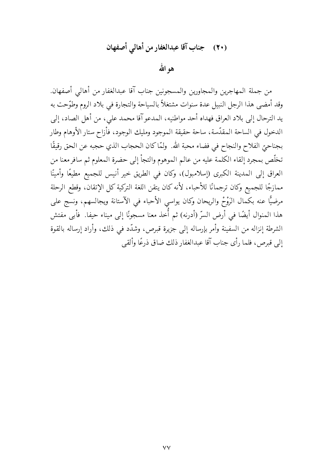## (٢٠) جناب آقا عبدالغفار من أهالي أصفهان

هو الله

من جملة المهاجرين والمجاورين والمسجونين جناب آقا عبدالغفار من أهالي أصفهان. وقد أمضي هذا الرجل النبيل عدة سنوات مشتغلاً بالسياحة والتجارة في بلاد الروم وطوّحت به يد الترحال إلى بلاد العراق فهداه أحد مواطنيه، المدعو آقا محمد على، من أهل الصاد، إلى الدخول في الساحة المقدّسة، ساحة حقيقة الموجود ومليك الوجود، فأزاح ستار الأوهام وطار بجناحيِّ الفلاح والنجاح في فضاء محبة الله. ۖ ولمَّا كان الحجاب الذي حجبه عن الحق رقيقًا تخلَّص بمجرد إلقاء الكلمة عليه من عالم الموهوم والتجأ إلى حضرة المعلوم ثم سافر معنا من العراق إلى المدينة الكبرى (إسلامبول)، وكان في الطريق خير أنيس للجميع مطيعًا وأمينًا ممازجًا للجميع وكان ترجمانًا للأحباء، لأنه كان يتقن اللغة التركية كل الإتقان، وقطع الرحلة مرضيًّا عنه بكمال الرَوْحْ والريحان وكان يواسى الأحباء في الآستانة ويجالسهم، ونسج على هذا المنوال أيضًا في أرض السرّ (أدرنه) ثم أُخذ معنا مسجونًا إلى ميناء حيفا. ۖ فأبي مفتش الشرطة إنزاله من السفينة وأمر بإرساله إلى جزيرة قبرص، وشدَّد في ذلك، وأراد إرساله بالقوة إلى قبرص، فلما رأى جناب آقا عبدالغفار ذلك ضاق ذرعًا وألقى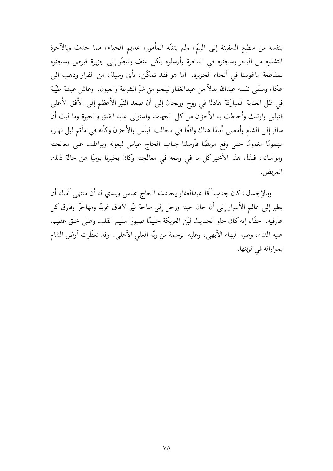بنفسه من سطح السفينة إلى اليمّ، ولم يتنبّه المأمور، عديم الحياء، مما حدث وبالآخرة انتشلوه من البحر وسجنوه في الباخرة وأرسلوه بكل عنف وتجبّر إلى جزيرة قبرص وسجنوه بمقاطعة ماغوستا في أنحاء الجزيرة. أما هو فقد تمكَّن، بأي وسيلة، من الفرار وذهب إلى عكاء وسمَّى نفسه عبدالله بدلاً من عبدالغفار لينجو من شرِّ الشرطة والعيون. وعاش عيشة طيِّبة في ظل العناية المباركة هادئًا في روح وريحان إلى أن صعد النيّر الأعظم إلى الأفق الأعلى فتبلبل وارتبك وأحاطت به الأحزان من كل الجهات واستولى عليه القلق والحيرة وما لبث أن سافر إلى الشام وأمضي أيامًا هناك واقعًا في مخالب اليأس والأحزان وكأنه في مأتم ليل نهار، مهمومًا مغمومًا حتى وقع مريضًا فأرسلنا جناب الحاج عباس ليعوله ويواظب على معالجته ومواساته، فبذل هذا الأخير كل ما في وسعه في معالجته وكان يخبرنا يوميًا عن حالة ذلك المريض.

وبالإجمال، كان جناب آقا عبدالغفار يحادث الحاج عباس ويبدي له أن منتهى آماله أن يطير إلى عالم الأسرار إلى أن حان حينه ورحل إلى ساحة نيّر الآفاق غريبًا ومهاجرًا وفارق كل عارفيه. حقًّا، إنه كان حلو الحديث ليَّن العريكة حليمًا صبورًا سليم القلب وعلى خلق عظيم. عليه الثناء، وعليه البهاء الأبهى، وعليه الرحمة من ربّه العلي الأعلى. وقد تعطّرت أرض الشام بمواراته في تربتها.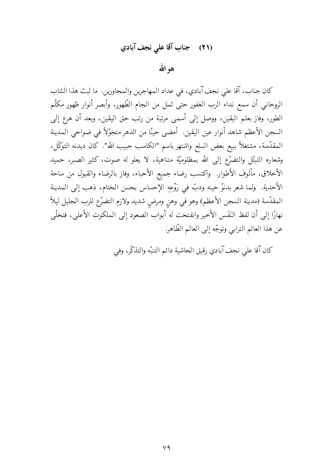# (٢١) جناب آقا على نجف آبادي

هو الله

كان جناب، آقا على نجف آبادي، في عداد المهاجرين والمجاورين. ما لبث هذا الشاب الروحاني أن سمع نداء الرب الغفور حتى ثمل من الجام الطّهور، وأبصر أنوار ظهور مكلّم الطور، وفاز بعلم اليقين، ووصل إلى أسمى مرتبة من رتب حق اليقين، وبعد أن هرع إلى السجن الأعظم شاهد أنوار عين اليقين. أمضى حينًا من الدهر متجوِّلاً في ضواحي المدينة المقدّسة، مشتغلاً ببيع بعض السلع واشتهر باسم "الكاسب حبيب الله". كان ديدنه التوكّل، وشعاره التبتّل والتضرّع إلى الله بمظلوميّة متناهية، لا يعلو له صوت، كثير الصبر، حميد الأخلاق، مألوف الأطوار. واكتسب رضاء جميع الأحباء، وفاز بالرضاء والقبول من ساحة الأحدية. ولما شعر بدنوٍّ حينه ودبٍّ في رَوْعِهِ الإحساس بحسن الختام، ذهب إلى المدينة المقدّسة (مدينة السجن الأعظم) وهو في وهن ومرضٍ شديد ولازم التضرّع للرب الجليل ليلاً نهارًا إلى أن لفظ النَفَس الأخير وانفتحت له أبواب الصعود إلى الملكوت الأعلى، فتخلَّى عن هذا العالم الترابي وتوجّه إلى العالم الطّاهر.

كان آقا على نجف آبادي رقيق الحاشية دائم التنبّه والتذكّر، وفي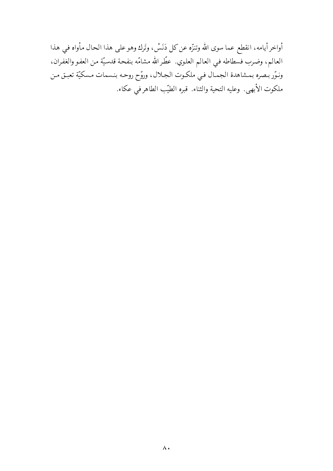أواخر أيامه، انقطع عما سوى الله وتنزُّه عن كل دَنَسْ، وتَرك وهو على هذا الحال مأواه في هذا العالم، وضرب فسطاطه في العالم العلوي. عطّرالله مشامّه بنفحة قدسيّة من العفو والغفران، ونوّر بصره بمشاهدة الجمال في ملكوت الجلال، وروّح روحه بنسمات مسكيّة تعبق من ملكوت الأبهي. وعليه التحية والثناء. قبره الطيّب الطاهرفي عكاء.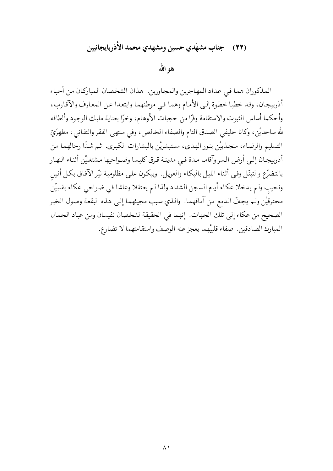#### جناب مشهَدي حسين ومشهدي محمد الأذربايجانيين  $(YY)$

هو الله

المذكوران هما في عداد المهاجرين والمجاورين. هذان الشخصان المباركان من أحباء أذربيجان، وقد خطيا خطوة إلىي الأمام وهما فيي موطنهما وابتعدا عن المعارف والآقارب، وأحكما أساس الثبوت والاستقامة وفرًّا من حجبات الأوهام، وخرًّا بعناية مليك الوجود وألطافه لله ساجديْن، وكانا حليفي الصدق التام والصفاء الخالص، وفي منتهى الفقر والتفاني، مظهرَيْ التسليم والرضاء، منجذبيْن بنور الهدى، مستبشريْن بالبشارات الكبرى. ثم شدًّا رحالهما من أذربيجان إلىي أرض السروآقاما مدة فيي مدينة قرق كليسا وضواحيها مشتغليْن أثناء النهار بالتضرّع والتبتّل وفي أثناء الليل بالبكاء والعويل. ويبكون على مظلومية نيّر الآفاق بكل أنين ونحيب ولم يدخلا عكاء أيام السجن الشداد ولذا لم يعتقلا وعاشا في ضواحي عكاء بقلبيْن محترقيْن ولم يجفّ الدمع من آماقهما. والذي سبب مجيئهما إلى هذه البقعة وصول الخبر الصحيح من عكاء إلى تلك الجهات. إنهما في الحقيقة لشخصان نفيسان ومن عباد الجمال المبارك الصادقين. صفاء قلبيْهما يعجز عنه الوصف واستقامتهما لا تضارع.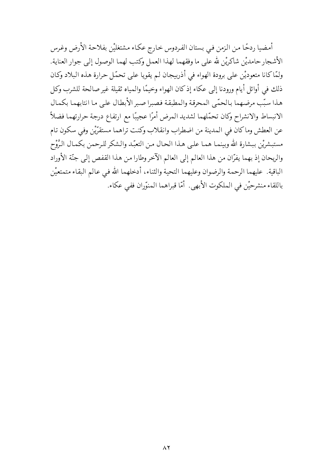أمضيا ردحًا من الزمن في بستان الفردوس خارج عكاء مشتغليْن بفلاحة الأرض وغرس الأشجار حامديْن شاكريْن لله على ما وفقهما لهذا العمل وكتب لهما الوصول إلى جوار العناية. ولمَّاكانا متعوديْن على برودة الهواء في أذربيجان لم يقويا على تحمَّل حرارة هذه البلاد وكان ذلك في أوائل أيام ورودنا إلى عكاء إذكان الهواء وخيمًا والمياه ثقيلة غير صالحة للشرب وكل هذا سبّب مرضهما بالحمّى المحرقة والمطبقة فصبرا صبر الأبطال على ما انتابهما بكمال الانبساط والانشراح وكان تحمّلهما لشديد المرض أمرًا عجيبًا مع ارتفاع درجة حرارتهما فضلاً عن العطش وماكان في المدينة من اضطراب وانقلاب وكنت تراهما مستقرِّيْن وفي سكون تام مستبشريْن ببشارة الله وبينمـا همـا علـى هـذا الحـال مـن التعبّـد والـشكر للـرحمن بكمـال الـرَّوْح والريحان إذ بهما يفرَّان من هذا العالم إلى العالم الآخر وطارا من هذا القفص إلى جنَّة الأوراد الباقية. عليهما الرحمة والرضوان وعليهما التحية والثناء، أدخلهما الله في عالم البقاء متمتعيْن باللقاء منشرحيْن في الملكوت الأبهي. أمّا قبراهما المنوّران ففي عكاء.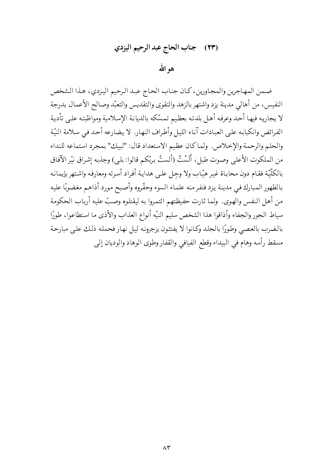# (٢٣) جناب الحاج عبد الرحيم اليزدي

هو الله

ضمن المهاجرين والمجاورين، كان جناب الحاج عبد الرحيم اليزدي، هذا الشخص النفيس، من أهالي مدينة يزد واشتهر بالزهد والتقوى والتقديس والتعبّد وصالح الأعمال بدرجة لا يجاريه فيها أحد وعرفه أهل بلدته بعظيم تمسّكه بالديانة الإسلامية ومواظبته على تأدية الفرائض وانكبابه على العبادات آناء الليل وأطراف النهار. لا يضارعه أحد في سلامة النيّة والحلم والرحمة والإخلاص. ولماكان عظيم الاستعداد قال: "لبيك" بمجرد استماعه للنداء من الملكوت الأعلى وصوت طبل، أَلَسْتُ (ألستُ بربِّكم قالوا: بلي) وجذبه إشراق نيِّر الآفاق بالكلّيّة فقـام دون محابـاة غيـر هيّاب ولا وجـل علـى هدايـة أفـراد أسـرته ومعارفه واشـتهر بإيمانـه بالظهور المبارك فيي مدينة يزد فنفر منه علماء السوء وحقّروه وأصبح مورد أذاهم مغضوبًا عليه من أهل النفس والهوى. ولما ثارت حفيظتهم ائتمروا به ليقتلوه وصبّ عليه أرباب الحكومة سياط الجور والجفاء وأذاقوا هذا الشخص سليم النيّه أنواع العذاب والأذى ما استطاعوا، طورًا بالضرب بالعصى وطورًا بالجلد وكانوا لا يفتئون يزجرونه ليل نهار فحمله ذلك على مبارحة مسقط رأسه وهام في البيداء وقطع الفيافي والقفار وطوى الوهاد والوديان إلى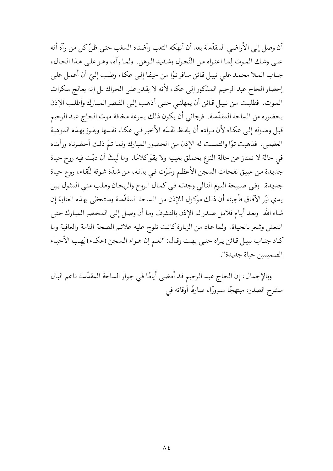أن وصل إلى الأراضي المقدّسة بعد أن أنهكه التعب وأضناه السغب حتى ظنّ كل من رآه أنه على وشك الموت لما اعتراه من النَّحول وشديد الوهن. ولما رآه، وهو على هذا الحال، جناب الملا محمد على نبيل قائن سافر توًا من حيفا إلى عكاء وطلب إلىّ أن أعمل على إحضار الحاج عبد الرحيم المذكور إلى عكاء لأنه لا يقدر على الحراك بل إنه يعالج سكرات الموت. فطلبت من نبيل قائن أن يمهلني حتى أذهب إلى القصر المبارك وأطلب الإذن بحضوره من الساحة المقدّسة. فرجاني أن يكون ذلك بسرعة مخافة موت الحاج عبد الرحيم قبل وصوله إلى عكاء لأن مراده أن يلفظ نَفَسَه الأخير في عكاء نفسها ويفوز بهذه الموهبة العظمى. فذهبت توًا والتمست له الإذن من الحضور المبارك ولما تمّ ذلك أحضرناه ورأيناه في حالة لا تمتاز عن حالة النزع يحملق بعينيه ولا يقوَكلامًا. وما لَبِثَ أن دبّت فيه روح حياة جديدة من عبيق نفحات السجن الأعظم وسَرَت فيي بدنه، من شدّة شوقه للّقاء، روح حياة جديدة. وفي صبيحة اليوم التالي وجدته في كمال الروح والريحان وطلب منبي المثول بين يدي نيّر الآفاق فأجبته أن ذلك موكول للإذن من الساحة المقدّسة وستحظى بهذه العناية إن شاء الله. وبعد أيام قلائل صدر له الإذن بالتشرف وما أن وصل إلى المحضر المبارك حتى انتعش وشعر بالحياة. ولما عاد من الزيارة كانت تلوح عليه علائم الصحة التامة والعافية وما كـاد جنـاب نبيـل قـائن يـراه حتـى بهـت وقـال: "نعـم إن هـواء الـسجن (عكـاء) يَهـب الأحبـاء الصميمين حياة جديدة".

وبالإجمال، إن الحاج عبد الرحيم قد أمضى أيامًا في جوار الساحة المقدّسة ناعم البال منشرح الصدر، مبتهجًا مسرورًا، صارفًا أوقاته في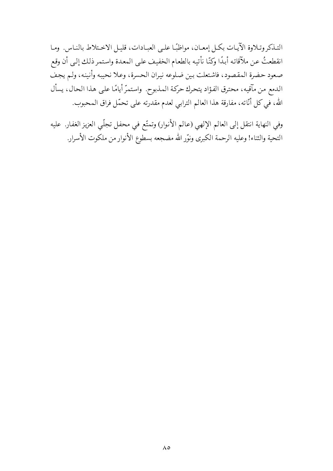التـذكر وتـلاوة الآيـات بكـل إمعـان، مواظبًـا علـى العبـادات، قليـل الاخـتلاط بالنـاس. ومـا انقطعتُ عن ملآقاته أبدًا وكنّا نأتيه بالطعام الخفيف على المعدة واستمر ذلك إلى أن وقع صعود حضرة المقصود، فاشتعلت بين ضلوعه نيران الحسرة، وعلا نحيبه وأنينه، ولم يجف الدمع من مآقيه، محترق الفؤاد يتحرك حركة المذبوح. واستمرّ أيامًا على هذا الحال، يسأل الله، في كل أنّاته، مفارقة هذا العالم الترابي لعدم مقدرته على تحمّل فراق المحبوب.

وفي النهاية انتقل إلى العالم الإلهي (عالم الأنوار) وتمتّع في محفل تجلّي العزيز الغفار. عليه التحية والثناء! وعليه الرحمة الكبرى ونوّر الله مضجعه بسطوع الأنوار من ملكوت الأسرار.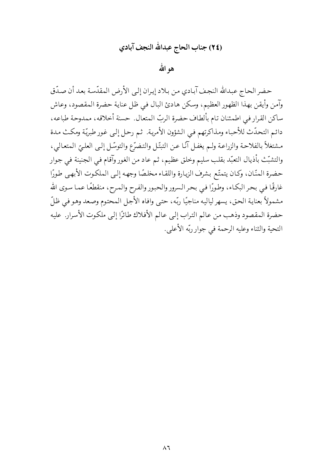## (٢٤) جناب الحاج عبدالله النجف آبادي

## هو الله

حضر الحاج عبدالله النجف آبادي من بلاد إيران إلى الأرض المقدّسة بعد أن صدّق وآمن وأيقن بهذا الظهور العظيم، وسكن هادئ البال في ظل عناية حضرة المقصود، وعاش ساكن القرار في اطمئنان تام بألطاف حضرة الربّ المتعال. حسنة أخلاقه، ممدوحة طباعه، دائم التحدّث للأحباء ومذاكرتهم في الشؤون الأمرية. ثم رحل إلى غور طبريّة ومكث مدة مشتغلاً بالفلاحة والزراعـة ولـم يغفـل آنًـا عـن التبتّـل والتـضرّع والتوسّـل إلـى العلـيّ المتعـالـي، والتشبُّث بأذيال التعبُّد بقلب سليم وخلق عظيم، ثم عاد من الغور وآقام في الجنينة في جوار حضرة المنّان، وكان يتمتّع بشرف الزيارة واللقاء مخلصًا وجهه إلىي الملكوت الأبهي طورًا غارقًا فيي بحر البكاء، وطورًا في بحر السرور والحبور والفرح والمرح، منقطعًا عما سوى الله مشمولاً بعناية الحق، يسهر لياليه مناجيًا ربّه، حتى وافاه الأجل المحتوم وصعد وهو في ظلّ حضرة المقصود وذهب من عالم التراب إلى عالم الأفلاك طائرًا إلى ملكوت الأسرار. عليه التحية والثناء وعليه الرحمة في جوار ربّه الأعلى.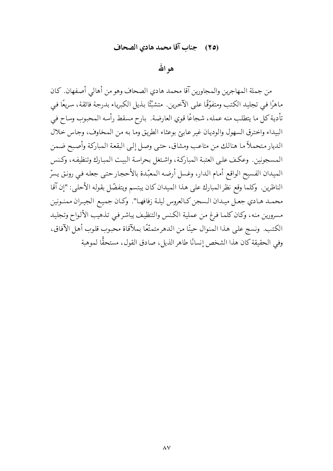### (٢٥) جناب آقا محمد هادي الصحاف

## هو الله

من جملة المهاجرين والمجاورين آقا محمد هادي الصحاف وهو من أهالي أصفهان. كان ماهرًا في تجليد الكتب ومتفوِّقًا على الآخرين. متشبِّئًا بذيل الكبرياء بدرجة فائقة، سريعًا في تأدية كل ما يتطلب منه عمله، شجاعًا قوى العارضة. بارح مسقط رأسه المحبوب وساح في البيداء واخترق السهول والوديان غير عابئ بوعثاء الطريق وما به من المخاوف، وجاس خلال الديار متحملاً ما هنالك من متاعب ومشاق، حتى وصل إلى البقعة المباركة وأصبح ضمن المسجونين. وعكف على العتبة المباركة، واشتغل بحراسة البيت المبارك وتنظيفه، وكنس الميدان الفسيح الواقع أمام الدار، وغسل أرضه المعبّدة بالأحجار حتى جعله في رونق يسرّ الناظرين. وكلما وقع نظر المبارك على هذا الميدان كان يبتسم ويتفضّل بقوله الأحلي: "إن آقا محمـد هـادي جعـل ميـدان الـسجن كـالعروس ليلـة زفافهـا". وكـان جميـع الجيـران ممنـونين مسرورين منه، وكان كلما فرغ من عملية الكنس والتنظيف يباشر فيي تذهيب الألواح وتجليد الكتب. ونسج على هذا المنوال حينًا من الدهر متمتَّعًا بملآقاة محبوب قلوب أهل الآفاق، وفي الحقيقة كان هذا الشخص إنسانًا طاهر الذيل، صادق القول، مستحقًّا لموهبة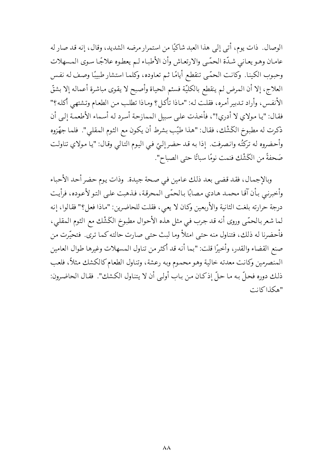الوصال. ذات يوم، أتبي إلى هذا العبد شاكيًا من استمرار مرضه الشديد، وقال، إنه قد صار له عامان وهـو يعـاني شـدّة الحمّي والارتعـاش وأن الأطبـاء لـم يعطـوه علاجًـا سـوى المـسهلات وحبوب الكينا. وكانت الحمّي تنقطع أيامًا ثـم تعاوده، وكلمـا استشار طبيبًا وصف لـه نفس العلاج، إلا أن المرض لم ينقطع بالكليّة فسئم الحياة وأصبح لا يقوى مباشرة أعماله إلا بشقّ الأنفس، وأراد تـدبير أمـره، فقلت لـه: "مـاذا تأكـل؟ ومـاذا تطلب مـن الطعـام وتـشتهي أكلـه؟" فقال: "يا مولاي لا أدري!"، فأخذت على سبيل الممازحة أسرد له أسماء الأطعمة إلى أن ذكرت له مطبوخ الكَشْك، فقال: "هذا طيّب بشرط أن يكون مع الثوم المقلبي". فلما جهّزوه وأحضروه له تركتُه وانصرفت. إذا به قد حضر إلىّ في اليوم التالي وقال: "يا مولاي تناولت صَحفةً من الكَشْك فنمت نومًا سباتًا حتى الصباح".

وبالإجمال، فقد قضي بعد ذلك عامين في صحة جيدة. وذات يوم حضر أحد الأحباء وأخبرني بأن آقا محمد هادي مصابًا بالحمّى المحرقة، فذهبت على التو لأعوده، فرأيت درجة حرارته بلغت الثانية والأربعين وكان لا يعي، فقلت للحاضرين: "ماذا فعل؟" فقالوا، إنه لما شعر بالحمّي وروى أنه قد جرب في مثل هذه الأحوال مطبوخ الكَشْك مع الثوم المقلبي، فأحضرنا له ذلك، فتناول منه حتى امتلأ وما لبث حتى صارت حالته كما ترى. فتحيّرت من صنع القضاء والقدر، وأخيرًا قلت: "بما أنه قد أكثر من تناول المسهلات وغيرها طوال العامين المنصرمين وكانت معدته خالية وهو محموم وبه رعشة، وتناول الطعام كالكشك مثلاً، فلعب ذلك دوره فحلَّ به ما حلَّ إذكان من باب أولىي أن لا يتناول الكشك". فقال الحاضرون: "هكذاكانت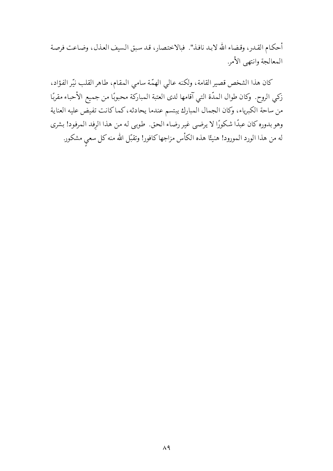أحكام القدر، وقضاء الله لابد نافذ". فبالاختصار، قد سبق السيف العذل، وضاعت فرصة المعالجة وانتهى الأمر

كان هذا الشخص قصير القامة، ولكنه عالى الهمّة سامي المقام، طاهر القلب نيّر الفؤاد، زكي الروح. وكان طوال المدّة التي آقامها لدى العتبة المباركة محبوبًا من جميع الأحباء مقربًا من ساحة الكبرياء، وكان الجمال المبارك يبتسم عندما يحادثه، كماكانت تفيض عليه العناية وهو بدوره كان عبدًا شكورًا لا يرضي غير رضاء الحق. طوبي له من هذا الرِفد المرفود! بشرى له من هذا الورد المورود! هنيئًا هذه الكأس مزاجها كافور! وتقبّل الله منه كل سعي مشكور.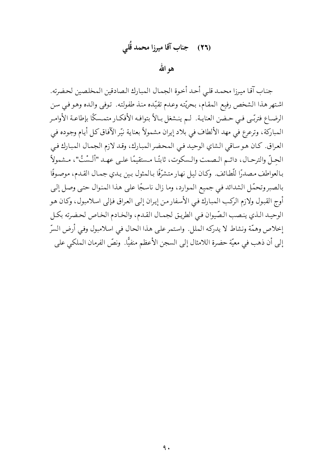# (٢٦) حجناب آقا ميرزا محمد قُلبي

هو الله

جناب آقا ميرزا محمد قلي أحد أخوة الجمال المبارك الصادقين المخلصين لحضرته. اشتهر هذا الشخص رفيع المقام، بحريّته وعدم تقيّده منذ طفولته. توفي والده وهو في سن الرضـاع فتربّـى فـي حـضن العنايـة. لـم ينـشغل بـالاً بتوافـه الأفكـار متمـسكًا بإطاعـة الأوامـر المباركة، وترعرع في مهد الألطاف في بلاد إيران مشمولاً بعناية نيّر الآفاق كل أيام وجوده في العراق. كان هو ساقي الشاي الوحيد في المحضر المبارك، وقد لازم الجمال المبارك في الحِلِّ والترحـال، دائـم الـصمت والـسكوت، ثابتًـا مـستقيمًا علـى عهـد "ألَـسْتُ"، مـشمولاً بـالعواطف مـصدرًا للَّطائف. وكـان ليـل نهـار متشرّفًا بـالمثول بـين يـدي جمـال القـدم، موصـوفًا بالصبر وتحمَّل الشدائد في جميع الموارد، وما زال ناسجًا على هذا المنوال حتى وصل إلى أوج القبول ولازم الركب المبارك في الأسفار من إيران إلى العراق فإلى اسلامبول، وكان هو الوحيد الذي ينصب الصّيوان في الطريق لجمال القدم، والخادم الخاص لحضرته بكل إخلاص وهمَّة ونشاط لا يدركه الملل. واستمر على هذا الحال في اسلامبول وفي أرض السرّ إلى أن ذهب في معيّة حضرة اللامثال إلى السجن الأعظم منفيًّا. ونصّ الفرمان الملكي على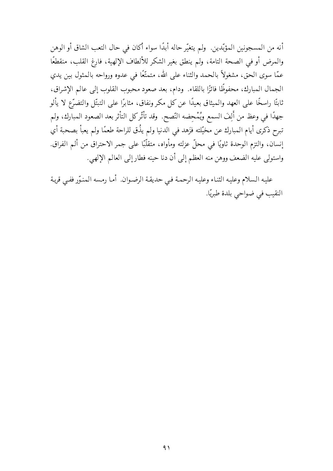أنه من المسجونين المؤبّدين. ولم يتغيّر حاله أبدًا سواء أكان في حال التعب الشاق أو الوهن والمرض أو في الصحة التامة، ولم ينطق بغير الشكر للألطاف الإلهية، فارغ القلب، منقطعًا عمَّا سوى الحق، مشغولاً بالحمد والثناء على الله، متمتَّعًا في عدوه ورواحه بالمثول بين يدي الجمال المبارك، محفوظًا فائزًا باللقاء. ودام، بعد صعود محبوب القلوب إلى عالم الإشراق، ثابتًا راسخًا على العهد والميثاق بعيدًا عن كل مكر ونفاق، مثابرًا على التبتّل والتضرّع لا يألو جهدًا في وعظ من أَلِفَ السمع ويُمْحِضه النّصح. وقد تأثّركل التأثر بعد الصعود المبارك، ولم تبرح ذكرى أيام المبارك عن مخيّلته فزَهد في الدنيا ولم يذُق للراحة طعمًا ولم يعبأ بصحبة أي إنسان، والتزم الوحدة ثاويًا في محلٍّ عزلته ومأواه، متقلَّبًا على جمر الاحتراق من ألم الفراق. واستولى عليه الضعف ووهن منه العظم إلى أن دنا حينه فطار إلى العالم الإلهي.

عليه السلام وعليه الثناء وعليه الرحمة في حديقة الرضوان. أما رمسه المنوّر ففيي قرية النقيب في ضواحي بلدة طبريًّا.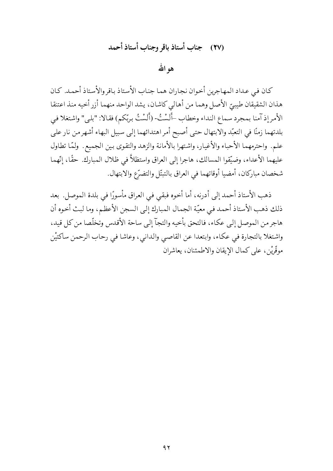# (٢٧) جناب أستاذ باقر وجناب أستاذ أحمد

هو الله

كان في عداد المهاجرين أخوان نجاران هما جناب الأستاذ باقروالأستاذ أحمد. كان هذان الشقيقان طيبيّ الأصل وهما من أهالي كاشان، يشد الواحد منهما أزر أخيه منذ اعتنقا الأمر إذ آمنا بمجرد سماع النداء وخطاب –أَلَسْتُ- (أَلَسْتُ بِربِّكم) فقالا: "بلي" واشتغلا في بلدتهما زمنًا في التعبّد والابتهال حتى أصبح أمر اهتدائهما إلى سبيل البهاء أشهرمن نار على علم. واحترمهما الأحباء والأغيار، واشتهرا بالأمانة والزهد والتقوى بين الجميع. ولمّا تطاول عليهما الأعداء، وضيَّقوا المسالك، هاجرا إلى العراق واستظلاَّ في ظلال المبارك. حقًّا، إنّهما شخصان مباركان، أمضيا أوقاتهما في العراق بالتبتّل والتضرّع والابتهال.

ذهب الأستاذ أحمد إلى أدرنه، أما أخوه فبقي في العراق مأسورًا في بلدة الموصل. بعد ذلك ذهب الأستاذ أحمد في معيّة الجمال المبارك إلى السجن الأعظم، وما لبث أخوه أن هاجر من الموصل إلى عكاء، فالتحق بأخيه والتجآ إلى ساحة الأقدس وتخلَّصا من كل قيد، واشتغلا بالتجارة في عكاء، وابتعدا عن القاصبي والدانبي، وعاشا في رحاب الرحمن ساكتيْن موقَّرِيْنِ، على كمال الإيقان والاطمئنان، يعاشران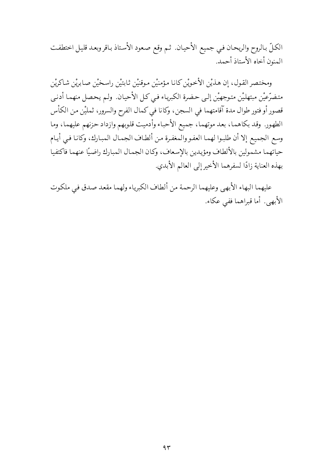الكلِّ بالروح والريحان في جميع الأحيان. ثم وقع صعود الأستاذ باقر وبعد قليل اختطفت المنون أخاه الأستاذ أحمد.

ومختصر القول، إن هذيْن الأخويْن كانا مؤمنيْن موقنيْن ثابتيْن راسخيْن صابريْن شاكريْن متضرّعيْن مبتهليْن متوجهيْن إلىي حضرة الكبرياء فيي كل الأحيان. ولم يحصل منهما أدنبي قصور أو فتور طوال مدة آقامتهما في السجن، وكانا في كمال الفرح والسرور، ثمليْن من الكأس الطهور. وقد بكاهما، بعد موتهما، جميع الأحباء وأدميت قلوبهم وازداد حزنهم عليهما، وما وسع الجميع إلا أن طلبوا لهما العفو والمغفرة من ألطاف الجمال المبارك، وكانا فيي أيام حياتهما مشمولين بالألطاف ومؤيدين بالإسعاف، وكان الجمال المبارك راضيًا عنهما فاكتفيا بهذه العناية زادًا لسفرهما الأخير إلى العالم الأبدي.

عليهما البهاء الأبهى وعليهما الرحمة من ألطاف الكبرياء ولهما مقعد صدق في ملكوت الأبهي. أما قبراهما ففي عكاء.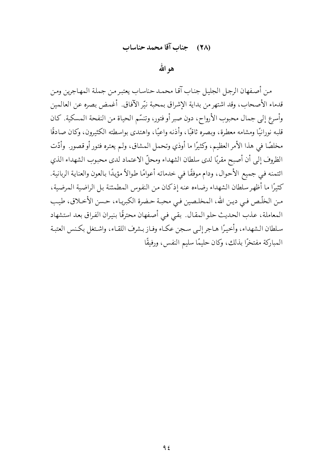#### (٢٨) حِنابِ آقا محمد حناساب

هو الله

من أصفهان الرجل الجليل جناب آقا محمد حناساب يعتبر من جملة المهاجرين ومن قدماء الأصحاب، وقد اشتهر من بداية الإشراق بمحبة نيّر الآفاق. أغمض بصره عن العالمين وأسرع إلى جمال محبوب الأرواح، دون صبر أو فتور، وتنسَّم الحياة من النفحة المسكية. كان قلبه نورانيًا ومشامه معطرة، وبصره ثاقبًا، وأذنه واعيًا، واهتدى بواسطته الكثيرون، وكان صادقًا مخلصًا في هذا الأمر العظيم، وكثيرًا ما أوذي وتحمل المشاق، ولم يعتره فتور أو قصورٍ. وأدّت الظروف إلى أن أصبح مقربًا لدى سلطان الشهداء ومحلّ الاعتماد لدى محبوب الشهداء الذي ائتمنه في جميع الأحوال، ودام موفقًا في خدماته أعوامًا طوالاً مؤيدًا بالعون والعناية الربانية. كثيرًا ما أظهر سلطان الشهداء رضاءه عنه إذكان من النفوس المطمئنة بل الراضية المرضية، من الخلّص في دين الله، المخلصين في محبة حضرة الكبرياء، حسن الأخلاق، طيب المعاملة، عذب الحديث حلو المقال. بقيي في أصفهان محترقًا بنيران الفراق بعد استشهاد سلطان الشهداء، وأخيرًا هـاجر إلـى سـجن عكـاء وفـاز بـشرف اللقـاء، واشـتغل بكـنس العتبـة المباركة مفتخرًا بذلك، وكان حليمًا سليم النفس، ورفيقًا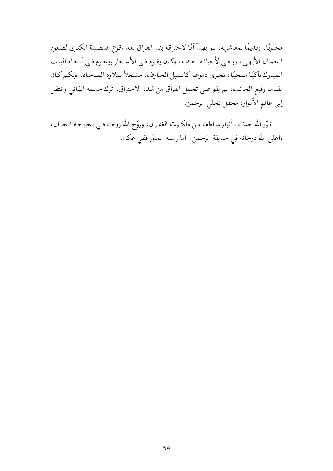محبوبًا، ونديمًا لمعاشريه، لم يهدأ آنًا لاحتراقه بنار الفراق بعد وقوع المصيبة الكبرى لصعود الجمال الأبهي، روحيي لأحبائه الفداء، وكان يقـوم فـي الأسـحار ويحـوم فـي أنحـاء البيت المبارك باكيًا منتحبًا، تجري دموعه كالسيل الجارف، مشتغلاً بتلاوة المناجاة. ولكم كان مقدسًا رفيع الجانب، لم يقو على تحمل الفراق من شدة الاحتراق. ترك جسمه الفاني وانتقل إلى عالم الأنوار، محفل تجلي الرحمن.

نـوّر الله جدثـه بـأنوار سـاطعة مـن ملكـوت الغفـران، وروّح الله روحـه فـي بحبوحـة الجنـان، وأعلى الله درجاته في حديقة الرحمن. أما رمسه المنوّر ففي عكاء.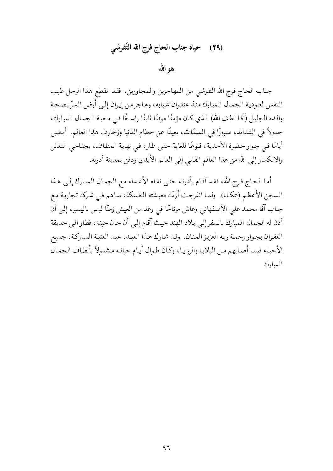هو الله

جناب الحاج فرج الله التفرشي من المهاجرين والمجاورين. فقد انقطع هذا الرجل طيب النفس لعبودية الجمال المبارك منذ عنفوان شبابه، وهاجر من إيران إلىي أرض السرّ بصحبة والده الجليل (آقا لطف الله) الذي كان مؤمنًا موقنًا ثابتًا راسخًا في محبة الجمال المبارك، حمولاً في الشدائد، صبورًا في الملمّات، بعيدًا عن حطام الدنيا وزخارف هذا العالم. أمضي أيامًا في جوار حضرة الأحدية، قنوعًا للغاية حتى طار، في نهاية المطاف، بجناحي التذلل والانكسار إلى الله من هذا العالم الفاني إلى العالم الأبدي ودفن بمدينة أدرنه.

أما الحاج فرج الله، فقد آقام بأدرنه حتى نفاه الأعداء مع الجمال المبارك إلى هذا السجن الأعظم (عكـاء). ولمـا انفرجت أزمّة معيشته الـضنكة، سـاهم فـي شـركة تجاريـة مـع جناب آقا محمد على الأصفهاني وعاش مرتاحًا في رغد من العيش زمنًا ليس باليسير، إلى أن أذن له الجمال المبارك بالسفر إلى بلاد الهند حيث آقام إلى أن حان حينه، فطار إلى حديقة الغفران بجوار رحمة ربه العزيز المنان. وقد شارك هذا العبد، عبد العتبة المباركة، جميع الأحباء فيما أصابهم من البلايا والرزايا، وكان طوال أيام حياته مشمولاً بألطاف الجمال المبارك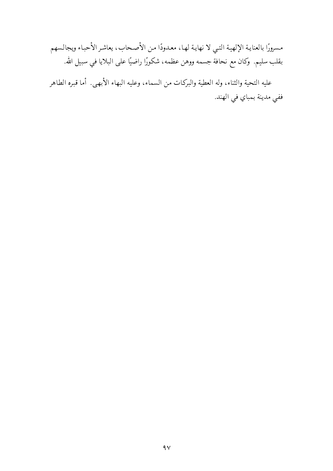مسرورًا بالعناية الإلهية التبي لا نهاية لها، معدودًا من الأصحاب، يعاشر الأحباء ويجالسهم بقلب سليم. وكان مع نحافة جسمه ووهن عظمه، شكورًا راضيًا على البلايا في سبيل الله.

عليه التحية والثناء، وله العطية والبركات من السماء، وعليه البهاء الأبهيي. أما قبره الطاهر ففي مدينة بمباي في الهند.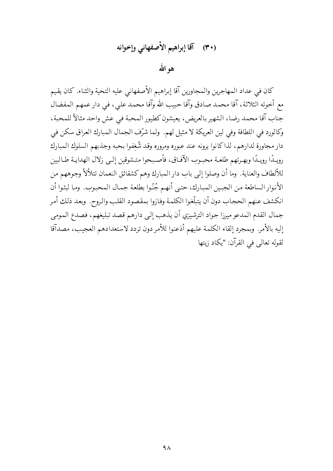كان في عداد المهاجرين والمجاورين آقا إبراهيم الأصفهاني عليه التحية والثناء. كان يقيم مع أخوته الثلاثة، آقا محمد صادق وآقا حبيب الله وآقا محمد على، في دار عمهم المفضال جناب آقا محمد رضا، الشهير بالعريض، يعيشون كطيور المحبة في عش واحد مثالاً للمحبة، وكالورد في اللطافة وفي لين العريكة لا مثيل لهم. ولما شرِّف الجمال المبارك العراق سكن في دار مجاورة لدارهم، لذاكانوا يرونه عند عبوره ومروره وقد شُغِفوا بحبه وجذبهم السلوك المبارك رويبدًا رويبدًا وبهـرتهم طلعـة محبـوب الآفـاق، فأصـبحوا متـشوقين إلـي زلال الهدايـة طـالبين للألطاف والعناية. وما أن وصلوا إلى باب دار المبارك وهم كشقائق النعمان تتلألأ وجوههم من الأنوار الساطعة من الجبين المبارك، حتى أنهم جُنّوا بطلعة جمال المحبوب. وما لبثوا أن انكشف عنهم الحجاب دون أن يتبلَّغوا الكلمة وفازوا بمقصود القلب والروح. وبعد ذلك أمر جمال القدم المدعو ميرزا جواد الترشيزي أن يذهب إلى دارهم قصد تبليغهم، فصدع المومى إليه بالأمر. وبمجرد إلقاء الكلمة عليهم أذعنوا للأمر دون تردد لاستعدادهم العجيب، مصدآقا لقوله تعالى في القرآن: "يكاد زيتها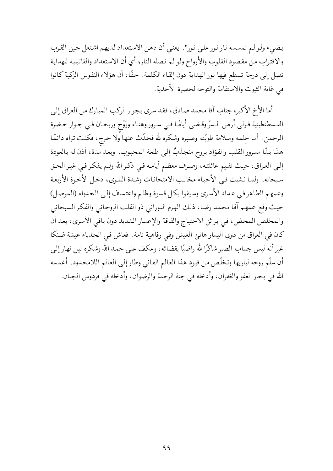يضيء ولو لم تمسسه نار نور على نور". يعني أن دهن الاستعداد لديهم اشتعل حين القرب والاقتراب من مقصود القلوب والأرواح ولولم تصله النار؛ أي أن الاستعداد والقاتبلية للهداية تصل إلى درجة تسطع فيها نور الهداية دون إلقاء الكلمة. حقًّا، أن هؤلاء النفوس الزكية كانوا في غاية الثبوت والاستقامة والتوجه لحضرة الأحدية.

أما الأخ الأكبر، جناب آقا محمد صادق، فقد سرى بجوار الركب المبارك من العراق إلى القسطنطينية فإلى أرض السرّ وقضى أيامًا في سرور وهناء ورَوْح وريحان في جـوار حـضرة الرحمن. أما حِلمه وسلامة طويّته وصبره وشكره لله فحدّث عنها ولا حرج، فكنت تراه دائمًا هشًا بشًا مسرور القلب والفؤاد بروح منجذبٌ إلى طلعة المحبوب. وبعد مدة، أذن له بالعودة إلىي العراق، حيث تقيم عائلته، وصرف معظم أيامه فيي ذكر الله ولـم يفكر فـي غيـر الحـق سبحانه. ولما نشبت في الأحباء مخالب الامتحانات وشدة البلوي، دخل الأخوة الأربعة وعمهم الطاهر فيي عداد الأسرى وسيقوا بكل قسوة وظلم واعتساف إلىي الحدباء (الموصل) حيث وقع عمهم آقا محمد رضا، ذلك الهرم النوراني ذو القلب الروحاني والفكر السبحاني والمخلص المحض، في براثن الاحتياج والفاقة والإعسار الشديد دون باقي الأسرى، بعد أن كان في العراق من ذوي اليسار هانئ العيش وفي رفاهية تامة. فعاش في الحدباء عيشة ضنكا غير أنه لبس جلباب الصبر شاكرًا لله راضيًا بقضائه، وعكف على حمد الله وشكره ليل نهار إلى أن سلَّم روحه لباريها وتخلَّص من قيود هذا العالم الفاني وطار إلى العالم اللامحدود. أغمسه الله في بحار العفو والغفران، وأدخله في جنة الرحمة والرضوان، وأدخله في فردوس الجنان.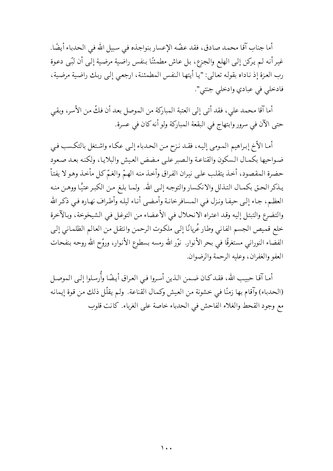أما جناب آقا محمد صادق، فقد عضّه الإعسار بنواجذه في سبيل الله في الحدباء أيضًا. غير أنه لـم يركن إلـى الهلع والجزع، بـل عـاش مطمئنًا بـنفس راضية مرضية إلـى أن لبّـى دعوة رب العزة إذ ناداه بقوله تعالى: "يا أيتها النفس المطمئنة، ارجعي إلى ربك راضية مرضية، فادخلي في عبادي وادخلي جنتي".

أما آقا محمد على، فقد أتى إلى العتبة المباركة من الموصل بعد أن فكَّ من الأسر، وبقى حتى الآن في سرور وابتهاج في البقعة المباركة ولو أنه كان في عسرة.

أما الأخ إبراهيم المومى إليه، فقد نزح من الحدباء إلى عكاء واشتغل بالتكسب في ضواحيها بكمال السكون والقناعة والصبر على مضض العيش والبلايا، ولكنه بعد صعود حضرة المقصود، أخذ يتقلب على نيران الفراق وأخذ منه الهمّ والغمّ كل مأخذ وهو لا يفتأ يـذكر الحـق بكمـال التـذلل والانكـسار والتوجـه إلـى الله. ولمـا بلـغ مـن الكبـر عتيًّا ووهـن منـه العظم، جـاء إلـى حيفـا ونـزل فـى المـسافر خانـة وأمـضـى أنـاء ليلـه وأطـراف نهـاره فـى ذكـر الله والتضرع والتبتل إليه وقد اعتراه الانحلال في الأعضاء من التوغل في الشيخوخة، وبالآخرة خلع قميص الجسم الفاني وطار عُريانًا إلى ملكوت الرحمن وانتقل من العالم الظلماني إلى الفضاء النوراني مستغرقًا في بحر الأنوار. نوّر الله رمسه بسطوع الأنوار، وروّح الله روحه بنفحات العفو والغفران، وعليه الرحمة والرضوان.

أما آقـا حبيب الله، فقـد كـان ضـمن الـذين أسروا فـي العـراق أيـضًا وأُرسلوا إلـي الموصـل (الحدباء) وآقام بها زمنًا في خشونة من العيش وكمال القناعة. ولم يقلّل ذلك من قوة إيمانه مع وجود القحط والغلاء الفاحش في الحدباء خاصة على الغرباء. كانت قلوب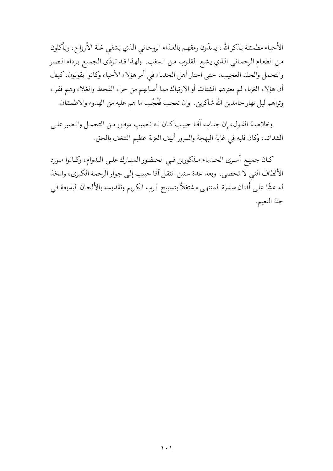الأحباء مطمئنة بذكرالله، يسدّون رمقهم بالغذاء الروحاني الذي يشفى غلة الأرواح، ويأكلون من الطعام الرحماني الذي يشبع القلوب من السغب. ولهذا قد تردّي الجميع برداء الصبر والتحمل والجلد العجيب، حتى احتار أهل الحدباء في أمر هؤلاء الأحباء وكانوا يقولون، كيف أن هؤلاء الغرباء لم يعترهم الشتات أو الارتباك مما أصابهم من جراء القحط والغلاء وهم فقراء وتراهم ليل نهار حامدين الله شاكرين. وإن تعجب فَعُجْب ما هم عليه من الهدوء والاطمئنان.

وخلاصة القول، إن جناب آقا حبيب كان له نصيب موفور من التحمل والصبر على الشدائد، وكان قلبه في غاية البهجة والسرور أليف العزلة عظيم الشغف بالحق.

كـان جميـع أسـري الحـدباء مـذكورين فـي الحـضور المبـارك علـي الـدوام، وكـانوا مـورد الألطاف التبي لا تحصي. وبعد عدة سنين انتقل آقا حبيب إلى جوار الرحمة الكبرى، واتخذ له عشًا على أفنان سدرة المنتهى مشتغلاً بتسبيح الرب الكريم وتقديسه بالألحان البديعة في جنة النعيم.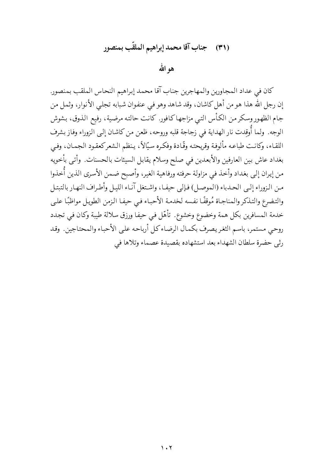## (٣١) جناب آقا محمد إبراهيم الملقّب بمنصور

هو الله

كان في عداد المجاورين والمهاجرين جناب آقا محمد إبراهيم النحاس الملقب بمنصور. إن رجل الله هذا هو من أهل كاشان، وقد شاهد وهو في عنفوان شبابه تجلي الأنوار، وثمل من جام الظهور وسكر من الكأس التبي مزاجها كافور. كانت حالته مرضية، رفيع الذوق، بشوش الوجه. ولما أُوقِدت نار الهداية في زجاجة قلبه وروحه، ظعن من كاشان إلى الزوراء وفاز بشرف اللقاء، وكانت طباعه مألوفة وقريحته وقّادة وفكره سيّالاً، ينظم الشعركعقود الجمان، وفيي بغداد عاش بين العارفين والأبعدين في صلح وسلام يقابل السيئات بالحسنات. وأتـي بأخويه من إيران إلى بغداد وأخذ في مزاولة حرفته ورفاهية الغير، وأصبح ضمن الأسرى الذين أُخذوا من النزوراء إلى الحـدباء (الموصـل) فـإلى حيفـا، واشـتغل آنـاء الليـل وأطـراف النهـار بالتبتـل والتضرع والتذكر والمناجاة مُوقفًا نفسه لخدمة الأحباء فيي حيفا الزمن الطويل مواظبًا على خدمة المسافرين بكل همة وخضوع وخشوع. تأهّل في حيفا ورزق سلالة طيبة وكان في تجدد روحي مستمر، باسم الثغريصرف بكمال الرضاءكل أرباحه على الأحباء والمحتاجين. وقد رثي حضرة سلطان الشهداء بعد استشهاده بقصيدة عصماء وتلاها في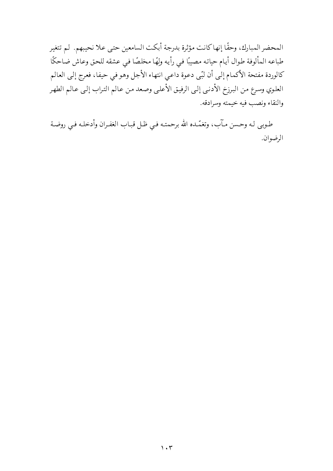المحضر المبارك، وحقًا إنها كانت مؤثرة بدرجة أبكت السامعين حتى علا نحيبهم. لم تتغير طباعه المألوفة طوال أيام حياته مصيبًا في رأيه ولِهًا مخلصًا في عشقه للحق وعاش ضاحكًا كالوردة مفتحة الأكمام إلى أن لبّي دعوة داعي انتهاء الأجل وهو في حيفا، فعرج إلى العالم العلوي وسرع من البرزخ الأدنبي إلىي الرفيق الأعلىي وصعد من عالم التراب إلى عالم الطهر والنقاء ونصب فيه خيمته وسرادقه.

طـوبـى لـه وحـسن مـآب، وتغمّـده الله برحمتـه فـي ظـل قبـاب الغفـران وأدخلـه فـي روضـة الرضوان.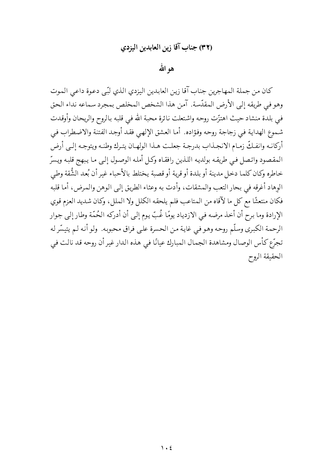#### (٣٢) جناب آقا زين العابدين اليزدي

## هو الله

كان من جملة المهاجرين جناب آقا زين العابدين اليزدي الذي لبّي دعوة داعي الموت وهو في طريقه إلى الأرض المقدّسة. آمن هذا الشخص المخلص بمجرد سماعه نداء الحق في بلدة منشاد حيث اهتزّت روحه واشتعلت نائرة محبة الله في قلبه بالروح والريحان وأوقدت شموع الهداية في زجاجة روحه وفؤاده. أما العشق الإلهي فقد أوجد الفتنة والاضطراب في أركانـه وانفـكّ زمـام الانجـذاب بدرجـة جعلـت هـذا الولهـان يتـرك وطنـه ويتوجـه إلـي أرض المقصود واتصل فيي طريقه بولديه اللذين رافقاه وكل أمله الوصول إلىي ما يبهج قلبه ويسرّ خاطره وكان كلما دخل مدينة أو بلدة أو قرية أو قصبة يختلط بالأحباء غير أن بُعد الشُّقة وطي الوهاد أغرقه في بحار التعب والمشقات، وأدت به وعثاء الطريق إلى الوهن والمرض، أما قلبه فكان منتعشًا مع كل ما لآقاه من المتاعب فلم يلحقه الكلل ولا الملل، وكان شديد العزم قوي الإرادة وما برح أن أخذ مرضه في الازدياد يومًا غُبّ يوم إلى أن أدركه الحُمّة وطار إلى جوار الرحمة الكبرى وسلَّم روحه وهو في غاية من الحسرة على فراق محبوبه. ولو أنه لم يتيسَّر له تجرّع كأس الوصال ومشاهدة الجمال المبارك عيانًا في هذه الدار غير أن روحه قد نالت في الحقيقة الروح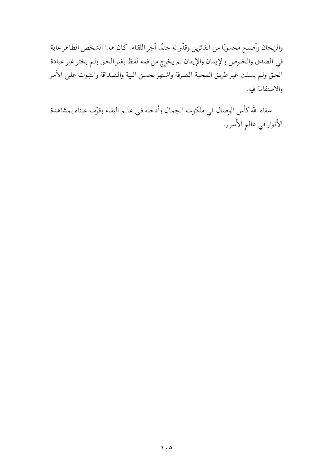والريحان وأصبح محسوبًا من الفائزين وقدّر له حتمًا أجر اللقاء. كان هذا الشخص الطاهر غاية في الصدق والخلوص والإيمان والإيقان لم يخرج من فمه لفظ بغير الحق ولم يختر غير عبادة الحق ولم يسلك غير طريق المحبة الصرفة واشتهر بحسن النية والصداقة والثبوت علىي الأمر والاستقامة فبه.

سقاه الله كأس الوصال في ملكوت الجمال وأدخله في عالم البقاء وقرّت عيناه بمشاهدة الأنوار في عالم الأسرار.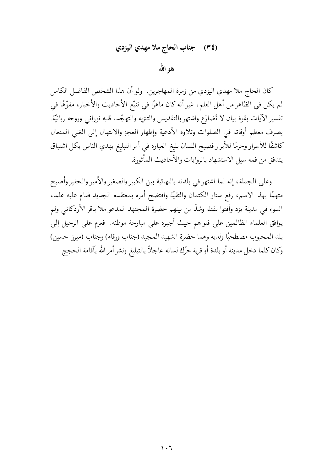## (٣٤) جناب الحاج ملا مهدي اليزدي

هو الله

كان الحاج ملا مهدي اليزدي من زمرة المهاجرين. ولو أن هذا الشخص الفاضل الكامل لم يكن في الظاهر من أهل العلم، غير أنه كان ماهرًا في تتبَّع الأحاديث والأخبار، مفوَّهًا في تفسير الآيات بقوة بيان لا تُضارَع واشتهر بالتقديس والتنزيه والتهجّد، قلبه نوراني وروحه ربانيّة. يصرف معظم أوقاته في الصلوات وتلاوة الأدعية وإظهار العجز والابتهال إلى الغنى المتعال كاشفًا للأسرار وحرمًا للأبرار فصيح اللسان بليغ العبارة في أمر التبليغ يهدي الناس بكل اشتياق يتدفق من فمه سيل الاستشهاد بالروايات والأحاديث المأثورة.

وعلى الجملة، إنه لما اشتهر في بلدته بالبهائية بين الكبير والصغير والأمير والحقير وأصبح متهمًا بهذا الاسم، رفع ستار الكتمان والتقيّة وافتضح أمره بمعتقده الجديد فقام عليه علماء السوء في مدينة يزد وأفتوا بقتله وشذَّ من بينهم حضرة المجتهد المدعو ملا باقر الأردكاني ولم يوافق العلماء الظالمين على فتواهم حيث أجبره على مبارحة موطنه. فعزم على الرحيل إلى بلد المحبوب مصطحبًا ولديه وهما حضرة الشهيد المجيد (جناب ورقاء) وجناب (ميرزا حسين) وكان كلما دخل مدينة أو بلدة أو قرية حرّك لسانه عاجلاً بالتبليغ ونشر أمر الله بآقامة الحجج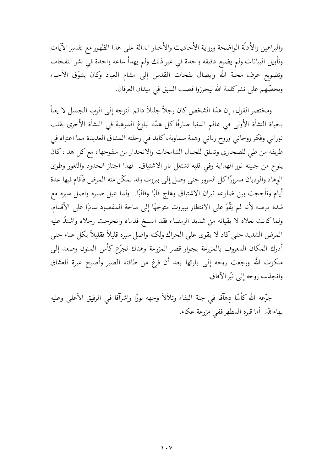والبراهين والأدلَّة الواضحة ورواية الأحاديث والأخبار الدالة على هذا الظهور مع تفسير الآيات وتأويل البيانات ولم يضيع دقيقة واحدة في غير ذلك ولم يهدأ ساعة واحدة في نشر النفحات وتضويع عرف محبة الله وإيصال نفحات القدس إلى مشام العباد وكان يشوّق الأحباء ويحضُّهم على نشركلمة الله ليحرزوا قصب السبق في ميدان العرفان.

ومختصر القول، إن هذا الشخص كان رجلاً جليلاً دائم التوجه إلى الرب الجميل لا يعبأ بحياة النشأة الأولى في عالم الدنيا صارفًا كل همّه لبلوغ الموهبة في النشأة الأخرى بقلب نوراني وفكر روحاني وروح رباني وهمة سماوية، كابد في رحلته المشاق العديدة مما اعتراه في طريقه من طي للصحاري وتسلق للجبال الشامخات والانحدار من سفوحها، مع كل هذا، كان يلوح من جبينه نور الهداية وفي قلبه تشتعل نار الاشتياق. لهذا اجتاز الحدود والثغور وطوى الوهاد والوديان مسرورًا كل السرور حتى وصل إلى بيروت وقد تمكّن منه المرض فآقام فيها عدة أيام وتأججت بين ضلوعه نيران الاشتياق وهاج قلبًا وقالبًا. ۖ ولما عيل صبره واصل سيره مع شدة مرضه لأنه لم يَقْوَ على الانتظار ببيروت متوجهًا إلى ساحة المقصود سائرًا على الأقدام. ولما كانت نعلاه لا يقيانه من شديد الرمضاء فقد انسلخ قدماه وانجرحت رجلاه واشتدّ عليه المرض الشديد حتى كاد لا يقوى على الحراك ولكنه واصل سيره قليلاً فقليلاً بكل عناء حتى أدرك المكان المعروف بالمزرعة بجوار قصر المزرعة وهناك تجرّع كأس المنون وصعد إلى ملكوت الله ورجعت روحه إلى بارئها بعد أن فرغ من طاقته الصبر وأصبح عبرة للعشاق وانجذب روحه إلى نيّر الآفاق.

جرَّعه الله كأسًا دِهآقا في جنة البقاء وتلألأ وجهه نورًا وإشرآقا في الرفيق الأعلى وعليه بهاءالله. أما قبره المطهرففي مزرعة عكاء.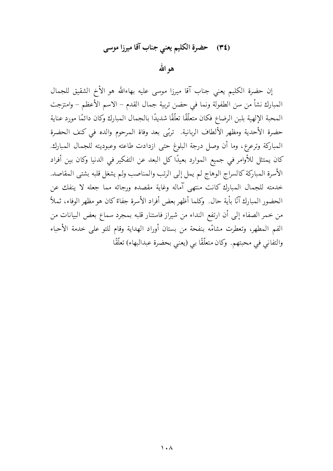## (٣٤) حضرة الكليم يعني جناب آقا ميرزا موسى

هو الله

إن حضرة الكليم يعني جناب آقا ميرزا موسى عليه بهاءالله هو الأخ الشقيق للجمال المبارك نشأ من سن الطفولة ونما في حضن تربية جمال القدم – الاسم الأعظم – وامتزجت المحبة الإلهية بلبن الرضاع فكان متعلَّقًا تعلَّقًا شديدًا بالجمال المبارك وكان دائمًا مورد عناية حضرة الأحدية ومظهر الألطاف الربانية. تربّى بعد وفاة المرحوم والده في كنف الحضرة المباركة وترعرع، وما أن وصل درجة البلوغ حتى ازدادت طاعته وعبوديته للجمال المبارك. كان يمتثل للأوامر في جميع الموارد بعيدًا كل البعد عن التفكير في الدنيا وكان بين أفراد الأسرة المباركة كالسراج الوهاج لم يمل إلى الرتب والمناصب ولم يشغل قلبه بشتى المقاصد. خدمته للجمال المبارك كانت منتهى آماله وغاية مقصده ورجائه مما جعله لا ينفك عن الحضور المبارك آنًا بأية حال. ۖ وكلما أظهر بعض أفراد الأسرة جفاءً كان هو مظهر الوفاء، ثملاً ۖ من خمر الصفاء إلى أن ارتفع النداء من شيراز فاستنار قلبه بمجرد سماع بعض البيانات من الفم المطهر، وتعطرت مشامّه بنفحة من بستان أوراد الهداية وقام للتو على خدمة الأحباء والتفاني في محبتهم. وكان متعلَّقًا بي (يعني بحضرة عبدالبهاء) تعلَّقًا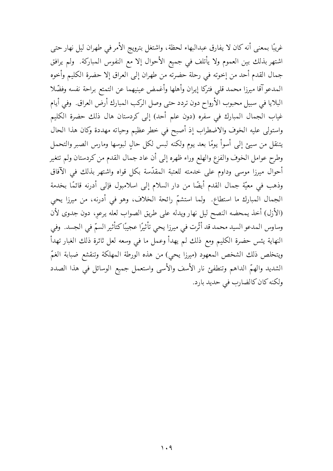غريبًا بمعنى أنه كان لا يفارق عبدالبهاء لحظة، واشتغل بترويج الأمر في طهران ليل نهار حتى اشتهر بذلك بين العموم ولا يأتلف في جميع الأحوال إلا مع النفوس المباركة. ولم يرافق جمال القدم أحد من إخوته في رحلة حضرته من طهران إلى العراق إلا حضرة الكليم وأخوه المدعو آقا ميرزا محمد قلبي فتركا إيران وأهلها وأغمض عينيهما عن التمتع براحة نفسه وفضلا البلايا في سبيل محبوب الأرواح دون تردد حتى وصل الركب المبارك أرض العراق. وفي أيام غياب الجمال المبارك في سفره (دون علم أحد) إلى كردستان هال ذلك حضرة الكليم واستولى عليه الخوف والاضطراب إذ أصبح في خطر عظيم وحياته مهددة وكان هذا الحال يتنقل من سيئ إلى أسوأ يومًا بعد يوم ولكنه لبس لكل حالٍ لبوسها ومارس الصبر والتحمل وطرح عوامل الخوف والفزع والهلع وراء ظهره إلى أن عاد جمال القدم من كردستان ولم تتغير أحوال ميرزا موسى وداوم على خدمته للعتبة المقدّسة بكل قواه واشتهر بذلك في الآفاق وذهب في معيَّة جمال القدم أيضًا من دار السلام إلى اسلامبول فإلى أدرنه قائمًا بخدمة الجمال المبارك ما استطاع. ولما استشمّ رائحة الخلاف، وهو في أدرنه، من ميرزا يحي (الأزل) أخذ يمحضه النصح ليل نهار ويدله على طريق الصواب لعله يرعو، دون جدوى لأن وساوس المدعو السيد محمد قد أثَّرت في ميرزا يحي تأثيرًا عجيبًا كتأثير السمّ في الجسد. وفي النهاية يئس حضرة الكليم ومع ذلك لم يهدأ وعمل ما في وسعه لعل ثائرة ذلك الغبار تهدأ ويتخلص ذلك الشخص المعهود (ميرزا يحي) من هذه الورطة المهلكة وتنقشع ضبابة الغمّ الشديد والهمّ الداهم وتنطفئ نار الأسف والأسى واستعمل جميع الوسائل في هذا الصدد ولكنه كان كالضارب في حديد بارد.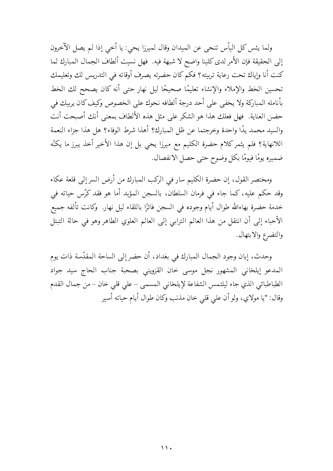ولما يئس كل اليأس تنحي عن الميدان وقال لميرزا يحي: يا أخي إذا لم يصل الآخرون إلى الحقيقة فإن الأمر لدى كلينا واضح لا شبهة فيه. فهل نسيت ألطاف الجمال المبارك لما كنت أنا وإياك تحت رعاية تربيته؟ فكم كان حضرته يصرف أوقاته في التدريس لك وتعليمك تحسين الخط والإملاء والإنشاء تعليمًا صحيحًا ليل نهار حتى أنه كان يصحح لك الخط بأنامله المباركة ولا يخفى على أحد درجة ألطافه نحوك على الخصوص وكيف كان يربيك في حضن العناية. فهل فعلك هذا هو الشكر على مثل هذه الألطاف بمعنى أنك أصبحت أنت والسيد محمد يدًا واحدة وخرجتما عن ظل المبارك؟ أهذا شرط الوفاء؟ هل هذا جزاء النعمة اللانهاية؟ فلم يثمركلام حضرة الكليم مع ميرزا يحيى بل إن هذا الأخير أخذ يبرز ما يكنُّه ضميره يومًا فيومًا بكل وضوح حتى حصل الانفصال.

ومختصر القول، إن حضرة الكليم سار في الركب المبارك من أرض السر إلى قلعة عكاء وقد حكم عليه، كما جاء في فرمان السلطان، بالسجن المؤبد أما هو فقد كرّس حياته في خدمة حضرة بهاءالله طوال أيام وجوده في السجن فائزًا باللقاء ليل نهار. وكانت تألفه جميع الأحباء إلى أن انتقل من هذا العالم الترابي إلى العالم العلوي الطاهر وهو في حالة التبتل والتضرع والابتهال.

وحدث، إبان وجود الجمال المبارك في بغداد، أن حضر إلى الساحة المقدّسة ذات يوم المدعو إيلخاني المشهور نجل موسى خان القزويني بصحبة جناب الحاج سيد جواد الطباطبائي الذي جاء ليلتمس الشفاعة لإيلخاني المسمى – على قلى خان – من جمال القدم وقال: "يا مولاي، ولو أن على قلى خان مذنب وكان طوال أيام حياته أسير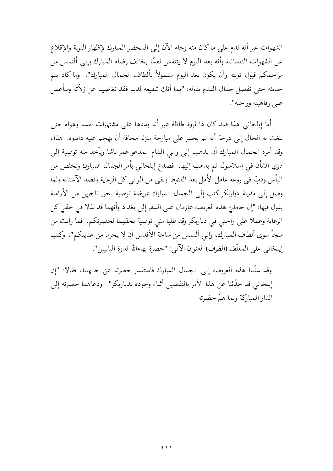الشهوات غير أنه ندم على ماكان منه وجاء الآن إلى المحضر المبارك لإظهار التوبة والإقلاع عن الشهوات النفسانية وأنه بعد اليوم لا يتنفس نفسًا يخالف رضاء المبارك وإنبى ألتمس من مراحمكم قبول توبته وأن يكون بعد اليوم مشمولاً بألطاف الجمال المبارك". وما كاد يتم حديثه حتى تفضل جمال القدم بقوله: "بما أنك شفيعه لدينا فقد تغاضينا عن زلاّته وسأعمل على رفاهيته وراحته".

أما إيلخاني هذا فقد كان ذا ثروة طائلة غير أنه بددها على مشتهيات نفسه وهواه حتى بلغت به الحال إلى درجة أنه لم يجسر على مبارحة منزله مخافة أن يهجم عليه دائنوه. هذا، وقد أمره الجمال المبارك أن يذهب إلى والى الشام المدعو عمر باشا ويأخذ منه توصية إلى ذوي الشأن في إسلامبول ثم يذهب إليها. فصدع إيلخاني بأمر الجمال المبارك وتخلص من اليأس ودبٍّ في روعه عامل الأمل بعد القنوط ولقي من الوالي كل الرعاية وقصد الآستانه ولما وصل إلى مدينة دياربكركتب إلى الجمال المبارك عريضة توصية بحق تاجرين من الأرامنة يقول فيها: "إن حاملَيّ هذه العريضة عازمان على السفر إلى بغداد وأنهما قد بذلا في حقى كل الرعاية وعملا على راحتى في دياربكر وقد طلبا منى توصية بحقهما لحضرتكم. فما رأيت من ملجأ سوى ألطاف المبارك، وإني ألتمس من ساحة الأقدس أن لا يحرما من عنايتكم". وكتب إيلخاني على المغلِّف (الظرف) العنوان الآتي: "حضرة بهاءالله قدوة البابيين".

وقد سلَّما هذه العريضة إلى الجمال المبارك فاستفسر حضرته عن حالهما، فقالا: "إن إيلخاني قد حدَّثنا عن هذا الأمر بالتفصيل أثناء وجوده بدياربكر". ودعاهما حضرته إلى الدار المباركة ولما همّ حضرته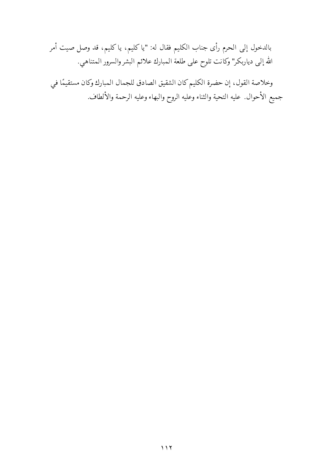بالدخول إلى الحرم رأى جناب الكليم فقال له: "يا كليم، يا كليم، قد وصل صيت أمر الله إلى دياربكر" وكانت تلوح على طلعة المبارك علائم البشر والسرور المتناهي.

وخلاصة القول، إن حضرة الكليم كان الشقيق الصادق للجمال المبارك وكان مستقيمًا في جميع الأحوال. عليه التحية والثناء وعليه الروح والبهاء وعليه الرحمة والألطاف.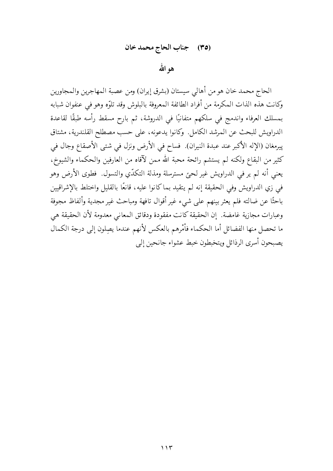### (٣٥) جناب الحاج محمد خان

هو الله

الحاج محمد خان هو من أهالي سيستان (بشرق إيران) ومن عصبة المهاجرين والمجاورين وكانت هذه الذات المكرمة من أفراد الطائفة المعروفة بالبلوش وقد تلوّه وهو في عنفوان شبابه بمسلك العرفاء واندمج في سلكهم متفانيًا في الدروشة، ثم بارح مسقط رأسه طبقًا لقاعدة الدراويش للبحث عن المرشد الكامل. وكانوا يدعونه، على حسب مصطلح القلندرية، مشتاق پيرمغان (الإله الأكبر عند عبدة النيران). فساح في الأرض ونزل في شتى الأصقاع وجال في كثير من البقاع ولكنه لم يستشم رائحة محبة الله ممن لآقاه من العارفين والحكماء والشيوخ، يعني أنه لم ير في الدراويش غير لحيٍّ مسترسلة ومذلة التكدّي والتسول. فطوى الأرض وهو في زي الدراويش وفي الحقيقة إنه لم يتقيد بما كانوا عليه، قانعًا بالقليل واختلط بالإشراقيين باحثًا عن ضالته فلم يعثر بينهم على شيء غير أقوال تافهة ومباحث غير مجدية وألفاظ مجوفة وعبارات مجازية غامضة. إن الحقيقة كانت مفقودة ودقائق المعاني معدومة لأن الحقيقة هي ما تحصل منها الفضائل أما الحكماء فأمْرهم بالعكس لأنهم عندما يصِلون إلى درجة الكمال يصبحون أسرى الرذائل ويتخبطون خبط عشواء جانحين إلىي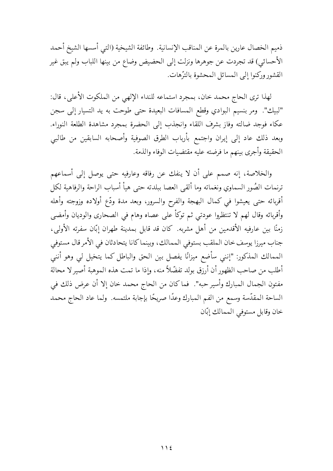ذميم الخصال عارين بالمرة عن المناقب الإنسانية. وطائفة الشيخية (التبي أسسها الشيخ أحمد الأحسائي) قد تجردت عن جوهرها ونزلت إلى الحضيض وضاع من بينها اللباب ولم يبق غير القشور وركنوا إلى المسائل المحشوة بالترّهات.

لهذا ترى الحاج محمد خان، بمجرد استماعه للنداء الإلهي من الملكوت الأعلى، قال: "لبيك". ومر بنسيم البوادي وقطع المسافات البعيدة حتى طوحت به يد التسيار إلى سجن عكاء فوجد ضالته وفاز بشرف اللقاء وانجذب إلى الحضرة بمجرد مشاهدة الطلعة النوراء. وبعد ذلك عاد إلى إيران واجتمع بأرباب الطرق الصوفية وأصحابه السابقين من طالبي الحقيقة وأجرى بينهم ما فرضته عليه مقتضيات الوفاء والذمة.

والخلاصة، إنه صمم على أن لا ينفك عن رفاقه وعارفيه حتى يوصل إلى أسماعهم ترنمات الصُور السماوي ونغماته وما ألقى العصا ببلدته حتى هيأ أسباب الراحة والرفاهية لكل أقربائه حتى يعيشوا في كمال البهجة والفرح والسرور، وبعد مدة ودّع أولاده وزوجته وأهله وأقربائه وقال لهم لا تنتظروا عودتى ثم توكأ على عصاه وهام في الصحارى والوديان وأمضى زمنًا بين عارفيه الأقدمين من أهل مشربه. كان قد قابل بمدينة طهران إبّان سفرته الأولى، جناب ميرزا يوسف خان الملقب بستوفى الممالك، وبينما كانا يتحادثان في الأمر قال مستوفى الممالك المذكور: "إنني سأضع ميزانًا يفصل بين الحق والباطل كما يتخيل لي وهو أنني أطلب من صاحب الظهور أن أرزق بولد تفضّلاً منه، وإذا ما تمت هذه الموهبة أصير لا محالة مفتون الجمال المبارك وأسير حبه". فما كان من الحاج محمد خان إلا أن عرض ذلك في الساحة المقدَّسة وسمع من الفم المبارك وعدًا صريحًا بإجابة ملتمسه. ولما عاد الحاج محمد خان وقابل مستوفى الممالك إبّان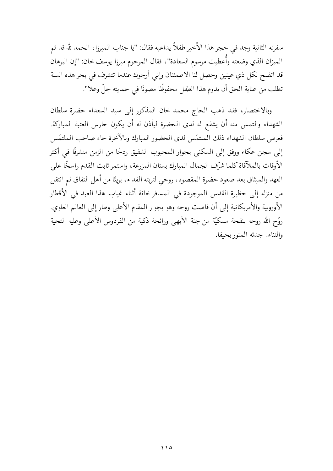سفرته الثانية وجد في حجر هذا الأخير طفلاً يداعبه فقال: "يا جناب الميرزا، الحمد لله قد تم الميزان الذي وضعته وأُعطيت مرسوم السعادة"، فقال المرحوم ميرزا يوسف خان: "إن البرهان قد اتضح لكل ذي عينين وحصل لنا الاطمئنان وإني أرجوك عندما تتشرف في بحر هذه السنة تطلب من عناية الحق أن يدوم هذا الطفل محفوظًا مصونًا في حمايته جلِّ وعلا".

وبالاختصار، فقد ذهب الحاج محمد خان المذكور إلى سيد السعداء حضرة سلطان الشهداء والتمس منه أن يشفع له لدى الحضرة ليأذن له أن يكون حارس العتبة المباركة. فعرض سلطان الشهداء ذلك الملتمس لدى الحضور المبارك وبالآخرة جاء صاحب الملتمس إلى سجن عكاء ووفق إلى السكني بجوار المحبوب الشفيق ردحًا من الزمن متشرفًا في أكثر الأوقات بالملآقاة كلما شرّف الجمال المبارك بستان المزرعة، واستمر ثابت القدم راسخًا على العهد والميثاق بعد صعود حضرة المقصود، روحي لتربته الفداء، بريئًا من أهل النفاق ثم انتقل من منزله إلى حظيرة القدس الموجودة في المسافر خانة أثناء غياب هذا العبد في الأقطار الأوروبية والأمريكانية إلى أن فاضت روحه وهو بجوار المقام الأعلى وطار إلى العالم العلوي. روّح الله روحه بنفحة مسكيّة من جنة الأبهى ورائحة ذكية من الفردوس الأعلى وعليه التحية والثناء. جدثه المنور بحيفا.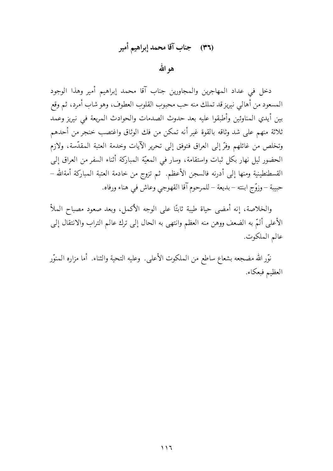# (٣٦) جناب آقا محمد إبراهيم أمير

هوالله

دخل في عداد المهاجرين والمجاورين جناب آقا محمد إبراهيم أمير وهذا الوجود المسعود من أهالي نيريز قد تملك منه حب محبوب القلوب العطوف، وهو شاب أمرد، ثم وقع بين أيدي المناوئين وأطبقوا عليه بعد حدوث الصدمات والحوادث المريعة في نيريز وعمد ثلاثة منهم على شد وثاقه بالقوة غير أنه تمكن من فك الوثاق واغتصب خنجر من أحدهم وتخلص من غائلهم وفرَّ إلى العراق فتوفق إلى تحرير الآيات وخدمة العتبة المقدَّسة، ولازم الحضور ليل نهار بكل ثبات واستقامة، وسار في المعيّة المباركة أثناء السفر من العراق إلى القسطنطينية ومنها إلى أدرنه فالسجن الأعظم. ثم تزوج من خادمة العتبة المباركة أمةالله – حبيبة – وزوَّج ابنته – بديعة – للمرحوم آقا القهوجي وعاش في هناء ورفاه.

والخلاصة، إنه أمضى حياة طيبة ثابتًا على الوجه الأكمل، وبعد صعود مصباح الملأ الأعلى ألمَّ به الضعف ووهن منه العظم وانتهى به الحال إلى ترك عالم التراب والانتقال إلى عالم الملكوت.

نوَّر الله مضجعه بشعاع ساطع من الملكوت الأعلى. وعليه التحية والثناء. أما مزاره المنوَّر العظيم فبعكاء.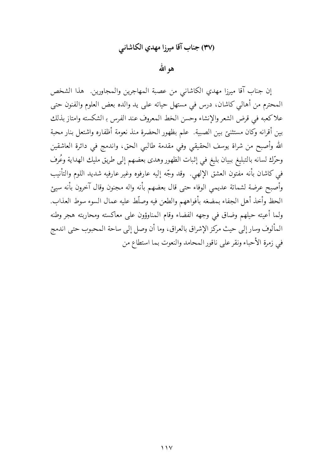# (٣٧) جناب آقا ميرزا مهدي الكاشاني

هو الله

إن جناب آقا ميرزا مهدي الكاشاني من عصبة المهاجرين والمجاورين هذا الشخص المحترم من أهالي كاشان، درس في مستهل حياته على يد والده بعض العلوم والفنون حتى علاكعبه في قرض الشعر والإنشاء وحسن الخط المعروف عند الفرس بـ الشكسته وامتاز بذلك بين أقرانه وكان مستثنئ بين الصبية. علم بظهور الحضرة منذ نعومة أظفاره واشتعل بنار محبة الله وأصبح من شراة يوسف الحقيقى وفي مقدمة طالبي الحق، واندمج في دائرة العاشقين وحرّك لسانه بالتبليغ ببيان بليغ في إثبات الظهور وهدى بعضهم إلى طريق مليك الهداية وعُرف في كاشان بأنه مفتون العشق الإلهي. وقد وجّه إليه عارفوه وغير عارفيه شديد اللوم والتأنيب وأصبح عرضة لشماتة عديمي الوفاء حتى قال بعضهم بأنه واله مجنون وقال آخرون بأنه سيئ الحظ وأخذ أهل الجفاء بمضغه بأفواههم والطعن فيه وصلَّط عليه عمال السوء سوط العذاب. ولما أعيته حيلهم وضاق في وجهه الفضاء وقام المناوؤون على معاكسته ومحاربته هجر وطنه المألوف وسار إلى حيث مركز الإشراق بالعراق، وما أن وصل إلى ساحة المحبوب حتى اندمج في زمرة الأحباء ونقر على ناقور المحامد والنعوت بما استطاع من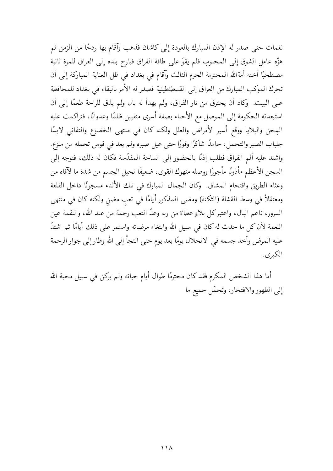نغمات حتى صدر له الإذن المبارك بالعودة إلى كاشان فذهب وآقام بها ردحًا من الزمن ثم هزّه عامل الشوق إلى المحبوب فلم يقوَ على طاقة الفراق فبارح بلده إلى العراق للمرة ثانية مصطحبًا أخته أمةالله المحترمة الحرم الثالث وآقام في بغداد في ظل العناية المباركة إلى أن تحرك الموكب المبارك من العراق إلى القسطنطينية فصدر له الأمر بالبقاء في بغداد للمحافظة على البيت. ۖ وكاد أن يحترق من نار الفراق، ولم يهدأ له بال ولم يذق للراحة طعمًا إلى أن استبعدته الحكومة إلىي الموصل مع الأحباء بصفة أسرى منفيين ظلمًا وعدوانًا، فتراكمت عليه المِحن والبلايا ووقع أسير الأمراض والعلل ولكنه كان في منتهى الخضوع والتفاني لابسًا جلباب الصبر والتحمل، حامدًا شاكرًا وقورًا حتى عيل صبره ولم يعد في قوس تحمله من منزع. واشتد عليه ألم الفراق فطلب إذنًا بالحضور إلى الساحة المقدّسة فكان له ذلك، فتوجه إلى السجن الأعظم مأذونًا مأجورًا ووصله منهوك القوى، ضعيفًا نحيل الجسم من شدة ما لآقاه من وعثاء الطريق واقتحام المشاق وكان الجمال المبارك في تلك الأثناء مسجونًا داخل القلعة ومعتقلاً في وسط القشلة (الثكنة) ومضى المذكور أيامًا في تعب مضنٍ ولكنه كان في منتهى السرور، ناعم البال، واعتبركل بلاءٍ عطاءً من ربه وعدَّ التعب رحمة من عند الله، والنقمة عين النعمة لأن كل ما حدث له كان في سبيل الله وابتغاء مرضاته واستمر على ذلك أيامًا ثم اشتدّ عليه المرض وأخذ جسمه في الانحلال يومًا بعد يوم حتى التجأ إلى الله وطار إلى جوار الرحمة الكبرى.

أما هذا الشخص المكرم فقد كان محترمًا طوال أيام حياته ولم يركن في سبيل محبة الله إلى الظهور والافتخار، وتحمّل جميع ما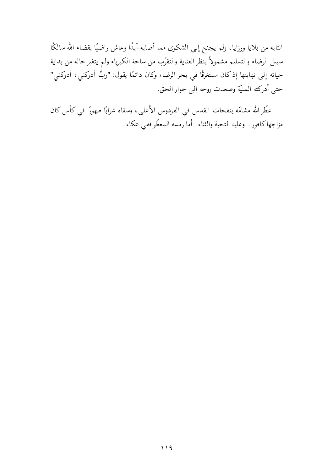انتابه من بلايا ورزايا، ولم يجنح إلى الشكوى مما أصابه أبدًا وعاش راضيًا بقضاء الله سالكًا سبيل الرضاء والتسليم مشمولاً بنظر العناية والتقرّب من ساحة الكبرياء ولم يتغير حاله من بداية حياته إلى نهايتها إذ كان مستغرقًا في بحر الرضاء وكان دائمًا يقول: "ربِّ أدركني، أدركني" حتى أدركته المنيّة وصعدت روحه إلى جوار الحق.

عطّر الله مشامّه بنفحات القدس في الفردوس الأعلى، وسقاه شرابًا طهورًا في كأس كان مزاجها كافورا. وعليه التحية والثناء. أما رمسه المعطّرففي عكاء.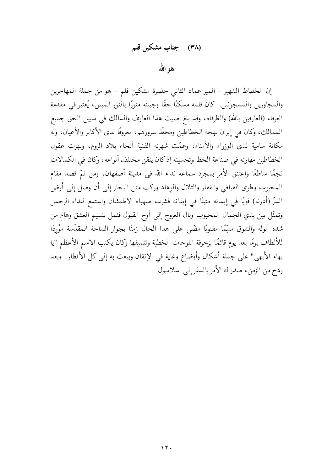## (٣٨) جناب مشكين قلم

هوالله

إن الخطاط الشهير – المير عماد الثانبي حضرة مشكين قلم – هو من جملة المهاجرين والمجاورين والمسجونين. كان قلمه مسكيًا حقًّا وجبينه منورًا بالنور المبين، يُعتبر في مقدمة العرفاء (العارفين بالله) والظرفاء، وقد بلغ صيت هذا العارف والسالك في سبيل الحق جميع الممالك، وكان في إيران بهجة الخطاطين ومحطٍّ سرورهم، معروفًا لدى الأكابر والأعيان، وله مكانة سامية لدى الوزراء والأمناء، وعمّت شهرته الفنية أنحاء بلاد الروم، وبهرت عقول الخطاطين مهارته في صناعة الخط وتحسينه إذكان يتقن مختلف أنواعه، وكان في الكمالات نجمًا ساطعًا واعتنق الأمر بمجرد سماعه نداء الله في مدينة أصفهان، ومن ثمّ قصد مقام المحبوب وطوى الفيافي والقفار والتلال والوهاد وركب متن البحار إلى أن وصل إلى أرض السرِّ (أدرنه) قويًا في إيمانه متينًا في إيقانه فشرب صهباء الاطمئنان واستمع لنداء الرحمن وتمثَّل بين يدي الجمال المحبوب ونال العروج إلى أوج القبول فثمل بنسيم العشق وهام من شدة الوله والشوق متيَّمًا مفتونًا مضَّى على هذا الحال زمنًا بجوار الساحة المقدَّسة موْردًا للألطاف يومًا بعد يوم قائمًا بزخرفة اللوحات الخطية وتنميقها وكان يكتب الاسم الأعظم "يا بهاء الأبهى" على جملة أشكال وأوضاع وغاية في الإتقان ويبعث به إلى كل الأقطار. وبعد ردح من الزمن، صدر له الأمر بالسفر إلى اسلامبول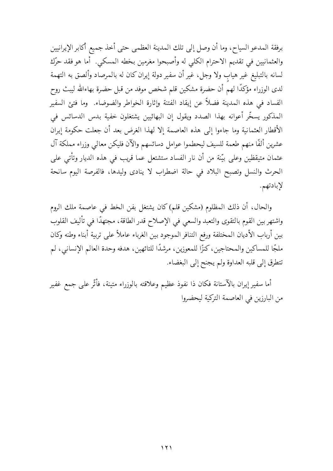برفقة المدعو السياح، وما أن وصل إلى تلك المدينة العظمى حتى أخذ جميع أكابر الإيرانيين والعثمانيين في تقديم الاحترام الكلبي له وأصبحوا مغرمين بخطه المسكي. أما هو فقد حرّك لسانه بالتبليغ غير هيابٍ ولا وجل، غير أن سفير دولة إيران كان له بالمرصاد وألصق به التهمة لدى الوزراء مؤكدًا لهم أن حضرة مشكين قلم شخص موفد من قبل حضرة بهاءالله ليبث روح الفساد في هذه المدينة فضلأً عن إيقاد الفتنة وإثارة الخواطر والضوضاء. وما فتئ السفير المذكور يسخَّر أعوانه بهذا الصدد ويقول إن البهائيين يشتغلون خفية بدس الدسائس في الأقطار العثمانية وما جاءوا إلى هذه العاصمة إلا لهذا الغرض بعد أن جعلت حكومة إيران عشرين ألفًا منهم طعمة للسيف ليحطموا عوامل دسائسهم والآن فليكن معالى وزراء مملكة آل عثمان متيقظين وعلى بيّنة من أن نار الفساد ستشتعل عما قريب في هذه الديار وتأتى على الحرث والنسل وتصبح البلاد في حالة اضطراب لا ينادى وليدها، فالفرصة اليوم سانحة لإبادتهم.

والحال، أن ذلك المظلوم (مشكين قلم)كان يشتغل بفن الخط في عاصمة ملك الروم واشتهر بين القوم بالتقوى والتعبد والسعى في الإصلاح قدر الطاقة، مجتهدًا في تأليف القلوب بين أرباب الأديان المحختلفة ورفع التنافر الموجود بين الغرباء عاملاً على تربية أبناء وطنه وكان ملجًا للمساكين والمحتاجين، كنزًا للمعوزين، مرشدًا للتائهين، هدفه وحدة العالم الإنساني، لم تتطرق إلى قلبه العداوة ولم يجنح إلى البغضاء.

أما سفير إيران بالآستانة فكان ذا نفوذ عظيم وعلاقته بالوزراء متينة، فأثَّر على جمع غفير من البارزين في العاصمة التركية ليحضروا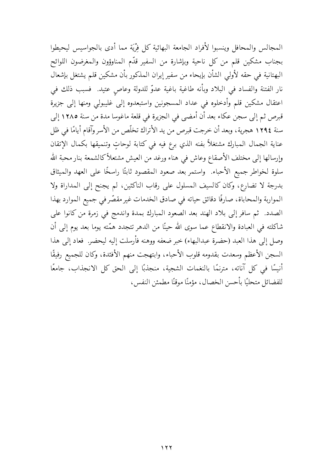المجالس والمحافل وينسبوا لأفراد الجامعة البهائية كل فرْيَة مما أدى بالجواسيس ليحيطوا بجناب مشكين قلم من كل ناحية وبإشارة من السفير قدّم المناوؤون والمغرضون اللوائح البهتانية في حقه لأولى الشأن بإيحاء من سفير إيران المذكور بأن مشكين قلم يشتغل بإشعال نار الفتنة والفساد في البلاد وبأنه طاغية باغية عدوّ للدولة وعاص عتيد. فسبب ذلك في اعتقال مشكين قلم وأدخلوه في عداد المسجونين واستبعدوه إلى غليبولي ومنها إلى جزيرة قبرص ثم إلى سجن عكاء بعد أن أمضى في الجزيرة في قلعة ماغوسا مدة من سنة ١٢٨٥ إلى سنة ١٢٩٤ هجرية، وبعد أن خرجت قبرص من يد الأتراك تخلَّص من الأسر وآقام أيامًا في ظل عناية الجمال المبارك مشتغلاً بفنه الذي برع فيه في كتابة لوحاتٍ وتنميقها بكمال الإتقان وإرسالها إلى مختلف الأصقاع وعاش في هناء ورغد من العيش مشتعلأكالشمعة بنار محبة الله سلوة لخواطر جميع الأحباء. واستمر بعد صعود المقصود ثابتًا راسخًا على العهد والميثاق بدرجة لا تضارع، وكان كالسيف المسلول على رقاب الناكثين، لم يجنح إلى المداراة ولا المواربة والمحاباة، صارفًا دقائق حياته في صادق الخدمات غير مقصّر في جميع الموارد بهذا الصدد. ثم سافر إلى بلاد الهند بعد الصعود المبارك بمدة واندمج في زمرة من كانوا على شاكلته في العبادة والانقطاع عما سوى الله حينًا من الدهر تتجدد همّته يوما بعد يوم إلى أن وصل إلى هذا العبد (حضرة عبدالبهاء) خبر ضعفه ووهنه فأرسلت إليه ليحضر. فعاد إلى هذا السجن الأعظم وسعدت بقدومه قلوب الأحباء، وابتهجت منهم الأفئدة، وكان للجميع رفيقًا أنيسًا في كل آناته، مترنمًا بالنغمات الشجية، منجذبًا إلى الحق كل الانجذاب، جامعًا للفضائل متحليًا بأحسن الخصال، مؤمنًا موقنًا مطمئن النفس،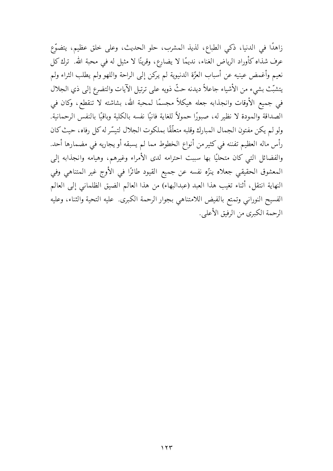زاهدًا في الدنيا، ذكي الطباع، لذيذ المشرب، حلو الحديث، وعلى خلق عظيم، يتضوَّع عرف شذاه كأوراد الرياض الغناء، نديمًا لا يضارع، وقرينًا لا مثيل له في محبة الله. ترك كل نعيم وأغمض عينيه عن أسباب العزّة الدنيوية لم يركن إلى الراحة واللهو ولم يطلب الثراء ولم يتشبَّتْ بشيء من الأشياء جاعلاً ديدنه حثٌّ ذويه على ترتيل الآيات والتضرع إلى ذي الجلال في جميع الأوقات وانجذابه جعله هيكلاً مجسمًا لمحبة الله، بشاشته لا تنقطع، وكان في الصداقة والمودة لا نظير له، صبورًا حمولاً للغاية فانيًا نفسه بالكلية وباقيًا بالنفس الرحمانية. ولو لم يكن مفتون الجمال المبارك وقلبه متعلَّقًا بملكوت الجلال لتيسَّر له كل رفاه، حيث كان رأس ماله العظيم تفننه في كثير من أنواع الخطوط مما لم يسبقه أو يجاريه في مضمارها أحد. والفضائل التبي كان متحليًا بها سببت احترامه لدى الأمراء وغيرهم، وهيامه وانجذابه إلى المعشوق الحقيقي جعلاه ينزِّه نفسه عن جميع القيود طائرًا في الأوج غير المتناهي وفي النهاية انتقل، أثناء تغيب هذا العبد (عبدالبهاء) من هذا العالم الضيق الظلماني إلى العالم الفسيح النوراني وتمتع بالفيض اللامتناهى بجوار الرحمة الكبرى. عليه التحية والثناء، وعليه الرحمة الكبرى من الرفيق الأعلى.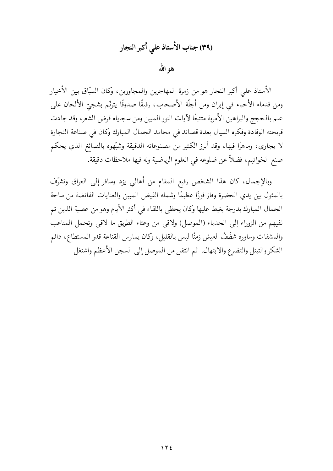# (٣٩) جناب الأستاذ على أكبر النجار

هو الله

الأستاذ على أكبر النجار هو من زمرة المهاجرين والمجاورين، وكان السبّاق بين الأخيار ومن قدماء الأحباء في إيران ومن أجلَّة الأصحاب، رفيقًا صدوقًا يترنَّم بشجيِّ الألحان على علم بالحجج والبراهين الأمرية متتبعًا لآيات النور المبين ومن سجاياه قرض الشعر، وقد جادت قريحته الوقادة وفكره السيال بعدة قصائد في محامد الجمال المبارك وكان في صناعة النجارة لا يجارى، وماهرًا فيها، وقد أبرز الكثير من مصنوعاته الدقيقة وشبَّهوه بالصائغ الذي يحكم صنع الخواتيم، فضلاً عن ضلوعه في العلوم الرياضية وله فيها ملاحظات دقيقة.

وبالإجمال، كان هذا الشخص رفيع المقام من أهالي يزد وسافر إلى العراق وتشرّف بالمثول بين يدي الحضرة وفاز فوزًا عظيمًا وشمله الفيض المبين والعنايات الفائضة من ساحة الجمال المبارك بدرجة يغبط عليها وكان يحظى باللقاء في أكثر الأيام وهو من عصبة الذين تم نفيهم من الزوراء إلى الحدباء (الموصل) ولاقى من وعثاء الطريق ما لاقى وتحمل المتاعب والمشقات وساوره شظَفُ العيش زمنًا ليس بالقليل، وكان يمارس القناعة قدر المستطاع، دائم الشكر والتبتل والتضرع والابتهال. ثم انتقل من الموصل إلى السجن الأعظم واشتغل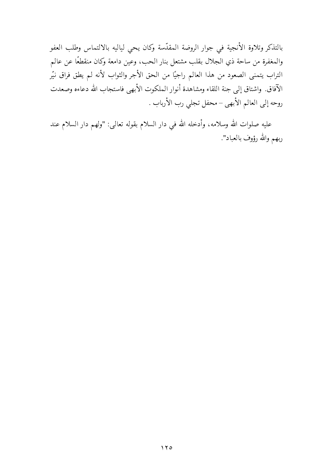بالتذكر وتلاوة الأنجية في جوار الروضة المقدّسة وكان يحي لياليه بالالتماس وطلب العفو والمغفرة من ساحة ذي الجلال بقلب مشتعل بنار الحب، وعين دامعة وكان منقطعًا عن عالم التراب يتمنى الصعود من هذا العالم راجيًا من الحق الأجر والثواب لأنه لم يطق فراق نيّر الآفاق. واشتاق إلى جنة اللقاء ومشاهدة أنوار الملكوت الأبهى فاستجاب الله دعاءه وصعدت روحه إلى العالم الأبهى – محفل تجلي رب الأرباب .

عليه صلوات الله وسلامه، وأدخله الله في دار السلام بقوله تعالى: "ولهم دار السلام عند ربهم والله رؤوف بالعباد".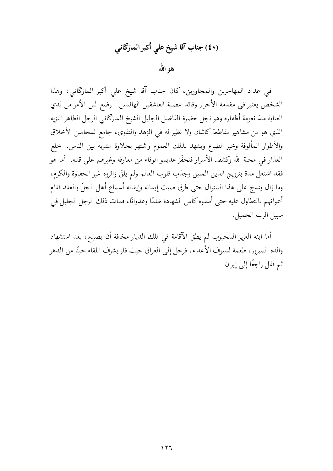# (٤٠) جناب آقا شيخ على أكبر المازكاني

هو الله

في عداد المهاجرين والمجاورين، كان جناب آقا شيخ على أكبر المازگاني، وهذا الشخص يعتبر في مقدمة الأحرار وقائد عصبة العاشقين الهائمين. رضع لبن الأمر من ثدي العناية منذ نعومة أظفاره وهو نجل حضرة الفاضل الجليل الشيخ المازكاني الرجل الطاهر النزيه الذي هو من مشاهير مقاطعة كاشان ولا نظير له في الزهد والتقوى، جامع لمحاسن الأخلاق والأطوار المألوفة وخير الطباع ويشهد بذلك العموم واشتهر بحلاوة مشربه بين الناس. خلع العذار في محبة الله وكشف الأسرار فتحفّز عديمو الوفاء من معارفه وغيرهم على قتله. أما هو فقد اشتغل مدة بترويج الدين المبين وجذب قلوب العالم ولم يلقَ زائروه غير الحفاوة والكرم، وما زال ينسج على هذا المنوال حتى طرق صيت إيمانه وإيقانه أسماع أهل الحلّ والعقد فقام أعوانهم بالتطاول عليه حتى أسقوه كأس الشهادة ظلمًا وعدوانًا، فمات ذلك الرجل الجليل في سبيل الرب الجميل.

أما ابنه العزيز المحبوب لم يطق الآقامة في تلك الديار مخافة أن يصبح، بعد استشهاد والده المبرور، طعمة لسيوف الأعداء، فرحل إلى العراق حيث فاز بشرف اللقاء حينًا من الدهر ثم قفل راجعًا إلى إيران.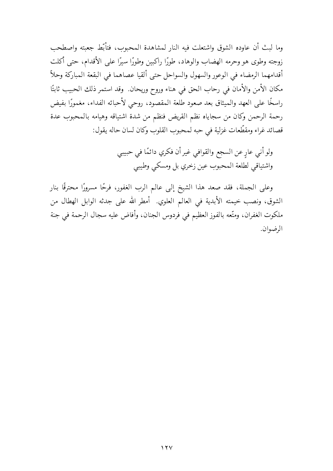وما لبث أن عاوده الشوق واشتعلت فيه النار لمشاهدة المحبوب، فتأبَّط جعبته واصطحب زوجته وطوى هو وحرمه الهضاب والوهاد، طورًا راكبين وطورًا سيرًا على الأقدام، حتى أكلت أقدامهما الرمضاء في الوعور والسهول والسواحل حتى ألقيا عصاهما في البقعة المباركة وحلأ مكان الأمن والأمان في رحاب الحق في هناء وروح وريحان. وقد استمر ذلك الحبيب ثابتًا راسخًا على العهد والميثاق بعد صعود طلعة المقصود، روحي لأحبائه الفداء، مغمورًا بفيض رحمة الرحمن وكان من سجاياه نظم القريض فنظم من شدة اشتياقه وهيامه بالمحبوب عدة قصائد غراء ومقطَّعات غزلية في حبه لمحبوب القلوب وكان لسان حاله يقول:

> ولو أني عارٍ عن السجع والقوافي غير أن فكري دائمًا في حبيبي واشتياقي لطلعة المحبوب عين زخري بل ومسكى وطيبي

وعلى الجملة، فقد صعد هذا الشيخ إلى عالم الرب الغفور، فرحًا مسرورًا محترقًا بنار الشوق، ونصب خيمته الأبدية في العالم العلوي. أمطر الله على جدثه الوابل الهطال من ملكوت الغفران، ومتَّعه بالفوز العظيم في فردوس الجنان، وأفاض عليه سجال الرحمة في جنة الرضوان.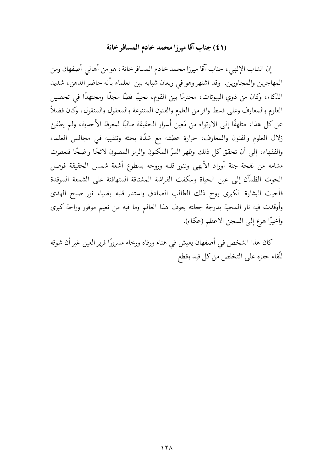## (٤١) جناب آقا ميرزا محمد خادم المسافر خانة

إن الشاب الإلهيي، جناب آقا ميرزا محمد خادم المسافر خانة، هو من أهالي أصفهان ومن المهاجرين والمجاورين. وقد اشتهر وهو في ريعان شبابه بين العلماء بأنه حاضر الذهن، شديد الذكاء، وكان من ذوي البيوتات، محترمًا بين القوم، نجيبًا فطنًا مجدًا ومجتهدًا في تحصيل العلوم والمعارف وعلى قسط وافر من العلوم والفنون المتنوعة والمعقول والمنقول، وكان فضلأ عن كل هذا، متلهفًا إلى الارتواء من مَعين أسرار الحقيقة طالبًا لمعرفة الأحدية، ولم يطفئ زلال العلوم والفنون والمعارف، حرارة عطشه مع شدّة بحثه وتنقيبه في مجالس العلماء والفقهاء، إلى أن تحقق كل ذلك وظهر السَّر المكنون والرمز المصون لائحًا واضحًا فتعطرت مشامه من نفحة جنة أوراد الأبهى وتنور قلبه وروحه بسطوع أشعة شمس الحقيقة فوصل الحوت الظمآن إلى عين الحياة وعكفت الفراشة المشتاقة المتهافتة على الشمعة الموقدة فأحيت البشارة الكبرى روح ذلك الطالب الصادق واستنار قلبه بضياء نور صبح الهدى وأوقدت فيه نار المحبة بدرجة جعلته يعوف هذا العالم وما فيه من نعيم موفور وراحة كبرى وأخيرًا هرع إلى السجن الأعظم (عكاء).

كان هذا الشخص في أصفهان يعيش في هناء ورفاه ورخاء مسرورًا قرير العين غير أن شوقه للّقاء حفزه على التخلص من كل قيد وقطع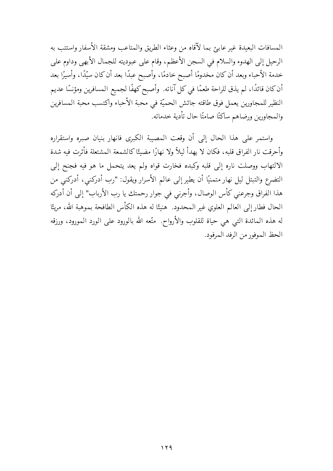المسافات البعيدة غير عابئ بما لآقاه من وعثاء الطريق والمتاعب ومشقة الأسفار واستتب به الرحيل إلى الهدوء والسلام في السجن الأعظم، وقام على عبوديته للجمال الأبهى وداوم على خدمة الأحباء وبعد أن كان مخدومًا أصبح خادمًا، وأصبح عبدًا بعد أن كان سيّدًا، وأسيرًا بعد أن كان قائدًا، لم يذق للراحة طعمًا في كل آناته. وأصبح كهفًا لجميع المسافرين ومؤنسًا عديم النظير للمجاورين يعمل فوق طاقته جائش الحميّة في محبة الأحباء واكتسب محبة المسافرين والمجاورين ورضاهم ساكتًا صامتًا حال تأدية خدماته.

واستمر على هذا الحال إلى أن وقعت المصيبة الكبرى فانهار بنبان صبره واستقراره وأحرقت نار الفراق قلبه، فكان لا يهدأ ليلاً ولا نهارًا مضيئًا كالشمعة المشتعلة فأثرت فيه شدة الالتهاب ووصلت ناره إلى قلبه وكبده فخارت قواه ولم يعد يتحمل ما هو فيه فجنح إلى التضرع والتبتل ليل نهار متمنيًا أن يطير إلى عالم الأسرار ويقول: "رب أدركني، أدركني من هذا الفراق وجرعني كأس الوصال، وأجرني في جوار رحمتك يا رب الأرباب" إلى أن أدركه الحال فطار إلى العالم العلوي غير المحدود. هنيئًا له هذه الكأس الطافحة بموهبة الله، مريئًا له هذه المائدة التبي هي حياة للقلوب والأرواح. متَّعه الله بالورود على الورد المورود، ورزقه الحظ الموفور من الرفد المرفود.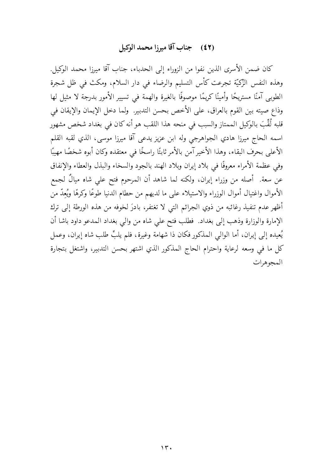### (٤٢) جناب آقا ميرزا محمد الوكيل

كان ضمن الأسرى الذين نفوا من الزوراء إلى الحدباء، جناب آقا ميرزا محمد الوكيل. وهذه النفس الزِّكيَّة تجرعت كأس التسليم والرضاء في دار السلام، ومكث في ظل شجرة الطوبي آمنًا مستريحًا وأمينًا كريمًا موصوفًا بالغيرة والهمة في تسيير الأمور بدرجة لا مثيل لها وذاع صيته بين القوم بالعراق، على الأخص بحسن التدبير. ولما دخل الإيمان والإيقان في قلبه لُقِّبَ بالوكيل الممتاز والسبب في منحه هذا اللقب هو أنه كان في بغداد شخص مشهور اسمه الحاج ميرزا هادي الجواهرجي وله ابن عزيز يدعي آقا ميرزا موسى، الذي لقبه القلم الأعلى بحرف البقاء، وهذا الأخير آمن بالأمر ثابتًا راسخًا في معتقده وكان أبوه شخصًا مهيبًا وفي عظمة الأمراء معروفًا في بلاد إيران وبلاد الهند بالجود والسخاء والبذل والعطاء والإنفاق عن سعة. أصله من وزراء إيران، ولكنه لما شاهد أن المرحوم فتح على شاه ميالٌ لجمع الأموال واغتيال أموال الوزراء والاستيلاء على ما لديهم من حطام الدنيا طوعًا وكرهًا ويُعِدُّ من أظهر عدم تنفيذ رغائبه من ذوي الجرائم التي لا تغتفر، بادرَ لخوفه من هذه الورطة إلى ترك الإمارة والوزارة وذهب إلى بغداد. فطلب فتح على شاه من والى بغداد المدعو داود باشا أن يُعيده إلى إيران، أما الوالي المذكور فكان ذا شهامة وغيرة، فلم يلبِّ طلب شاه إيران، وعمل كل ما في وسعه لرعاية واحترام الحاج المذكور الذي اشتهر بحسن التدبير، واشتغل بتجارة المجوهرات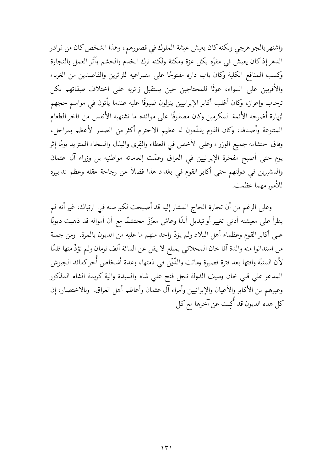واشتهر بالجواهرجي ولكنه كان يعيش عيشة الملوك في قصورهم، وهذا الشخص كان من نوادر الدهر إذ كان يعيش في مقرَّه بكل عزة ومكنة ولكنه ترك الخدم والحشم وآثر العمل بالتجارة وكسب المنافع الكلية وكان باب داره مفتوحًا على مصراعيه للزائرين والقاصدين من الغرباء والأقربين على السواء، غوثًا للمحتاجين حين يستقبل زائريه على اختلاف طبقاتهم بكل ترحاب وإعزاز، وكان أغلب أكابر الإيرانيين ينزلون ضيوفًا عليه عندما يأتون في مواسم حجهم لزيارة أضرحة الأئمة المكرمين وكان مصفوفًا على موائده ما تشتهيه الأنفس من فاخر الطعام المتنوعة وأصنافه، وكان القوم يقدِّمون له عظيم الاحترام أكثر من الصدر الأعظم بمراحل، وفاق احتشامه جميع الوزراء وعلى الأخص في العطاء والقِرى والبذل والسخاء المتزايد يومًا إثر يوم حتى أصبح مفخرة الإيرانيين في العراق وعمّت إنعاماته مواطنيه بل وزراء آل عثمان والمشيرين في دولتهم حتى أكابر القوم في بغداد هذا فضلاً عن رجاحة عقله وعظم تدابيره للأمور مهما عظمت.

وعلى الرغم من أن تجارة الحاج المشار إليه قد أصبحت لكبر سنه في ارتباك، غير أنه لم يطرأ على معيشته أدنى تغيير أو تبديل أبدًا وعاش معزّزًا محتشمًا مع أن أمواله قد ذهبت ديونًا على أكابر القوم وعظماء أهل البلاد ولم يؤدّ واحد منهم ما عليه من الديون بالمرة. ۖ ومن جملة من استدانوا منه والدة آقا خان المحلاتي بمبلغ لا يقل عن المائة ألف تومان ولم تؤدِّ منها فلسًا لأن المنيّة وافتها بعد فترة قصيرة وماتت والدّيْن في ذمتها، وعدة أشخاص أُخر كقائد الجيوش المدعو على قلى خان وسيف الدولة نجل فتح على شاه والسيدة والية كريمة الشاه المذكور وغيرهم من الأكابر والأعيان والإيرانيين وأمراء آل عثمان وأعاظم أهل العراق. وبالاختصار، إن كل هذه الديون قد أُكلت عن آخرها مع كل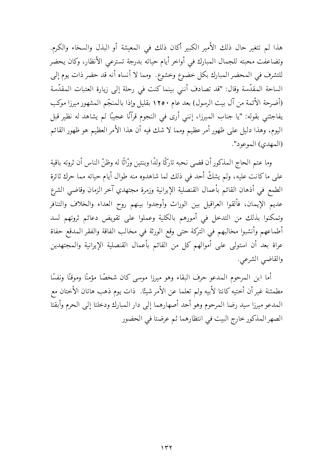هذا لم تتغير حال ذلك الأمير الكبير أكان ذلك في المعيشة أو البذل والسخاء والكرم. وتضاعفت محبته للجمال المبارك في أواخر أيام حياته بدرجة تسترعى الأنظار، وكان يحضر للتشرف في المحضر المبارك بكل خضوع وخشوع. ومما لا أنساه أنه قد حضر ذات يوم إلى الساحة المقدّسة وقال: "قد تصادف أننى بينما كنت في رحلة إلى زيارة العتبات المقدّسة (أضرحة الأئمة من آل بيت الرسول) بعد عام ١٢٥٠ بقليل وإذا بالمنجّم المشهور ميرزا موكب يفاجئني بقوله: "يا جناب الميرزا، إنني أرى في النجوم قرآنًا عجيبًا لم يشاهد له نظير قبل اليوم، وهذا دليل على ظهور أمر عظيم ومما لا شك فيه أن هذا الأمر العظيم هو ظهور القائم (المهدى) الموعود".

وما عتم الحاج المذكور أن قضي نحبه تاركًا ولدًا وبنتين ورّاثًا له وظنّ الناس أن ثروته باقية على ماكانت عليه، ولم يشكُّ أحد في ذلك لما شاهدوه منه طوال أيام حياته مما حرك ثائرة الطمع فى أذهان القائم بأعمال القنصلية الإيرانية وزمرة مجتهدي آخر الزمان وقاضى الشرع عديم الإيمان، فألقوا العراقيل بين الوراث وأوجدوا بينهم روح العداء والخلاف والتنافر وتمكنوا بذلك من التدخل في أمورهم بالكلية وعملوا على تقويض دعائم ثروتهم لسد أطماعهم وأنشبوا مخالبهم في التركة حتى وقع الورثة في مخالب الفاقة والفقر المدقع حفاة عراة بعد أن استولى على أموالهم كل من القائم بأعمال القنصلية الإيرانية والمجتهدين والقاضي الشرعي.

أما ابن المرحوم المدعو حرف البقاء وهو ميرزا موسى كان شخصًا مؤمنًا وموقنًا ونفسًا مطمئنة غير أن أختيه كانتا لأبيه ولم تعلما عن الأمر شيئًا. ذات يوم ذهب هاتان الأختان مع المدعو ميرزا سيد رضا المرحوم وهو أحد أصهارهما إلى دار المبارك ودخلتا إلى الحرم وأبقتا الصهر المذكور خارج البيت في انتظارهما ثم عرضتا في الحضور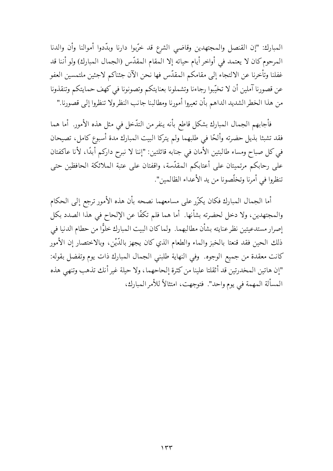المبارك: "إن القنصل والمجتهدين وقاضي الشرع قد خرّبوا دارنا وبدّدوا أموالنا وأن والدنا المرحوم كان لا يعتمد في أواخر أيام حياته إلا المقام المقدّس (الجمال المبارك) ولو أننا قد غفلنا وتأخرنا عن الالتجاء إلى مقامكم المقدّس فها نحن الآن جئناكم لاجئين ملتمسين العفو عن قصورنا آملين أن لا تخيّبوا رجاءنا وتشملونا بعنايتكم وتصونونا في كهف حمايتكم وتنقذونا من هذا الخطر الشديد الداهم بأن تعيروا أمورنا ومطالبنا جانب النظر ولا تنظروا إلى قصورنا."

فأجابهم الجمال المبارك بشكل قاطع بأنه ينفر من التدّخل في مثل هذه الأمور. أما هما فقد تشبثا بذيل حضرته وألحّا في طلبهما ولم يتركا البيت المبارك مدة أسبوع كامل، تصيحان في كل صباح ومساء طالبتين الأمان في جنابه قائلتين: "إننا لا نبرح داركم أبدًا، لأنا عاكفتان على رحابكم مرتميتان على أعتابكم المقدّسة، واقفتان على عتبة الملائكة الحافظين حتى تنظروا في أمرنا وتخلَّصونا من يد الأعداء الظالمين".

أما الجمال المبارك فكان يكرّر على مسامعهما نصحه بأن هذه الأمور ترجع إلى الحكام والمحتهدين، ولا دخل لحضرته بشأنها. أما هما فلم تكفًّا عن الإلحاح في هذا الصدد بكل إصرار مستدعيتين نظر عنايته بشأن مطالبهما. ولماكان البيت المبارك خلوًّا من حطام الدنيا في ذلك الحين فقد قنعتا بالخبز والماء والطعام الذي كان يجهز بالدَّيْن، وبالاختصار إن الأمور كانت معقدة من جميع الوجوه. وفي النهاية طلبني الجمال المبارك ذات يوم وتفضل بقوله: "إن هاتين المخدرتين قد أثقلتا علينا من كثرة إلحاحهما، ولا حيلة غير أنك تذهب وتنهى هذه المسألة المهمة في يوم واحد". فتوجهت، امتثالاً للأمر المبارك.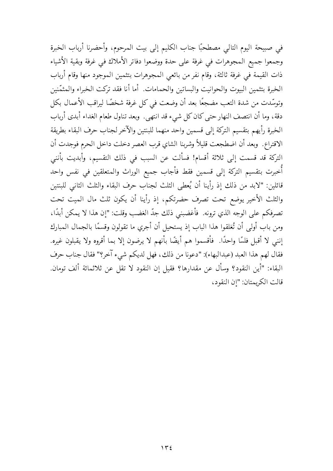في صبيحة اليوم التالي مصطحبًا جناب الكليم إلى بيت المرحوم، وأحضرنا أرباب الخبرة وجمعوا جميع المجوهرات في غرفة على حدة ووضعوا دفاتر الأملاك في غرفة وبقية الأشياء ذات القيمة في غرفة ثالثة، وقام نفر من بائعي المجوهرات بتثمين الموجود منها وقام أرباب الخبرة بتثمين البيوت والحوانيت والبساتين والحمامات. أما أنا فقد تركت الخبراء والمثمّنين وتوسّدت من شدة التعب مضجعًا بعد أن وضعت في كل غرفة شخصًا ليراقب الأعمال بكل دقة، وما أن انتصف النهار حتى كان كل شيء قد انتهى. وبعد تناول طعام الغداء أبدى أرباب الخبرة رأيهم بتقسيم التركة إلى قسمين واحد منهما للبنتين والآخر لجناب حرف البقاء بطريقة الاقتراع. وبعد أن اضطجعت قليلاً وشربنا الشاي قرب العصر دخلت داخل الحرم فوجدت أن التركة قد قسمت إلى ثلاثة أقسام! فسألت عن السبب في ذلك التقسيم، وأبديت بأنني أُخبرت بتقسيم التركة إلى قسمين فقط فأجاب جميع الوراث والمتعلقين في نفس واحد قائلين: "لابد من ذلك إذ رأينا أن يُعطى الثلث لجناب حرف البقاء والثلث الثاني للبنتين والثلث الأخير يوضع تحت تصرف حضرتكم، إذ رأينا أن يكون ثلث مال الميت تحت تصرفكم على الوجه الذي ترونه. ۖ فأغضبني ذلك جدَّ الغضب وقلت: "إن هذا لا يمكن أبدًا، ومن باب أولى أن تُغلقوا هذا الباب إذ يستحيل أن أجري ما تقولون وقسمًا بالجمال المبارك إنني لا أقبل فلسًا واحدًا. ۖ فأقسموا هم أيضًا بأنهم لا يرضون إلا بما أقروه ولا يقبلون غيره. فقال لهم هذا العبد (عبدالبهاء): "دعونا من ذلك، فهل لديكم شيء آخر؟" فقال جناب حرف البقاء: "أين النقود؟ وسأل عن مقدارها؟ فقيل إن النقود لا تقل عن ثلاثمائة ألف تومان. قالت الكريمتان: "إن النقود،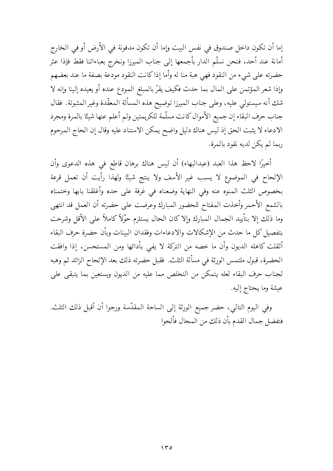إما أن تكون داخل صندوق في نفس البيت وإما أن تكون مدفونة في الأرض أو في الخارج أمانة عند أحد، فنحن نسلَّم الدار بأجمعها إلى جناب المبرزا ونخرج بعباءاتنا فقط فإذا عثر حضرته على شيء من النقود فهي هبة منا له وأما إذاكانت النقود مودعة بصفة ما عند بعضهم وإذا شعر المؤتمن على المال بما حدث فكيف يقرّ بالمبلغ المودع عنده أو يعيده إلينا وإنه لا شك أنه سيستولى عليه، وعلى جناب الميرزا توضيح هذه المسألة المعقّدة وغير المثبوتة. فقال جناب حرف البقاء إن جميع الأموال كانت مسلّمة للكريمتين ولم أعلم عنها شيئًا بالمرة ومجرد الادعاء لا يثبت الحق إذ ليس هناك دليل واضح يمكن الاستناد عليه وقال إن الحاج المرحوم ربما لم يكن لديه نقود بالمرة.

أخيرًا لاحظ هذا العبد (عبدالبهاء) أن ليس هناك برهان قاطع في هذه الدعوى وأن الإلحاح في الموضوع لا يسبب غير الأسف ولا ينتج شيئًا ولهذا رأيت أن تعمل قرعة بخصوص الثلث المنوه عنه وفي النهاية وضعناه في غرفة على حده وأغلقنا بابها وختمناه بالشمع الأحمر وأخذت المفتاح للحضور المبارك وعرضت على حضرته أن العمل قد انتهى وما ذلك إلا بتأييد الجمال المبارك وإلاكان الحال يستلزم حوْلاً كاملاً على الأقل وشرحت بتفصيل كل ما حدث من الإشكالات والادعاءات وفقدان البينات وبأن حضرة حرف البقاء أثقلت كاهله الديون وأن ما خصه من التركة لا يفي بأدائها ومن المستحسن، إذا وافقت الحضرة، قبول ملتمس الورثة في مسألة الثلث. فقبل حضرته ذلك بعد الإلحاح الزائد ثم وهبه لجناب حرف البقاء لعله يتمكن من التخلص مما عليه من الديون ويستعين بما يتبقى على عيشة وما يحتاج إليه.

وفي اليوم التالي، حضر جميع الورثة إلى الساحة المقدّسة ورجوا أن أقبل ذلك الثلث. فتفضل جمال القدم بأن ذلك من المحال فألحوا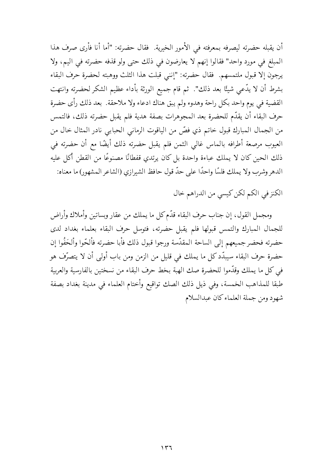أن يقبله حضرته ليصرفه بمعرفته في الأمور الخيرية. فقال حضرته: "أما أنا فأرى صرف هذا المبلغ في مورد واحد" فقالوا إنهم لا يعارضون في ذلك حتى ولو قذفه حضرته في اليم، ولا يرجون إلا قبول ملتمسهم. فقال حضرته: "إنني قبلت هذا الثلث ووهبته لحضرة حرف البقاء بشرط أن لا يدَّعي شيئًا بعد ذلك". ثم قام جميع الورثة بأداء عظيم الشكر لحضرته وانتهت القضية في يوم واحد بكل راحة وهدوء ولم يبق هناك ادعاء ولا ملاحقة. بعد ذلك رأى حضرة حرف البقاء أن يقدّم للحضرة بعد المجوهرات بصفة هدية فلم يقبل حضرته ذلك، فالتمس من الجمال المبارك قبول خاتم ذي فصٍّ من الياقوت الرماني الحبابي نادر المثال خال من العيوب مرصعة أطرافه بالماس غالبي الثمن فلم يقبل حضرته ذلك أيضًا مع أن حضرته في ذلك الحين كان لا يملك عباءة واحدة بل كان يرتدي قفطانًا مصنوعًا من القطن أكل عليه الدهر وشرب ولا يملك فلسًا واحدًا على حدَّ قول حافظ الشيرازي (الشاعر المشهور) ما معناه:

الكنز في الكم لكن كيسي من الدراهم خال

ومجمل القول، إن جناب حرف البقاء قدَّم كلِّ ما يملك من عقار وبساتين وأملاك وأراض للجمال المبارك والتمس قبولها فلم يقبل حضرته، فتوسل حرف البقاء بعلماء بغداد لدى حضرته فحضر جميعهم إلىي الساحة المقدّسة ورجوا قبول ذلك فأبا حضرته فألحّوا وألحَفُوا إن حضرة حرف البقاء سيبدّد كل ما يملك في قليل من الزمن ومن باب أولى أن لا يتصرّف هو في كل ما يملك وقدَّموا للحضرة صك الهبة بخط حرف البقاء من نسختين بالفارسية والعربية طبقا للمذاهب الخمسة، وفي ذيل ذلك الصك تواقيع وأختام العلماء في مدينة بغداد بصفة شهود ومن جملة العلماء كان عبدالسلام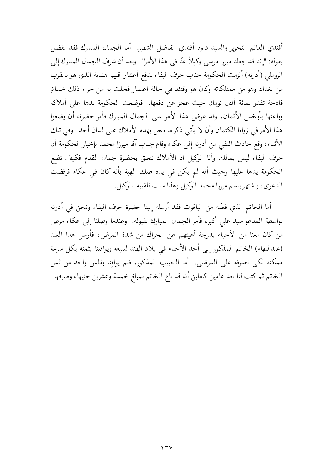أفندى العالم النحرير والسيد داود أفندي الفاضل الشهير. أما الجمال المبارك فقد تفضل بقوله: "إننا قد جعلنا ميرزا موسى وكيلاً عنّا في هذا الأمر". وبعد أن شرف الجمال المبارك إلى الروملي (أدرنه) ألزمت الحكومة جناب حرف البقاء بدفع أعشار إقليم هندية الذي هو بالقرب من بغداد وهو من ممتلكاته وكان هو وقتئذ في حالة إعصار فحلت به من جراء ذلك خسائر فادحة تقدر بمائة ألف تومان حيث عجز عن دفعها. فوضعت الحكومة يدها على أملاكه وباعتها بأبخس الأثمان، وقد عرض هذا الأمر على الجمال المبارك فأمر حضرته أن يضعوا هذا الأمر في زوايا الكتمان وأن لا يأتي ذكر ما يحل بهذه الأملاك على لسان أحد. ۖ وفي تلك الأثناء، وقع حادث النفي من أدرنه إلى عكاء وقام جناب آقا ميرزا محمد بإخبار الحكومة أن حرف البقاء ليس بمالك وأنا الوكيل إذ الأملاك تتعلق بحضرة جمال القدم فكيف تضع الحكومة يدها عليها وحيث أنه لم يكن في يده صك الهبة بأنه كان في عكاء فرفضت الدعوى، واشتهر باسم ميرزا محمد الوكيل وهذا سبب تلقيبه بالوكيل.

أما الخاتم الذي فصّه من الياقوت فقد أرسله إلينا حضرة حرف البقاء ونحن في أدرنه بواسطة المدعو سيد على أكبر، فأمر الجمال المبارك بقبوله. وعندما وصلنا إلى عكاء مرض من كان معنا من الأحباء بدرجة أعيتهم عن الحراك من شدة المرض، فأرسل هذا العبد (عبدالبهاء) الخاتم المذكور إلى أحد الأحباء في بلاد الهند ليبيعه ويوافينا بثمنه بكل سرعة ممكنة لكي نصرفه على المرضى. أما الحبيب المذكور، فلم يوافِنا بفلس واحد من ثمن الخاتم ثم كتب لنا بعد عامين كاملين أنه قد باع الخاتم بمبلغ خمسة وعشرين جنيها، وصرفها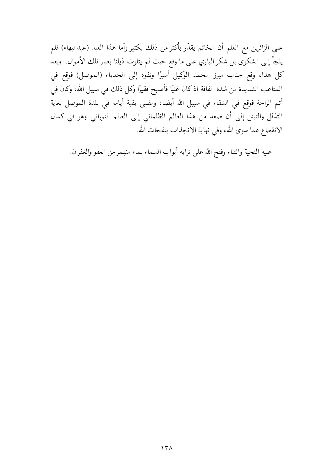على الزائرين مع العلم أن الخاتم يقدّر بأكثر من ذلك بكثير وأما هذا العبد (عبدالبهاء) فلم يلجأ إلى الشكوى بل شكر الباري على ما وقع حيث لم يتلوث ذيلنا بغبار تلك الأموال. وبعد كل هذا، وقع جناب ميرزا محمد الوكيل أسيرًا ونفوه إلى الحدباء (الموصل) فوقع في المتاعب الشديدة من شدة الفاقة إذكان غنيًا فأصبح فقيرًا وكل ذلك في سبيل الله، وكان في أتم الراحة فوقع في الشقاء في سبيل الله أيضا، ومضى بقية أيامه في بلدة الموصل بغاية التذلل والتبتل إلى أن صعد من هذا العالم الظلماني إلى العالم النوراني وهو في كمال الانقطاع عما سوى الله، وفي نهاية الانجذاب بنفحات الله.

عليه التحية والثناء وفتح الله على ترابه أبواب السماء بماء منهمر من العفو والغفران.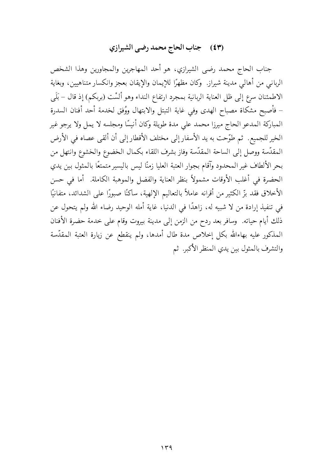### (٤٣) جناب الحاج محمد رضي الشيرازي

جناب الحاج محمد رضي الشيرازي، هو أحد المهاجرين والمجاورين وهذا الشخص الرباني من أهالي مدينة شيراز. ۖ وكان مظهرًا للإيمان والإيقان بعجز وانكسار متناهيين، وبغاية الاطمئنان سرع إلى ظل العناية الربانية بمجرد ارتفاع النداء وهو ألسْت (بربكم) إذ قال – بَلَى – فأصبح مشكاة مصباح الهدى وفي غاية التبتل والابتهال ووُفق لخدمة أحد أفنان السدرة المباركة المدعو الحاج ميرزا محمد على مدة طويلة وكان أنيسًا ومجلسه لا يمل ولا يرجو غير الخير للجميع. ثم طوّحت به يد الأسفار إلى مختلف الأقطار إلى أن ألقى عصاه في الأرض المقدّسة ووصل إلى الساحة المقدّسة وفاز بشرف اللقاء بكمال الخضوع والخشوع وانتهل من بحر الألطاف غير المحدود وآقام بجوار العتبة العليا زمنًا ليس باليسير متمتعًا بالمثول بين يدي الحضرة في أغلب الأوقات مشمولاً بنظر العناية والفضل والموهبة الكاملة. أما في حسن الأخلاق فقد بزِّ الكثير من أقرانه عاملاً بالتعاليم الإلهية، ساكنًا صبورًا على الشدائد، متفانيًا في تنفيذ إرادة من لا شبيه له، زاهدًا في الدنيا، غاية أمله الوحيد رضاء الله ولم يتحول عن ذلك أيام حياته. وسافر بعد ردح من الزمن إلى مدينة بيروت وقام على خدمة حضرة الأفنان المذكور عليه بهاءالله بكل إخلاص مدة طال أمدها، ولم ينقطع عن زيارة العتبة المقدّسة والتشرف بالمثول بين يدي المنظر الأكبر ثم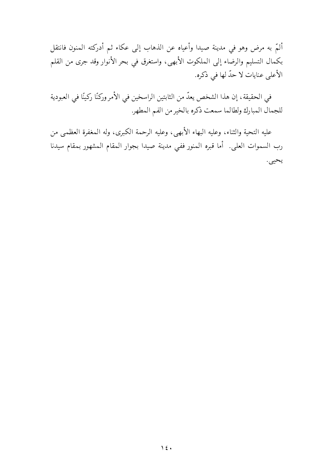ألمَّ به مرضٍ وهو في مدينة صيدا وأعياه عن الذهاب إلى عكاء ثم أدركته المنون فانتقل بكمال التسليم والرضاء إلى الملكوت الأبهي، واستغرق في بحر الأنوار وقد جرى من القلم الأعلى عنايات لا حدّ لها في ذكره.

في الحقيقة، إن هذا الشخص يعدّ من الثابتين الراسخين في الأمر وركنًا ركينًا في العبودية للجمال المبارك ولطالما سمعت ذكره بالخير من الفم المطهر

عليه التحية والثناء، وعليه البهاء الأبهي، وعليه الرحمة الكبرى، وله المغفرة العظمى من رب السموات العلي. أما قبره المنور ففي مدينة صيدا بجوار المقام المشهور بمقام سيدنا يحيى.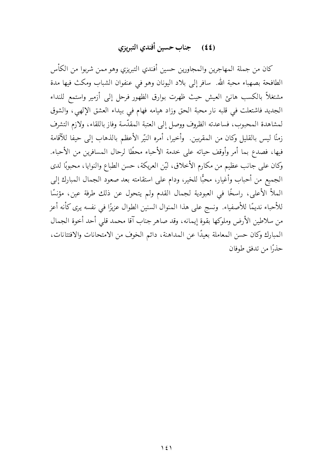### (٤٤) جناب حسبن أفندي التبريزي

كان من جملة المهاجرين والمجاورين حسين أفندي التبريزي وهو ممن شربوا من الكأس الطافحة بصهباء محبة الله. سافر إلى بلاد اليونان وهو في عنفوان الشباب ومكث فيها مدة مشتغلاً بالكسب هانئ العيش حيث ظهرت بوارق الظهور فرحل إلى أزمير واستمع للنداء الجديد فاشتعلت في قلبه نار محبة الحق وزاد هيامه فهام في بيداء العشق الإلهي، والشوق لمشاهدة المحبوب، فساعدته الظروف ووصل إلى العتبة المقدّسة وفاز باللقاء، ولازم التشرف زمنًا ليس بالقليل وكان من المقربين. ۖ وأخيرا، أمره النيّر الأعظم بالذهاب إلى حيفا للآقامة فيها، فصدع بما أمر وأوقف حياته على خدمة الأحباء محطًا لرحال المسافرين من الأحباء. وكان على جانب عظيم من مكارم الأخلاق، ليّن العريكة، حسن الطباع والنوايا، محبوبًا لدى الجميع من أحباب وأغيار، محبًّا للخير، ودام على استقامته بعد صعود الجمال المبارك إلى الملأ الأعلى، راسخًا في العبودية لجمال القدم ولم يتحول عن ذلك طرفة عين، مؤنسًا للأحباء نديمًا للأصفياء. ونسج على هذا المنوال السنين الطوال عزيزًا في نفسه يرى كأنه أعز من سلاطين الأرض وملوكها بقوة إيمانه، وقد صاهر جناب آقا محمد قلبي أحد أخوة الجمال المبارك وكان حسن المعاملة بعيدًا عن المداهنة، دائم الخوف من الامتحانات والافتتانات، حذدًا من تدفق طوفان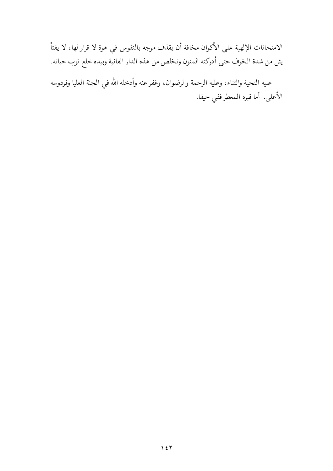الامتحانات الإلهية على الأكوان مخافة أن يقذف موجه بالنفوس في هوة لا قرار لها، لا يفتأ يئن من شدة الخوف حتى أدركته المنون وتخلص من هذه الدار الفانية وبيده خلع ثوب حياته.

عليه التحية والثناء، وعليه الرحمة والرضوان، وغفر عنه وأدخله الله في الجنة العليا وفردوسه الأعلى. أما قبره المعطر ففي حيفا.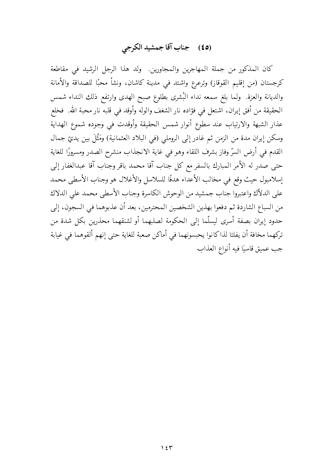## (٤٥) جناب آقا جمشيد الكرجي

كان المذكور من جملة المهاجرين والمجاورين. ولد هذا الرجل الرشيد في مقاطعة كرجستان (من إقليم القوقاز) وترعرع واشتد في مدينة كاشان، ونشأ محبًا للصداقة والأمانة والديانة والعزة. ولما بلغ سمعه نداء البُشرى بطلوع صبح الهدى وارتفع ذلك النداء شمس الحقيقة من أفق إيران، اشتعل في فؤاده نار الشغف والوله وأوقد في قلبه نار محبة الله. فخلع عذار الشبهة والارتياب عند سطوع أنوار شمس الحقيقة وأوقدت في وجوده شموع الهداية وسكن إيران مدة من الزمن ثم غادر إلى الروملي (في البلاد العثمانية) ومَثْلَ بين يديّ جمال القدم في أرض السرِّ وفاز بشرف اللقاء وهو في غاية الانجذاب منشرح الصدر ومسرورًا للغاية حتى صدر له الأمر المبارك بالسفر مع كل جناب آقا محمد باقر وجناب آقا عبدالغفار إلى إسلامبول حيث وقع في مخالب الأعداء هدفًا للسلاسل والأغلال هو وجناب الأسطى محمد على الدلاّك واعتبروا جناب جمشيد من الوحوش الكاسرة وجناب الأسطى محمد على الدلاك من السباع الشاردة ثم دفعوا بهذين الشخصين المحترمين، بعد أن عذبوهما في السجون، إلى حدود إيران بصفة أسرى ليسلّما إلى الحكومة لصلبهما أو لشنقهما محذرين بكل شدة من تركهما مخافة أن يفلتا لذاكانوا يحبسونهما في أماكن صعبة للغاية حتى إنهم ألقوهما في غيابة جب عميق قاسيًا فيه أنواع العذاب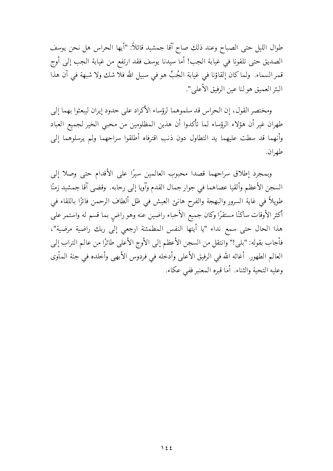طوال الليل حتى الصباح وعند ذلك صاح آقا جمشيد قائلاً: "أيها الحراس هل نحن يوسف الصديق حتى تلقونا في غيابة الجب! أما سيدنا يوسف فقد ارتفع من غيابة الجب إلى أوج قمر السماء. ۖ ولما كان إلقاؤنا في غيابة الجُبِّ هو في سبيل الله فلا شك ولا شبهة في أن هذا البئر العميق هو لنا عين الرفيق الأعلى".

ومختصر القول، إن الحراس قد سلموهما لرؤساء الأكراد على حدود إيران ليبعثوا بهما إلى طهران غير أن هؤلاء الرؤساء لما تأكدوا أن هذين المظلومين من محبى الخير لجميع العباد وأنهما قد سطت عليهما يد التطاول دون ذنب اقترفاه أطلقوا سراحهما ولم يرسلوهما إلى طهران.

وبمجرد إطلاق سراحهما قصدا محبوب العالمين سيرًا على الأقدام حتى وصلا إلى السجن الأعظم وألقيا عصاهما في جوار جمال القدم وآويا إلى رحابه. وقضى آقا جمشيد زمنًا طويلاً في غاية السرور والبهجة والفرح هانئ العيش في ظل ألطاف الرحمن فائزًا باللقاء في أكثر الأوقات ساكنًا مستقرًا وكان جميع الأحباء راضين عنه وهو راضٍ بما قسم له واستمر على هذا الحال حتى سمع نداء "يا أيتها النفس المطمئنة ارجعي إلى ربك راضية مرضية"، فأجاب بقوله: "بلي!" وانتقل من السجن الأعظم إلى الأوج الأعلى طائرًا من عالم التراب إلى العالم الطهور. أغاثه الله في الرفيق الأعلى وأدخله في فردوس الأبهى وأخلده في جنة المأوى وعليه التحية والثناء. أما قبره المعنبر ففي عكاء.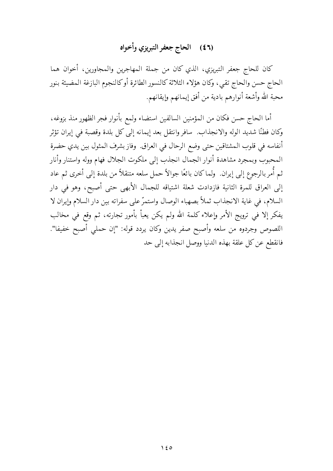## (٤٦) الحاج جعفر التبريزي وأخواه

كان للحاج جعفر التبريزي، الذي كان من جملة المهاجرين والمجاورين، أخوان هما الحاج حسن والحاج تقيي وكان هؤلاء الثلاثة كالنسور الطائرة أوكالنجوم البازغة المضيئة بنور محبة الله وأشعة أنوارهم بادية من أفق إيمانهم وإيقانهم.

أما الحاج حسن فكان من المؤمنين السالفين استضاء ولمع بأنوار فجر الظهور منذ بزوغه، وكان فطنًا شديد الوله والانجذاب. سافر وانتقل بعد إيمانه إلى كل بلدة وقصبة في إيران تؤثر أنفاسه في قلوب المشتاقين حتى وضع الرحال في العراق. وفاز بشرف المثول بين يدي حضرة المحبوب وبمجرد مشاهدة أنوار الجمال انجذب إلى ملكوت الجلال فهام ووله واستنار وأنار ثم أُمر بالرجوع إلى إيران. ۖ ولما كان بائعًا جوالاً حمل سلعه متنقلاً من بلدة إلى أخرى ثم عاد إلى العراق للمرة الثانية فازدادت شعلة اشتياقه للجمال الأبهى حتى أصبح، وهو في دار السلام، في غاية الانجذاب ثملاً بصهباء الوصال واستمرَّ على سفراته بين دار السلام وإيران لا يفكر إلا في ترويج الأمر وإعلاء كلمة الله ولم يكن يعبأ بأمور تجارته، ثم وقع في مخالب اللصوص وجردوه من سلعه وأصبح صفر يدين وكان يردد قوله: "إن حملي أصبح خفيفا". فانقطع عن كل علقة بهذه الدنيا ووصل انجذابه إلى حد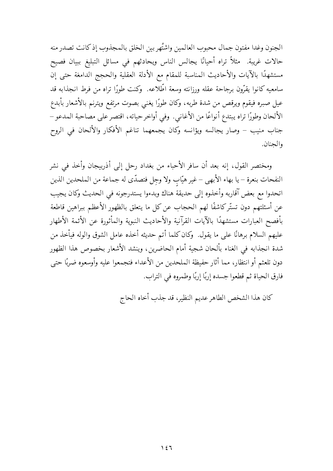الجنون وغدا مفتون جمال محبوب العالمين واشتُهر بين الخلق بالمجذوب إذكانت تصدر منه حالات غريبة. مثلاً تراه أحيانًا يجالس الناس ويحادثهم في مسائل التبليغ ببيان فصيح مستشهدًا بالآيات والأحاديث المناسبة للمقام مع الأدلة العقلية والحجج الدامغة حتى إن سامعيه كانوا يقرّون برجاحة عقله ورزانته وسعة اطّلاعه. ۖ وكنت طورًا تراه من فرط انجذابه قد عيل صبره فيقوم ويرقص من شدة طربه، وكان طورًا يغني بصوت مرتفع ويترنم بالأشعار بأبدع الألحان وطورًا تراه يبتدع أنواعًا من الأغاني. وفي أواخر حياته، اقتصر على مصاحبة المدعو – جناب منيب – وصار يجالسه ويؤانسه وكان يجمعهما تناغم الأفكار والألحان في الروح والحنان

ومختصر القول، إنه بعد أن سافر الأحباء من بغداد رحل إلى أذربيجان وأخذ في نشر النفحات بنعرة – يا بهاء الأبهى – غير هيّاب ولا وجل فتصدّى له جماعة من الملحدين الذين اتحدوا مع بعض آقاربه وأخذوه إلى حديقة هناك وبدءوا يستدرجونه في الحديث وكان يجيب عن أسئلتهم دون تستَّر كاشفًا لهم الحجاب عن كل ما يتعلق بالظهور الأعظم ببراهين قاطعة بأفصح العبارات مستشهدًا بالآيات القرآنية والأحاديث النبوية والمأثورة عن الأئمة الأطهار عليهم السلام برهانًا على ما يقول. ۖ وكان كلما أتم حديثه أخذه عامل الشوق والوله فيأخذ من شدة انجذابه في الغناء بألحان شجية أمام الحاضرين، وينشد الأشعار بخصوص هذا الظهور دون تلعثم أو انتظار، مما أثار حفيظة الملحدين من الأعداء فتجمعوا عليه وأوسعوه ضربًا حتى فارق الحياة ثم قطعوا جسده إربًا إربًا وطمروه في التراب.

كان هذا الشخص الطاهر عديم النظير، قد جذب أخاه الحاج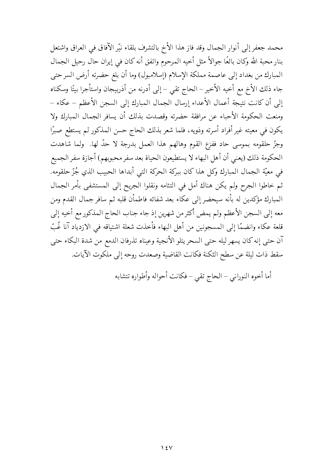محمد جعفر إلى أنوار الجمال وقد فاز هذا الأخ بالتشرف بلقاء نيّر الآفاق في العراق واشتعل بنار محبة الله وكان بائعًا جوالاً مثل أخيه المرحوم واتفق أنه كان في إيران حال رحيل الجمال المبارك من بغداد إلى عاصمة مملكة الإسلام (إسلامبول) وما أن بلغ حضرته أرض السرحتى جاء ذلك الأخ مع أخيه الأخير – الحاج تقي – إلى أدرنه من أذربيجان واستأجرا بيتًا وسكناه إلى أن كانت نتيجة أعمال الأعداء إرسال الجمال المبارك إلى السجن الأعظم – عكاء – ومنعت الحكومة الأحباء عن مرافقة حضرته وقصدت بذلك أن يسافر الجمال المبارك ولا يكون في معيته غير أفراد أسرته وذويه، فلما شعر بذلك الحاج حسن المذكور لم يستطع صبرًا وجزِّ حلقومه بموسى حاد ففزع القوم وهالهم هذا العمل بدرجة لا حدَّ لها. ۖ ولما شاهدت الحكومة ذلك (يعني أن أهل البهاء لا يستطيعون الحياة بعد سفر محبوبهم) أجازة سفر الجميع في معيّة الجمال المبارك وكل هذا كان ببركة الحركة التي أبداها الحبيب الذي جُزّ حلقومه. ثم خاطوا الجرح ولم يكن هناك أمل في التئامه ونقلوا الجريح إلى المستشفى بأمر الجمال المبارك مؤكدين له بأنه سيحضر إلى عكاء بعد شفائه فاطمأن قلبه ثم سافر جمال القدم ومن معه إلى السجن الأعظم ولم يمض أكثر من شهرين إذ جاء جناب الحاج المذكور مع أخيه إلى قلعة عكاء وانضمّا إلى المسجونين من أهل البهاء فأخذت شعلة اشتياقه في الازدياد آنا غُبّ آن حتى إنه كان يسهر ليله حتى السحر يتلو الأنجية وعيناه تذرفان الدمع من شدة البكاء حتى سقط ذات ليلة عن سطح الثكنة فكانت القاضية وصعدت روحه إلى ملكوت الآيات.

أما أخوه النوراني – الحاج تقي – فكانت أحواله وأطواره تتشابه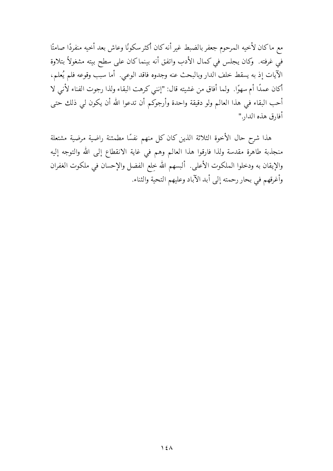مع ماكان لأخيه المرحوم جعفر بالضبط غير أنه كان أكثر سكونًا وعاش بعد أخيه منفردًا صامتًا في غرفته. وكان يجلس في كمال الأدب واتفق أنه بينما كان على سطح بيته مشغولاً بتلاوة الآيات إذ به يسقط خلف الدار وبالبحث عنه وجدوه فاقد الوعبي. أما سبب وقوعه فلم يُعلم، أكان عمدًا أم سهوًا. ۖ ولما أفاق من غشيته قال: "إنني كرهت البقاء ولذا رجوت الفناء لأنبي لا أحب البقاء في هذا العالم ولو دقيقة واحدة وأرجوكم أن تدعوا الله أن يكون لي ذلك حتى أفارق هذه الدار."

هذا شرح حال الأخوة الثلاثة الذين كان كل منهم نفسًا مطمئنة راضية مرضية مشتعلة منجذبة طاهرة مقدسة ولذا فارقوا هذا العالم وهم في غاية الانقطاع إلى الله والتوجه إليه والإيقان به ودخلوا الملكوت الأعلى. ألبسهم الله خِلع الفضل والإحسان في ملكوت الغفران وأغرقهم في بحار رحمته إلى أبد الآباد وعليهم التحية والثناء.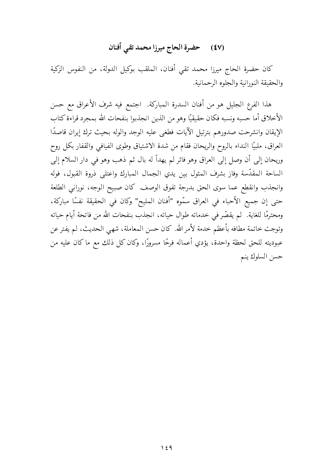## (٤٧) حضرة الحاج ميرزا محمد تقي أفنان

كان حضرة الحاج ميرزا محمد تقى أفنان، الملقب بوكيل الدولة، من النفوس الزكية والحقيقة النورانية والجلوه الرحمانية.

هذا الفرع الجليل هو من أفنان السدرة المباركة. اجتمع فيه شرف الأعراق مع حسن الأخلاق أما حسبه ونسبه فكان حقيقيًا وهو من الذين انجذبوا بنفحات الله بمجرد قراءة كتاب الإيقان وانشرحت صدورهم بترتيل الآيات فطغى عليه الوجد والوله بحيث ترك إيران قاصدًا العراق، ملبيًا النداء بالروح والريحان فقام من شدة الاشتياق وطوى الفيافي والقفار بكل روح وريحان إلى أن وصل إلى العراق وهو فائر لم يهدأ له بال ثم ذهب وهو في دار السلام إلى الساحة المقدَّسة وفاز بشرف المثول بين يدي الجمال المبارك واعتلى ذروة القبول، فوله وانجذب وانقطع عما سوى الحق بدرجة تفوق الوصف. كان صبيح الوجه، نوراني الطلعة حتى إن جميع الأحباء في العراق سمّوه "أفنان المليح" وكان في الحقيقة نفسًا مباركة، ومحترمًا للغاية. لم يقصّر في خدماته طوال حياته، انجذب بنفحات الله من فاتحة أيام حياته وتوجت خاتمة مطافه بأعظم خدمة لأمر الله. كان حسن المعاملة، شهى الحديث، لم يفتر عن عبوديته للحق لحظة واحدة، يؤدي أعماله فرحًا مسرورًا، وكان كل ذلك مع ما كان عليه من حسن السلوك ينم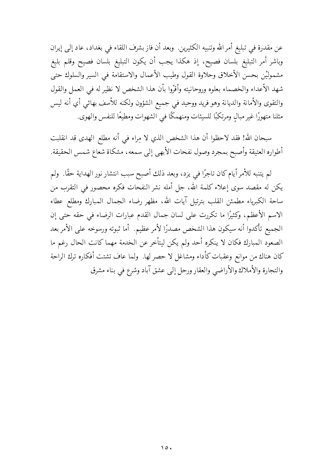عن مقدرة في تبليغ أمر الله وتنبيه الكثيرين. ۖ وبعد أن فاز بشرف اللقاء في بغداد، عاد إلى إيران وباشر أمر التبليغ بلسان فصيح، إذ هكذا يجب أن يكون التبليغ بلسان فصيح وقلم بليغ مشموليْن بحسن الأخلاق وحلاوة القول وطيب الأعمال والاستقامة في السير والسلوك حتى شهد الأعداء والخصماء بعلوه وروحانيته وأقرّوا بأن هذا الشخص لا نظير له في العمل والقول والتقوى والأمانة والديانة وهو فريد ووحيد في جميع الشؤون ولكنه للأسف بهائي أي أنه ليس مثلنا متهورًا غير مبالٍ ومرتكبًا للسيئات ومنهمكًا في الشهوات ومطيعًا للنفس والهوى.

سبحان الله! فقد لاحظوا أن هذا الشخص الذي لا مِراء في أنه مطلع الهدى قد انقلبت أطواره العتيقة وأصبح بمجرد وصول نفحات الأبهى إلى سمعه، مشكاة شعاع شمس الحقيقة.

لم يتنبه للأمر أيام كان تاجرًا في يزد، وبعد ذلك أصبح سبب انتشار نور الهداية حقًا. ۖ ولم يكن له مقصد سوى إعلاء كلمة الله، جل أمله نشر النفحات فكره محصور في التقرب من ساحة الكبرياء مطمئن القلب بترتيل آيات الله، مظهر رضاء الجمال المبارك ومطلع عطاء الاسم الأعظم، وكثيرًا ما تكررت على لسان جمال القدم عبارات الرضاء في حقه حتى إن الجميع تأكدوا أنه سيكون هذا الشخص مصدرًا لأمر عظيم. أما ثبوته ورسوخه على الأمر بعد الصعود المبارك فكان لا ينكره أحد ولم يكن ليتأخر عن الخدمة مهما كانت الحال رغم ما كان هناك من موانع وعقبات كأداء ومشاغل لا حصر لها. ولما عاف تشتت أفكاره ترك الراحة والتجارة والأملاك والأراضي والعقار ورحل إلى عشق آباد وشرع في بناء مشرق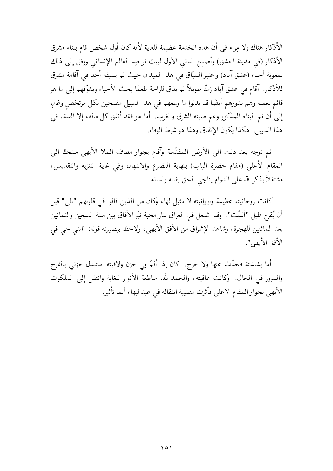الأذكار هناك ولا مراء في أن هذه الخدمة عظيمة للغاية لأنه كان أول شخص قام ببناء مشرق الأذكار (في مدينة العشق) وأصبح الباني الأول لبيت توحيد العالم الإنساني ووفق إلى ذلك بمعونة أحباء (عشق آباد) واعتبر السبّاق في هذا الميدان حيث لم يسبقه أحد في آقامة مشرق للأذكار. آقام في عشق آباد زمنًا طويلاً لم يذق للراحة طعمًا يحث الأحباء ويشوّقهم إلى ما هو قائم بعمله وهم بدورهم أيضًا قد بذلوا ما وسعهم في هذا السبيل مضحين بكل مرتخص وغالٍ إلى أن تم البناء المذكور وعم صيته الشرق والغرب. أما هو فقد أنفق كل ماله، إلا القلة، في هذا السبيل. هكذا يكون الإنفاق وهذا هو شرط الوفاء.

ثم توجه بعد ذلك إلى الأرض المقدَّسة وآقام بجوار مطاف الملأ الأبهى ملتجئًا إلى المقام الأعلى (مقام حضرة الباب) بنهاية التضرع والابتهال وفي غاية التنزيه والتقديس، مشتغلاً بذكر الله على الدوام يناجى الحق بقلبه ولسانه.

كانت روحانيته عظيمة ونورانيته لا مثيل لها، وكان من الذين قالوا في قلوبهم "بلي" قبل أن يُقرع طبل "ألسْت". وقد اشتعل في العراق بنار محبة نيّر الآفاق بين سنة السبعين والثمانين بعد المائتين للهجرة، وشاهد الإشراق من الأفق الأبهي، ولاحظ ببصيرته قوله: "إنني حي في الأفق الأبهي".

أما بشاشتة فحدَّث عنها ولا حرج. كان إذا ألمَّ بي حزن ولاقيته استبدل حزنبي بالفرح والسرور في الحال. وكانت عاقبته، والحمد لله، ساطعة الأنوار للغاية وانتقل إلى الملكوت الأبهي بجوار المقام الأعلى فأثرت مصيبة انتقاله في عبدالبهاء أيما تأثير.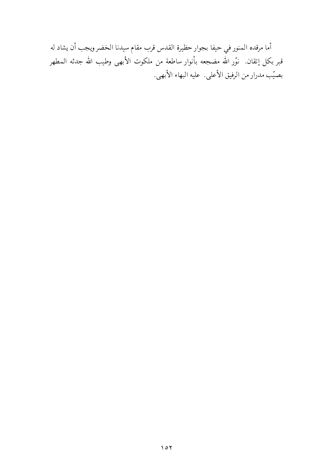أما مرقده المنور في حيفا بجوار حظيرة القدس قرب مقام سيدنا الخضر ويجب أن يشاد له قبر بكل إتقان. نوّر الله مضجعه بأنوار ساطعة من ملكوت الأبهى وطيب الله جدثه المطهر بصيّب مدرار من الرفيق الأعلى. عليه البهاء الأبهي.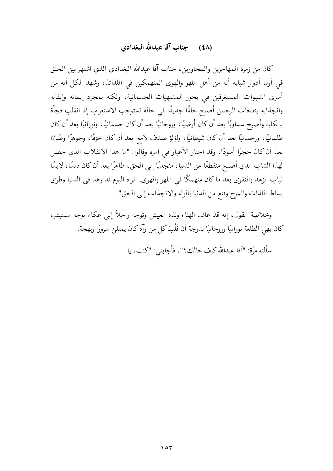### (٤٨) حيناب آقا عبدالله البغدادي

كان من زمرة المهاجرين والمجاورين، جناب آقا عبدالله البغدادي الذي اشتهر بين الخلق في أول أدوار شبابه أنه من أهل اللهو والهوى المنهمكين في اللذائذ، وشهد الكل أنه من أسري الشهوات المستغرقين في بحور المشتهيات الجسمانية، ولكنه بمجرد إيمانه وإيقانه وانجذابه بنفحات الرحمن أصبح خلقًا جديدًا في حالة تستوجب الاستغراب إذ انقلب فجأة بالكلية وأصبح سماويًا بعد أن كان أرضيًا، وروحانيًا بعد أن كان جسمانيًا، ونورانيًا بعد أن كان ظلمانيًا، ورحمانيًا بعد أن كان شيطانيًا، ولؤلؤ صدف لامع بعد أن كان خزفًا، وجوهرًا وضّاءًا بعد أن كان حجرًا أسودًا، وقد احتار الأغيار في أمره وقالوا: "ما هذا الانقلاب الذي حصل لهذا الشاب الذي أصبح منقطعًا عن الدنيا، منجذبًا إلى الحق، طاهرًا بعد أن كان دنسًا، لابسًا ثياب الزهد والتقوى بعد ماكان منهمكًا في اللهو والهوى. نراه اليوم قد زهد في الدنيا وطوى بساط اللذات والمرح وقنع من الدنيا بالوله والانجذاب إلى الحق".

وخلاصة القول، إنه قد عاف الهناء ولذة العيش وتوجه راجلاً إلى عكاء بوجه مستبشر، كان بهي الطلعة نورانيًا وروحانيًا بدرجة أن قُلْبَ كل من رآه كان يمتلئ سرورًا وبهجة.

سألته مرَّة: "آقا عبدالله كيف حالك؟"، فأجابني: "كنت، يا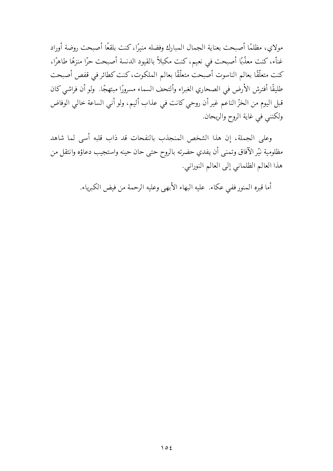مولاي، مظلمًا أصبحت بعناية الجمال المبارك وفضله منيرًا، كنت بلقعًا أصبحت روضة أوراد غناّء، كنت معذّبًا أصبحت في نعيم، كنت مكبلاً بالقيود الدنسة أصبحت حرًا منزهًا طاهرًا، كنت متعلَّقًا بعالم الناسوت أصبحت متعلَّقًا بعالم الملكوت، كنت كطائر في قفص أصبحت طليقًا أفترش الأرض في الصحاري الغبراء وألتحف السماء مسرورًا مبتهجًا. ولو أن فراشي كان قبل اليوم من الخزِّ الناعم غير أن روحي كانت في عذاب أليم، ولو أنبي الساعة خالبي الوفاض ولكنني في غاية الروح والريحان.

وعلى الجملة، إن هذا الشخص المنجذب بالنفحات قد ذاب قلبه أسى لما شاهد مظلومية نيّر الآفاق وتمنى أن يفدي حضرته بالروح حتى حان حينه واستجيب دعاؤه وانتقل من هذا العالم الظلماني إلى العالم النوراني.

أما قبره المنور ففي عكاء. عليه البهاء الأبهى وعليه الرحمة من فيض الكبرياء.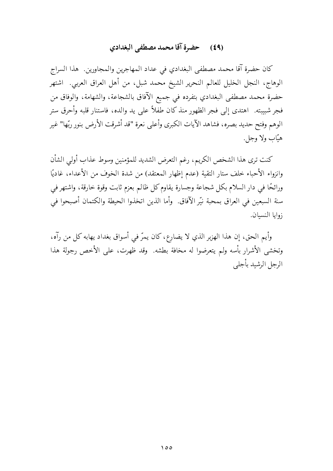#### حضرة آقا محمد مصطفى البغدادي  $(59)$

كان حضرة آقا محمد مصطفى البغدادي في عداد المهاجرين والمجاورين. هذا السراج الوهاج، النجل الخليل للعالم النحرير الشيخ محمد شبل، من أهل العراق العربي. اشتهر حضرة محمد مصطفى البغدادي بتفرده في جميع الآفاق بالشجاعة، والشهامة، والوفاق من فجر شبيبته. اهتدى إلى فجر الظهور منذ كان طفلاً على يد والده، فاستنار قلبه وأحرق ستر الوهم وفتح حديد بصره، فشاهد الآيات الكبرى وأعلى نعرة "قد أشرقت الأرض بنور ربّها" غير هبّاب ولا وجلّ.

كنت ترى هذا الشخص الكريم، رغم التعرض الشديد للمؤمنين وسوط عذاب أولى الشأن وانزواء الأحباء خلف ستار التقية (عدم إظهار المعتقد) من شدة الخوف من الأعداء، غاديًا ورائحًا في دار السلام بكل شجاعة وجسارة يقاوم كل ظالم بعزم ثابت وقوة خارقة، واشتهر في سنة السبعين في العراق بمحبة نيّر الآفاق. ۖ وأما الذين اتخذوا الحيطة والكتمان أصبحوا في زوايا النسبان.

وأيم الحق، إن هذا الهزبر الذي لا يضارع، كان يمرَّ في أسواق بغداد يهابه كل من رآه، وتخشى الأشرار بأسه ولم يتعرضوا له مخافة بطشه. وقد ظهرت، على الأخص رجولة هذا الرجل الرشيد بأجليي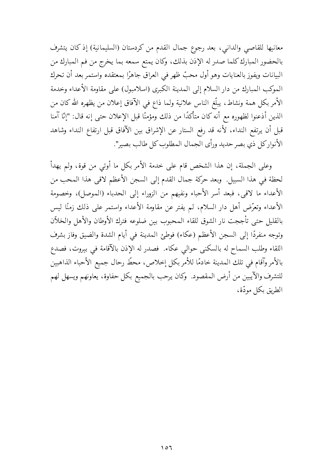معانيها للقاصي والداني، بعد رجوع جمال القدم من كردستان (السليمانية) إذ كان يتشرف بالحضور المبارك كلما صدر له الإذن بذلك، وكان يمتع سمعه بما يخرج من فم المبارك من البيانات ويفوز بالعنايات وهو أول محبّ ظهر في العراق جاهرًا بمعتقده واستمر بعد أن تحرك الموكب المبارك من دار السلام إلى المدينة الكبرى (اسلامبول) على مقاومة الأعداء وخدمة الأمر بكل همة ونشاط، يبلّغ الناس علانية ولما ذاع في الآفاق إعلان من يظهره الله كان من الذين أذعنوا لظهوره مع أنه كان متأكدًا من ذلك ومؤمنًا قبل الإعلان حتى إنه قال: "إنَّا آمنا قبل أن يرتفع النداء، لأنه قد رفع الستار عن الإشراق بين الآفاق قبل ارتفاع النداء وشاهد الأنواركل ذي بصرحديد ورأى الجمال المطلوب كل طالب بصير".

وعلى الجملة، إن هذا الشخص قام على خدمة الأمر بكل ما أوتى من قوة، ولم يهدأ لحظة في هذا السبيل. وبعد حركة جمال القدم إلى السجن الأعظم لاقي هذا المحب من الأعداء ما لاقي، فبعد أسر الأحباء ونفيهم من الزوراء إلى الحدباء (الموصل)، وخصومة الأعداء وتعرَّض أهل دار السلام، لم يفتر عن مقاومة الأعداء واستمر على ذلك زمنًا ليس بالقليل حتى تأججت نار الشوق للقاء المحبوب بين ضلوعه فترك الأوطان والأهل والخلآن وتوجه منفردًا إلى السجن الأعظم (عكاء) فوطئ المدينة في أيام الشدة والضيق وفاز بشرف اللقاء وطلب السماح له بالسكنى حوالي عكاء. فصدر له الإذن بالآقامة في بيروت، فصدع بالأمر وآقام في تلك المدينة خادمًا للأمر بكل إخلاص، محطّ رحال جميع الأحباء الذاهبين للتشرف والآيبين من أرض المقصود. وكان يرحب بالجميع بكل حفاوة، يعاونهم ويسهل لهم الطريق بكل مودَّة،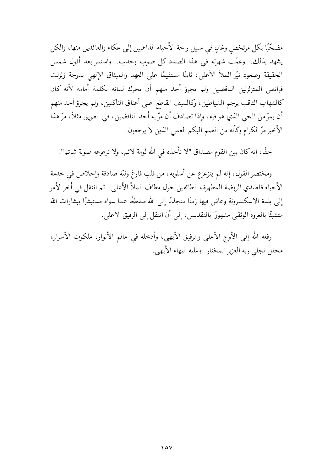مضحّيًا بكل مرتخص وغالٍ في سبيل راحة الأحباء الذاهبين إلى عكاء والعائدين منها، والكل يشهد بذلك. وعمّت شهرته في هذا الصدد كل صوب وحدب. واستمر بعد أفول شمس الحقيقة وصعود نيّر الملأ الأعلى، ثابتًا مستقيمًا على العهد والميثاق الإلهي بدرجة زلزلت فرائص المتزلزلين الناقضين ولم يجرؤ أحد منهم أن يحرك لسانه بكلمة أمامه لأنه كان كالشهاب الثاقب يرجم الشياطين، وكالسيف القاطع على أعناق الناكثين، ولم يجرؤ أحد منهم أن يمرِّ من الحي الذي هو فيه، وإذا تصادف أن مرَّ به أحد الناقضين، في الطريق مثلاً، مرَّ هذا الأخير مرّ الكرام وكأنه من الصم البكم العمي الذين لا يرجعون.

حقًّا، إنه كان بين القوم مصداق "لا تأخذه في الله لومة لائم، ولا تزعزعه صولة شاتم".

ومختصر القول، إنه لم يتزعزع عن أسلوبه، من قلب فارغ ونيّة صادقة وإخلاص في خدمة الأحباء قاصدي الروضة المطهرة، الطائفين حول مطاف الملأ الأعلى. ثم انتقل في أخر الأمر إلى بلدة الاسكندرونة وعاش فيها زمنًا منجذبًا إلى الله منقطعًا عما سواه مستبشرًا ببشارات الله متشبتًا بالعروة الوثقبي مشهورًا بالتقديس، إلى أن انتقل إلى الرفيق الأعلى.

رفعه الله إلى الأوج الأعلى والرفيق الأبهي، وأدخله في عالم الأنوار، ملكوت الأسرار، محفل تجلي ربه العزيز المحتار. وعليه البهاء الأبهي.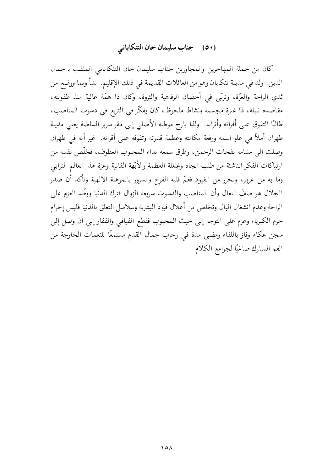## (٥٠) جناب سليمان خان التنكاباني

كان من جملة المهاجرين والمجاورين جناب سليمان خان التنكاباني الملقب بـ جمال الدين. ولد في مدينة تنكابان وهو من العائلات القديمة في ذلك الإقليم. نشأ ونما ورضع من ثدي الراحة والعزَّة، وتربَّى في أحضان الرفاهية والثروة، وكان ذا همَّة عالية منذ طفولته، مقاصده نبيلة، ذا غيرة مجسمة ونشاط ملحوظ، كان يفكّر في التربع في دسوت المناصب، طالبًا التفوق على أقرانه وأترابه. ۖ ولذا بارح موطنه الأصلي إلى مقر سرير السلطنة يعني مدينة طهران أملاً في علو اسمه ورفعة مكانته وعظمة قدرته وتفوقه على أقرانه. غير أنه في طهران وصلت إلى مشامه نفحات الرحمن، وطرق سمعه نداء المحبوب العطوف، فخلَّص نفسه من ارتباكات الفكر الناشئة من طلب الجاه وغلغلة العظمة والأبّهة الفانية وعزة هذا العالم الترابي وما به من غرور، وتحرر من القيود فعمّ قلبه الفرح والسرور بالموهبة الإلهية وتأكد أن صدر الجلال هو صفَّ النعال وأن المناصب والدسوت سريعة الزوال فترك الدنيا ووطَّد العزم على الراحة وعدم انشغال البال وتخلص من أغلال قيود البشرية وسلاسل التعلق بالدنيا فلبس إحرام حرم الكبرياء وعزم على التوجه إلى حيث المحبوب فقطع الفيافي والقفار إلى أن وصل إلى سجن عكاء وفاز باللقاء ومضى مدة في رحاب جمال القدم مستمعًا للنغمات الخارجة من الفم المبارك صاغيًا لجوامع الكلام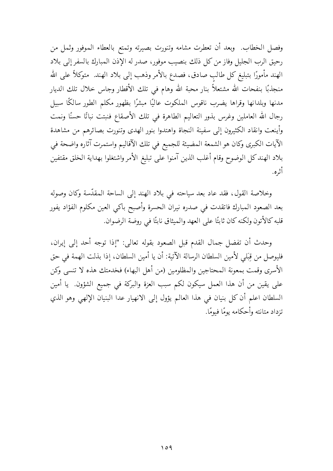وفصل الخطاب. وبعد أن تعطرت مشامه وتنورت بصيرته وتمتع بالعطاء الموفور وثمل من رحيق الرب الجليل وفاز من كل ذلك بنصيب موفور، صدر له الإذن المبارك بالسفر إلى بلاد الهند مأمورًا بتبليغ كل طالب صادق، فصدع بالأمر وذهب إلى بلاد الهند. متوكلاً على الله منجذبًا بنفحات الله مشتعلاً بنار محبة الله وهام في تلك الأقطار وجاس خلال تلك الديار مدنها وبلدانها وقراها يضرب ناقوس الملكوت عاليًا مبشرًا بظهور مكلم الطور سالكًا سبيل رجال الله العاملين وغرس بذور التعاليم الطاهرة في تلك الأصقاع فنبتت نباتًا حسنًا ونمت وأينعت وانقاد الكثيرون إلى سفينة النجاة واهتدوا بنور الهدى وتنورت بصائرهم من مشاهدة الآيات الكبرى وكان هو الشمعة المضيئة للجميع في تلك الآقاليم واستمرت آثاره واضحة في بلاد الهندكل الوضوح وقام أغلب الذين آمنوا على تبليغ الأمر واشتغلوا بهداية الخلق مقتفين أثره.

وخلاصة القول، فقد عاد بعد سياحته في بلاد الهند إلى الساحة المقدّسة وكان وصوله بعد الصعود المبارك فاتقدت في صدره نيران الحسرة وأصبح باكي العين مكلوم الفؤاد يفور قلبه كالأتون ولكنه كان ثابتًا على العهد والميثاق نابتًا في روضة الرضوان.

وحدث أن تفضل جمال القدم قبل الصعود بقوله تعالى: "إذا توجه أحد إلى إيران، فليوصل من قِبَلي لأمين السلطان الرسالة الآتية: أن يا أمين السلطان، إذا بذلت الهمة في حق الأسرى وقمت بمعونة المحتاجين والمظلومين (من أهل البهاء) فخدمتك هذه لا تنسى وكن على يقين من أن هذا العمل سيكون لكم سبب العزة والبركة في جميع الشؤون. يا أمين السلطان اعلم أن كل بنيان في هذا العالم يؤول إلى الانهيار عدا البنيان الإلهي وهو الذي تزداد متانته وأحكامه يومًا فيومًا.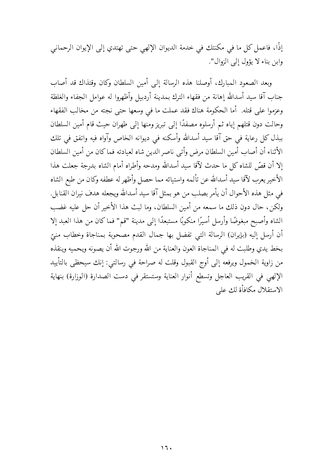إذًا، فاعمل كل ما في مكنتك في خدمة الديوان الإلهي حتى تهتدي إلى الإيوان الرحماني وابن بناء لا يؤول إلى الزوال".

وبعد الصعود المبارك، أوصلنا هذه الرسالة إلى أمين السلطان وكان وقتذاك قد أصاب جناب آقا سيد أسدالله إهانة من فقهاء الترك بمدينة أردبيل وأظهروا له عوامل الجفاء والغلظة وعزموا على قتله. أما الحكومة هناك فقد عملت ما في وسعها حتى نجته من مخالب الفقهاء وحالت دون قتلهم إياه ثم أرسلوه مصفدًا إلى تبريز ومنها إلى طهران حيث قام أمين السلطان ببذل كل رعاية في حق آقا سيد أسدالله وأسكنه في ديوانه الخاص وآواه فيه واتفق في تلك الأثناء أن أصاب أمين السلطان مرض وأتبى ناصر الدين شاه لعيادته فماكان من أمين السلطان إلا أن قصَّ للشاه كل ما حدث لآقا سيد أسدالله ومدحه وأطراه أمام الشاه بدرجة جعلت هذا الأخير يعرب لآقا سيد أسدالله عن تألمه واستيائه مما حصل وأظهر له عطفه وكان من طبع الشاه في مثل هذه الأحوال أن يأمر بصلب من هو بمثل آقا سيد أسدالله ويجعله هدف نيران القنابل. ولكن، حال دون ذلك ما سمعه من أمين السلطان، وما لبث هذا الأخير أن حل عليه غضب الشاه وأصبح مبغوضًا وأرسل أسيرًا منكوبًا مستبعدًا إلى مدينة "قم" فماكان من هذا العبد إلا أن أرسل إليه (بإيران) الرسالة التبي تفضل بها جمال القدم مصحوبة بمناجاة وخطاب منيّ بخط يدي وطلبت له في المناجاة العون والعناية من الله ورجوت الله أن يصونه ويحميه وينقذه من زاوية الخمول ويرفعه إلى أوج القبول وقلت له صراحة في رسالتي: إنك سيحظى بالتأييد الإلهي في القريب العاجل وتسطع أنوار العناية وستستقر في دست الصدارة (الوزارة) بنهاية الاستقلال مكافأة لك على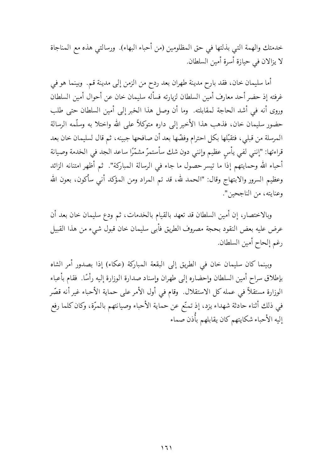خدمتك والهمة التي بذلتها في حق المظلومين (من أحباء البهاء). ورسالتي هذه مع المناجاة لا يزالان في حيازة أسرة أمين السلطان.

أما سليمان خان، فقد بارح مدينة طهران بعد ردح من الزمن إلى مدينة قم. وبينما هو في غرفته إذ حضر أحد معارف أمين السلطان لزيارته فسأله سليمان خان عن أحوال أمين السلطان وروى أنه في أشد الحاجة لمقابلته. وما أن وصل هذا الخبر إلى أمين السلطان حتى طلب حضور سليمان خان، فذهب هذا الأخير إلى داره متوكلاً على الله واختلا به وسلَّمه الرسالة المرسلة من قبليي، فتقبَّلها بكل احترام وفضَّها بعد أن صافحها جبينه، ثم قال لسليمان خان بعد قراءتها: "إنني لفي يأس عظيم وإنني دون شك سأستمرّ مشمَّرًا ساعد الجد في الخدمة وصيانة أحباء الله وحمايتهم إذا ما تيسر حصول ما جاء في الرسالة المباركة". ثم أظهر امتنانه الزائد وعظيم السرور والابتهاج وقال: "الحمد لله، قد تم المراد ومن المؤكد أنبى سأكون، بعون الله وعنايته، من الناجحين".

وبالاختصار، إن أمين السلطان قد تعهد بالقيام بالخدمات، ثم ودع سليمان خان بعد أن عرض عليه بعض النقود بحجة مصروف الطريق فأبى سليمان خان قبول شيء من هذا القبيل رغم إلحاح أمين السلطان.

وبينما كان سليمان خان في الطريق إلى البقعة المباركة (عكاء) إذا بصدور أمر الشاه بإطلاق سراح أمين السلطان وإحضاره إلى طهران وإسناد صدارة الوزارة إليه رأسًا. فقام بأعباء الوزارة مستقلاً في عمله كل الاستقلال. وقام في أول الأمر على حماية الأحباء غير أنه قصّر في ذلك أثناء حادثة شهداء يزد، إذ تمنَّع عن حماية الأحباء وصيانتهم بالمرَّة، وكان كلما رفع إليه الأحباء شكايتهم كان يقابلهم بأذن صماء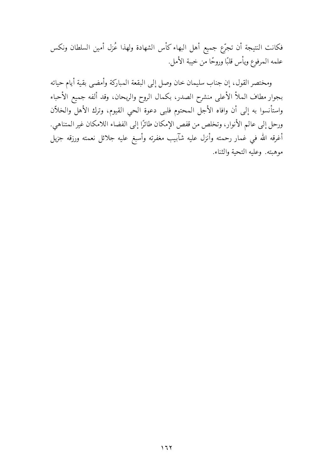فكانت النتيجة أن تجرّع جميع أهل البهاء كأس الشهادة ولهذا عُزل أمين السلطان ونكس علمه المرفوع ويأس قلبًا وروحًا من خيبة الأمل.

ومختصر القول، إن جناب سليمان خان وصل إلى البقعة المباركة وأمضى بقية أيام حياته بجوار مطاف الملأ الأعلى منشرح الصدر، بكمال الروح والريحان، وقد ألفه جميع الأحباء واستأنسوا به إلى أن وافاه الأجل المحتوم فلبي دعوة الحي القيوم، وترك الأهل والخلآن ورحل إلى عالم الأنوار، وتخلص من قفص الإمكان طائرًا إلى الفضاء اللامكان غير المتناهي. أغرقه الله في غمار رحمته وأنزل عليه شآبيب مغفرته وأسبغ عليه جلائل نعمته ورزقه جزيل موهبته. وعليه التحية والثناء.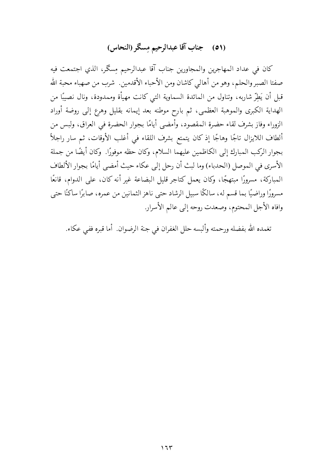# (٥١) جناب آقا عبدالرحيم مِسكَر (النحاس)

كان في عداد المهاجرين والمجاورين جناب آقا عبدالرحيم مِسكر، الذي اجتمعت فيه صفتا الصبر والحلم، وهو من أهالي كاشان ومن الأحباء الأقدمين. شرب من صهباء محبة الله قبل أن يَطِرّ شاربه، وتناول من المائدة السماوية التي كانت مهيأة وممدودة، ونال نصيبًا من الهداية الكبرى والموهبة العظمى، ثم بارح موطنه بعد إيمانه بقليل وهرع إلى روضة أوراد الزوراء وفاز بشرف لقاء حضرة المقصود، وأمضى أيامًا بجوار الحضرة في العراق، ولبس من ألطاف اللايزال تاجًا وهاجًا إذ كان يتمتع بشرف اللقاء في أغلب الأوقات، ثم سار راجلاً بجوار الركب المبارك إلى الكاظمين عليهما السلام، وكان حظه موفورًا. وكان أيضًا من جملة الأسرى في الموصل (الحدباء) وما لبث أن رحل إلى عكاء حيث أمضى أيامًا بجوار الألطاف المباركة، مسرورًا مبتهجًا، وكان يعمل كتاجر قليل البضاعة غير أنه كان، على الدوام، قانعًا مسرورًا وراضيًا بما قسم له، سالكًا سبيل الرشاد حتى ناهز الثمانين من عمره، صابرًا ساكنًا حتى وافاه الأجل المحتوم، وصعدت روحه إلى عالم الأسرار.

تغمده الله بفضله ورحمته وألبسه حلل الغفران في جنة الرضوان. أما قبره ففي عكاء.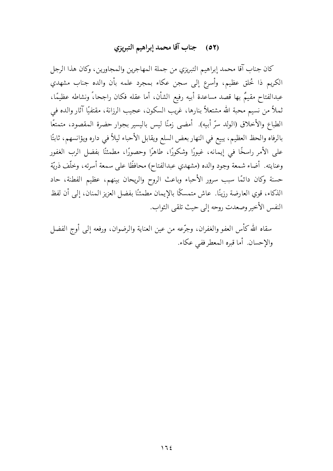# (٥٢) جناب آقا محمد إبراهيم التبريزي

كان جناب آقا محمد إبراهيم التبريزي من جملة المهاجرين والمجاورين، وكان هذا الرجل الكريم ذا خُلق عظيم، وأسرع إلى سجن عكاء بمجرد علمه بأن والده جناب مشهدي عبدالفتاح مقيمٌ بها قصد مساعدة أبيه رفيع الشأن، أما عقله فكان راجحا،ً ونشاطه عظيمًا، ثملاً من نسيم محبة الله مشتعلاً بنارها، غريب السكون، عجيب الرزانة، مقتفيًا آثار والده في الطباع والأخلاق (الولد سرّ أبيه). أمضى زمنًا ليس باليسير بجوار حضرة المقصود، متمتعًا بالرفاه والحظ العظيم، يبيع في النهار بعض السلع ويقابل الأحباء ليلاً فى داره ويؤانسهم، ثابتًا على الأمر راسخًا في إيمانه، غيورًا وشكورًا، طاهرًا وحصورًا، مطمئنًا بفضل الرب الغفور وعنايته. أضاء شمعة وجود والده (مشهدي عبدالفتاح) محافظًا على سمعة أسرته، وخلَّف ذريَّة حسنة وكان دائمًا سبب سرور الأحباء وباعث الروح والريحان بينهم، عظيم الفطنة، حاد الذكاء، قوي العارضة رزينًا. عاش متمسكًا بالإيمان مطمئنًا بفضل العزيز المنان، إلى أن لفظ النفس الأخير وصعدت روحه إلى حيث تلقى الثواب.

سقاه الله كأس العفو والغفران، وجرّعه من عين العناية والرضوان، ورفعه إلى أوج الفضل والإحسان. أما قبره المعطر ففي عكاء.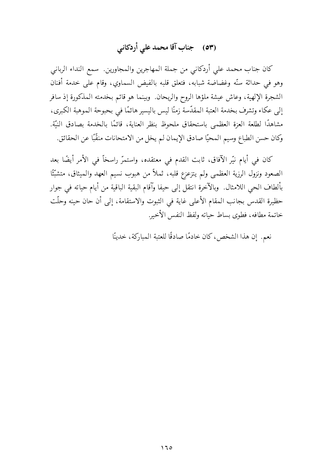# (٥٣) جناب آقا محمد على أردكاني

كان جناب محمد على أردكاني من جملة المهاجرين والمجاورين. سمع النداء الرباني وهو في حداثة سنَّه وغضاضة شبابه، فتعلق قلبه بالفيض السماوي، وقام على خدمة أفنان الشجرة الإلهية، وعاش عيشة ملؤها الروح والريحان. وبينما هو قائم بخدمته المذكورة إذ سافر إلى عكاء وتشرف بخدمة العتبة المقدَّسة زمنًا ليس باليسير هائمًا في بحبوحة الموهبة الكبرى، مشاهدًا لطلعة العزة العظمى باستحقاق ملحوظ بنظر العناية، قائمًا بالخدمة بصادق النيّة. وكان حسن الطباع وسيم المحيًّا صادق الإيمان لم يخل من الامتحانات منقَّبًا عن الحقائق.

كان في أيام نيّر الآفاق، ثابت القدم في معتقده، واستمرّ راسخاّ في الأمر أيضًا بعد الصعود ونزول الرزية العظمى ولم يتزعزع قلبه، ثملاً من هبوب نسيم العهد والميثاق، متشبَّتًا بألطاف الحيى اللامثال. وبالآخرة انتقل إلى حيفا وآقام البقية الباقية من أيام حياته في جوار حظيرة القدس بجانب المقام الأعلى غاية في الثبوت والاستقامة، إلى أن حان حينه وحلَّت خاتمة مطافه، فطوى بساط حياته ولفظ النفس الأخير.

نعم. إن هذا الشخص، كان خادمًا صادقًا للعتبة المباركة، خدينًا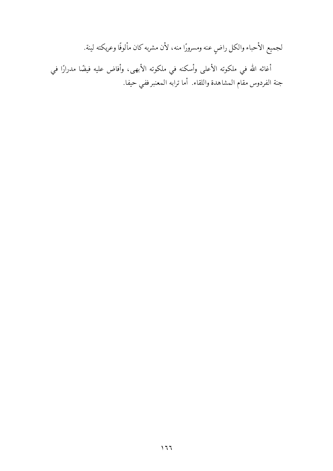لجميع الأحباء والكل راضٍ عنه ومسرورًا منه، لأن مشربه كان مألوفًا وعريكته لينة.

أغاثه الله في ملكوته الأعلى وأسكنه في ملكوته الأبهى، وأفاض عليه فيضًا مدرارًا في جنة الفردوس مقام المشاهدة واللقاء. أما ترابه المعنبر ففي حيفا.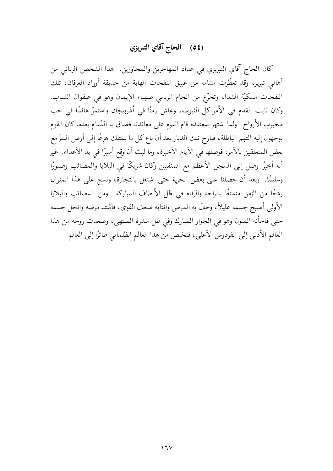# (٥٤) الحاج آقاي التبريزي

كان الحاج آقاي التبريزي في عداد المهاجرين والمجاورين. هذا الشخص الرباني من أهالي تبريز، وقد تعطَّرت مشامه من عبيق النفحات الهابة من حديقة أوراد العرفان، تلك النفحات مسكيَّة الشذا، وتجرَّع من الجام الرباني صهباء الإيمان وهو في عنفوان الشباب. وكان ثابت القدم في الأمركل الثبوت، وعاش زمنًا في أذربيجان واستمرّ هائمًا في حب محبوب الأرواح. ولما اشتهر بمعتقده قام القوم على معاندته فضاق به المُقام بعدماكان القوم يوجهون إليه التهم الباطلة، فبارح تلك الديار بعد أن باع كل ما يمتلك هرعًا إلى أرض السرّ مع بعض المتعلقين بالأمر، فوصلها في الأيام الأخيرة، وما لبث أن وقع أسيرًا في يد الأعداء. غير أنه أخيرًا وصل إلى السجن الأعظم مع المنفيين وكان شريكًا في البلايا والمصائب وصبورًا وسليمًا. وبعد أن حصلنا على بعض الحرية حتى اشتغل بالتجارة، ونسج على هذا المنوال ردحًا من الزمن متمتعًا بالراحة والرفاه في ظل الألطاف المباركة. ومن المصائب والبلايا الأولى أصبح جسمه عليلاً، وحفَّ به المرض وانتابه ضعف القوى، فاشتد مرضه وانحل جسمه حتى فاجأته المنون وهو في الجوار المبارك وفي ظل سدرة المنتهى، وصعدت روحه من هذا العالم الأدني إلى الفردوس الأعلى، فتخلص من هذا العالم الظلماني طائرًا إلى العالم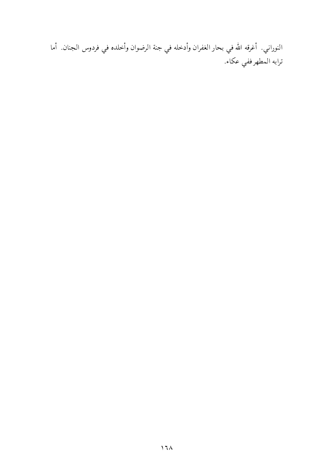النوراني. أغرقه الله في بحار الغفران وأدخله في جنة الرضوان وأخلده في فردوس الجنان. أما ترابه المطهر ففي عكاء.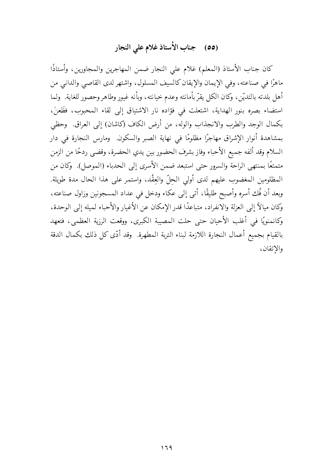# (٥٥) جناب الأستاذ غلام على النجار

كان جناب الأستاذ (المعلم) غلام على النجار ضمن المهاجرين والمجاورين، وأستاذًا ماهرًا في صناعته، وفي الإيمان والإيقان كالسيف المسلول، واشتهر لدى القاصي والداني من أهل بلدته بالتديّن، وكان الكل يقرّ بأمانته وعدم خيانته، وبأنه غيور وطاهر وحصور للغاية. ۖ ولما استضاء بصره بنور الهداية، اشتعلت في فؤاده نار الاشتياق إلى لقاء المحبوب، فظَعنَ، بكمال الوجد والطرب والانجذاب والوله، من أرض الكاف (كاشان) إلى العراق. ۖ وحظى بمشاهدة أنوار الإشراق مهاجرًا مظلومًا في نهاية الصبر والسكون. ومارس النجارة في دار السلام وقد ألفه جميع الأحباء وفاز بشرف الحضور بين يدي الحضرة، وقضى ردحًا من الزمن متمتعًا بمنتهى الراحة والسرور حتى استبعد ضمن الأسرى إلى الحدباء (الموصل). ۖ وكان من المظلومين المغضوب عليهم لدى أولى الحلِّ والعِقْد، واستمر على هذا الحال مدة طويلة. وبعد أن فُك أسره وأصبح طليقًا، أتى إلى عكاء ودخل في عداد المسجونين وزاول صناعته، وكان ميالاً إلى العزلة والانفراد، متباعدًا قدر الإمكان عن الأغيار والأحباء لميله إلى الوحدة، وكانمنويًا في أغلب الأحيان حتى حلت المصيبة الكبرى، ووقعت الرزية العظمى، فتعهد بالقيام بجميع أعمال النجارة اللازمة لبناء التربة المطهرة. وقد أدَّى كل ذلك بكمال الدقة والاتقان،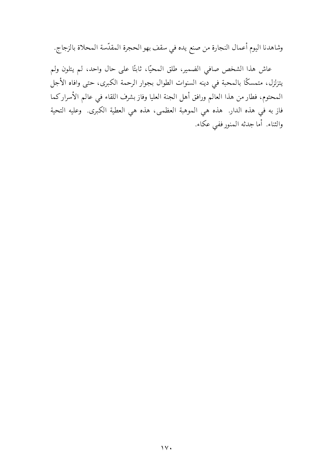وشاهدنا اليوم أعمال النجارة من صنع يده في سقف بهو الحجرة المقدّسة المحلاة بالزجاج.

عاش هذا الشخص صافى الضمير، طلق المحيًّا، ثابتًا على حال واحد، لم يتلون ولم يتزلزل، متمسكًا بالمحبة في دينه السنوات الطوال بجوار الرحمة الكبرى، حتى وافاه الأجل المحتوم، فطار من هذا العالم ورافق أهل الجنة العليا وفاز بشرف اللقاء في عالم الأسراركما فاز به في هذه الدار. هذه هي الموهبة العظمى، هذه هي العطية الكبرى. وعليه التحية والثناء. أما جدثه المنور ففي عكاء.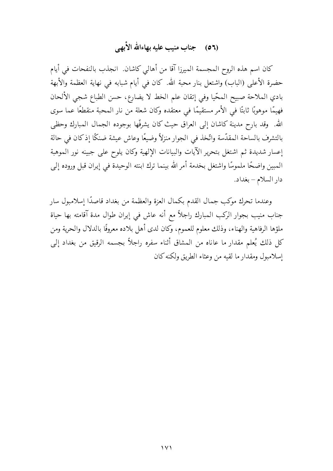## (٥٦) حجناب منيب عليه بهاءالله الأبهى

كان اسم هذه الروح المجسمة الميرزا آقا من أهالي كاشان. انجذب بالنفحات في أيام حضرة الأعلى (الباب) واشتعل بنار محبة الله. كان في أيام شبابه في نهاية العظمة والأبهة بادي الملاحة صبيح المحّيا وفي إتقان علم الخط لا يضارع، حسن الطباع شجى الألحان فهيمًا موهوبًا ثابتًا في الأمر مستقيمًا في معتقده وكان شعلة من نار المحبة منقطعًا عما سوى الله. وقد بارح مدينة كاشان إلى العراق حيث كان يشرفّها بوجوده الجمال المبارك وحظى بالتشرف بالساحة المقدّسة واتّخذ في الجوار منزلاً وضيعًا وعاش عيشة ضنكًا إذكان في حالة إعسار شديدة ثم اشتغل بتحرير الآيات والبيانات الإلهية وكان يلوح على جبينه نور الموهبة المبين واضحًا ملموسًا واشتغل بخدمة أمر الله بينما ترك ابنته الوحيدة في إيران قبل وروده إلى دار السلام – بغداد.

وعندما تحرك موكب جمال القدم بكمال العزة والعظمة من بغداد قاصدًا إسلامبول سار جناب منيب بجوار الركب المبارك راجلاً مع أنه عاش في إيران طوال مدة آقامته بها حياة ملؤها الرفاهية والهناء، وذلك معلوم للعموم، وكان لدى أهل بلاده معروفًا بالدلال والحرية ومن كل ذلك يُعلم مقدار ما عاناه من المشاق أثناء سفره راجلاً بجسمه الرقيق من بغداد إلى إسلامبول ومقدارما لقيه من وعثاء الطريق ولكنه كان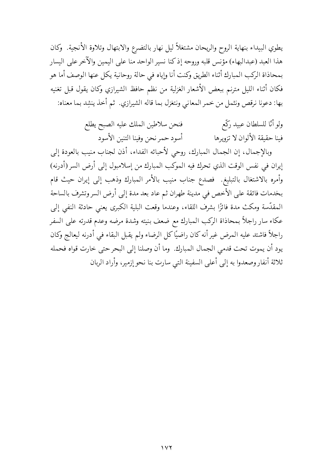يطوي البيداء بنهاية الروح والريحان مشتغلاً ليل نهار بالتضرع والابتهال وتلاوة الأنجية. وكان هذا العبد (عبدالبهاء) مؤنس قلبه وروحه إذكنا نسير الواحد منا على اليمين والآخر على اليسار بمحاذاة الركب المبارك أثناء الطريق وكنت أنا وإياه في حالة روحانية يكل عنها الوصف أما هو فكان أثناء الليل مترنم ببعض الأشعار الغزلية من نظم حافظ الشيرازي وكان يقول قبل تغنيه بها: دعونا نرقص ونثمل من خمر المعاني ونتغزل بما قاله الشيرازي. ثم أخذ ينشد بما معناه:

> ولو أنّا للسلطان عبيد ركّع فنحن سلاطين الملك عليه الصبح يطلع أسود حمر نحن وفينا التنبن الأسود فينا حقيقة الألوان لا تزويرها

وبالإجمال، إن الجمال المبارك، روحي لأحبائه الفداء، أذن لجناب منيب بالعودة إلى إيران في نفس الوقت الذي تحرك فيه الموكب المبارك من إسلامبول إلى أرض السر (أدرنه) وأمره بالاشتغال بالتبليغ فصدع جناب منيب بالأمر المبارك وذهب إلى إيران حيث قام بخدمات فائقة على الأخص في مدينة طهران ثم عاد بعد مدة إلى أرض السروتشرف بالساحة المقدَّسة ومكث مدة فائزًا بشرف اللقاء، وعندما وقعت البلية الكبرى يعني حادثة النفي إلى عكاء سار راجلاً بمحاذاة الركب المبارك مع ضعف بنيته وشدة مرضه وعدم قدرته على السفر راجلاً فاشتد عليه المرض غير أنه كان راضيًا كل الرضاء ولم يقبل البقاء في أدرنه ليعالج وكان يود أن يموت تحت قدمي الجمال المبارك. وما أن وصلنا إلى البحر حتى خارت قواه فحمله ثلاثة أنفار وصعدوا به إلى أعلى السفينة التي سارت بنا نحو إزمير، وأراد الربان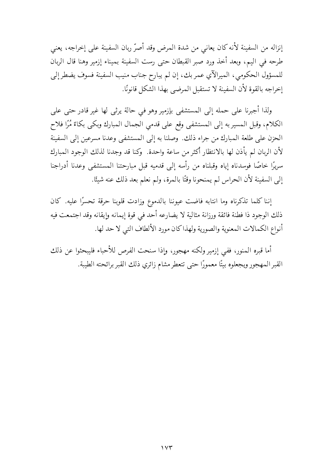إنزاله من السفينة لأنه كان يعاني من شدة المرض وقد أصرّ ربان السفينة على إخراجه، يعني طرحه في اليم، وبعد أخذ ورد صبر القبطان حتى رست السفينة بميناء إزمير وهنا قال الربان للمسؤول الحكومي، الميرالآي عمر بك، إن لم يبارح جناب منيب السفينة فسوف يضطر إلى إخراجه بالقوة لأن السفينة لا تستقبل المرضى بهذا الشكل قانونًا.

ولذا أجبرنا على حمله إلى المستشفى بإزمير وهو في حالة يرثى لها غير قادر حتى على الكلام، وقبل المسير به إلى المستشفى وقع على قدمي الجمال المبارك وبكى بكاءً مُرًا فلاح الحزن على طلعة المبارك من جراء ذلك. وصلنا به إلى المستشفى وعدنا مسرعين إلى السفينة لأن الربان لم يأذن لها بالانتظار أكثر من ساعة واحدة. ۖ وكنا قد وجدنا لذلك الوجود المبارك سريرًا خاصًا فوسدناه إياه وقبلناه من رأسه إلى قدميه قبل مبارحتنا المستشفى وعدنا أدراجنا إلى السفينة لأن الحراس لم يمنحونا وقتًا بالمرة، ولم نعلم بعد ذلك عنه شيئًا.

إننا كلما تذكرناه وما انتابه فاضت عيوننا بالدموع وزادت قلوبنا حرقة تحسرًا عليه. كان ذلك الوجود ذا فطنة فائقة ورزانة مثالية لا يضارعه أحد في قوة إيمانه وإيقانه وقد اجتمعت فيه أنواع الكمالات المعنوية والصورية ولهذاكان مورد الألطاف التي لا حد لها.

أما قبره المنور، ففي إزمير ولكنه مهجور، وإذا سنحت الفرص للأحباء فليبحثوا عن ذلك القبر المهجور ويجعلوه بيتًا معمورًا حتى تتعطر مشام زائري ذلك القبر برائحته الطيبة.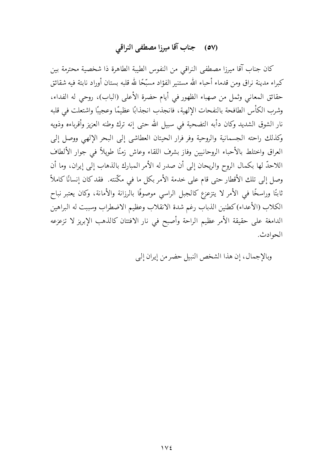# (٥٧) جناب آقا ميرزا مصطفى النراقي

كان جناب آقا ميرزا مصطفى النراقي من النفوس الطيبة الطاهرة ذا شخصية محترمة بين كبراء مدينة نراق ومن قدماء أحباء الله مستنير الفؤاد مسبّحًا لله قلبه بستان أوراد نابتة فيه شقائق حقائق المعاني وثمل من صهباء الظهور في أيام حضرة الأعلى (الباب)، روحي له الفداء، وشرب الكأس الطافحة بالنفحات الإلهية، فانجذب انجذابًا عظيمًا وعجيبًا واشتعلت في قلبه نار الشوق الشديد وكان دأبه التضحية في سبيل الله حتى إنه ترك وطنه العزيز وأقرباءه وذويه وكذلك راحته الجسمانية والروحية وفر فرار الحيتان العطاشي إلى البحر الإلهي ووصل إلى العراق واختلط بالأحباء الروحانيين وفاز بشرف اللقاء وعاش زمنًا طويلاً في جوار الألطاف اللاحدِّ لها بكمال الروح والريحان إلى أن صدر له الأمر المبارك بالذهاب إلى إيران، وما أن وصل إلى تلك الأقطار حتى قام على خدمة الأمر بكل ما في مكّنته. فقد كان إنسانًا كاملاً ثابتًا وراسخًا في الأمر لا يتزعزع كالجبل الراسي موصوفًا بالرزانة والأمانة، وكان يعتبر نباح الكلاب (الأعداء)كطنين الذباب رغم شدة الانقلاب وعظيم الاضطراب وسببت له البراهين الدامغة على حقيقة الأمر عظيم الراحة وأصبح في نار الافتتان كالذهب الإبريز لا تزعزعه الحوادث.

وبالإجمال، إن هذا الشخص النبيل حضر من إيران إلى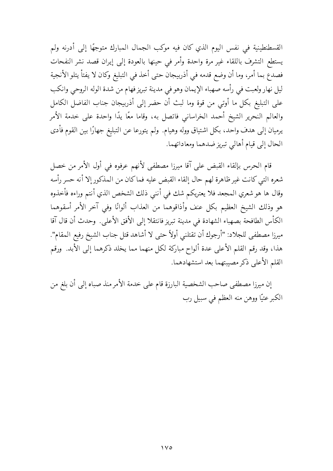القسطنطينية في نفس اليوم الذي كان فيه موكب الجمال المبارك متوجهًا إلى أدرنه ولم يستطع التشرف باللقاء غير مرة واحدة وأمر في حينها بالعودة إلى إيران قصد نشر النفحات فصدع بما أمر، وما أن وضع قدمه في أذربيجان حتى أخذ في التبليغ وكان لا يفتأ يتلو الأنجية ليل نهار ولعبت في رأسه صهباء الإيمان وهو في مدينة تبريز فهام من شدة الوله الروحي وانكب على التبليغ بكل ما أوتى من قوة وما لبث أن حضر إلى أذربيجان جناب الفاضل الكامل والعالم النحرير الشيخ أحمد الخراساني فاتصل به، وقاما معًا يدًا واحدة على خدمة الأمر يرميان إلى هدف واحد، بكل اشتياق ووله وهيام. ولم يتورعا عن التبليغ جهارًا بين القوم فأدى الحال إلى قيام أهالي تبريز ضدهما ومعاداتهما.

قام الحرس بإلقاء القبض على آقا ميرزا مصطفى لأنهم عرفوه في أول الأمر من خصل شعره التبي كانت غير ظاهرة لهم حال إلقاء القبض عليه فماكان من المذكور إلا أنه حسر رأسه وقال ها هو شعري المجعد فلا يعتريكم شك في أنني ذلك الشخص الذي أنتم وراءه فأخذوه هو وذلك الشيخ العظيم بكل عنف وأذاقوهما من العذاب ألوانًا وفى آخر الأمر أسقوهما الكأس الطافحة بصهباء الشهادة في مدينة تبريز فانتقلا إلى الأفق الأعلى. وحدث أن قال آقا ميرزا مصطفى للجلاد: "أرجوك أن تقتلنى أولاً حتى لا أشاهد قتل جناب الشيخ رفيع المقام". هذا، وقد رقم القلم الأعلى عدة ألواح مباركة لكل منهما مما يخلد ذكرهما إلى الأبد. ورقم القلم الأعلى ذكر مصيبتهما بعد استشهادهما.

إن ميرزا مصطفى صاحب الشخصية البارزة قام على خدمة الأمر منذ صباه إلى أن بلغ من الكبر عتيًّا ووهن منه العظم في سبيل رب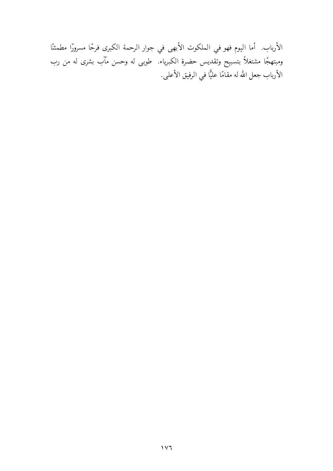الأرباب. أما اليوم فهو في الملكوت الأبهى في جوار الرحمة الكبرى فرحًا مسرورًا مطمئنًا ومبتهجًا مشتغلاً بتسبيح وتقديس حضرة الكبرياء. طوبي له وحسن مآب بشرى له من رب الأرباب جعل الله له مقامًا عليًّا في الرفيق الأعلى.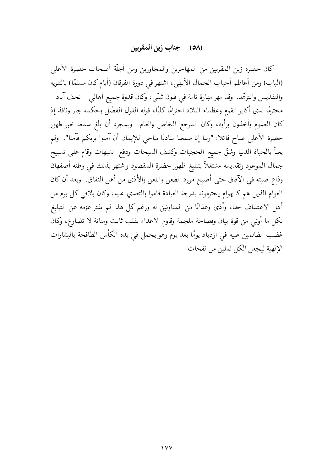#### (٥٨) جناب زين المقربين

كان حضرة زين المقربين من المهاجرين والمجاورين ومن أجلَّة أصحاب حضرة الأعلى (الباب) ومن أعاظم أحباب الجمال الأبهي، اشتهر في دورة الفرقان (أيام كان مسلمًا) بالتنزيه والتقديس والتزهَّد. وقد مهر مهارة تامة في فنون شتَّى، وكان قدوة جميع أهالي – نجف آباد – محترمًا لدى أكابر القوم وعظماء البلاد احترامًا كليًا، قوله القول الفصْل وحكمه جار ونافذ إذ كان العموم يأخذون برأيه، وكان المرجع الخاص والعام. وبمجرد أن بلَغ سمعه خبر ظهور حضرة الأعلى صاح قائلا: "ربنا إنا سمعنا مناديًا يناجي للإيمان أن آمنوا بربكم فآمنا". ولم يعبأ بالحياة الدنيا وشقّ جميع الحجبات وكشف السبحات ودفع الشبهات وقام على تسبيح جمال الموعود وتقديسه مشتغلأ بتبليغ ظهور حضرة المقصود واشتهر بذلك فى وطنه أصفهان وذاع صيته في الآفاق حتى أصبح مورد الطعن واللعن والأذى من أهل النفاق. وبعد أن كان العوام الذين هم كالهوام يحترمونه بدرجة العبادة قاموا بالتعدي عليه، وكان يلاقي كل يوم من أهل الاعتساف جفاء وأذى وعذابًا من المناوئين له ورغم كل هذا لم يفتر عزمه عن التبليغ بكل ما أوتبي من قوة بيان وفصاحة ملجمة وقاوم الأعداء بقلب ثابت ومتانة لا تضارع، وكان غضب الظالمين عليه في ازدياد يومًا بعد يوم وهو يحمل في يده الكأس الطافحة بالبشارات الإلهية ليجعل الكل ثملين من نفحات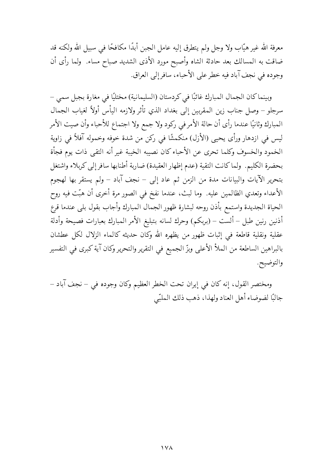معرفة الله غير هيّاب ولا وجل ولم يتطرق إليه عامل الجبن أبدًا مكافحًا في سبيل الله ولكنه قد ضاقت به المسالك بعد حادثة الشاه وأصبح مورد الأذى الشديد صباح مساء. ولما رأى أن وجوده في نجف آباد فيه خطر على الأحباء، سافر إلى العراق.

وبينما كان الجمال المبارك غائبًا في كردستان (السليمانية) مختليًا في مغارة بجبل سمي – سرجلو – وصل جناب زين المقربين إلى بغداد الذي تأثر ولازمه اليأس أولأ لغياب الجمال المبارك وثانيًا عندما رأى أن حالة الأمر في ركود ولا جمع ولا اجتماع للأحباء وأن صيت الأمر ليس في ازدهار ورأى يحيى (الأزل) منكمشًا في ركن من شدة خوفه وخموله آفلاً في زاوية الخمود والخسوف وكلما تحرى عن الأحباء كان نصيبه الخيبة غير أنه التقى ذات يوم فجأة بحضرة الكليم. ولماكانت التقية (عدم إظهار العقيدة) ضاربة أطنابها سافر إلى كربلاء واشتغل بتحرير الآيات والبيانات مدة من الزمن ثم عاد إلى – نجف آباد – ولم يستقر بها لهجوم الأعداء وتعدي الظالمين عليه. ۖ وما لبث، عندما نفخ في الصور مرة أخرى أن هبّت فيه روح الحياة الجديدة واستمع بأذن روحه لبشارة ظهور الجمال المبارك وأجاب بقول بلى عندما قرع أذنين رنين طبل – ألست – (بربكم) وحرك لسانه بتبليغ الأمر المبارك بعبارات فصيحة وأدلة عقلية ونقلية قاطعة في إثبات ظهور من يظهره الله وكان حديثه كالماء الزلال لكل عطشان بالبراهين الساطعة من الملأ الأعلى وبزّ الجميع في التقرير والتحرير وكان آية كبرى في التفسير والتوضيح.

ومختصر القول، إنه كان في إيران تحت الخطر العظيم وكان وجوده في – نجف آباد – جالبًا لضوضاء أهل العناد ولهذا، ذهب ذلك الملبّى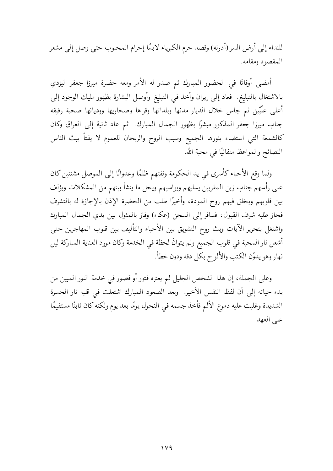للنداء إلى أرض السر (أدرنه) وقصد حرم الكبرياء لابسًا إحرام المحبوب حتى وصل إلى مشعر المقصود ومقامه.

أمضى أوقاتًا في الحضور المبارك ثم صدر له الأمر ومعه حضرة ميرزا جعفر اليزدي بالاشتغال بالتبليغ فحاد إلى إيران وأخذ في التبليغ وأوصل البشارة بظهور مليك الوجود إلى أعلى علّيين ثم جاس خلال الديار مدنها وبلداتها وقراها وصحاريها ووديانها صحبة رفيقه جناب ميرزا جعفر المذكور مبشرًا بظهور الجمال المبارك. ثم عاد ثانية إلى العراق وكان كالشمعة التي استضاء بنورها الجميع وسبب الروح والريحان للعموم لا يفتأ يبث الناس النصائح والمواعظ متفانيًا في محبة الله.

ولما وقع الأحباء كأسرى في يد الحكومة ونفتهم ظلمًا وعدوانًا إلى الموصل مشتتين كان على رأسهم جناب زين المقربين يسليهم ويواسيهم ويحل ما ينشأ بينهم من المشكلات ويؤلف بين قلوبهم ويخلق فيهم روح المودة، وأخيرًا طلب من الحضرة الإذن بالإجازة له بالتشرف فحاز طلبه شرف القبول، فسافر إلى السجن (عكاء) وفاز بالمثول بين يدي الجمال المبارك واشتغل بتحرير الآيات وبث روح التشويق بين الأحباء والتأليف بين قلوب المهاجرين حتى أشعل نار المحبة في قلوب الجميع ولم يتوانَ لحظة في الخدمة وكان مورد العناية المباركة ليل نهار وهو يدوّن الكتب والألواح بكل دقة ودون خطأ.

وعلى الجملة، إن هذا الشخص الجليل لم يعتره فتور أو قصور في خدمة النور المبين من بدء حياته إلى أن لفظ النفس الأخير. وبعد الصعود المبارك اشتعلت في قلبه نار الحسرة الشديدة وغلبت عليه دموع الألم فأخذ جسمه في النحول يومًا بعد يوم ولكنه كان ثابتًا مستقيمًا على العهد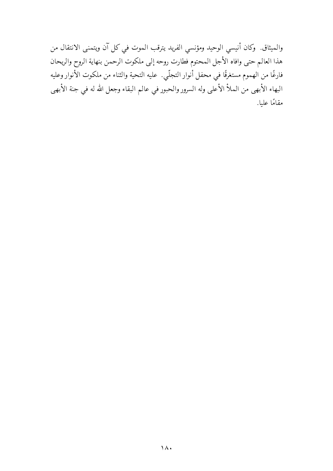والميثاق. وكان أنيسي الوحيد ومؤنسي الفريد يترقب الموت في كل آن ويتمنى الانتقال من هذا العالم حتى وافاه الأجل المحتوم فطارت روحه إلى ملكوت الرحمن بنهاية الروح والريحان فارغًا من الهموم مستغرقًا في محفل أنوار التجلّي. عليه التحية والثناء من ملكوت الأنوار وعليه البهاء الأبهى من الملأ الأعلى وله السرور والحبور في عالم البقاء وجعل الله له في جنة الأبهى مقامًا عليا.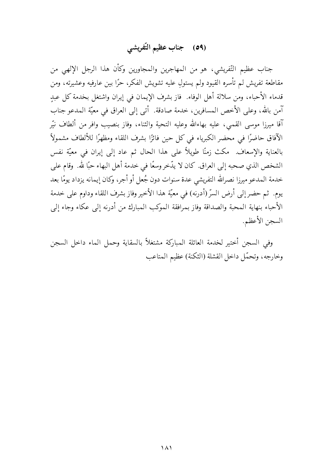### (٥٩) جناب عظيم التّفريشي

جناب عظيم التَّفريشي، هو من المهاجرين والمجاورين وكأن هذا الرجل الإلهي من مقاطعة تفريش لم تأسره القيود ولم يستولِ عليه تشويش الفكر، حرًا بين عارفيه وعشيرته، ومن قدماء الأحباء، ومن سلالة أهل الوفاء. ۖ فاز بشرف الإيمان في إيران واشتغل بخدمة كل عبدِ آمن بالله، وعلى الأخص المسافرين، خدمة صادقة. أتى إلى العراق في معيّة المدعو جناب آقا ميرزا موسى القمى، عليه بهاءالله وعليه التحية والثناء، وفاز بنصيب وافر من ألطاف نيّر الآفاق حاضرًا في محضر الكبرياء في كل حين فائزًا بشرف اللقاء ومظهرًا للألطاف مشمولاً بالعناية والإسعاف. مكث زمنًا طويلاً على هذا الحال ثم عاد إلى إيران في معيّة نفس الشخص الذي صحبه إلى العراق. كان لا يدّخر وسعًا في خدمة أهل البهاء حبًا لله. وقام على خدمة المدعو ميرزا نصرالله التفريشي عدة سنوات دون جُعل أو أجر، وكان إيمانه يزداد يومًا بعد يوم. ثم حضر إلى أرض السرّ (أدرنه) في معيّة هذا الأخير وفاز بشرف اللقاء وداوم على خدمة الأحباء بنهاية المحبة والصداقة وفاز بمرافقة الموكب المبارك من أدرنه إلى عكاء وجاء إلى السجن الأعظم.

وفي السجن أختير لخدمة العائلة المباركة مشتغلأ بالسقاية وحمل الماء داخل السجن وخارجه، وتحمّل داخل القشلة (الثكنة) عظيم المتاعب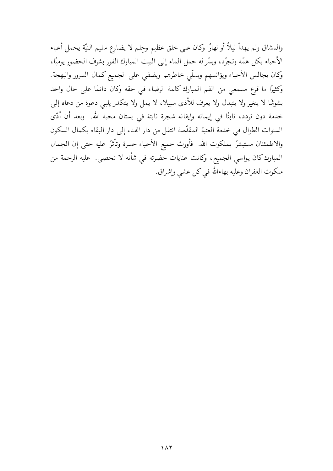والمشاق ولم يهدأ ليلاً أو نهارًا وكان على خلق عظيم وحلم لا يضارع سليم النيّة يحمل أعباء الأحباء بكل همّة وتجرّد، ويسّر له حمل الماء إلى البيت المبارك الفوز بشرف الحضور يوميًا، وكان يجالس الأحباء ويؤانسهم ويسلّى خاطرهم ويضفى على الجميع كمال السرور والبهجة. وكثيرًا ما قرع مسمعي من الفم المبارك كلمة الرضاء في حقه وكان دائمًا على حال واحد بشوشًا لا يتغير ولا يتبدل ولا يعرف للأذى سبيلا، لا يمل ولا يتكدر يلبي دعوة من دعاه إلى خدمة دون تردد، ثابتًا في إيمانه وإيقانه شجرة نابتة في بستان محبة الله. وبعد أن أدّى السنوات الطوال في خدمة العتبة المقدّسة انتقل من دار الفناء إلى دار البقاء بكمال السكون والاطمئنان مستبشرًا بملكوت الله. ۖ فأورث جميع الأحباء حسرة وتأثرًا عليه حتى إن الجمال المبارك كان يواسي الجميع، وكانت عنايات حضرته في شأنه لا تحصى. عليه الرحمة من ملكوت الغفران وعليه بهاءالله في كل عشى وإشراق.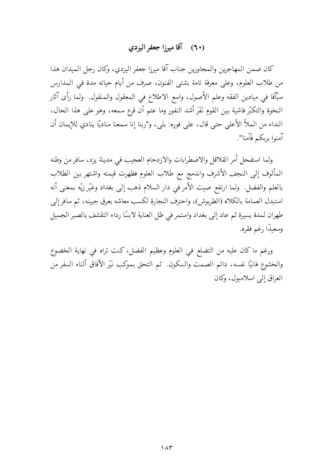### (٦٠) آقا مبرزا جعفر اليزدي

كان ضمن المهاجرين والمجاورين جناب آقا ميرزا جعفر اليزدي، وكان رجل الميدان هذا من طلاب العلوم، وعلى معرفة تامة بشتى الفنون، صرف من أيام حياته مدة في المدارس سبَّآقا في ميادين الفقه وعلم الأصول، واسع الاطلاع في المعقول والمنقول. ولما رأى آثار النخوة والتكبُّر فاشية بين القوم نَفَرَ أشد النفور وما عتم أن قرع سمعه، وهو على هذا الحال، النداء من الملأ الأعلى حتى قال، على فوره: بلي، و"ربنا إنا سمعنا مناديًا ينادي للإيمان أن آمنوا بربكم فآمنا".

ولما استفحل أمر القلاقل والاضطرابات والازدحام العجيب في مدينة يزد، سافر من وطنه المألوف إلى النجف الأشرف واندمج مع طلاب العلوم فظهرت قيمته واشتهر بين الطلاب بالعلم والفضل. ولما ارتفع صيت الأمر في دار السلام ذهب إلى بغداد وغيّر زيّه بمعنى أنه استبدل العمامة بالكلاه (الطربوش)، واحترف النجارة لكسب معاشه بعرق جبينه، ثم سافر إلى طهران لمدة يسيرة ثم عاد إلى بغداد واستمر في ظل العناية لابسًا رداء التقشف بالصبر الجميل وسعيدًا رغم فقره.

ورغم ما كان عليه من التضلع في العلوم وعظيم الفضل، كنت تراه في نهاية الخضوع والخشوع فانيًا نفسه، دائم الصمت والسكون. ثم التحق بموكب نيّر الآفاق أثناء السفر من العراق إلى اسلامبول، وكان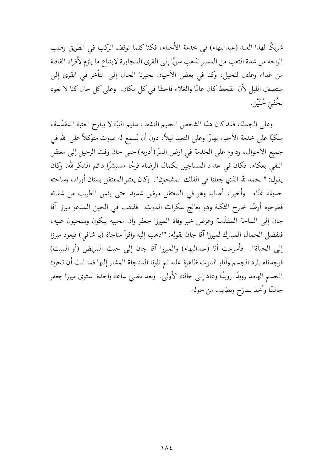شريكًا لهذا العبد (عبدالبهاء) في خدمة الأحباء، فكنا كلما توقف الركب في الطريق وطلب الراحة من شدة التعب من المسير نذهب سويًا إلى القرى المجاورة لابتياع ما يلزم لأفراد القافلة من غذاء وعلف للخيل، وكنا في بعض الأحيان يجبرنا الحال إلى التأخر في القرى إلى منتصف الليل لأن القحط كان عامًا والغلاء فاحشًا في كل مكان. وعلى كل حال كنا لا نعود بخُفيّ حُنَيْن.

وعلى الجملة، فقد كان هذا الشخص الحليم النشط، سليم النيّة لا يبارح العتبة المقدّسة، منكبًا على خدمة الأحباء نهارًا وعلى التعبد ليلاً، دون أن يُسمع له صوت متوكلاً على الله في جميع الأحوال، وداوم على الخدمة في ارض السرِّ (أدرنه) حتى حان وقت الرحيل إلى معتقل النفي بعكاء، فكان في عداد المساجين بكمال الرضاء فرحًا مستبشرًا دائم الشكر لله، وكان يقول: "الحمد لله الذي جعلنا في الفلك المشحون". وكان يعتبر المعتقل بستان أوراد، وساحته حديقة غنّاء. ۖ وأخيرا، أصابه وهو في المعتقل مرض شديد حتى يئس الطبيب من شفائه فطرحوه أرضًا خارج الثكنة وهو يعالج سكرات الموت. فذهب في الحين المدعو ميرزا آقا جان إلى الساحة المقدّسة وعرض خبر وفاة الميرزا جعفر وأن محبيه يبكون وينتحبون عليه، فتفضل الجمال المبارك لميرزا آقا جان بقوله: "اذهب إليه واقرأ مناجاة (يا شافي) فيعود ميرزا إلى الحياة". فأسرعت أنا (عبدالبهاء) والميرزا آقا جان إلى حيث المريض (أو الميت) فوجدناه بارد الجسم وآثار الموت ظاهرة عليه ثم تلونا المناجاة المشار إليها فما لبث أن تحرك الجسم الهامد رويدًا رويدًا وعاد إلى حالته الأولى. وبعد مضي ساعة واحدة استوى ميرزا جعفر جالسًا وأخذ يمازح ويطايب من حوله.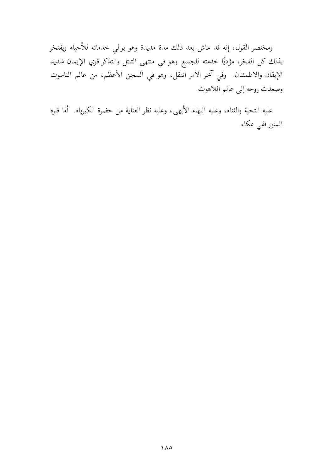ومختصر القول، إنه قد عاش بعد ذلك مدة مديدة وهو يوالي خدماته للأحباء ويفتخر بذلك كل الفخر، مؤديًا خدمته للجميع وهو في منتهى التبتل والتذكر قوي الإيمان شديد الإيقان والاطمئنان. وفي آخر الأمر انتقل، وهو في السجن الأعظم، من عالم الناسوت وصعدت روحه إلى عالم اللاهوت.

عليه التحية والثناء، وعليه البهاء الأبهي، وعليه نظر العناية من حضرة الكبرياء. أما قبره المنور ففي عكاء.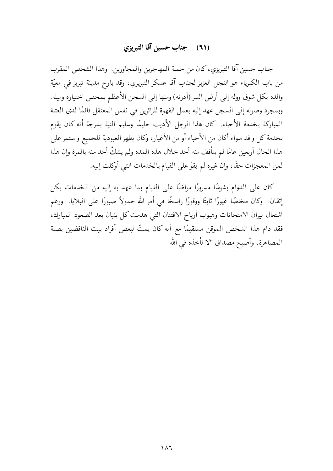### (٦١) جناب حسين آقا التبريزي

جناب حسين آقا التبريزي، كان من جملة المهاجرين والمجاورين. وهذا الشخص المقرب من باب الكبرياء هو النجل العزيز لجناب آقا عسكر التبريزي، وقد بارح مدينة تبريز في معيّة والده بكل شوق ووله إلى أرض السر (أدرنه) ومنها إلى السجن الأعظم بمحض اختياره وميله. وبمجرد وصوله إلى السجن عهد إليه بعمل القهوة للزائرين في نفس المعتقل قائمًا لدى العتبة المباركة بخدمة الأحباء. كان هذا الرجل الأديب حليمًا وسليم النية بدرجة أنه كان يقوم بخدمة كل وافد سواء أكان من الأحباء أو من الأغيار، وكان يظهر العبودية للجميع واستمر على هذا الحال أربعين عامًا لم يتأفف منه أحد خلال هذه المدة ولم يشكَّ أحد منه بالمرة وإن هذا لمن المعجزات حقًا، وإن غيره لم يقوَ على القيام بالخدمات التي أوكلت إليه.

كان على الدوام بشوشًا مسرورًا مواظبًا على القيام بما عهد به إليه من الخدمات بكل إتقان. ۖ وكان مخلصًا غيورًا ثابتًا ووقورًا راسخًا في أمر الله حمولاً صبورًا على البلايا. ۖ ورغم اشتعال نيران الامتحانات وهبوب أرياح الافتتان التبى هدمت كل بنيان بعد الصعود المبارك، فقد دام هذا الشخص الموقن مستقيمًا مع أنه كان يمتّ لبعض أفراد بيت الناقضين بصلة المصاهرة، وأصبح مصداق "لا تأخذه في الله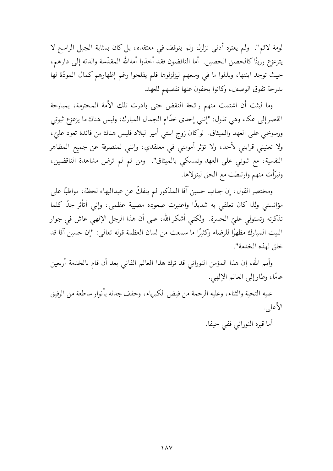لومة لائم". ولم يعتره أدنى تزلزل ولم يتوقف في معتقده، بل كان بمثابة الجبل الراسخ لا يتزعزع رزينًا كالحصن الحصين. أما الناقضون فقد أخذوا أمةالله المقدّسة والدته إلى دارهم، حيث توجد ابنتها، وبذلوا ما في وسعهم ليزلزلوها فلم يفلحوا رغم إظهارهم كمال المودّة لها بدرجة تفوق الوصف، وكانوا يخفون عنها نقضهم للعهد.

وما لبثت أن اشتمت منهم رائحة النقض حتى بادرت تلك الأمة المحترمة، بمبارحة القصر إلى عكاء وهي تقول: "إنني إحدى خدَّام الجمال المبارك، وليس هناك ما يزعزع ثبوتي ورسوخي على العهد والميثاق لوكان زوج ابنتي أمير البلاد فليس هناك من فائدة تعود عليّ ، ولا تعنيني قرابتي لأحد، ولا تؤثر أمومتي في معتقدي، وإنني لمنصرفة عن جميع المظاهر النفسية، مع ثبوتي على العهد وتمسكي بالميثاق". ومن ثم لم ترض مشاهدة الناقضين، وتبرَّأت منهم وارتبطت مع الحق ليتولاها.

ومختصر القول، إن جناب حسين آقا المذكور لم ينفكَّ عن عبدالبهاء لحظة، مواظبًا على مؤانستي ولذا كان تعلقي به شديدًا واعتبرت صعوده مصيبة عظمي، وإني أتأثر جدًا كلما تذكرته وتستولي عليّ الحسرة. ۖ ولكني أشكر الله، علي أن هذا الرجل الإلهي عاش في جوار البيت المبارك مظهرًا للرضاء وكثيرًا ما سمعت من لسان العظمة قوله تعالى: "إن حسين آقا قد خلق لهذه الخدمة".

وأيم الله، إن هذا المؤمن النوراني قد ترك هذا العالم الفاني بعد أن قام بالخدمة أربعين عامًا، وطار إلى العالم الإلهي.

عليه التحية والثناء، وعليه الرحمة من فيض الكبرياء، وحفف جدثه بأنوار ساطعة من الرفيق الأعلى.

أما قبره النوراني ففي حيفا.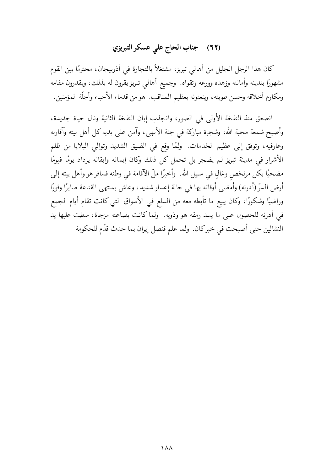## (٦٢) جناب الحاج على عسكر التبريزي

كان هذا الرجل الجليل من أهالي تبريز، مشتغلاً بالتجارة في أذربيجان، محترمًا بين القوم مشهورًا بتدينه وأمانته وزهده وورعه وتقواه. ۖ وجميع أهالي تبريز يقرون له بذلك، ويقدرون مقامه ومكارم أخلاقه وحسن طويته، وينعتونه بعظيم المناقب. هو من قدماء الأحباء وأجلَّة المؤمنين.

انصعق منذ النفخة الأولى في الصور، وانجذب إبان النفخة الثانية ونال حياة جديدة، وأصبح شمعة محبة الله، وشجرة مباركة في جنة الأبهي، وآمن على يديه كل أهل بيته وآقاربه وعارفيه، وتوفق إلى عظيم الخدمات. ولمَّا وقع في الضيق الشديد وتوالي البلايا من ظلم الأشرار في مدينة تبريز لم يضجر بل تحمل كل ذلك وكان إيمانه وإيقانه يزداد يومًا فيومًا مضحيًا بكل مرتخص وغالٍ في سبيل الله. ۖ وأخيرًا ملَّ الآقامة في وطنه فسافر هو وأهل بيته إلى أرض السرّ (أدرنه) وأمضى أوقاته بها في حالة إعسار شديد، وعاش بمنتهى القناعة صابرًا وقورًا وراضيًا وشكورًا، وكان يبيع ما تأبطه معه من السلع في الأسواق التي كانت تقام أيام الجمع في أدرنه للحصول على ما يسد رمقه هو وذويه. ولما كانت بضاعته مزجاة، سطت عليها يد النشالين حتى أصبحت في خبركان. ولما علم قنصل إيران بما حدث قدّم للحكومة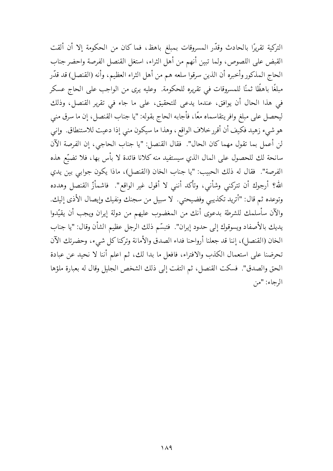التركية تقريرًا بالحادث وقدَّر المسروقات بمبلغ باهظ، فما كان من الحكومة إلا أن ألقت القبض على اللصوص، ولما تبين أنهم من أهل الثراء، استغل القنصل الفرصة واحضر جناب الحاج المذكور وأخبره أن الذين سرقوا سلعه هم من أهل الثراء العظيم، وأنه (القنصل) قد قدّر مبلغًا باهظًا ثمنًا للمسروقات في تقريره للحكومة. ۖ وعليه يرى من الواجب على الحاج عسكر في هذا الحال أن يوافق، عندما يدعى للتحقيق، على ما جاء في تقرير القنصل، وذلك ليحصل على مبلغ وافر يتقاسماه معًا، فأجابه الحاج بقوله: "يا جناب القنصل، إن ما سرق منبي هو شيء زهيد فكيف أن أقرر خلاف الواقع ، وهذا ما سيكون مني إذا دعيت للاستنطاق. وإني لن أعمل بما تقول مهما كان الحال". فقال القنصل: "يا جناب الحاجي، إن الفرصة الآن سانحة لك للحصول على المال الذي سيستفيد منه كلانا فائدة لا بأس بها، فلا تضيّع هذه الفرصة". فقال له ذلك الحبيب: "يا جناب الخان (القنصل)، ماذا يكون جوابي بين يدي الله؟ أرجوك أن تتركني وشأنبي، وتأكد أننبي لا أقول غير الواقع". فاشمأزّ القنصل وهدده وتوعده ثم قال: "أتريد تكذيبي وفضيحتي. لا سبيل من سجنك ونفيك وإيصال الأذى إليك. والآن سأسلمك للشرطة بدعوى أنك من المغضوب عليهم من دولة إيران ويجب أن يقيّدوا يديك بالأصفاد ويسوقوك إلى حدود إيران". فتبسَّم ذلك الرجل عظيم الشأن وقال: "يا جناب الخان (القنصل)، إننا قد جعلنا أرواحنا فداء الصدق والأمانة وتركنا كل شيء، وحضرتك الآن تحرضنا على استعمال الكذب والافتراء، فافعل ما بدا لك، ثم اعلم أننا لا نحيد عن عبادة الحق والصدق". فسكت القنصل، ثم التفت إلى ذلك الشخص الجليل وقال له بعبارة ملؤها الوجاء: "من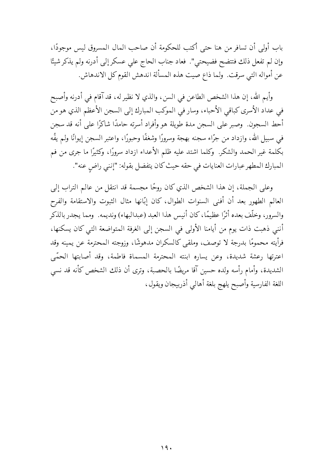باب أولى أن تسافر من هنا حتى أكتب للحكومة أن صاحب المال المسروق ليس موجودًا، وإن لم تفعل ذلك فتتضح فضيحتى". فعاد جناب الحاج على عسكر إلى أدرنه ولم يذكر شيئًا عن أمواله التبي سرقت. ولما ذاع صيت هذه المسألة اندهش القوم كل الاندهاش.

وأيم الله، إن هذا الشخص الطاعن في السن، والذي لا نظير له، قد آقام في أدرنه وأصبح في عداد الأسرى كباقي الأحباء، وسار في الموكب المبارك إلى السجن الأعظم الذي هو من أحط السجون. وصبر على السجن مدة طويلة هو وأفراد أسرته حامدًا شاكرًا على أنه قد سجن في سبيل الله، وازداد من جرّاء سجنه بهجة وسرورًا وشغفًا وحبورًا، واعتبر السجن إيوانًا ولم يفُه بكلمة غير الحمد والشكر. ۖ وكلما اشتد عليه ظلم الأعداء ازداد سرورًا، وكثيرًا ما جرى من فم المبارك المطهر عبارات العنايات في حقه حيث كان يتفضل بقوله: "إنني راض عنه".

وعلى الجملة، إن هذا الشخص الذي كان روحًا مجسمة قد انتقل من عالم التراب إلى العالم الطهور بعد أن أفنى السنوات الطوال، كان إبّانها مثال الثبوت والاستقامة والفرح والسرور، وخلَّف بعده أثرًا عظيمًا، كان أنيس هذا العبد (عبدالبهاء) ونديمه. ومما يجدر بالذكر أنني ذهبت ذات يوم من أيامنا الأولى في السجن إلى الغرفة المتواضعة التي كان يسكنها، فرأيته محمومًا بدرجة لا توصف، وملقى كالسكران مدهوشًا، وزوجته المحترمة عن يمينه وقد اعترتها رعشة شديدة، وعن يساره ابنته المحترمة المسماة فاطمة، وقد أصابتها الحمّي الشديدة، وأمام رأسه ولده حسين آقا مريضًا بالحصبة، وترى أن ذلك الشخص كأنه قد نسى اللغة الفارسية وأصبح يلهج بلغة أهالي أذربيجان ويقول،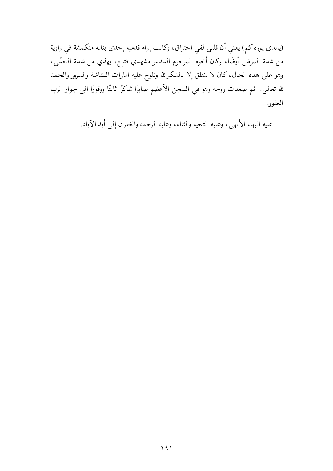(ياندي يوره كم) يعني أن قلبي لفي احتراق، وكانت إزاء قدميه إحدى بناته منكمشة في زاوية من شدة المرض أيضًا، وكان أخوه المرحوم المدعو مشهدي فتاح، يهذي من شدة الحمّي، وهو على هذه الحال، كان لا ينطق إلا بالشكر لله وتلوح عليه إمارات البشاشة والسرور والحمد لله تعالى. ثم صعدت روحه وهو في السجن الأعظم صابرًا شاكرًا ثابتًا ووقورًا إلى جوار الرب الغفور.

عليه البهاء الأبهي، وعليه التحية والثناء، وعليه الرحمة والغفران إلى أبد الآباد.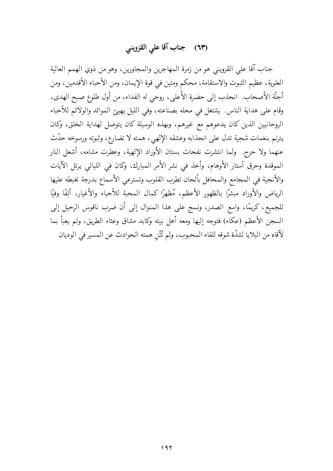# (٦٣) جناب آقا على القزويني

جناب آقا على القزويني هو من زمرة المهاجرين والمجاورين، وهو من ذوي الهمم العالية العلوية، عظيم الثبوت والاستقامة، محكم ومتين في قوة الإيمان، ومن الأحباء الأقدمين، ومن أجلَّة الأصحاب. انجذب إلى حضرة الأعلى، روحي له الفداء، من أول طلوع صبح الهدى، وقام على هداية الناس. يشتغل في محله بصناعته، وفي الليل يهيئ الموائد والولائم للأحباء الروحانيين الذين كان يدعوهم مع غيرهم، وبهذه الوسيلة كان يتوصل لهداية الخلق، وكان يترنم بنغمات شجية تدل على انجذابه وعشقه الإلهي، همته لا تضارع، وثبوته ورسوخه حدّث عنهما ولا حرج. ولما انتشرت نفحات بستان الأوراد الإلهية، وعطرت مشامه، أشعل النار الموقدة وحرق أستار الأوهام، وأخذ في نشر الأمر المبارك، وكان في الليالي يرتل الآيات والأنجية في المجامع والمحافل بألحان تطرب القلوب وتسترعى الأسماع بدرجة تغبطه عليها الرياض والأوراد مبشرًا بالظهور الأعظم، مُظهِّرًا كمال المحبة للأحباء والأغيار، ألِفًا وفيًا للجميع، كريمًا، واسع الصدر، ونسج على هذا المنوال إلى أن ضرب ناقوس الرحيل إلى السجن الأعظم (عكاء) فتوجه إليها ومعه أهل بيته وكابد مشاق وعثاء الطريق، ولم يعبأ بما لآقاه من البلايا لشدّة شوقه للقاء المحبوب، ولم تُثْن همته الحوادث عن المسير في الوديان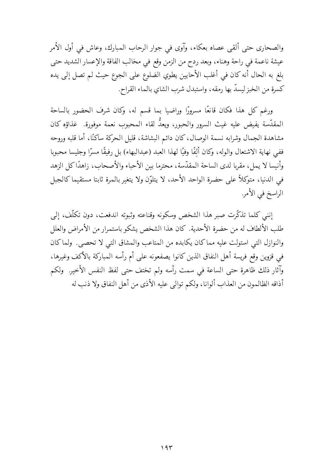والصحاري حتى ألقى عصاه بعكاء، وآوى في جوار الرحاب المبارك، وعاش في أول الأمر عيشة ناعمة في راحة وهناء، وبعد ردح من الزمن وقع في مخالب الفاقة والإعسار الشديد حتى بلغ به الحال أنه كان في أغلب الأحايين يطوي الضلوع على الجوع حيث لم تصل إلى يده كسرة من الخبز ليسدَّ بها رمقه، واستبدل شرب الشاي بالماء القراح.

ورغم كل هذا فكان قانعًا مسرورًا وراضيا بما قسم له، وكان شرف الحضور بالساحة المقدَّسة يفيض عليه غيث السرور والحبور، ويعدُّ لقاء المحبوب نعمة موفورة. غذاؤه كان مشاهدة الجمال وشرابه نسمة الوصال، كان دائم البشاشة، قليل الحركة ساكنًا، أما قلبه وروحه ففي نهاية الاشتعال والوله، وكان ألفًا وفيًا لهذا العبد (عبدالبهاء) بل رفيقًا مسرًّا وجليسا محبوبا وأنيسا لا يمل، مقربا لدى الساحة المقدّسة، محترما بين الأحباء والأصحاب، زاهدًاكل الزهد في الدنيا، متوكلاً على حضرة الواحد الأحد، لا يتلوَّن ولا يتغير بالمرة ثابتا مستقيما كالجبل الراسخ في الأمر.

إنني كلما تذكّرت صبر هذا الشخص وسكونه وقناعته وثبوته اندفعت، دون تكلّف، إلى طلب الألطاف له من حضرة الأحدية. كان هذا الشخص يشكو باستمرار من الأمراض والعلل والنوازل التي استولت عليه مماكان يكابده من المتاعب والمشاق التبي لا تحصى. ولماكان في قزوين وقع فريسة أهل النفاق الذين كانوا يصفعونه على أم رأسه المباركة بالأكف وغيرها، وآثار ذلك ظاهرة حتى الساعة في سمت رأسه ولم تختف حتى لفظ النفس الأخير. ولكم أذاقه الظالمون من العذاب ألوانا، ولكم توالى عليه الأذى من أهل النفاق ولا ذنب له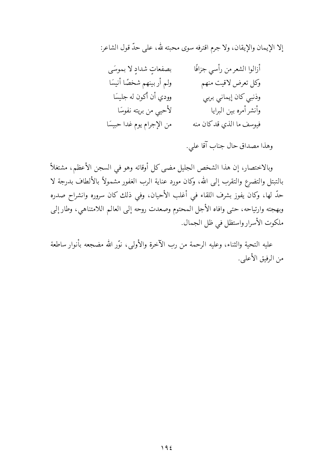إلا الإيمان والإيقان، ولا جرم اقترفه سوى محبته لله، على حدَّ قول الشاعر:

أزالوا الشعرمن رأسى جزافًا بصفعاتِ شدادِ لا بموسَى ولم أربينهم شخصًا أنيسًا وكل تعرض لاقيت منهم وودي أن أكون له جليسًا وذنبي كان إيماني بربي لأحيى من بريته نفوسًا وأنشر أمره بين البرايا من الإجرام يوم غدا حبيسًا فيوسف ما الذي قد كان منه

وهذا مصداق حال جناب آقا علي.

وبالاختصار، إن هذا الشخص الجليل مضي كل أوقاته وهو في السجن الأعظم، مشتغلاً بالتبتل والتضرع والتقرب إلى الله، وكان مورد عناية الرب الغفور مشمولاً بالألطاف بدرجة لا حدّ لها، وكان يفوز بشرف اللقاء في أغلب الأحيان، وفي ذلك كان سروره وانشراح صدره وبهجته وارتياحه، حتى وافاه الأجل المحتوم وصعدت روحه إلى العالم اللامتناهي، وطار إلى ملكوت الأسرار واستظل في ظل الجمال.

عليه التحية والثناء، وعليه الرحمة من رب الآخرة والأولى، نوَّر الله مضجعه بأنوار ساطعة من الرفيق الأعلبي.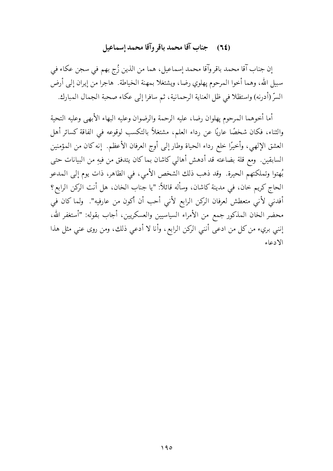### (٢٤) جناب آقا محمد باقر وآقا محمد إسماعيل

إن جناب آقا محمد باقر وآقا محمد إسماعيل، هما من الذين زُج بهم في سجن عكاء في سبيل الله، وهما أخوا المرحوم پهلوي رضا، ويشتغلا بمهنة الخياطة. هاجرا من إيران إلى أرض السرِّ (أدرنه) واستظلا في ظل العناية الرحمانية، ثم سافرا إلى عكاء صحبة الجمال المبارك.

أما أخوهما المرحوم يهلوان رضا، عليه الرحمة والرضوان وعليه البهاء الأبهى وعليه التحية والثناء، فكان شخصًا عاريًا عن رداء العلم، مشتغلاً بالتكسب لوقوعه في الفاقة كسائر أهل العشق الإلهي، وأخيرًا خلع رداء الحياة وطار إلى أوج العرفان الأعظم. ۚ إنه كان من المؤمنين السابقين. ومع قلة بضاعته قد أدهش أهالي كاشان بماكان يتدفق من فيهِ من البيانات حتى بُهتوا وتملكتهم الحيرة. وقد ذهب ذلك الشخص الأمي، في الظاهر، ذات يوم إلى المدعو الحاج كريم خان، في مدينة كاشان، وسأله قائلاً: "يا جناب الخان، هل أنت الركن الرابع؟ أفدني لأني متعطش لعرفان الركن الرابع لأني أحب أن أكون من عارفيه". ولما كان في محضر الخان المذكور جمع من الأمراء السياسيين والعسكريين، أجاب بقوله: "أستغفر الله، إنني بريء من كل من ادعى أنني الركن الرابع، وأنا لا أدعى ذلك، ومن روى عني مثل هذا الادعاء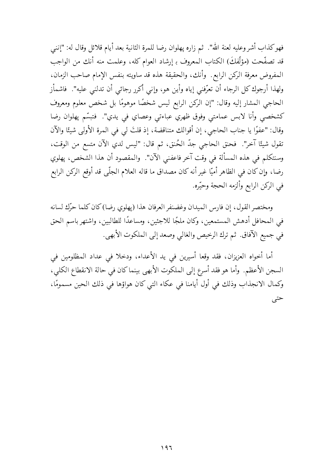فهوكذاب أشر وعليه لعنة الله". ثم زاره پهلوان رضا للمرة الثانية بعد أيام قلائل وقال له: "إننبي قد تصفّحت (مؤلِّفكَ) الكتاب المعروف بـ إرشاد العوام كله، وعلمت منه أنك من الواجب المفروض معرفة الركن الرابع. وأنك، والحقيقة هذه قد ساويته بنفس الإمام صاحب الزمان، ولهذا أرجوك كل الرجاء أن تعرّفني إياه وأين هو، وإني أكرر رجائي أن تدلني عليه". فاشمأز الحاجي المشار إليه وقال: "إن الركن الرابع ليس شخصًا موهومًا بل شخص معلوم ومعروف كشخصي وأنا لابس عمامتي وفوق ظهري عباءتي وعصاي في يدي". فتبسَّم پهلوان رضا وقال: "عفوًا يا جناب الحاجي، إن أقوالك متناقضة، إذ قلتَ لي في المرة الأولى شيئًا والآن تقول شيئًا آخر". فحنق الحاجي جدّ الحُنق، ثم قال: "ليس لدي الآن متسع من الوقت، وسنتكلم في هذه المسألة في وقت آخر فاعفني الآن". والمقصود أن هذا الشخص، پهلوي رضا، وإن كان في الظاهر أميّا غير أنه كان مصداق ما قاله العلام الجلّي قد أوقع الركن الرابع في الركن الرابع وألزمه الحجة وحيّره.

ومختصر القول، إن فارس الميدان وغضنفر العرفان هذا (يهلوي رضا)كان كلما حرِّك لسانه في المحافل أدهش المستمعين، وكان ملجًا للاجئين، ومساعدًا للطالبين، واشتهر باسم الحق في جميع الآفاق. ثم ترك الرخيص والغالبي وصعد إلى الملكوت الأبهي.

أما أخواه العزيزان، فقد وقعا أسيرين في يد الأعداء، ودخلا في عداد المظلومين في السجن الأعظم. وأما هو فقد أسرع إلى الملكوت الأبهى بينماكان في حالة الانقطاع الكلي، وكمال الانجذاب وذلك في أول أيامنا في عكاء التي كان هواؤها في ذلك الحين مسمومًا، حتى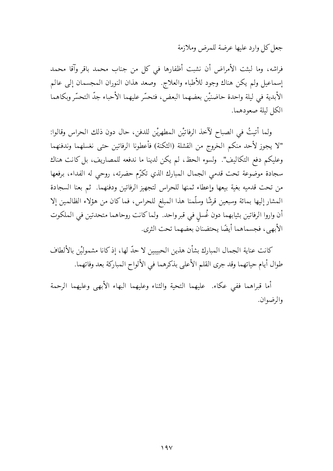جعل كل وارد عليها عرضة للمرض وملازمة

فراشه، وما لبثت الأمراض أن نشبت أظفارها في كل من جناب محمد باقر وآقا محمد إسماعيل ولم يكن هناك وجود للأطباء والعلاج. وصعد هذان النوران المجسمان إلى عالم الأبدية في ليلة واحدة حاضنيْن بعضهما البعض، فتحسَّر عليهما الأحباء جدَّ التحسُّر وبكاهما الكل ليلة صعودهما.

ولما أتيتُ في الصباح لآخذ الرفاتيْن المطهريْن للدفن، حال دون ذلك الحراس وقالوا: "لا يجوز لأحد منكم الخروج من القشلة (الثكنة) فأعطونا الرفاتين حتى نغسلهما وندفنهما وعليكم دفع التكاليف". ولسوء الحظ، لم يكن لدينا ما ندفعه للمصاريف، بل كانت هناك سجادة موضوعة تحت قدمي الجمال المبارك الذي تكرَّم حضرته، روحي له الفداء، برفعها من تحت قدميه بغية بيعها وإعطاء ثمنها للحراس لتجهيز الرفاتين ودفنهما. ثم بعنا السجادة المشار إليها بمائة وسبعين قرشًا وسلَّمنا هذا المبلغ للحراس، فماكان من هؤلاء الظالمين إلا أن واروا الرفاتين بثيابهما دون غُسلٍ في قبر واحد. ۖ ولما كانت روحاهما متحدتين في الملكوت الأبهي، فجسماهما أيضًا يحتضنان بعضهما تحت الثري.

كانت عناية الجمال المبارك بشأن هذين الحبيبين لا حدّ لها، إذ كانا مشموليْن بالألطاف طوال أيام حياتهما وقد جرى القلم الأعلى بذكرهما في الألواح المباركة بعد وفاتهما.

أما قبراهما ففي عكاء. عليهما التحية والثناء وعليهما البهاء الأبهى وعليهما الرحمة والرضوان.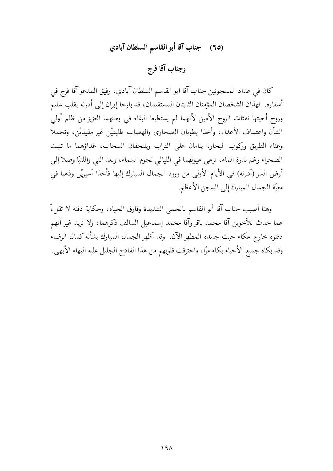## (٦٥) جناب آقا أبو القاسم السلطان آبادي

وجناب آقا فرج

كان في عداد المسجونين جناب آقا أبو القاسم السلطان آبادي، رفيق المدعو آقا فرج في أسفاره. فهذان الشخصان المؤمنان الثابتان المستقيمان، قد بارحا إيران إلى أدرنه بقلب سليم وروح أحيتها نفثات الروح الأمين لأنهما لم يستطيعا البقاء في وطنهما العزيز من ظلم أولى الشأن واعتساف الأعداء، وأخذا يطويان الصحاري والهضاب طليقيْن غير مقيديْن، وتحملا وعثاء الطريق وركوب البحار، ينامان على التراب ويلتحفان السحاب، غذاؤهما ما تنبت الصحراء رغم ندرة الماء، ترعي عيونهما في الليالي نجوم السماء، وبعد التبي واللتيّا وصلا إلى أرض السر (أدرنه) في الأيام الأولى من ورود الجمال المبارك إليها فأخذا أسيريْن وذهبا في معيّة الجمال المبارك إلى السجن الأعظم.

وهنا أصيب جناب آقا أبو القاسم بالحمى الشديدة وفارق الحياة، وحكاية دفنه لا تقل،ّ عما حدث للأخوين آقا محمد باقر وآقا محمد إسماعيل السالف ذكرهما، ولا تزيد غير أنهم دفنوه خارج عكاء حيث جسده المطهر الآن. وقد أظهر الجمال المبارك بشأنه كمال الرضاء وقد بكاه جميع الأحباء بكاء مرًا، واحترقت قلوبهم من هذا الفادح الجليل عليه البهاء الأبهي.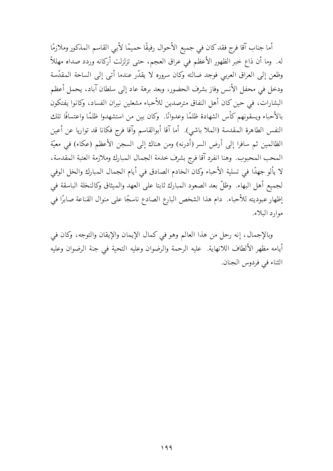أما جناب آقا فرج فقد كان في جميع الأحوال رفيقًا حميمًا لأبي القاسم المذكور وملازمًا له. وما أن ذاع خبر الظهور الأعظم في عراق العجم، حتى تزلزلت أركانه وردد صداه مهللاً وظعن إلى العراق العربي فوجد ضالته وكان سروره لا يقدّر عندما أتبي إلى الساحة المقدّسة ودخل في محفل الأنس وفاز بشرف الحضور، وبعد برهة عاد إلى سلطان آباد، يحمل أعظم البشارات، في حين كان أهل النفاق مترصدين للأحباء مشعلين نيران الفساد، وكانوا يفتكون بالأحباء ويسقونهم كأس الشهادة ظلمًا وعدوانًا. ۖ وكان بين من استشهدوا ظلمًا واعتسافًا تلك النفس الطاهرة المقدسة (الملا باشي). أما آقا أبوالقاسم وآقا فرج فكانا قد تواريا عن أعين الظالمين ثم سافرا إلى أرض السر (أدرنه) ومن هناك إلى السجن الأعظم (عكاء) في معيّة المحب المحبوب. وهنا انفرد آقا فرج بشرف خدمة الجمال المبارك وملازمة العتبة المقدسة، لا يألو جهدًا في تسلية الأحباء وكان الخادم الصادق في أيام الجمال المبارك والخل الوفي لجميع أهل البهاء. وظلَّ بعد الصعود المبارك ثابتا على العهد والميثاق وكالنخلة الباسقة في إظهار عبوديته للأحباء. دام هذا الشخص البارع الصادع ناسجًا على منوال القناعة صابرًا في موارد البلاء.

وبالإجمال، إنه رحل من هذا العالم وهو في كمال الإيمان والإيقان والتوجه، وكان في أيامه مظهر الألطاف اللانهاية. عليه الرحمة والرضوان وعليه التحية في جنة الرضوان وعليه الثناء في فردوس الجنان.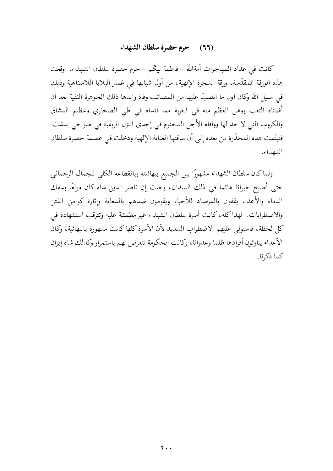#### (٦٦) حرم حضرة سلطان الشهداء

كانت في عداد المهاجرات أمةالله – فاطمة بيكم – حرم حضرة سلطان الشهداء. وقعت هذه الورقة المقدَّسة، ورقة الشجرة الإلهية، من أول شبابها في غمار البلايا اللامتناهية وذلك في سبيل الله وكان أول ما انصبَّ عليها من المصائب وفاة والدها ذلك الجوهرة النقية بعد أن أضناه التعب ووهن العظم منه في الغربة مما قاساه في طي الصحاري وعظيم المشاق والكروب التى لا حد لها ووافاه الأجل المحتوم في إحدى النزل الريفية في ضواحي بدشت. فتيتَّمت هذه المخدَّرة من بعده إلى أن ساقتها العناية الإلهية ودخلت في عصمة حضرة سلطان الشهداء.

ولماكان سلطان الشهداء مشهورًا بين الجميع ببهائيته وبانقطاعه الكلى للجمال الرحماني حتى أصبح حيرانا هائما في ذلك الميدان، وحيث إن ناصر الدين شاه كان مولعًا بسفك الدماء والأعداء يقفون بالمرصاد للأحباء ويقومون ضدهم بالسعاية وإثارة كوامن الفتن والاضطرابات. لهذا كله، كانت أسرة سلطان الشهداء غير مطمئنة عليه وتترقب استشهاده في كل لحظة، فاستولى عليهم الاضطراب الشديد لأن الأسرة كلها كانت مشهورة بالبهائية، وكان الأعداء يناوئون أفرادها ظلما وعدوانا، وكانت الحكومة تتعرض لهم باستمرار وكذلك شاه إيران كما ذكرنا.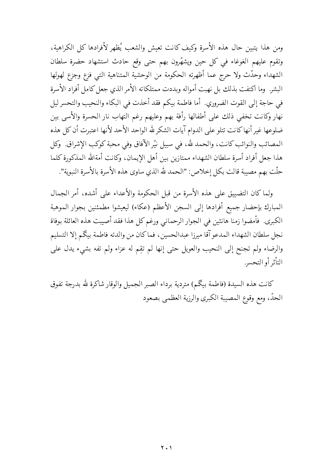ومن هذا يتبين حال هذه الأسرة وكيف كانت تعيش والشعب يُظهر لأفرادها كل الكراهية، وتقوم عليهم الغوغاء في كل حين ويشهِّرون بهم حتى وقع حادث استشهاد حضرة سلطان الشهداء وحدَّث ولا حرج عما أظهرته الحكومة من الوحشية المتناهية التبي فزع وجزع لهولها البشر. وما اكتفت بذلك بل نهبت أمواله وبددت ممتلكاته الأمر الذي جعل كامل أفراد الأسرة في حاجة إلى القوت الضروري. أما فاطمة بيكم فقد أخذت في البكاء والنحيب والتحسر ليل نهار وكانت تخفى ذلك على أطفالها رأفة بهم وعليهم رغم التهاب نار الحسرة والأسى بين ضلوعها غير أنهاكانت تتلو على الدوام آيات الشكرلله الواحد الأحد لأنها اعتبرت أن كل هذه المصائب والنوائب كانت، والحمد لله، في سبيل نيّر الآفاق وفي محبة كوكب الإشراق. وكل هذا جعل أفراد أسرة سلطان الشهداء ممتازين بين أهل الإيمان، وكانت أمةالله المذكورة كلما حلَّت بهم مصيبة قالت بكل إخلاص: "الحمد لله الذي ساوى هذه الأسرة بالأسرة النبوية".

ولما كان التضييق على هذه الأسرة من قبل الحكومة والأعداء على أشده، أمر الجمال المبارك بإحضار جميع أفرادها إلى السجن الأعظم (عكاء) ليعيشوا مطمئنين بجوار الموهبة الكبرى. فأمضوا زمنا هانئين في الجوار الرحماني ورغم كل هذا فقد أصيبت هذه العائلة بوفاة نجل سلطان الشهداء المدعو آقا ميرزا عبدالحسين، فماكان من والدته فاطمة بيكم إلا التسليم والرضاء ولم تجنح إلى النحيب والعويل حتى إنها لم تقِم له عزاء ولم تفه بشيء يدل على التأثر أو التحسر.

كانت هذه السيدة (فاطمة بيگم) متردية برداء الصبر الجميل والوقار شاكرة لله بدرجة تفوق الحدّ، ومع وقوع المصيبة الكبرى والرزية العظمى بصعود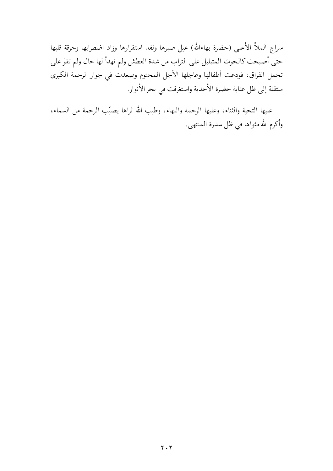سراج الملأ الأعلى (حضرة بهاءالله) عيل صبرها ونفد استقرارها وزاد اضطرابها وحرقة قلبها حتى أصبحت كالحوت المتبلبل على التراب من شدة العطش ولم تهدأ لها حال ولم تقوَ على تحمل الفراق، فودعت أطفالها وعاجلها الأجل المحتوم وصعدت في جوار الرحمة الكبرى منتقلة إلى ظل عناية حضرة الأحدية واستغرقت في بحر الأنوار.

عليها التحية والثناء، وعليها الرحمة والبهاء، وطيب الله ثراها بصيّب الرحمة من السماء، وأكرم الله مثواها في ظل سدرة المنتهى.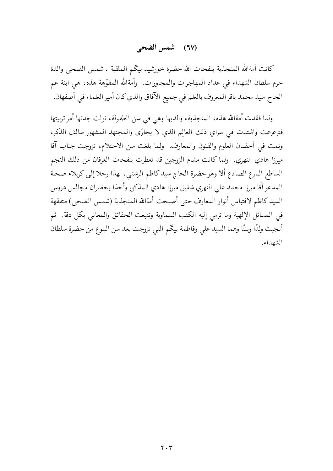### (٦٧) شمس الضحي

كانت أمةالله المنجذبة بنفحات الله حضرة خورشيد بيكم الملقبة بـ شمس الضحى والدة حرم سلطان الشهداء في عداد المهاجرات والمجاورات. وأمةالله المفوّهة هذه، هي ابنة عم الحاج سيد محمد باقر المعروف بالعلم في جميع الآفاق والذي كان أمير العلماء في أصفهان.

ولما فقدت أمةالله هذه، المنجذبة، والديها وهي في سن الطفولة، تولت جدتها أمر تربيتها فترعرعت واشتدت في سراي ذلك العالم الذي لا يجارَى والمجتهد المشهور سالف الذكر، ونمت في أحضان العلوم والفنون والمعارف ولمما بلغت سن الاحتلام، تزوجت جناب آقا ميرزا هادي النهري. ولما كانت مشام الزوجين قد تعطرت بنفحات العرفان من ذلك النجم الساطع البارع الصادع ألا وهو حضرة الحاج سيدكاظم الرشتبي، لهذا رحلا إلى كربلاء صحبة المدعو آقا ميرزا محمد على النهري شقيق ميرزا هادي المذكور وأخذا يحضران مجالس دروس السيدكاظم لاقتباس أنوار المعارف حتى أصبحت أمةالله المنجذبة (شمس الضحى) متفقهة في المسائل الإلهية وما ترمي إليه الكتب السماوية وتتبعت الحقائق والمعاني بكل دقة. ثم أنجبت ولدًا وبنتًا وهما السيد على وفاطمة بيكم التي تزوجت بعد سن البلوغ من حضرة سلطان الشهداء.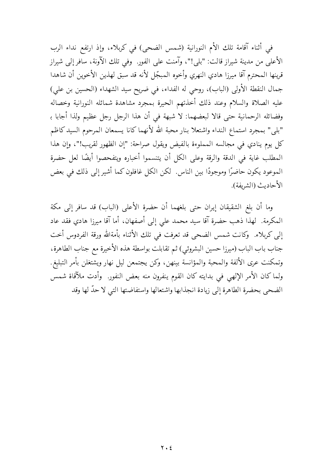في أثناء آقامة تلك الأم النورانية (شمس الضحى) في كربلاء، وإذ ارتفع نداء الرب الأعلى من مدينة شيراز قالت: "بلي!"، وآمنت على الفور. وفي تلك الآونة، سافر إلى شيراز قرينها المحترم آقا ميرزا هادي النهري وأخوه المبجّل لأنه قد سبق لهذين الأخوين أن شاهدا جمال النقطة الأولى (الباب)، روحي له الفداء، في ضريح سيد الشهداء (الحسين بن علي) عليه الصلاة والسلام وعند ذلك أخذتهم الحيرة بمجرد مشاهدة شمائله النورانية وخصاله وفضائله الرحمانية حتى قالا لبعضهما: لا شبهة في أن هذا الرجل رجل عظيم ولذا أجابا بـ "بلي" بمجرد استماع النداء واشتعلا بنار محبة الله لأنهما كانا يسمعان المرحوم السيد كاظم كل يوم ينادي في مجالسه المملوءة بالفيض ويقول صراحة: "إن الظهور لقريب!"، وإن هذا المطلب غاية في الدقة والرقة وعلى الكل أن يتنسموا أخباره ويتفحصوا أيضًا لعل حضرة الموعود يكون حاضرًا وموجودًا بين الناس. لكن الكل غافلون كما أشير إلى ذلك في بعض الأحاديث (الشريفة).

وما أن بلغ الشقيقان إيران حتى بلغهما أن حضرة الأعلى (الباب) قد سافر إلى مكة المكرمة. لهذا ذهب حضرة آقا سيد محمد على إلى أصفهان، أما آقا ميرزا هادي فقد عاد إلى كربلاء. ۖ وكانت شمس الضحي قد تعرفت في تلك الأثناء بأمةالله ورقة الفردوس أخت جناب باب الباب (ميرزا حسين البشروئي) ثم تقابلت بواسطة هذه الأخيرة مع جناب الطاهرة، وتمكنت عرى الألفة والمحبة والمؤانسة بينهن، وكن يجتمعن ليل نهار ويشتغلن بأمر التبليغ. ولما كان الأمر الإلهي في بدايته كان القوم ينفرون منه بعض النفور. وأدت ملآقاة شمس الضحى بحضرة الطاهرة إلى زيادة انجذابها واشتعالها واستفاضتها التي لا حدَّ لها وقد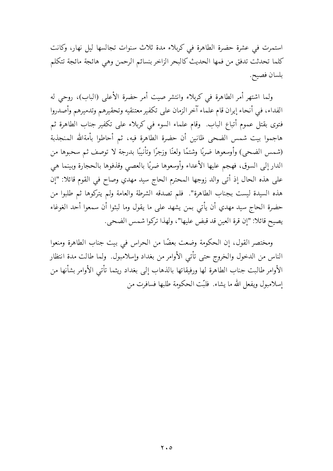استمرت في عشرة حضرة الطاهرة في كربلاء مدة ثلاث سنوات تجالسها ليل نهار، وكانت كلما تحدثت تدفق من فمها الحديث كالبحر الزاخر بنسائم الرحمن وهي هائجة مائجة تتكلم بلسان فصيح.

ولما اشتهر أمر الطاهرة في كربلاء وانتشر صيت أمر حضرة الأعلى (الباب)، روحي له الفداء، في أنحاء إيران قام علماء آخر الزمان على تكفير معتنقيه وتحقيرهم وتدميرهم وأصدروا فتوى بقتل عموم أتباع الباب. وقام علماء السوء في كربلاء على تكفير جناب الطاهرة ثم هاجموا بيت شمس الضحى ظانين أن حضرة الطاهرة فيه، ثم أحاطوا بأمةالله المنجذبة (شمس الضحى) وأوسعوها ضربًا وشتمًا ولعنًا وزجرًا وتأنيبًا بدرجة لا توصف ثم سحبوها من الدار إلى السوق، فهجم عليها الأعداء وأوسعوها ضربًا بالعصبي وقذفوها بالحجارة وبينما هي على هذه الحال إذ أتى والد زوجها المحترم الحاج سيد مهدي وصاح في القوم قائلا: "إن هذه السيدة ليست بجناب الطاهرة". فلم تصدقه الشرطة والعامة ولم يتركوها ثم طلبوا من حضرة الحاج سيد مهدي أن يأتى بمن يشهد على ما يقول وما لبثوا أن سمعوا أحد الغوغاء يصيح قائلًا: "إن قرة العين قد قبض عليها"، ولهذا تركوا شمس الضحى.

ومختصر القول، إن الحكومة وضعت بعضًا من الحراس في بيت جناب الطاهرة ومنعوا الناس من الدخول والخروج حتى تأتى الأوامر من بغداد وإسلامبول. ولما طالت مدة انتظار الأوامر طالبت جناب الطاهرة لها ورفيقاتها بالذهاب إلى بغداد ريثما تأتى الأوامر بشأنها من اسلامبول ويفعل الله ما يشاء. فلنّت الحكومة طلبها فسافرت من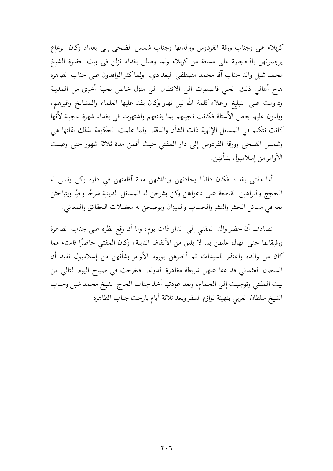كربلاء هي وجناب ورقة الفردوس ووالدتها وجناب شمس الضحى إلى بغداد وكان الرعاع يرجمونهن بالحجارة على مسافة من كربلاء ولما وصلن بغداد نزلن في بيت حضرة الشيخ محمد شبل والد جناب آقا محمد مصطفى البغدادي. ولما كثر الوافدون على جناب الطاهرة هاج أهالي ذلك الحي فاضطرت إلى الانتقال إلى منزل خاص بجهة أخرى من المدينة وداومت على التبليغ وإعلاء كلمة الله ليل نهار وكان يفد عليها العلماء والمشايخ وغيرهم، ويلقون عليها بعض الأسئلة فكانت تجيبهم بما يقنعهم واشتهرت في بغداد شهرة عجيبة لأنها كانت تتكلَّم في المسائل الإلهية ذات الشأن والدقة. ۖ ولما علمت الحكومة بذلك نقلتها هي وشمس الضحى وورقة الفردوس إلى دار المفتى حيث أقمن مدة ثلاثة شهور حتى وصلت الأوامر من إسلامبول بشأنهن.

أما مفتى بغداد فكان دائمًا يحادثهن ويناقشهن مدة آقامتهن في داره وكن يقمن له الحجج والبراهين القاطعة على دعواهن وكن يشرحن له المسائل الدينية شرحًا وافيًا ويتباحثن معه في مسائل الحشر والنشر والحساب والميزان ويوضحن له معضلات الحقائق والمعاني.

تصادف أن حضر والد المفتى إلى الدار ذات يوم، وما أن وقع نظره على جناب الطاهرة ورفيقاتها حتى انهال عليهن بما لا يليق من الألفاظ النابية، وكان المفتى حاضرًا فاستاء مما كان من والده واعتذر للسيدات ثم أخبرهن بورود الأوامر بشأنهن من إسلامبول تفيد أن السلطان العثماني قد عفا عنهن شريطة مغادرة الدولة. فخرجت في صباح اليوم التالي من بيت المفتى وتوجهت إلىي الحمام، وبعد عودتها أخذ جناب الحاج الشيخ محمد شبل وجناب الشيخ سلطان العرببي بتهيئة لوازم السفر وبعد ثلاثة أيام بارحت جناب الطاهرة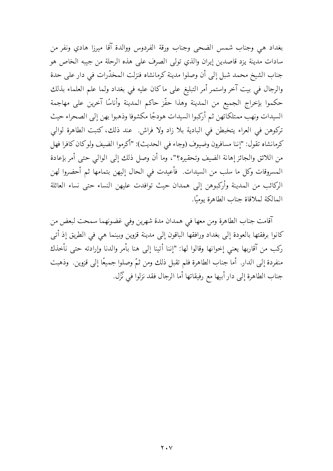بغداد هي وجناب شمس الضحى وجناب ورقة الفردوس ووالدة آقا ميرزا هادي ونفر من سادات مدينة يزد قاصدين إيران والذي تولى الصرف على هذه الرحلة من جيبه الخاص هو جناب الشيخ محمد شبل إلى أن وصلوا مدينة كرمانشاه فنزلت المحذَّرات في دار على حدة والرجال في بيت آخر واستمر أمر التبليغ على ماكان عليه في بغداد ولما علم العلماء بذلك حكموا بإخراج الجميع من المدينة وهذا حفّز حاكم المدينة وأناسًا آخرين على مهاجمة السيدات ونهب ممتلكاتهن ثم أركبوا السيدات هودجًا مكشوفا وذهبوا بهن إلىي الصحراء حيث تركوهن في العراء يتخبطن في البادية بلا زاد ولا فراش. عند ذلك، كتبت الطاهرة لوالي كرمانشاه تقول: "إننا مسافرون وضيوف (وجاء في الحديث): "أكرموا الضيف ولوكان كافرا فهل من اللائق والجائز إهانة الضيف وتحقيره؟"، وما أن وصل ذلك إلى الوالي حتى أمر بإعادة المسروقات وكل ما سلب من السيدات. فأعيدت في الحال إليهن بتمامها ثم أحضروا لهن الركائب من المدينة وأركبوهن إلى همدان حيث توافدت عليهن النساء حتى نساء العائلة المالكة لملاقاة جناب الطاهرة يوميًا.

آقامت جناب الطاهرة ومن معها في همدان مدة شهرين وفي غضونهما سمحت لبعض من كانوا برفقتها بالعودة إلى بغداد ورافقها الباقون إلى مدينة قزوين وبينما هي في الطريق إذ أتبي ركب من آقاربها يعني إخوانها وقالوا لها: "إننا أتينا إلى هنا بأمر والدنا وإرادته حتى نأخذك منفردة إلى الدار. أما جناب الطاهرة فلم تقبل ذلك ومن ثمّ وصلوا جميعًا إلى قزوين. وذهبت جناب الطاهرة إلى دار أبيها مع رفيقاتها أما الرجال فقد نزلوا في نُزُل.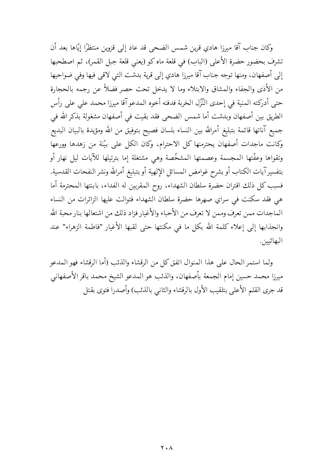وكان جناب آقا ميرزا هادي قرين شمس الضحى قد عاد إلى قزوين منتظرًا إيّاها بعد أن تشرف بحضور حضرة الأعلى (الباب) في قلعة ماه كو (يعني قلعة جبل القمر)، ثم اصطحبها إلى أصفهان، ومنها توجه جناب آقا ميرزا هادي إلى قرية بدشت التبي لاقي فيها وفي ضواحيها من الأذى والجفاء والمشاق والابتلاء وما لا يدخل تحت حصر فضلاً عن رجمه بالحجارة حتى أدركته المنية في إحدى النُّزُل الخربة فدفنه أخوه المدعو آقا ميرزا محمد على على رأس الطريق بين أصفهان وبدشت أما شمس الضحى فقد بقيت في أصفهان مشغولة بذكر الله في جميع آناتها قائمة بتبليغ أمرالله بين النساء بلسان فصيح بتوفيق من الله ومؤيدة بالبيان البديع وكانت ماجدات أصفهان يحترمنها كل الاحترام، وكان الكل على بيّنة من زهدها وورعها وتقواها وعفّتها المجسمة وعصمتها المشخّصة وهى مشتغلة إما بترتيلها للآيات ليل نهار أو بتفسير آيات الكتاب أو بشرح غوامض المسائل الإلهية أو بتبليغ أمرالله ونشر النفحات القدسية. فسبب كل ذلك اقتران حضرة سلطان الشهداء، روح المقربين له الفداء، بابنتها المحترمة أما هي فقد سكنت في سراي صهرها حضرة سلطان الشهداء فتوالت عليها الزائرات من النساء الماجدات ممن تعرف وممن لا تعرف من الأحباء والأغيار فزاد ذلك من اشتعالها بنار محبة الله وانجذابها إلى إعلاء كلمة الله بكل ما في مكنتها حتى لقبها الأغيار "فاطمة الزهراء" عند البهائيين.

ولما استمر الحال على هذا المنوال اتفق كل من الرقشاء والذئب (أما الرقشاء فهو المدعو ميرزا محمد حسين إمام الجمعة بأصفهان، والذئب هو المدعو الشيخ محمد باقر الأصفهاني قد جرى القلم الأعلى بتلقيب الأول بالرقشاء والثانبي بالذئب) وأصدرا فتوى بقتل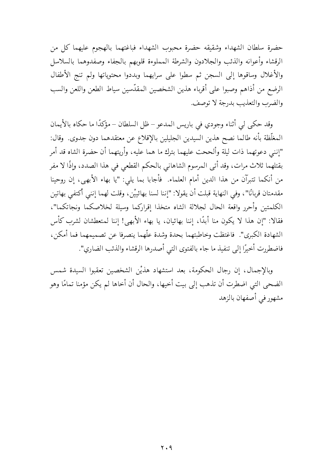حضرة سلطان الشهداء وشقيقه حضرة محبوب الشهداء فباغتهما بالهجوم عليهما كل من الرقشاء وأعوانه والذئب والجلادون والشرطة المملوءة قلوبهم بالجفاء وصفدوهما بالسلاسل والأغلال وساقوها إلى السجن ثم سطوا على سرايهما وبددوا محتوياتها ولم تنج الأطفال الرضع من أذاهم وصبوا على أقرباء هذين الشخصين المقدّسين سياط الطعن واللعن والسب والضرب والتعذيب بدرجة لا توصف.

وقد حكى لي أثناء وجودي في باريس المدعو – ظل السلطان – مؤكدًا ما حكاه بالأيمان المغلَّظة بأنه طالما نصح هذين السيدين الجليلين بالإقلاع عن معتقدهما دون جدوى. وقال: "إنني دعوتهما ذات ليلة وألححت عليهما بترك ما هما عليه، وأريتهما أن حضرة الشاه قد أمر بقتلهما ثلاث مرات، وقد أتى المرسوم الشاهاني بالحكم القطعي في هذا الصدد، وإذًا لا مفر من أنكما تتبرآن من هذا الدين أمام العلماء. ۖ فأجابا بما يلي: "يا بهاء الأبهى، إن روحينا مقدمتان قربانًا"، وفي النهاية قبلت أن يقولا: "إننا لسنا بهائييْن، وقلت لهما إنني أكتفي بهاتين الكلمتين وأحرر واقعة الحال لجلالة الشاه متخذا إقراركما وسيلة لخلاصكما ونجاتكما"، فقالا: "إن هذا لا يكون منا أبدًا، إننا بهائيان، يا بهاء الأبهى! إننا لمتعطشان لشرب كأس الشهادة الكبرى". فاغتظت وخاطبتهما بحدة وشدة علَّهما ينصرفا عن تصميمهما فما أمكن، فاضطررت أخيرًا إلى تنفيذ ما جاء بالفتوى التي أصدرها الرقشاء والذئب الضاري".

وبالإجمال، إن رجال الحكومة، بعد استشهاد هذيْن الشخصين تعقبوا السيدة شمس الضحى التي اضطرت أن تذهب إلى بيت أخيها، والحال أن أخاها لم يكن مؤمنا تمامًا وهو مشهور في أصفهان بالزهد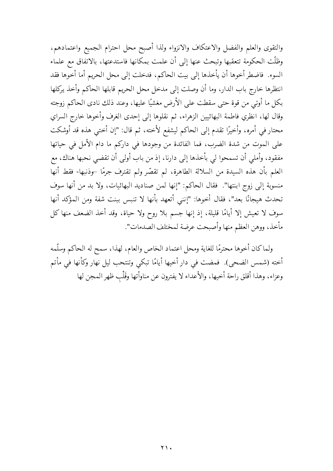والتقوى والعلم والفضل والاعتكاف والانزواء ولذا أصبح محل احترام الجميع واعتمادهم، وظلَّت الحكومة تتعقبها وتبحث عنها إلى أن علمت بمكانها فاستدعتها، بالاتفاق مع علماء السوء. فاضطر أخوها أن يأخذها إلى بيت الحاكم، فدخلت إلى محل الحريم أما أخوها فقد انتظرها خارج باب الدار، وما أن وصلت إلى مدخل محل الحريم قابلها الحاكم وأخذ يركلها بكل ما أوتى من قوة حتى سقطت على الأرض مغشيًا عليها، وعند ذلك نادى الحاكم زوجته وقال لها، انظري فاطمة البهائيين الزهراء، ثم نقلوها إلى إحدى الغرف وأخوها خارج السراي محتار في أمره، وأخيرًا تقدم إلى الحاكم ليشفع لأخته، ثم قال: "إن أختى هذه قد أوشكت على الموت من شدة الضرب، فما الفائدة من وجودها في داركم ما دام الأمل في حياتها مفقود، وأملي أن تسمحوا لي بأخذها إلى دارنا، إذ من باب أولى أن تقضى نحبها هناك، مع العلم بأن هذه السيدة من السلالة الطاهرة، لم تقصَّر ولم تقترف جرمًا –وذنبها- فقط أنها منسوبة إلى زوج ابنتها". فقال الحاكم: "إنها لمن صناديد البهائيات، ولا بد من أنها سوف تحدث هيجانًا بعد"، فقال أخوها: "إنني أتعهد بأنها لا تنبس ببنت شفة ومن المؤكد أنها سوف لا تعيش إلا أيامًا قليلة، إذ إنها جسم بلا روح ولا حياة، وقد أخذ الضعف منها كل مأخذ، ووهن العظم منها وأصبحت عرضة لمختلف الصدمات".

ولماكان أخوها محترمًا للغاية ومحل اعتماد الخاص والعام، لهذا، سمح له الحاكم وسلَّمه أخته (شمس الضحى). فمضت في دار أخيها أيامًا تبكي وتنتحب ليل نهار وكأنها في مأتم وعزاء، وهذا أقلق راحة أخيها، والأعداء لا يفترون عن مناوأتها وقَلْب ظهر المجن لها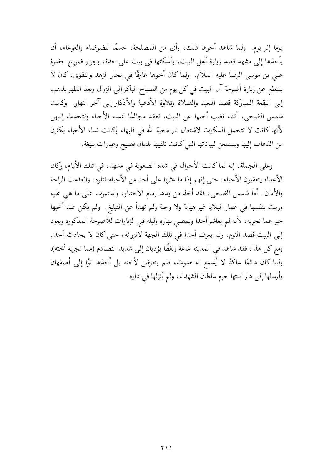يوما إثر يوم. ولما شاهد أخوها ذلك، رأى من المصلحة، حسمًا للضوضاء والغوغاء، أن يأخذها إلى مشهد قصد زيارة أهل البيت، وأسكنها في بيت على حدة، بجوار ضريح حضرة على بن موسى الرضا عليه السلام. ۖ ولما كان أخوها غارقًا في بحار الزهد والتقوى، كان لا ينقطع عن زيارة أضرحة آل البيت في كل يوم من الصباح الباكر إلى الزوال وبعد الظهر يذهب إلى البقعة المباركة قصد التعبد والصلاة وتلاوة الأدعية والأذكار إلى آخر النهار. وكانت شمس الضحيي، أثناء تغيب أخيها عن البيت، تعقد مجالسًا لنساء الأحباء وتتحدث إليهن لأنها كانت لا تتحمل السكوت لاشتعال نار محبة الله في قلبها، وكانت نساء الأحباء يكثرن من الذهاب إليها ويستمعن لبياناتها التبي كانت تلقيها بلسان فصيح وعبارات بليغة.

وعلى الجملة، إنه لماكانت الأحوال في شدة الصعوبة في مشهد، في تلك الأيام، وكان الأعداء يتعقبون الأحباء، حتى إنهم إذا ما عثروا على أحد من الأحباء قتلوه، وانعدمت الراحة والأمان. أما شمس الضحى، فقد أخذ من يدها زمام الاختيار، واستمرت على ما هي عليه ورمت بنفسها في غمار البلايا غير هيابة ولا وجلة ولم تهدأ عن التبليغ. ولم يكن عند أخيها خبر عما تجريه، لأنه لم يعاشر أحدا ويمضي نهاره وليله في الزيارات للأضرحة المذكورة ويعود إلى البيت قصد النوم، ولم يعرف أحدا في تلك الجهة لانزوائه، حتى كان لا يحادث أحدا. ومع كل هذا، فقد شاهد في المدينة غاغة ولغطًا يؤديان إلى شديد التصادم (مما تجريه أخته). ولما كان دائمًا ساكنًا لا يُسمع له صوت، فلم يتعرض لأخته بل أخذها توًا إلى أصفهان وأرسلها إلى دار ابنتها حرم سلطان الشهداء، ولم يُنزلها في داره.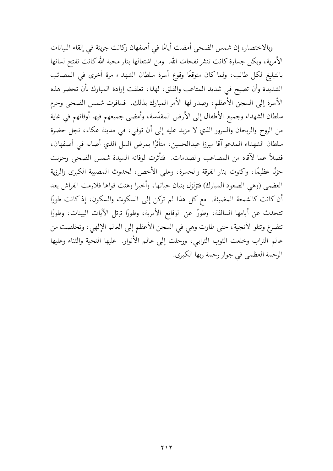وبالاختصار، إن شمس الضحى أمضت أيامًا في أصفهان وكانت جريئة في إلقاء البيانات الأمرية، وبكل جسارة كانت تنشر نفحات الله. ومن اشتعالها بنار محبة الله كانت تفتح لسانها بالتبليغ لكل طالب، ولما كان متوقعًا وقوع أسرة سلطان الشهداء مرة أخرى في المصائب الشديدة وأن تصبح في شديد المتاعب والقلق، لهذا، تعلقت إرادة المبارك بأن تحضر هذه الأسرة إلى السجن الأعظم، وصدر لها الأمر المبارك بذلك. فسافرت شمس الضحى وحرم سلطان الشهداء وجميع الأطفال إلى الأرض المقدّسة، وأمضى جميعهم فيها أوقاتهم في غاية من الروح والريحان والسرور الذي لا مزيد عليه إلى أن توفَّى، في مدينة عكاء، نجل حضرة سلطان الشهداء المدعو آقا ميرزا عبدالحسين، متأثِّرًا بمرض السل الذي أصابه في أصفهان، فضلاً عما لآقاه من المصاعب والصدمات. فتأثرت لوفاته السيدة شمس الضحى وحزنت حزنًا عظيمًا، واكتوت بنار الفرقة والحسرة، وعلى الأخص، لحدوث المصيبة الكبرى والرزية العظمى (وهي الصعود المبارك) فتزلزل بنيان حياتها، وأخيرا وهنت قواها فلازمت الفراش بعد أن كانت كالشمعة المضيئة. مع كل هذا لم تركن إلى السكوت والسكون، إذ كانت طورًا تتحدث عن أيامها السالفة، وطورًا عن الوقائع الأمرية، وطورًا ترتل الآيات البينات، وطورًا تتضرع وتتلو الأنجية، حتى طارت وهي في السجن الأعظم إلى العالم الإلهي، وتخلصت من عالم التراب وخلعت الثوب الترابي، ورحلت إلى عالم الأنوار. عليها التحية والثناء وعليها الرحمة العظمي في جوار رحمة ربها الكبرى.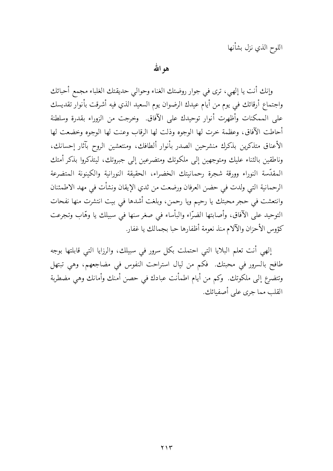اللوح الذي نزل بشأنها

هو الله

وإنك أنت يا إلهي، ترى في جوار روضتك الغناء وحوالي حديقتك الغلباء مجمع أحبائك واجتماع أرقائك في يوم من أيام عيدك الرضوان يوم السعيد الذي فيه أشرقت بأنوار تقديسك على الممكنات وأظهرت أنوار توحيدك على الآفاق. وخرجت من الزوراء بقدرة وسلطنة أحاطت الآفاق، وعظمة خرت لها الوجوه وذلت لها الرقاب وعنت لها الوجوه وخضعت لها الأعناق متذكرين بذكرك منشرحين الصدر بأنوار ألطافك، ومنتعشين الروح بآثار إحسانك، وناطقين بالثناء عليك ومتوجهين إلى ملكوتك ومتضرعين إلى جبروتك، ليتذكروا بذكر أمتك المقدّسة النوراء وورقة شجرة رحمانيتك الخضراء، الحقيقة النورانية والكينونة المتضرعة الرحمانية التي ولدت في حضن العرفان ورضعت من ثدي الإيقان ونشأت في مهد الاطمئنان وانتعشت في حجر محبتك يا رحيم ويا رحمن، وبلغت أشدها في بيت انتشرت منها نفحات التوحيد على الآفاق، وأصابتها الضرّاء والبأساء في صغر سنها في سبيلك يا وهّاب وتجرعت كؤوس الأحزان والآلام منذ نعومة أظفارها حبا بجمالك يا غفار.

إلهي أنت تعلم البلايا التي احتملت بكل سرور في سبيلك، والرزايا التي قابلتها بوجه طافح بالسرور في محبتك. فكم من ليال استراحت النفوس في مضاجعهم، وهي تبتهل وتتضرع إلى ملكوتك. ۖ وكم من أيام اطمأنت عبادك في حصن أمنك وأمانك وهي مضطربة القلب مما جرى على أصفيائك.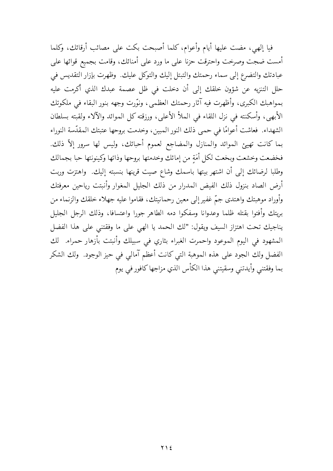فيا إلهي، مضت عليها أيام وأعوام، كلما أصبحت بكت على مصائب أرقائك، وكلما أمست ضجت وصرخت واحترقت حزنا على ما ورد على أمنائك، وقامت بجميع قوائها على عبادتك والتضرع إلى سماء رحمتك والتبتل إليك والتوكل عليك. وظهرت بإزار التقديس في حلل التنزيه عن شؤون خلقك إلى أن دخلت في ظل عصمة عبدك الذي أكرمت عليه بمواهبك الكبرى، وأظهرت فيه آثار رحمتك العظمى، ونوَّرت وجهه بنور البقاء في ملكوتك الأبهي، وأسكنته في نزل اللقاء في الملأ الأعلى، ورزقته كل الموائد والآلاء ولقبته بسلطان الشهداء. فعاشت أعوامًا في حمي ذلك النور المبين، وخدمت بروحها عتبتك المقدّسة النوراء بما كانت تهيئ الموائد والمنازل والمضاجع لعموم أحبائك، وليس لها سرور إلاّ ذلك. فخضعت وخشعت وبخعت لكل أمَةٍ من إمائك وخدمتها بروحها وذاتها وكينونتها حبا بجمالك وطلبا لرضائك إلى أن اشتهر بيتها باسمك وشاع صيت قرينها بنسبته إليك. واهتزت وربت أرض الصاد بنزول ذلك الفيض المدرار من ذلك الجليل المغوار وأنبتت رياحين معرفتك وأوراد موهبتك واهتدى جمّ غفير إلى معين رحمانيتك، فقاموا عليه جهلاء خلقك والزنماء من بريتك وأفتوا بقتله ظلما وعدوانا وسفكوا دمه الطاهر جورا واعتسافا، وذلك الرجل الجليل يناجيك تحت اهتزاز السيف ويقول: "لك الحمد يا الهي على ما وفقتني على هذا الفضل المشهود في اليوم الموعود واحمرت الغبراء بثاري في سبيلك وأنبتت بأزهار حمراء. لك الفضل ولك الجود على هذه الموهبة التي كانت أعظم آمالي في حيز الوجود. ولك الشكر بما وفقتني وأيدتني وسقيتني هذا الكأس الذي مزاجها كافور في يوم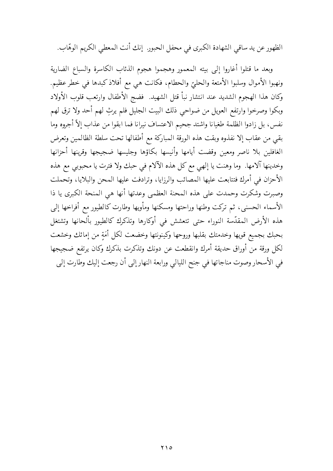الظهور عن يد ساقي الشهادة الكبرى في محفل الحبور. إنك أنت المعطى الكريم الوهّاب.

وبعد ما قتلوا أغاروا إلى بيته المعمور وهجموا هجوم الذئاب الكاسرة والسباع الضارية ونهبوا الأموال وسلبوا الأمتعة والحليّ والحطام، فكانت هي مع أفلاذ كبدها في خطر عظيم. وكان هذا الهجوم الشديد عند انتشار نبأ قتل الشهيد. فضج الأطفال وارتعب قلوب الأولاد وبكوا وصرخوا وارتفع العويل من ضواحى ذلك البيت الجليل فلم يرثِ لهم أحد ولا ترق لهم نفس، بل زادوا الظلمة طغيانا واشتد جحيم الاعتساف نيرانا فما ابقوا من عذاب إلاّ أجروه وما بقى من عقاب إلا نفذوه وبقت هذه الورقة المباركة مع أطفالها تحت سلطة الظالمين وتعرض الغافلين بلا ناصر ومعين وقضت أيامها وأنيسها بكاؤها وجليسها ضجيجها وقرينها أحزانها وخدينها آلامها. وما وهنت يا إلهي مع كل هذه الآلام في حبك ولا فترت يا محبوبي مع هذه الأحزان في أمرك فتتابعت عليها المصائب والرزايا، وترادفت عليها المحن والبلايا، وتحملت وصبرت وشكرت وحمدت على هذه المحنة العظمى وعدتها أنها هي المنحة الكبرى يا ذا الأسماء الحسني، ثم تركت وطنها وراحتها ومسكنها ومأويها وطارت كالطيور مع أفراخها إلى هذه الأرض المقدّسة النوراء حتى تتعشش في أوكارها وتذكرك كالطيور بألحانها وتشتغل بحبك بجميع قويها وخدمتك بقلبها وروحها وكينونتها وخضعت لكل أمَةٍ من إمائك وخشعت لكل ورقة من أوراق حديقة أمرك وانقطعت عن دونك وتذكرت بذكرك وكان يرتفع ضجيجها في الأسحار وصوت مناجاتها في جنح الليالي ورابعة النهار إلى أن رجعت إليك وطارت إلى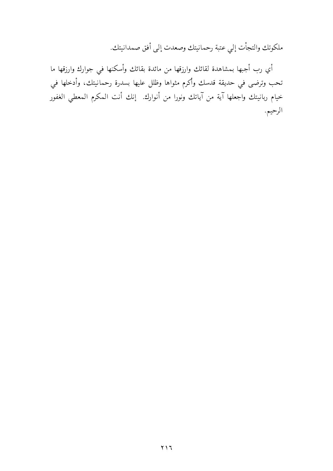ملكوتك والتجأت إلى عتبة رحمانيتك وصعدت إلى أفق صمدانيتك.

أي رب أجبها بمشاهدة لقائك وارزقها من مائدة بقائك وأسكنها في جوارك وارزقها ما تحب وترضى في حديقة قدسك وأكرم مثواها وظلل عليها بسدرة رحمانيتك، وأدخلها في خيام ربانيتك واجعلها آية من آياتك ونورا من أنوارك. إنك أنت المكرم المعطي الغفور الرحيم.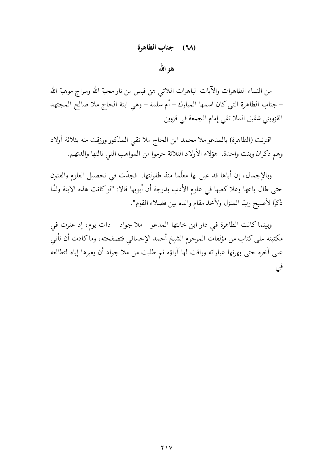## (٦٨) جناب الطاهرة

## هوالله

من النساء الطاهرات والآيات الباهرات اللائبي هن قبس من نار محبة الله وسراج موهبة الله – جناب الطاهرة التي كان اسمها المبارك – أم سلمة – وهي ابنة الحاج ملا صالح المجتهد القزويني شقيق الملا تقى إمام الجمعة في قزوين.

اقترنت (الطاهرة) بالمدعو ملا محمد ابن الحاج ملا تقبي المذكور ورزقت منه بثلاثة أولاد وهم ذكران وبنت واحدة. هؤلاء الأولاد الثلاثة حرموا من المواهب التبي نالتها والدتهم.

وبالإجمال، إن أباها قد عين لها معلَّما منذ طفولتها. فجدَّت في تحصيل العلوم والفنون حتى طال باعها وعلا كعبها في علوم الأدب بدرجة أن أبويها قالا: "لوكانت هذه الابنة ولدًا ذكرًا لأصبح ربِّ المنزل ولأخذ مقام والده بين فضلاء القوم".

وبينما كانت الطاهرة في دار ابن خالتها المدعو – ملا جواد – ذات يوم، إذ عثرت في مكتبته على كتاب من مؤلفات المرحوم الشيخ أحمد الإحسائي فتصفحته، وما كادت أن تأتى على آخره حتى بهرتها عباراته وراقت لها آراؤه ثم طلبت من ملا جواد أن يعيرها إياه لتطالعه في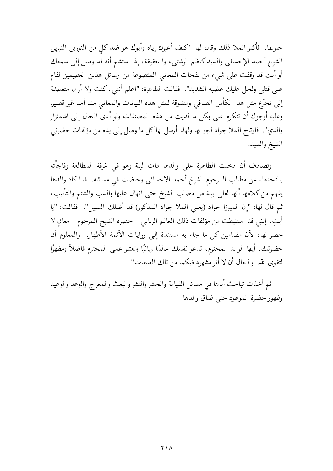خلوتها. ۖ فأكبر الملا ذلك وقال لها: "كيف أعيرك إياه وأبوك هو ضد كل من النورين النيرين الشيخ أحمد الإحسائي والسيد كاظم الرشتبي، والحقيقة، إذا استشم أنه قد وصل إلى سمعك أو أنك قد وقفت على شيء من نفحات المعاني المتضوعة من رسائل هذين العظيمين لقام على قتلى ولحل عليك غضبه الشديد". فقالت الطاهرة: "اعلم أننبي، كنت ولا أزال متعطشة إلى تجرّع مثل هذا الكأس الصافي ومتشوقة لمثل هذه البيانات والمعاني منذ أمد غير قصير. وعليه أرجوك أن تتكرم على بكل ما لديك من هذه المصنفات ولو أدى الحال إلى اشمئزاز والدي". فارتاح الملا جواد لجوابها ولهذا أرسل لهاكل ما وصل إلى يده من مؤلفات حضرتي الشيخ والسيد.

وتصادف أن دخلت الطاهرة على والدها ذات ليلة وهو في غرفة المطالعة وفاجأته بالتحدث عن مطالب المرحوم الشيخ أحمد الإحسائي وخاضت في مسائله. فما كاد والدها يفهم من كلامها أنها لعلى بينة من مطالب الشيخ حتى انهال عليها بالسب والشتم والتأنيب، ثم قال لها: "إن الميرزا جواد (يعني الملا جواد المذكور) قد أضلك السبيل". فقالت: "يا أبتِ، إنني قد استنبطت من مؤلفات ذلك العالم الرباني – حضرة الشيخ المرحوم – معانِ لا حصر لها، لأن مضامين كل ما جاء به مستندة إلى روايات الأئمة الأطهار. والمعلوم أن حضرتك، أيها الوالد المحترم، تدعو نفسك عالمًا ربانيًا وتعتبر عمى المحترم فاضلاً ومظهرًا لتقوى الله. ۖ والحال أن لا أثر مشهود فيكما من تلك الصفات".

ثم أخذت تباحث أباها في مسائل القيامة والحشر والنشر والبعث والمعراج والوعد والوعيد وظهور حضرة الموعود حتى ضاق والدها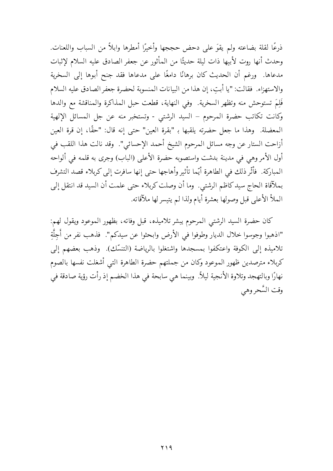ذرعًا لقلة بضاعته ولم يقوَ على دحض حججها وأخيرًا أمطرها وابلاً من السباب واللعنات. وحدث أنها روت لأبيها ذات ليلة حديثًا من المأثور عن جعفر الصادق عليه السلام لإثبات مدعاها. ورغم أن الحديث كان برهانًا دامغًا على مدعاها فقد جنح أبوها إلى السخرية والاستهزاء. فقالت: "يا أبت، إن هذا من البيانات المنسوبة لحضرة جعفر الصادق عليه السلام فَلِمَ تستوحش منه وتظهر السخرية. وفي النهاية، قطعت حبل المذاكرة والمناقشة مع والدها وكانت تكاتب حضرة المرحوم – السيد الرشتبي - وتستخبر منه عن جل المسائل الإلهية المعضلة. وهذا ما جعل حضرته يلقبها بـ "بقرة العين" حتى إنه قال: "حقًّا، إن قرة العين أزاحت الستار عن وجه مسائل المرحوم الشيخ أحمد الإحسائي". وقد نالت هذا اللقب في أول الأمر وهي في مدينة بدشت واستصوبه حضرة الأعلى (الباب) وجرى به قلمه في ألواحه المباركة. ۖ فأثَّر ذلك في الطاهرة أيَّما تأثير وأهاجها حتى إنها سافرت إلى كربلاء قصد التشرف بملآقاة الحاج سيد كاظم الرشتي. وما أن وصلت كربلاء حتى علمت أن السيد قد انتقل إلى الملأ الأعلى قبل وصولها بعشرة أيام ولذا لم يتيسر لها ملآقاته.

كان حضرة السيد الرشتبي المرحوم يبشر تلاميذه، قبل وفاته، بظهور الموعود ويقول لهم: "اذهبوا وجوسوا خلال الديار وطوفوا في الأرض وابحثوا عن سيدكم". فذهب نفر من أجلَّةِ تلاميذه إلى الكوفة واعتكفوا بمسجدها واشتغلوا بالرياضة (التنسّك). وذهب بعضهم إلى كربلاء مترصدين ظهور الموعود وكان من جملتهم حضرة الطاهرة التبي أشغلت نفسها بالصوم نهارًا وبالتهجد وتلاوة الأنجية ليلاً. وبينما هي سابحة في هذا الخضم إذ رأت رؤية صادقة في وقت السَّحر وهي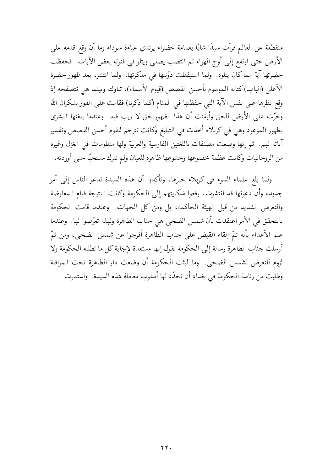منقطعة عن العالم فرأت سيدًا شابًا بعمامة خضراء يرتدي عباءة سوداء وما أن وقع قدمه على الأرض حتى ارتفع إلى أوج الهواء ثم انتصب يصلى ويتلو في قنوته بعض الآيات. فحفظت حضرتها آية مماكان يتلوه. ولما استيقظت دوّنتها في مذكرتها. ولما انتشر، بعد ظهور حضرة الأعلى (الباب)كتابه الموسوم بأحسن القصص (قيوم الأسماء)، تناولته وبينما هي تتصفحه إذ وقع نظرها على نفس الآية التي حفظتها في المنام (كما ذكرنا) فقامت على الفور بشكران الله وخرَّت على الأرض للحق وأيقنت أن هذا الظهور حق لا ريب فيه. وعندما بلغتها البشرى بظهور الموعود وهي في كربلاء أخذت في التبليغ وكانت تترجم للقوم أحسن القصص وتفسير آياته لهم. ثم إنها وضعت مصنفات باللغتين الفارسية والعربية ولها منظومات في الغزل وغيره من الروحانيات وكانت عظمة خضوعها وخشوعها ظاهرة للعيان ولم تترك مستحبًا حتى أوردته.

ولما بلغ علماء السوء في كربلاء خبرها، وتأكدوا أن هذه السيدة تدعو الناس إلى أمر جديد، وأن دعوتها قد انتشرت، رفعوا شكايتهم إلى الحكومة وكانت النتيجة قيام المعارضة والتعرض الشديد من قبل الهيئة الحاكمة، بل ومن كل الجهات. وعندما قامت الحكومة بالتحقق في الأمر اعتقدت بأن شمس الضحى هي جناب الطاهرة ولهذا تعرَّضوا لها. ۖ وعندما علم الأعداء بأنه تمّ إلقاء القبض على جناب الطاهرة أفرجوا عن شمس الضحى، ومن ثمّ أرسلت جناب الطاهرة رسالة إلى الحكومة تقول إنها مستعدة لإجابة كل ما تطلبه الحكومة ولا لزوم للتعرض لشمس الضحى. وما لبثت الحكومة أن وضعت دار الطاهرة تحت المراقبة وطلبت من رئاسة الحكومة في بغداد أن تحدَّد لها أسلوب معاملة هذه السيدة. واستمرت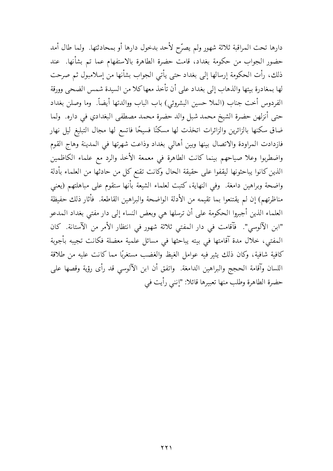دارها تحت المراقبة ثلاثة شهور ولم يصرّح لأحد بدخول دارها أو بمحادثتها. ولما طال أمد حضور الجواب من حكومة بغداد، قامت حضرة الطاهرة بالاستفهام عما تم بشأنها. عند ذلك، رأت الحكومة إرسالها إلى بغداد حتى يأتى الجواب بشأنها من إسلامبول ثم صرحت لها بمغادرة بيتها والذهاب إلى بغداد على أن تأخذ معها كلا من السيدة شمس الضحى وورقة الفردوس أخت جناب (الملا حسين البشروئي) باب الباب ووالدتها أيضاً. وما وصلن بغداد حتى أنزلهن حضرة الشيخ محمد شبل والد حضرة محمد مصطفى البغدادي في داره. ولما ضاق سكنها بالزائرين والزائرات اتخذت لها مسكنًا فسيحًا فاتسع لها مجال التبليغ ليل نهار فازدادت المراودة والاتصال بينها وبين أهالي بغداد وذاعت شهرتها في المدينة وهاج القوم واضطربوا وعلا صياحهم بينما كانت الطاهرة في معمعة الأخذ والرد مع علماء الكاظمين الذين كانوا يباحثونها ليقفوا على حقيقة الحال وكانت تقنع كل من حادثها من العلماء بأدلة واضحة وبراهين دامغة. وفي النهاية، كتبت لعلماء الشيعة بأنها ستقوم على مباهلتهم (يعني مناظرتهم) إن لم يقتنعوا بما تقيمه من الأدلة الواضحة والبراهين القاطعة. فأثار ذلك حفيظة العلماء الذين أجبروا الحكومة على أن ترسلها هي وبعض النساء إلى دار مفتى بغداد المدعو "ابن الآلوسي". فآقامت في دار المفتى ثلاثة شهور في انتظار الأمر من الآستانة. كان المفتى، خلال مدة آقامتها في بيته يباحثها في مسائل علمية معضلة فكانت تجيبه بأجوبة كافية شافية، وكان ذلك يثير فيه عوامل الغيظ والغضب مستغربًا مما كانت عليه من طلاقة اللسان وآقامة الحجج والبراهين الدامغة. واتفق أن ابن الآلوسي قد رأى رؤية وقصها على حضرة الطاهرة وطلب منها تعبيرها قائلا: "إنني رأيت في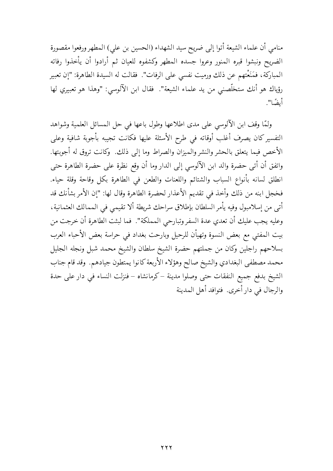منامي أن علماء الشيعة أتوا إلى ضريح سيد الشهداء (الحسين بن علي) المطهر ورفعوا مقصورة الضريح ونبشوا قبره المنور وعروا جسده المطهر وكشفوه للعيان ثم أرادوا أن يأخذوا رفاته المباركة، فمَنَعْتهم عن ذلك ورميت نفسي على الرفات". فقالت له السيدة الطاهرة: "إن تعبير رؤياك هو أنك ستخلَّصني من يد علماء الشيعة". فقال ابن الآلوسي: "وهذا هو تعبيري لها أيضًا".

ولمَّا وقف ابن الآلوسي على مدى اطلاعها وطول باعها في حل المسائل العلمية وشواهد التفسير كان يصرف أغلب أوقاته في طرح الأسئلة عليها فكانت تجيبه بأجوبة شافية وعلى الأخص فيما يتعلق بالحشر والنشر والميزان والصراط وما إلى ذلك. وكانت تروق له أجوبتها. واتفق أن أتى حضرة والد ابن الآلوسي إلى الدار وما أن وقع نظرة على حضرة الطاهرة حتى انطلق لسانه بأنواع السباب والشتائم واللعنات والطعن فبى الطاهرة بكل وقاحة وقلة حياء. فخجل ابنه من ذلك وأخذ في تقديم الأعذار لحضرة الطاهرة وقال لها: "إن الأمر بشأنك قد أتى من إسلامبول وفيه يأمر السلطان بإطلاق سراحك شريطة ألا تقيمي في الممالك العثمانية، وعليه يجب عليك أن تعدي عدة السفر وتبارحي المملكة". فما لبثت الطاهرة أن خرجت من بيت المفتى مع بعض النسوة وتهيأن للرحيل وبارحت بغداد في حراسة بعض الأحباء العرب بسلاحهم راجلين وكان من جملتهم حضرة الشيخ سلطان والشيخ محمد شبل ونجله الجليل محمد مصطفى البغدادي والشيخ صالح وهؤلاء الأربعة كانوا يمتطون جيادهم. وقد قام جناب الشيخ بدفع جميع النفقات حتى وصلوا مدينة –كرمانشاه – فنزلت النساء في دار على حدة والرجال في دار أخرى. فتوافد أهل المدينة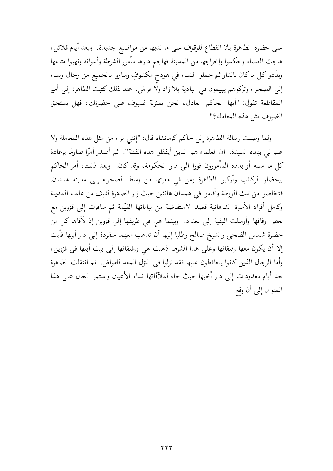على حضرة الطاهرة بلا انقطاع للوقوف على ما لديها من مواضيع جديدة. وبعد أيام قلائل، هاجت العلماء وحكموا بإخراجها من المدينة فهاجم دارها مأمور الشرطة وأعوانه ونهبوا متاعها وبدَّدواكل ماكان بالدار ثم حملوا النساء في هودج مكشوفٍ وساروا بالجميع من رجال ونساء إلى الصحراء وتركوهم يهيمون في البادية بلا زاد ولا فراش. عند ذلك كتبت الطاهرة إلى أمير المقاطعة تقول: "أيها الحاكم العادل، نحن بمنزلة ضيوف على حضرتك، فهل يستحق الضيوف مثل هذه المعاملة؟"

ولما وصلت رسالة الطاهرة إلى حاكم كرمانشاه قال: "إنني براء من مثل هذه المعاملة ولا علم لي بهذه السيدة. ۚ إن العلماء هم الذين أيقظوا هذه الفتنة". ثم أصدر أمرًا صارمًا بإعادة كل ما سلبه أو بدده المأمورون فورا إلى دار الحكومة، وقد كان وبعد ذلك، أمر الحاكم بإحضار الركائب وأركبوا الطاهرة ومن في معيتها من وسط الصحراء إلى مدينة همدان. فتخلصوا من تلك الورطة وآقاموا في همدان هانئين حيث زار الطاهرة لفيف من علماء المدينة وكامل أفراد الأسرة الشاهانية قصد الاستفاضة من بياناتها القيّمة ثم سافرت إلى قزوين مع بعض رفاقها وأرسلت البقية إلى بغداد. ۖ وبينما هي في طريقها إلى قزوين إذ لآقاها كل من حضرة شمس الضحى والشيخ صالح وطلبا إليها أن تذهب معهما منفردة إلى دار أبيها فأبت إلا أن يكون معها رفيقاتها وعلى هذا الشرط ذهبت هي ورفيقاتها إلى بيت أبيها في قزوين، وأما الرجال الذين كانوا يحافظون عليها فقد نزلوا في النزل المعد للقوافل. ثم انتقلت الطاهرة بعد أيام معدودات إلى دار أخيها حيث جاء لملآقاتها نساء الأعيان واستمر الحال على هذا المنوال إلى أن وقع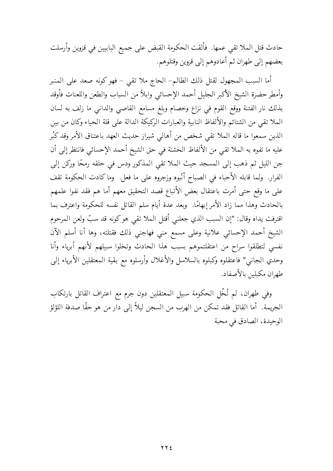حادث قتل الملا تقى عمها. فألقت الحكومة القبض على جميع البابيين في قزوين وأرسلت بعضهم إلى طهران ثم أعادوهم إلى قزوين وقتلوهم.

أما السبب المجهول لقتل ذلك الظالم– الحاج ملا تقى – فهو كونه صعد على المنبر وأمطر حضرة الشيخ الأكبر الجليل أحمد الإحسائي وابلأ من السباب والطعن واللعنات فأوقد بذلك نار الفتنة ووقع القوم في نزاع وخصام وبلغ مسامع القاصي والدانبي ما زلف به لسان الملا تقى من الشتائم والألفاظ النابية والعبارات الركيكة الدالة على قلة الحياء وكان من بين الذين سمعوا ما قاله الملا تقى شخص من أهالى شيراز حديث العهد باعتناق الأمر وقد كبُر عليه ما تفوه به الملا تقى من الألفاظ الخشنة فى حق الشيخ أحمد الإحسائى فانتظر إلى أن جن الليل ثم ذهب إلى المسجد حيث الملا تقى المذكور ودس في حلقه رمحًا وركن إلى الفرار. ولما قابله الأحباء في الصباح أنَّبوه وزجروه على ما فعل. وما كادت الحكومة تقف على ما وقع حتى أمرت باعتقال بعض الأتباع قصد التحقيق معهم أما هم فقد نفوا علمهم بالحادث وهذا مما زاد الأمر إبهامًا. ۖ وبعد عدة أيام سلم القاتل نفسه للحكومة واعترف بما اقترفت يداه وقال: "إن السبب الذي جعلني أقتل الملا تقى هوكونه قد سبٍّ ولعن المرحوم الشيخ أحمد الإحسائي علانية وعلى مسمع مني فهاجنى ذلك فقتلته، وها أنا أسلم الآن نفسى لتطلقوا سراح من اعتقلتموهم بسبب هذا الحادث وتخلوا سبيلهم لأنهم أبرياء وأنا وحدي الجانبي" فاعتقلوه وكبلوه بالسلاسل والأغلال وأرسلوه مع بقية المعتقلين الأبرياء إلى طهران مكبلين بالأصفاد.

وفي طهران، لم تُخْل الحكومة سبيل المعتقلين دون جرم مع اعتراف القاتل بارتكاب الجريمة. أما القاتل فقد تمكن من الهرب من السجن ليلاً إلى دار من هو حقًّا صدفة اللؤلؤ الوحيدة، الصادق في محبة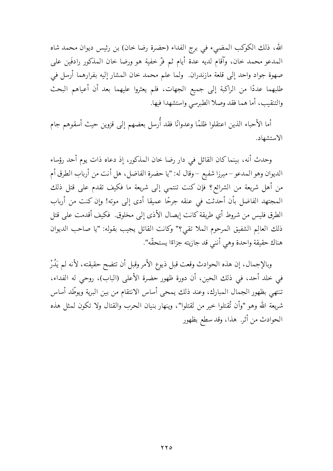الله، ذلك الكوكب المضيء في برج الفداء (حضرة رضا خان) بن رئيس ديوان محمد شاه المدعو محمد خان، وآقام لديه عدة أيام ثم فرّ خفية هو ورضا خان المذكور رادفَين على صهوة جواد واحد إلىي قلعة مازندران. ۖ ولما علم محمد خان المشار إليه بفرارهما أرسل في طلبهما عددًا من الراكبة إلى جميع الجهات، فلم يعثروا عليهما بعد أن أعياهم البحث والتنقيب، أما هما فقد وصلا الطبرسي واستشهدا فيها.

أما الأحباء الذين اعتقلوا ظلمًا وعدوانًا فقد أُرسل بعضهم إلى قزوين حيث أسقوهم جام الاستشهاد.

وحدث أنه، بينما كان القائل في دار رضا خان المذكور، إذ دعاه ذات يوم أحد رؤساء الديوان وهو المدعو – ميرزا شفيع – وقال له: "يا حضرة الفاضل، هل أنت من أرباب الطرق أم من أهل شريعة من الشرائع؟ فإن كنت تنتمي إلى شريعة ما فكيف تقدم على قتل ذلك المجتهد الفاضل بأن أحدثت في عنقه جرحًا عميقا أدى إلى موته! وإن كنت من أرباب الطرق فليس من شروط أي طريقة كانت إيصال الأذى إلى مخلوق. فكيف أقدمت على قتل ذلك العالِم الشفيق المرحوم الملا تقى؟" وكانت القاتل يجيب بقوله: "يا صاحب الديوان هناك حقيقة واحدة وهي أنني قد جازيته جزاءًا يستحقّه".

وبالإجمال، إن هذه الحوادث وقعت قبل ذيوع الأمر وقبل أن تتضح حقيقته، لأنه لم يَدُرْ في خلد أحد، في ذلك الحين، أن دورة ظهور حضرة الأعلى (الباب)، روحي له الفداء، تنتهي بظهور الجمال المبارك، وعند ذلك يمحى أساس الانتقام من بين البرية ويوطِّد أساس شريعة الله وهو "وأن تُقتلوا خير من تَقتلوا"، وينهار بنيان الحرب والقتال ولا تكون لمثل هذه الحوادث من أثر. هذا، وقد سطع بظهور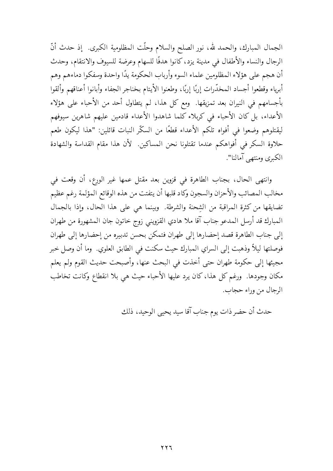الجمال المبارك، والحمد لله، نور الصلح والسلام وحلَّت المظلومية الكبرى. ۚ إذ حدث أنَّ الرجال والنساء والأطفال في مدينة يزد، كانوا هدفًا للسهام وعرضة للسيوف والانتقام، وحدث أن هجم على هؤلاء المظلومين علماء السوء وأرباب الحكومة يدًا واحدة وسفكوا دماءهم وهم أبرياء وقطعوا أجساد المخدّرات إربًا إربًا، وطعنوا الأيتام بخناجر الجفاء وأبانوا أعناقهم وألقوا بأجسامهم في النيران بعد تمزيقها. ومع كل هذا، لم يتطاول أحد من الأحباء على هؤلاء الأعداء، بل كان الأحباء في كربلاء كلما شاهدوا الأعداء قادمين عليهم شاهرين سيوفهم ليقتلوهم وضعوا في أفواه تلكم الأعداء قطعًا من السكّر النبات قائلين: "هذا ليكون طعم حلاوة السكر في أفواهكم عندما تقتلونا نحن المساكين. لأن هذا مقام القداسة والشهادة الكبرى ومنتهى آمالنا".

وانتهى الحال، بجناب الطاهرة في قزوين بعد مقتل عمها غير الورع، أن وقعت في مخالب المصائب والأحزان والسجون وكاد قلبها أن يتفتت من هذه الوقائع المؤلمة رغم عظيم تضايقها من كثرة المراقبة من الشحنة والشرطة. وبينما هي على هذا الحال، وإذا بالجمال المبارك قد أرسل المدعو جناب آقا ملا هادي القزويني زوج خاتون جان المشهورة من طهران إلى جناب الطاهرة قصد إحضارها إلى طهران فتمكن بحسن تدبيره من إحضارها إلى طهران فوصلتها ليلاً وذهبت إلى السراي المبارك حيث سكنت في الطابق العلوي. وما أن وصل خبر مجيئها إلى حكومة طهران حتى أخذت في البحث عنها، وأصبحت حديث القوم ولم يعلم مكان وجودها. ۖ ورغم كل هذا، كان يرد عليها الأحباء حيث هي بلا انقطاع وكانت تخاطب الرجال من وراء حجاب.

حدث أن حضر ذات يوم جناب آقا سيد يحيى الوحيد، ذلك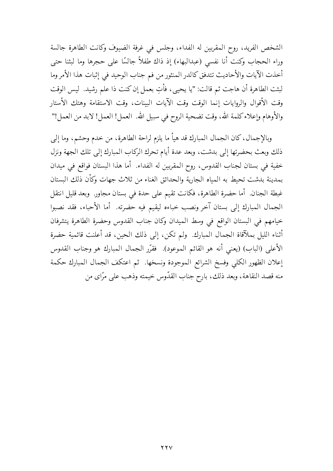الشخص الفريد، روح المقربين له الفداء، وجلس في غرفة الضيوف وكانت الطاهرة جالسة وراء الحجاب وكنت أنا نفسى (عبدالبهاء) إذ ذاك طفلاً جالسًا على حجرها وما لبثنا حتى أخذت الآيات والأحاديث تتدفق كالدر المنثور من فم جناب الوحيد في إثبات هذا الأمر وما لبثت الطاهرة أن هاجت ثم قالت: "يا يحيى، فأتِ بعمل إن كنت ذا علم رشيد. ليس الوقت وقت الأقوال والروايات إنما الوقت وقت الآيات البينات، وقت الاستقامة وهتك الأستار والأوهام وإعلاء كلمة الله، وقت تضحية الروح في سبيل الله. العمل! العمل! لابد من العمل!"

وبالإجمال، كان الجمال المبارك قد هيأ ما يلزم لراحة الطاهرة، من خدم وحشم، وما إلى ذلك وبعث بحضرتها إلى بدشت، وبعد عدة أيام تحرك الركاب المبارك إلى تلك الجهة ونزل خفية في بستان لجناب القدوس، روح المقربين له الفداء. أما هذا البستان فواقع في ميدان بمدينة بدشت تحيط به المياه الجارية والحدائق الغناء من ثلاث جهات وكأن ذلك البستان غبطة الجنان. أما حضرة الطاهرة، فكانت تقيم على حدة في بستان مجاور. وبعد قليل انتقل الجمال المبارك إلى بستان آخر ونصب خباءه ليقيم فيه حضرته. أما الأحباء، فقد نصبوا خيامهم في البستان الواقع في وسط الميدان وكان جناب القدوس وحضرة الطاهرة يتشرفان أثناء الليل بملآقاة الجمال المبارك. ولم تكن، إلى ذلك الحين، قد أعلنت قائمية حضرة الأعلى (الباب) (يعني أنه هو القائم الموعود). فقرَّر الجمال المبارك هو وجناب القدوس إعلان الظهور الكلي وفسخ الشرائع الموجودة ونسخها. ثم اعتكف الجمال المبارك حكمة منه قصد النقاهة، وبعد ذلك، بارح جناب القدّوس خيمته وذهب على مرَّاي من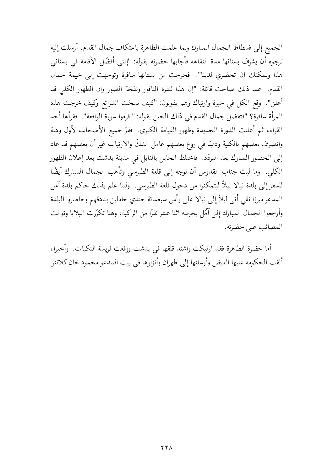الجميع إلى فسطاط الجمال المبارك ولما علمت الطاهرة باعتكاف جمال القدم، أرسلت إليه ترجوه أن يشرف بستانها مدة النقاهة فأجابها حضرته بقوله: "إنني أفضّل الآقامة في بستاني هذا ويمكنك أن تحضري لدينا". فخرجت من بستانها سافرة وتوجهت إلى خيمة جمال القدم. عند ذلك صاحت قائلة: "إن هذا لنقرة الناقور ونفخة الصور وإن الظهور الكلي قد أعلن". وقع الكل في حيرة وارتباك وهم يقولون: "كيف نسخت الشرائع وكيف خرجت هذه المرأة سافرة؟ "فتفضل جمال القدم في ذلك الحين بقوله: "اقرءوا سورة الواقعة". فقرأها أحد القراء، ثم أعلنت الدورة الجديدة وظهور القيامة الكبرى. ففرَّ جميع الأصحاب لأول وهلة وانصرف بعضهم بالكلية ودبّ في روع بعضهم عامل الشكّ والارتياب غير أن بعضهم قد عاد إلى الحضور المبارك بعد التردّد. فاختلط الحابل بالنابل في مدينة بدشت بعد إعلان الظهور الكلي. وما لبث جناب القدوس أن توجه إلى قلعة الطبرسي وتأهب الجمال المبارك أيضًا للسفر إلى بلدة نيالا ليلاً ليتمكنوا من دخول قلعة الطبرسى. ولما علم بذلك حاكم بلدة آمل المدعو ميرزا تقى أتى ليلاً إلى نيالا على رأس سبعمائة جندي حاملين بنادقهم وحاصروا البلدة وأرجعوا الجمال المبارك إلى آمُل يحرسه اثنا عشر نفرًا من الراكبة، وهنا تكرّرت البلايا وتوالت المصائب على حضرته.

أما حضرة الطاهرة فقد ارتبكت واشتد قلقها في بدشت ووقعت فريسة النكبات. وأخيرا، ألقت الحكومة عليها القبض وأرسلتها إلى طهران وأنزلوها في بيت المدعو محمود خان كلانتر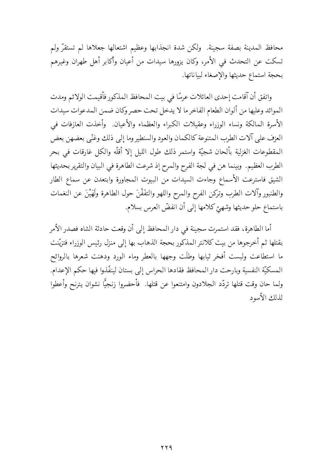محافظ المدينة بصفة سجينة. ولكن شدة انجذابها وعظيم اشتعالها جعلاها لم تستقرُّ ولم تسكت عن التحدث في الأمر، وكان يزورها سيدات من أعيان وأكابر أهل طهران وغيرهم بحجة استماع حديثها والإصغاء لبياناتها.

واتفق أن آقامت إحدى العائلات عرسًا في بيت المحافظ المذكور فأقيمت الولائم ومدت الموائد وعليها من ألوان الطعام الفاخر ما لا يدخل تحت حصر وكان ضمن المدعوات سيدات الأسرة المالكة ونساء الوزراء وعقيلات الكبراء والعظماء والأعيان. وأخذت العازفات في العزف على آلات الطرب المتنوعة كالكمان والعود والسنطير وما إلى ذلك وغنّى بعضهن بعض المقطوعات الغزلية بألحان شجيّة واستمر ذلك طول الليل إلا أقلّه والكل غارقات في بحر الطرب العظيم. وبينما هن في لجة الفرح والمرح إذ شرعت الطاهرة في البيان والتقرير بحديثها الشيق فاسترعت الأسماع وجاءت السيدات من البيوت المجاورة وابتعدن عن سماع الطار والطنبور وآلات الطرب وتركن الفرح والممرح واللهو والتفَفْنَ حول الطاهرة ولَهَيْنَ عن النغمات باستماع حلو حديثها وشهيّ كلامها إلى أن انفضّ العرس بسلام.

أما الطاهرة، فقد استمرت سجينة في دار المحافظ إلى أن وقعت حادثة الشاه فصدر الأمر بقتلها ثم أخرجوها من بيت كلانتر المذكور بحجة الذهاب بها إلى منزل رئيس الوزراء فتزيّنت ما استطاعت ولبست أفخر ثيابها وطلَت وجهها بالعطر وماء الورد ودهنت شعرها بالروائح المسكيَّة النفسية وبارحت دار المحافظ فقادها الحراس إلى بستان لينفَّذوا فيها حكم الإعدام. ولما حان وقت قتلها تردَّد الجلادون وامتنعوا عن قتلها. ۖ فأحضروا زنجيًّا نشوان يترنح وأعطوا لذلك الأسود